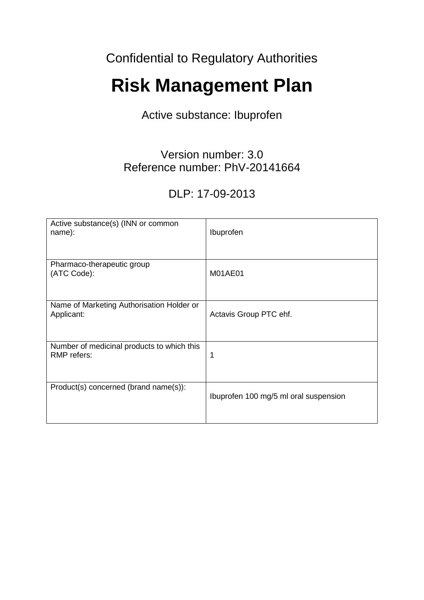Confidential to Regulatory Authorities

# **Risk Management Plan**

Active substance: Ibuprofen

Version number: 3.0 Reference number: PhV-20141664

# DLP: 17-09-2013

| Active substance(s) (INN or common<br>name):              | Ibuprofen                             |
|-----------------------------------------------------------|---------------------------------------|
| Pharmaco-therapeutic group<br>(ATC Code):                 | M01AE01                               |
| Name of Marketing Authorisation Holder or<br>Applicant:   | Actavis Group PTC ehf.                |
| Number of medicinal products to which this<br>RMP refers: | 1                                     |
| Product(s) concerned (brand name(s)):                     | Ibuprofen 100 mg/5 ml oral suspension |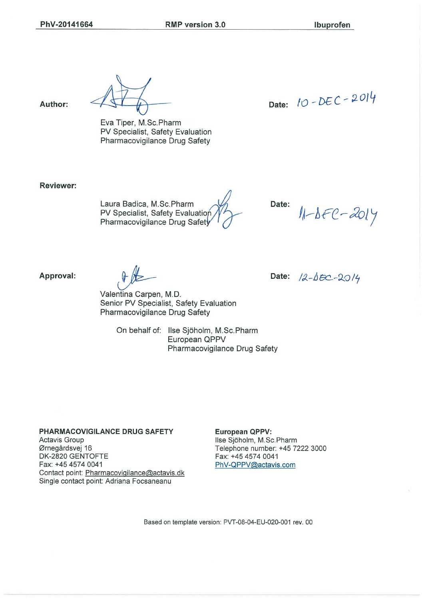RMP version 3.0

Ibuprofen

Date:  $10 - DEC - 2014$ 

Author:

Eva Tiper, M.Sc.Pharm PV Specialist, Safety Evaluation Pharmacovigilance Drug Safety

**Reviewer:** 

Laura Badica, M.Sc.Pharm PV Specialist, Safety Evaluation Pharmacovigilance Drug Safety

Date:

 $11 - 85e - 201y$ 

Date:  $/2-\triangle E2-\angle O/4$ 

Approval:

Valentina Carpen, M.D. Senior PV Specialist, Safety Evaluation Pharmacovigilance Drug Safety

> On behalf of: Ilse Sjöholm, M.Sc.Pharm European QPPV Pharmacovigilance Drug Safety

#### PHARMACOVIGILANCE DRUG SAFETY

**Actavis Group** Ørnegårdsvej 16 DK-2820 GENTOFTE Fax: +45 4574 0041 Contact point: Pharmacovigilance@actavis.dk Single contact point: Adriana Focsaneanu

#### **European QPPV:**

Ilse Sjöholm, M.Sc.Pharm Telephone number: +45 7222 3000 Fax: +45 4574 0041 PhV-QPPV@actavis.com

Based on template version: PVT-08-04-EU-020-001 rev. 00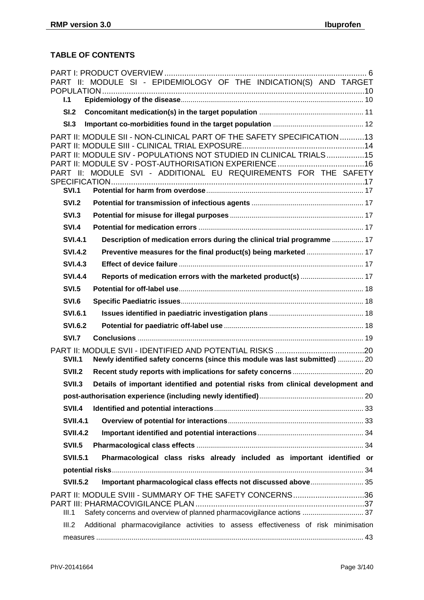# **TABLE OF CONTENTS**

| PART II: MODULE SI - EPIDEMIOLOGY OF THE INDICATION(S) AND TARGET                                                                                                                                              |  |
|----------------------------------------------------------------------------------------------------------------------------------------------------------------------------------------------------------------|--|
| 1.1                                                                                                                                                                                                            |  |
| SI.2                                                                                                                                                                                                           |  |
| SI.3                                                                                                                                                                                                           |  |
| PART II: MODULE SII - NON-CLINICAL PART OF THE SAFETY SPECIFICATION13<br>PART II: MODULE SIV - POPULATIONS NOT STUDIED IN CLINICAL TRIALS15<br>PART II: MODULE SVI - ADDITIONAL EU REQUIREMENTS FOR THE SAFETY |  |
| <b>SVI.1</b>                                                                                                                                                                                                   |  |
| <b>SVI.2</b>                                                                                                                                                                                                   |  |
| <b>SVI.3</b>                                                                                                                                                                                                   |  |
| <b>SVI.4</b>                                                                                                                                                                                                   |  |
| Description of medication errors during the clinical trial programme  17<br><b>SVI.4.1</b>                                                                                                                     |  |
| <b>SVI.4.2</b>                                                                                                                                                                                                 |  |
| <b>SVI.4.3</b>                                                                                                                                                                                                 |  |
| <b>SVI.4.4</b>                                                                                                                                                                                                 |  |
| <b>SVI.5</b>                                                                                                                                                                                                   |  |
| SVI.6                                                                                                                                                                                                          |  |
| <b>SVI.6.1</b>                                                                                                                                                                                                 |  |
| <b>SVI.6.2</b>                                                                                                                                                                                                 |  |
| SVI.7                                                                                                                                                                                                          |  |
| Newly identified safety concerns (since this module was last submitted)  20<br><b>SVII.1</b>                                                                                                                   |  |
| SVII.2                                                                                                                                                                                                         |  |
| Details of important identified and potential risks from clinical development and<br><b>SVII.3</b>                                                                                                             |  |
|                                                                                                                                                                                                                |  |
| <b>SVII.4</b>                                                                                                                                                                                                  |  |
| <b>SVII.4.1</b>                                                                                                                                                                                                |  |
| <b>SVII.4.2</b>                                                                                                                                                                                                |  |
| <b>SVII.5</b>                                                                                                                                                                                                  |  |
| Pharmacological class risks already included as important identified or<br><b>SVII.5.1</b>                                                                                                                     |  |
|                                                                                                                                                                                                                |  |
| Important pharmacological class effects not discussed above 35<br><b>SVII.5.2</b>                                                                                                                              |  |
| PART II: MODULE SVIII - SUMMARY OF THE SAFETY CONCERNS36<br>Safety concerns and overview of planned pharmacovigilance actions  37<br>III.1                                                                     |  |
| Additional pharmacovigilance activities to assess effectiveness of risk minimisation<br>III.2                                                                                                                  |  |
|                                                                                                                                                                                                                |  |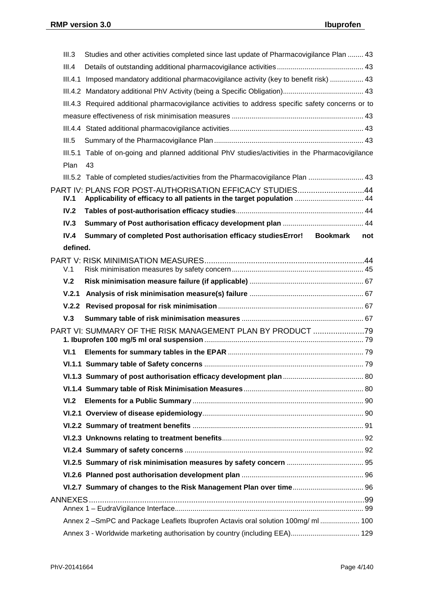| III.3                                                                                     | Studies and other activities completed since last update of Pharmacovigilance Plan  43                                             |     |  |  |
|-------------------------------------------------------------------------------------------|------------------------------------------------------------------------------------------------------------------------------------|-----|--|--|
| III.4                                                                                     |                                                                                                                                    |     |  |  |
| III.4.1 Imposed mandatory additional pharmacovigilance activity (key to benefit risk)  43 |                                                                                                                                    |     |  |  |
|                                                                                           |                                                                                                                                    |     |  |  |
|                                                                                           | III.4.3 Required additional pharmacovigilance activities to address specific safety concerns or to                                 |     |  |  |
|                                                                                           |                                                                                                                                    |     |  |  |
|                                                                                           |                                                                                                                                    |     |  |  |
| III.5                                                                                     |                                                                                                                                    |     |  |  |
| III.5.1                                                                                   | Table of on-going and planned additional PhV studies/activities in the Pharmacovigilance                                           |     |  |  |
| Plan                                                                                      | 43                                                                                                                                 |     |  |  |
|                                                                                           | III.5.2 Table of completed studies/activities from the Pharmacovigilance Plan  43                                                  |     |  |  |
| IV.1                                                                                      | PART IV: PLANS FOR POST-AUTHORISATION EFFICACY STUDIES44<br>Applicability of efficacy to all patients in the target population  44 |     |  |  |
| IV.2                                                                                      |                                                                                                                                    |     |  |  |
| IV.3                                                                                      |                                                                                                                                    |     |  |  |
| IV.4                                                                                      | Summary of completed Post authorisation efficacy studies Error! Bookmark                                                           | not |  |  |
| defined.                                                                                  |                                                                                                                                    |     |  |  |
| V.1                                                                                       |                                                                                                                                    |     |  |  |
| V.2                                                                                       |                                                                                                                                    |     |  |  |
| V.2.1                                                                                     |                                                                                                                                    |     |  |  |
|                                                                                           |                                                                                                                                    |     |  |  |
| V.3                                                                                       |                                                                                                                                    |     |  |  |
|                                                                                           | PART VI: SUMMARY OF THE RISK MANAGEMENT PLAN BY PRODUCT ?                                                                          |     |  |  |
| VI.1                                                                                      |                                                                                                                                    |     |  |  |
|                                                                                           |                                                                                                                                    |     |  |  |
|                                                                                           |                                                                                                                                    |     |  |  |
|                                                                                           |                                                                                                                                    |     |  |  |
| VI.2                                                                                      |                                                                                                                                    |     |  |  |
|                                                                                           |                                                                                                                                    |     |  |  |
|                                                                                           |                                                                                                                                    |     |  |  |
|                                                                                           |                                                                                                                                    |     |  |  |
|                                                                                           |                                                                                                                                    |     |  |  |
|                                                                                           |                                                                                                                                    |     |  |  |
|                                                                                           |                                                                                                                                    |     |  |  |
|                                                                                           | VI.2.7 Summary of changes to the Risk Management Plan over time 96                                                                 |     |  |  |
|                                                                                           |                                                                                                                                    |     |  |  |
|                                                                                           |                                                                                                                                    |     |  |  |
|                                                                                           | Annex 2 -SmPC and Package Leaflets Ibuprofen Actavis oral solution 100mg/ ml  100                                                  |     |  |  |
|                                                                                           | Annex 3 - Worldwide marketing authorisation by country (including EEA) 129                                                         |     |  |  |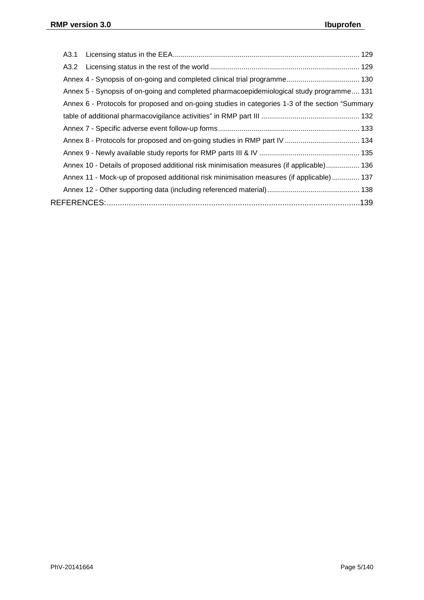| A3.1 |                                                                                                 |  |
|------|-------------------------------------------------------------------------------------------------|--|
|      |                                                                                                 |  |
|      |                                                                                                 |  |
|      | Annex 5 - Synopsis of on-going and completed pharmacoepidemiological study programme 131        |  |
|      | Annex 6 - Protocols for proposed and on-going studies in categories 1-3 of the section "Summary |  |
|      |                                                                                                 |  |
|      |                                                                                                 |  |
|      |                                                                                                 |  |
|      |                                                                                                 |  |
|      | Annex 10 - Details of proposed additional risk minimisation measures (if applicable) 136        |  |
|      | Annex 11 - Mock-up of proposed additional risk minimisation measures (if applicable)  137       |  |
|      |                                                                                                 |  |
|      |                                                                                                 |  |
|      |                                                                                                 |  |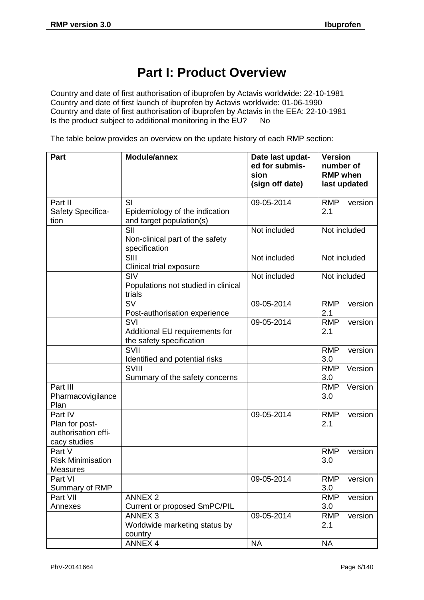# **Part I: Product Overview**

<span id="page-5-0"></span>Country and date of first authorisation of ibuprofen by Actavis worldwide: 22-10-1981 Country and date of first launch of ibuprofen by Actavis worldwide: 01-06-1990 Country and date of first authorisation of ibuprofen by Actavis in the EEA: 22-10-1981<br>Is the product subject to additional monitoring in the EU? No Is the product subject to additional monitoring in the EU?

The table below provides an overview on the update history of each RMP section:

| Part                                                             | <b>Module/annex</b>                                               | Date last updat-<br>ed for submis-<br>sion<br>(sign off date) | <b>Version</b><br>number of<br><b>RMP</b> when<br>last updated |
|------------------------------------------------------------------|-------------------------------------------------------------------|---------------------------------------------------------------|----------------------------------------------------------------|
| Part II<br>Safety Specifica-<br>tion                             | SI<br>Epidemiology of the indication<br>and target population(s)  | 09-05-2014                                                    | <b>RMP</b><br>version<br>2.1                                   |
|                                                                  | SII<br>Non-clinical part of the safety<br>specification           | Not included                                                  | Not included                                                   |
|                                                                  | SIII<br>Clinical trial exposure                                   | Not included                                                  | Not included                                                   |
|                                                                  | SIV<br>Populations not studied in clinical<br>trials              | Not included                                                  | Not included                                                   |
|                                                                  | <b>SV</b><br>Post-authorisation experience                        | 09-05-2014                                                    | <b>RMP</b><br>version<br>2.1                                   |
|                                                                  | SVI<br>Additional EU requirements for<br>the safety specification | 09-05-2014                                                    | <b>RMP</b><br>version<br>2.1                                   |
|                                                                  | SVII<br>Identified and potential risks                            |                                                               | <b>RMP</b><br>version<br>3.0                                   |
|                                                                  | SVIII<br>Summary of the safety concerns                           |                                                               | Version<br><b>RMP</b><br>3.0                                   |
| Part III<br>Pharmacovigilance<br>Plan                            |                                                                   |                                                               | Version<br><b>RMP</b><br>3.0                                   |
| Part IV<br>Plan for post-<br>authorisation effi-<br>cacy studies |                                                                   | 09-05-2014                                                    | <b>RMP</b><br>version<br>2.1                                   |
| Part V<br><b>Risk Minimisation</b><br>Measures                   |                                                                   |                                                               | <b>RMP</b><br>version<br>3.0                                   |
| Part VI<br>Summary of RMP                                        |                                                                   | 09-05-2014                                                    | <b>RMP</b><br>version<br>3.0                                   |
| Part VII<br>Annexes                                              | <b>ANNEX 2</b><br>Current or proposed SmPC/PIL                    |                                                               | version<br><b>RMP</b><br>3.0                                   |
|                                                                  | <b>ANNEX 3</b><br>Worldwide marketing status by<br>country        | 09-05-2014                                                    | <b>RMP</b><br>version<br>2.1                                   |
|                                                                  | <b>ANNEX 4</b>                                                    | <b>NA</b>                                                     | <b>NA</b>                                                      |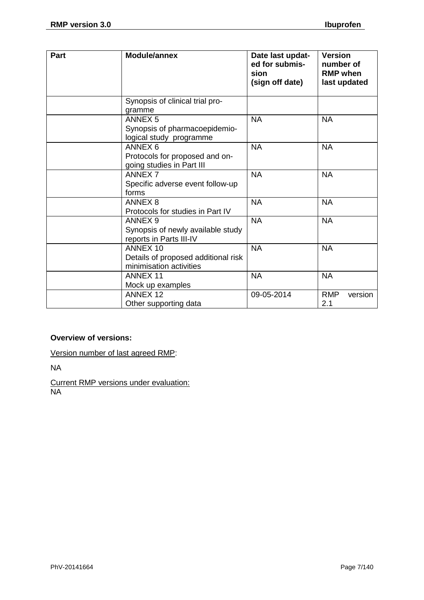| Part | Module/annex                                                                       | Date last updat-<br>ed for submis-<br>sion<br>(sign off date) | <b>Version</b><br>number of<br><b>RMP</b> when<br>last updated |
|------|------------------------------------------------------------------------------------|---------------------------------------------------------------|----------------------------------------------------------------|
|      | Synopsis of clinical trial pro-<br>gramme                                          |                                                               |                                                                |
|      | <b>ANNEX 5</b><br>Synopsis of pharmacoepidemio-<br>logical study programme         | <b>NA</b>                                                     | <b>NA</b>                                                      |
|      | ANNEX <sub>6</sub><br>Protocols for proposed and on-<br>going studies in Part III  | <b>NA</b>                                                     | <b>NA</b>                                                      |
|      | <b>ANNEX 7</b><br>Specific adverse event follow-up<br>forms                        | <b>NA</b>                                                     | <b>NA</b>                                                      |
|      | ANNEX <sub>8</sub><br>Protocols for studies in Part IV                             | <b>NA</b>                                                     | <b>NA</b>                                                      |
|      | ANNEX <sub>9</sub><br>Synopsis of newly available study<br>reports in Parts III-IV | <b>NA</b>                                                     | <b>NA</b>                                                      |
|      | ANNEX 10<br>Details of proposed additional risk<br>minimisation activities         | <b>NA</b>                                                     | <b>NA</b>                                                      |
|      | <b>ANNEX 11</b><br>Mock up examples                                                | <b>NA</b>                                                     | <b>NA</b>                                                      |
|      | <b>ANNEX 12</b><br>Other supporting data                                           | 09-05-2014                                                    | <b>RMP</b><br>version<br>2.1                                   |

# **Overview of versions:**

Version number of last agreed RMP:

NA

Current RMP versions under evaluation: NA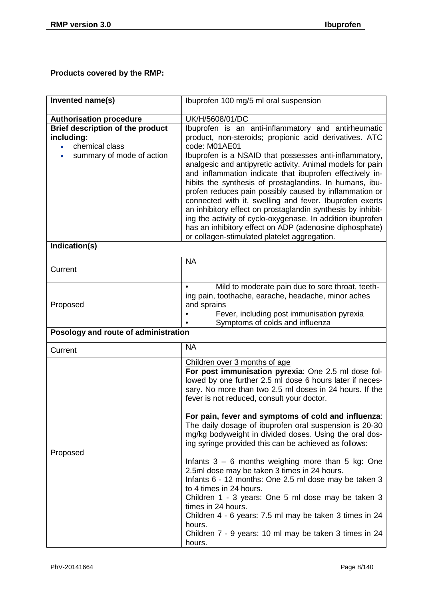# **Products covered by the RMP:**

| Invented name(s)                     | Ibuprofen 100 mg/5 ml oral suspension                                                                   |  |  |
|--------------------------------------|---------------------------------------------------------------------------------------------------------|--|--|
| <b>Authorisation procedure</b>       | UK/H/5608/01/DC                                                                                         |  |  |
| Brief description of the product     | Ibuprofen is an anti-inflammatory and antirheumatic                                                     |  |  |
| including:                           | product, non-steroids; propionic acid derivatives. ATC                                                  |  |  |
| chemical class                       | code: M01AE01                                                                                           |  |  |
| summary of mode of action            | Ibuprofen is a NSAID that possesses anti-inflammatory,                                                  |  |  |
|                                      | analgesic and antipyretic activity. Animal models for pain                                              |  |  |
|                                      | and inflammation indicate that ibuprofen effectively in-                                                |  |  |
|                                      | hibits the synthesis of prostaglandins. In humans, ibu-                                                 |  |  |
|                                      | profen reduces pain possibly caused by inflammation or                                                  |  |  |
|                                      | connected with it, swelling and fever. Ibuprofen exerts                                                 |  |  |
|                                      | an inhibitory effect on prostaglandin synthesis by inhibit-                                             |  |  |
|                                      | ing the activity of cyclo-oxygenase. In addition ibuprofen                                              |  |  |
|                                      | has an inhibitory effect on ADP (adenosine diphosphate)                                                 |  |  |
|                                      | or collagen-stimulated platelet aggregation.                                                            |  |  |
| Indication(s)                        |                                                                                                         |  |  |
|                                      | <b>NA</b>                                                                                               |  |  |
| Current                              |                                                                                                         |  |  |
|                                      |                                                                                                         |  |  |
|                                      | Mild to moderate pain due to sore throat, teeth-<br>ing pain, toothache, earache, headache, minor aches |  |  |
| Proposed                             | and sprains                                                                                             |  |  |
|                                      | Fever, including post immunisation pyrexia                                                              |  |  |
|                                      | Symptoms of colds and influenza                                                                         |  |  |
| Posology and route of administration |                                                                                                         |  |  |
|                                      |                                                                                                         |  |  |
| Current                              | <b>NA</b>                                                                                               |  |  |
|                                      | Children over 3 months of age                                                                           |  |  |
|                                      | For post immunisation pyrexia: One 2.5 ml dose fol-                                                     |  |  |
|                                      | lowed by one further 2.5 ml dose 6 hours later if neces-                                                |  |  |
|                                      | sary. No more than two 2.5 ml doses in 24 hours. If the<br>fever is not reduced, consult your doctor.   |  |  |
|                                      |                                                                                                         |  |  |
|                                      | For pain, fever and symptoms of cold and influenza:                                                     |  |  |
|                                      | The daily dosage of ibuprofen oral suspension is 20-30                                                  |  |  |
|                                      | mg/kg bodyweight in divided doses. Using the oral dos-                                                  |  |  |
|                                      | ing syringe provided this can be achieved as follows:                                                   |  |  |
| Proposed                             |                                                                                                         |  |  |
|                                      | Infants $3 - 6$ months weighing more than 5 kg: One                                                     |  |  |
|                                      | 2.5ml dose may be taken 3 times in 24 hours.                                                            |  |  |
|                                      | Infants 6 - 12 months: One 2.5 ml dose may be taken 3                                                   |  |  |
|                                      | to 4 times in 24 hours.                                                                                 |  |  |
|                                      | Children 1 - 3 years: One 5 ml dose may be taken 3                                                      |  |  |
|                                      | times in 24 hours.                                                                                      |  |  |
|                                      | Children 4 - 6 years: 7.5 ml may be taken 3 times in 24<br>hours.                                       |  |  |
|                                      | Children 7 - 9 years: 10 ml may be taken 3 times in 24                                                  |  |  |
|                                      | hours.                                                                                                  |  |  |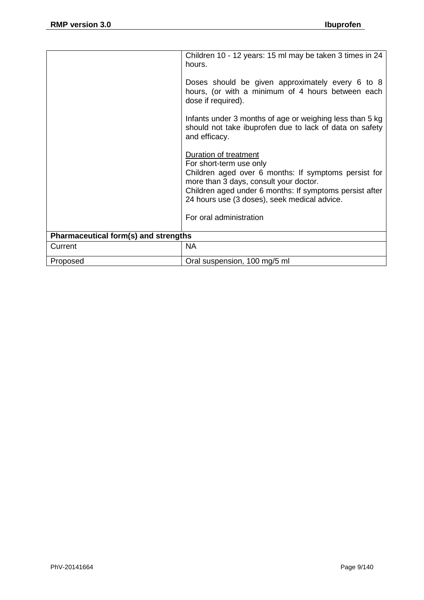|                                      | Children 10 - 12 years: 15 ml may be taken 3 times in 24<br>hours.<br>Doses should be given approximately every 6 to 8<br>hours, (or with a minimum of 4 hours between each<br>dose if required).<br>Infants under 3 months of age or weighing less than 5 kg<br>should not take ibuprofen due to lack of data on safety<br>and efficacy.<br>Duration of treatment<br>For short-term use only<br>Children aged over 6 months: If symptoms persist for<br>more than 3 days, consult your doctor.<br>Children aged under 6 months: If symptoms persist after<br>24 hours use (3 doses), seek medical advice.<br>For oral administration |
|--------------------------------------|---------------------------------------------------------------------------------------------------------------------------------------------------------------------------------------------------------------------------------------------------------------------------------------------------------------------------------------------------------------------------------------------------------------------------------------------------------------------------------------------------------------------------------------------------------------------------------------------------------------------------------------|
| Pharmaceutical form(s) and strengths |                                                                                                                                                                                                                                                                                                                                                                                                                                                                                                                                                                                                                                       |
| Current                              | <b>NA</b>                                                                                                                                                                                                                                                                                                                                                                                                                                                                                                                                                                                                                             |
| Proposed                             | Oral suspension, 100 mg/5 ml                                                                                                                                                                                                                                                                                                                                                                                                                                                                                                                                                                                                          |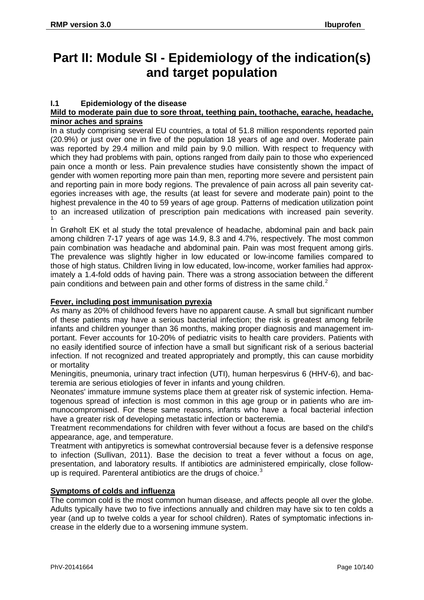# <span id="page-9-0"></span>**Part II: Module SI - Epidemiology of the indication(s) and target population**

## <span id="page-9-1"></span>**I.1 Epidemiology of the disease**

#### **Mild to moderate pain due to sore throat, teething pain, toothache, earache, headache, minor aches and sprains**

In a study comprising several EU countries, a total of 51.8 million respondents reported pain (20.9%) or just over one in five of the population 18 years of age and over. Moderate pain was reported by 29.4 million and mild pain by 9.0 million. With respect to frequency with which they had problems with pain, options ranged from daily pain to those who experienced pain once a month or less. Pain prevalence studies have consistently shown the impact of gender with women reporting more pain than men, reporting more severe and persistent pain and reporting pain in more body regions. The prevalence of pain across all pain severity categories increases with age, the results (at least for severe and moderate pain) point to the highest prevalence in the 40 to 59 years of age group. Patterns of medication utilization point to an increased utilization of prescription pain medications with increased pain severity.

In Grøholt EK et al study the total prevalence of headache, abdominal pain and back pain among children 7-17 years of age was 14.9, 8.3 and 4.7%, respectively. The most common pain combination was headache and abdominal pain. Pain was most frequent among girls. The prevalence was slightly higher in low educated or low-income families compared to those of high status. Children living in low educated, low-income, worker families had approximately a 1.4-fold odds of having pain. There was a strong association between the different pain conditions and between pain and other forms of distress in the same child.<sup>[2](#page-139-1)</sup>

#### **Fever, including post immunisation pyrexia**

As many as 20% of childhood fevers have no apparent cause. A small but significant number of these patients may have a serious bacterial infection; the risk is greatest among febrile infants and children younger than 36 months, making proper diagnosis and management important. Fever accounts for 10-20% of pediatric visits to health care providers. Patients with no easily identified source of infection have a small but significant risk of a serious bacterial infection. If not recognized and treated appropriately and promptly, this can cause morbidity or mortality

Meningitis, pneumonia, urinary tract infection (UTI), human herpesvirus 6 (HHV-6), and bacteremia are serious etiologies of fever in infants and young children.

Neonates' immature immune systems place them at greater risk of systemic infection. Hematogenous spread of infection is most common in this age group or in patients who are immunocompromised. For these same reasons, infants who have a focal bacterial infection have a greater risk of developing metastatic infection or bacteremia.

Treatment recommendations for children with fever without a focus are based on the child's appearance, age, and temperature.

Treatment with antipyretics is somewhat controversial because fever is a defensive response to infection (Sullivan, 2011). Base the decision to treat a fever without a focus on age, presentation, and laboratory results. If antibiotics are administered empirically, close follow-up is required. Parenteral antibiotics are the drugs of choice.<sup>[3](#page-139-2)</sup>

#### <span id="page-9-2"></span>**Symptoms of colds and influenza**

The common cold is the most common human disease, and affects people all over the globe. Adults typically have two to five infections annually and children may have six to ten colds a year (and up to twelve colds a year for school children). Rates of symptomatic infections increase in the elderly due to a worsening immune system.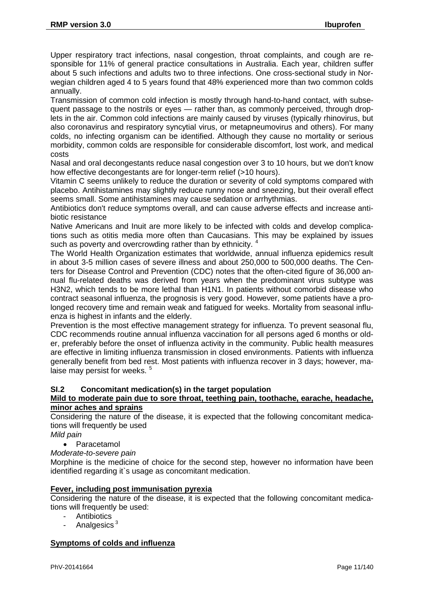Upper respiratory tract infections, nasal congestion, throat complaints, and cough are responsible for 11% of general practice consultations in Australia. Each year, children suffer about 5 such infections and adults two to three infections. One cross-sectional study in Norwegian children aged 4 to 5 years found that 48% experienced more than two common colds annually.

Transmission of common cold infection is mostly through hand-to-hand contact, with subsequent passage to the nostrils or eyes — rather than, as commonly perceived, through droplets in the air. Common cold infections are mainly caused by viruses (typically rhinovirus, but also coronavirus and respiratory syncytial virus, or metapneumovirus and others). For many colds, no infecting organism can be identified. Although they cause no mortality or serious morbidity, common colds are responsible for considerable discomfort, lost work, and medical costs

Nasal and oral decongestants reduce nasal congestion over 3 to 10 hours, but we don't know how effective decongestants are for longer-term relief (>10 hours).

Vitamin C seems unlikely to reduce the duration or severity of cold symptoms compared with placebo. Antihistamines may slightly reduce runny nose and sneezing, but their overall effect seems small. Some antihistamines may cause sedation or arrhythmias.

Antibiotics don't reduce symptoms overall, and can cause adverse effects and increase antibiotic resistance

Native Americans and Inuit are more likely to be infected with colds and develop complications such as otitis media more often than Caucasians. This may be explained by issues such as poverty and overcrowding rather than by ethnicity. <sup>[4](#page-139-3)</sup>

The World Health Organization estimates that worldwide, annual influenza epidemics result in about 3-5 million cases of severe illness and about 250,000 to 500,000 deaths. The Centers for Disease Control and Prevention (CDC) notes that the often-cited figure of 36,000 annual flu-related deaths was derived from years when the predominant virus subtype was H3N2, which tends to be more lethal than H1N1. In patients without comorbid disease who contract seasonal influenza, the prognosis is very good. However, some patients have a prolonged recovery time and remain weak and fatigued for weeks. Mortality from seasonal influenza is highest in infants and the elderly.

Prevention is the most effective management strategy for influenza. To prevent seasonal flu, CDC recommends routine annual influenza vaccination for all persons aged 6 months or older, preferably before the onset of influenza activity in the community. Public health measures are effective in limiting influenza transmission in closed environments. Patients with influenza generally benefit from bed rest. Most patients with influenza recover in 3 days; however, ma-laise may persist for weeks.<sup>[5](#page-139-4)</sup>

### <span id="page-10-1"></span><span id="page-10-0"></span>**SI.2 Concomitant medication(s) in the target population**

#### **Mild to moderate pain due to sore throat, teething pain, toothache, earache, headache, minor aches and sprains**

Considering the nature of the disease, it is expected that the following concomitant medications will frequently be used

*Mild pain*

• Paracetamol

*Moderate-to-severe pain*

Morphine is the medicine of choice for the second step, however no information have been identified regarding it's usage as concomitant medication.

#### **Fever, including post immunisation pyrexia**

Considering the nature of the disease, it is expected that the following concomitant medications will frequently be used:

- **Antibiotics**
- Analgesics<sup>[3](#page-9-2)</sup>

### **Symptoms of colds and influenza**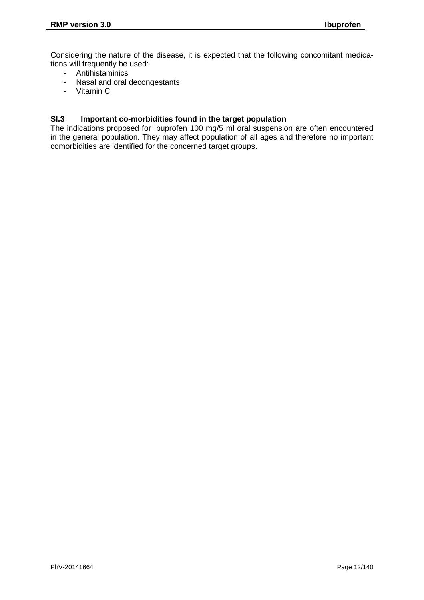Considering the nature of the disease, it is expected that the following concomitant medications will frequently be used:

- Antihistaminics
- Nasal and oral decongestants
- Vitamin [C](#page-10-1)

### <span id="page-11-0"></span>**SI.3 Important co-morbidities found in the target population**

The indications proposed for Ibuprofen 100 mg/5 ml oral suspension are often encountered in the general population. They may affect population of all ages and therefore no important comorbidities are identified for the concerned target groups.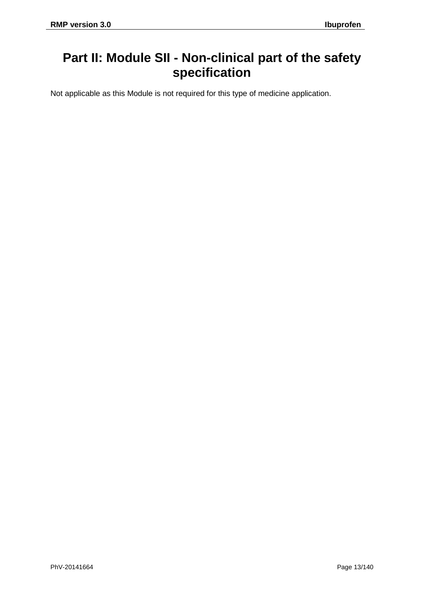# <span id="page-12-0"></span>**Part II: Module SII - Non-clinical part of the safety specification**

Not applicable as this Module is not required for this type of medicine application.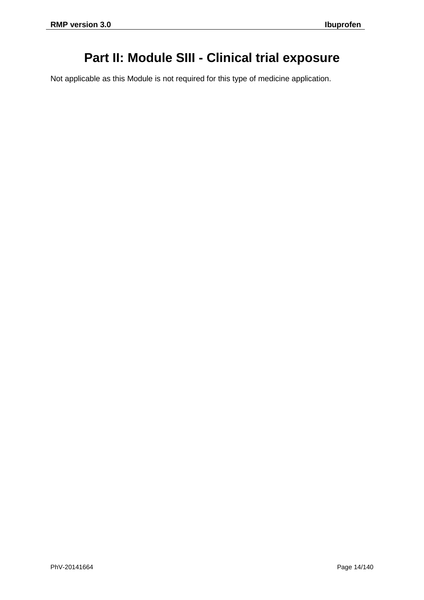# **Part II: Module SIII - Clinical trial exposure**

<span id="page-13-0"></span>Not applicable as this Module is not required for this type of medicine application.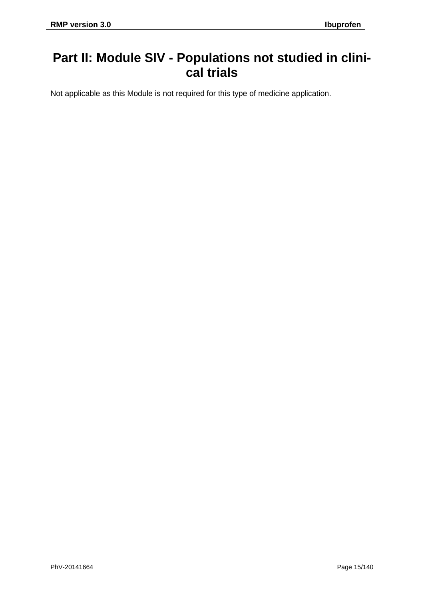# <span id="page-14-0"></span>**Part II: Module SIV - Populations not studied in clinical trials**

Not applicable as this Module is not required for this type of medicine application.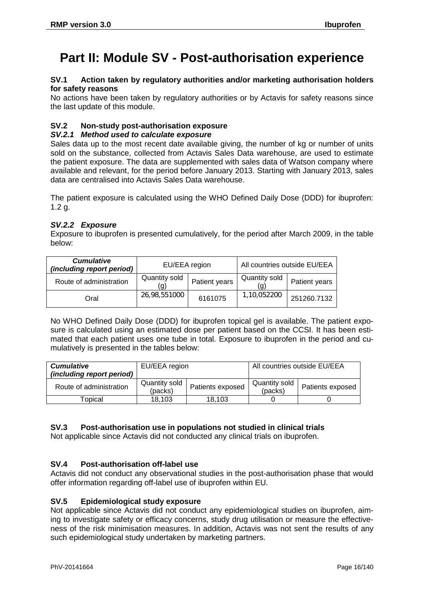# <span id="page-15-0"></span>**Part II: Module SV - Post-authorisation experience**

#### **SV.1 Action taken by regulatory authorities and/or marketing authorisation holders for safety reasons**

No actions have been taken by regulatory authorities or by Actavis for safety reasons since the last update of this module.

# **SV.2 Non-study post-authorisation exposure**

#### *SV.2.1 Method used to calculate exposure*

Sales data up to the most recent date available giving, the number of kg or number of units sold on the substance, collected from Actavis Sales Data warehouse, are used to estimate the patient exposure. The data are supplemented with sales data of Watson company where available and relevant, for the period before January 2013. Starting with January 2013, sales data are centralised into Actavis Sales Data warehouse.

The patient exposure is calculated using the WHO Defined Daily Dose (DDD) for ibuprofen: 1.2 g.

### *SV.2.2 Exposure*

Exposure to ibuprofen is presented cumulatively, for the period after March 2009, in the table below:

| <b>Cumulative</b><br>(including report period) | EU/EEA region        |               | All countries outside EU/EEA |               |
|------------------------------------------------|----------------------|---------------|------------------------------|---------------|
| Route of administration                        | Quantity sold<br>(g) | Patient years | Quantity sold<br>(g)         | Patient years |
| Oral                                           | 26,98,551000         | 6161075       | 1,10,052200                  | 251260.7132   |

No WHO Defined Daily Dose (DDD) for ibuprofen topical gel is available. The patient exposure is calculated using an estimated dose per patient based on the CCSI. It has been estimated that each patient uses one tube in total. Exposure to ibuprofen in the period and cumulatively is presented in the tables below:

| <b>Cumulative</b>                | EU/EEA region            |                  | All countries outside EU/EEA |                  |  |
|----------------------------------|--------------------------|------------------|------------------------------|------------------|--|
| <i>(including report period)</i> |                          |                  |                              |                  |  |
| Route of administration          | Quantity sold<br>(packs) | Patients exposed | Quantity sold<br>(packs)     | Patients exposed |  |
| Topical                          | 18.103                   | 18,103           |                              |                  |  |

### **SV.3 Post-authorisation use in populations not studied in clinical trials**

Not applicable since Actavis did not conducted any clinical trials on ibuprofen.

### **SV.4 Post-authorisation off-label use**

Actavis did not conduct any observational studies in the post-authorisation phase that would offer information regarding off-label use of ibuprofen within EU.

### **SV.5 Epidemiological study exposure**

Not applicable since Actavis did not conduct any epidemiological studies on ibuprofen, aiming to investigate safety or efficacy concerns, study drug utilisation or measure the effectiveness of the risk minimisation measures. In addition, Actavis was not sent the results of any such epidemiological study undertaken by marketing partners.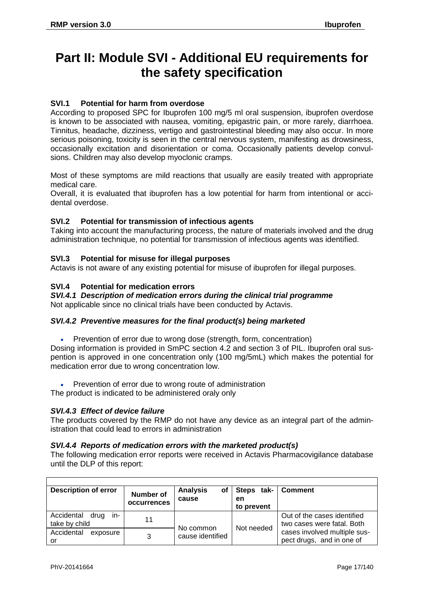# <span id="page-16-0"></span>**Part II: Module SVI - Additional EU requirements for the safety specification**

### <span id="page-16-1"></span>**SVI.1 Potential for harm from overdose**

According to proposed SPC for Ibuprofen 100 mg/5 ml oral suspension, ibuprofen overdose is known to be associated with nausea, vomiting, epigastric pain, or more rarely, diarrhoea. Tinnitus, headache, dizziness, vertigo and gastrointestinal bleeding may also occur. In more serious poisoning, toxicity is seen in the central nervous system, manifesting as drowsiness, occasionally excitation and disorientation or coma. Occasionally patients develop convulsions. Children may also develop myoclonic cramps.

Most of these symptoms are mild reactions that usually are easily treated with appropriate medical care.

Overall, it is evaluated that ibuprofen has a low potential for harm from intentional or accidental overdose.

#### <span id="page-16-2"></span>**SVI.2 Potential for transmission of infectious agents**

Taking into account the manufacturing process, the nature of materials involved and the drug administration technique, no potential for transmission of infectious agents was identified.

#### <span id="page-16-3"></span>**SVI.3 Potential for misuse for illegal purposes**

<span id="page-16-4"></span>Actavis is not aware of any existing potential for misuse of ibuprofen for illegal purposes.

#### **SVI.4 Potential for medication errors**

# <span id="page-16-5"></span>*SVI.4.1 Description of medication errors during the clinical trial programme*

Not applicable since no clinical trials have been conducted by Actavis.

#### <span id="page-16-6"></span>*SVI.4.2 Preventive measures for the final product(s) being marketed*

• Prevention of error due to wrong dose (strength, form, concentration)

Dosing information is provided in SmPC section 4.2 and section 3 of PIL. Ibuprofen oral suspention is approved in one concentration only (100 mg/5mL) which makes the potential for medication error due to wrong concentration low.

• Prevention of error due to wrong route of administration

The product is indicated to be administered oraly only

#### <span id="page-16-7"></span>*SVI.4.3 Effect of device failure*

The products covered by the RMP do not have any device as an integral part of the administration that could lead to errors in administration

#### <span id="page-16-8"></span>*SVI.4.4 Reports of medication errors with the marketed product(s)*

The following medication error reports were received in Actavis Pharmacovigilance database until the DLP of this report:

| <b>Description of error</b>             | Number of<br>occurrences | <b>Analysis</b><br>οf<br>cause | Steps tak-<br>en<br>to prevent | ∣ Comment                                                 |
|-----------------------------------------|--------------------------|--------------------------------|--------------------------------|-----------------------------------------------------------|
| Accidental drug<br>in-<br>take by child | 11                       |                                |                                | Out of the cases identified<br>two cases were fatal. Both |
| Accidental<br>exposure<br>or            | 3                        | No common<br>cause identified  | Not needed                     | cases involved multiple sus-<br>pect drugs, and in one of |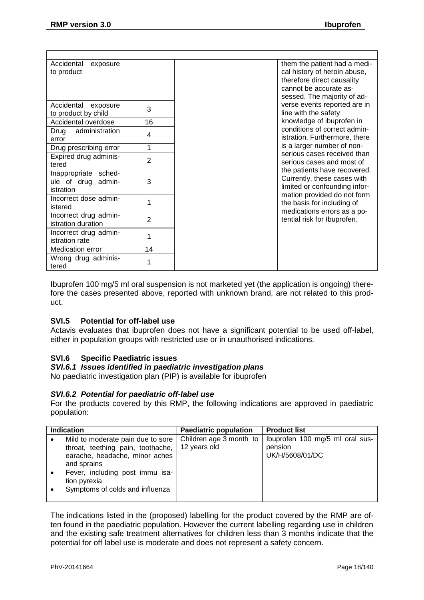| Accidental<br>exposure<br>to product                    |                |  | them the patient had a medi-<br>cal history of heroin abuse,<br>therefore direct causality<br>cannot be accurate as-<br>sessed. The majority of ad- |
|---------------------------------------------------------|----------------|--|-----------------------------------------------------------------------------------------------------------------------------------------------------|
| Accidental exposure<br>to product by child              | 3              |  | verse events reported are in<br>line with the safety                                                                                                |
| Accidental overdose                                     | 16             |  | knowledge of ibuprofen in                                                                                                                           |
| administration<br>Drug<br>error                         | 4              |  | conditions of correct admin-<br>istration. Furthermore, there                                                                                       |
| Drug prescribing error                                  | 1              |  | is a larger number of non-                                                                                                                          |
| Expired drug adminis-<br>tered                          | 2              |  | serious cases received than<br>serious cases and most of                                                                                            |
| Inappropriate sched-<br>ule of drug admin-<br>istration | 3              |  | the patients have recovered.<br>Currently, these cases with<br>limited or confounding infor-                                                        |
| Incorrect dose admin-<br>istered                        |                |  | mation provided do not form<br>the basis for including of<br>medications errors as a po-                                                            |
| Incorrect drug admin-<br>istration duration             | $\overline{2}$ |  | tential risk for Ibuprofen.                                                                                                                         |
| Incorrect drug admin-<br>istration rate                 |                |  |                                                                                                                                                     |
| Medication error                                        | 14             |  |                                                                                                                                                     |
| Wrong drug adminis-<br>tered                            | 1              |  |                                                                                                                                                     |

Ibuprofen 100 mg/5 ml oral suspension is not marketed yet (the application is ongoing) therefore the cases presented above, reported with unknown brand, are not related to this product.

### <span id="page-17-0"></span>**SVI.5 Potential for off-label use**

Actavis evaluates that ibuprofen does not have a significant potential to be used off-label, either in population groups with restricted use or in unauthorised indications.

### <span id="page-17-1"></span>**SVI.6 Specific Paediatric issues**

# <span id="page-17-2"></span>*SVI.6.1 Issues identified in paediatric investigation plans*

No paediatric investigation plan (PIP) is available for ibuprofen

### <span id="page-17-3"></span>*SVI.6.2 Potential for paediatric off-label use*

For the products covered by this RMP, the following indications are approved in paediatric population:

| <b>Indication</b> |                                                                                                                         | <b>Paediatric population</b>            | <b>Product list</b>                                           |
|-------------------|-------------------------------------------------------------------------------------------------------------------------|-----------------------------------------|---------------------------------------------------------------|
|                   | Mild to moderate pain due to sore<br>throat, teething pain, toothache,<br>earache, headache, minor aches<br>and sprains | Children age 3 month to<br>12 years old | Ibuprofen 100 mg/5 ml oral sus-<br>pension<br>UK/H/5608/01/DC |
|                   | Fever, including post immu isa-<br>tion pyrexia<br>Symptoms of colds and influenza                                      |                                         |                                                               |
|                   |                                                                                                                         |                                         |                                                               |

The indications listed in the (proposed) labelling for the product covered by the RMP are often found in the paediatric population. However the current labelling regarding use in children and the existing safe treatment alternatives for children less than 3 months indicate that the potential for off label use is moderate and does not represent a safety concern.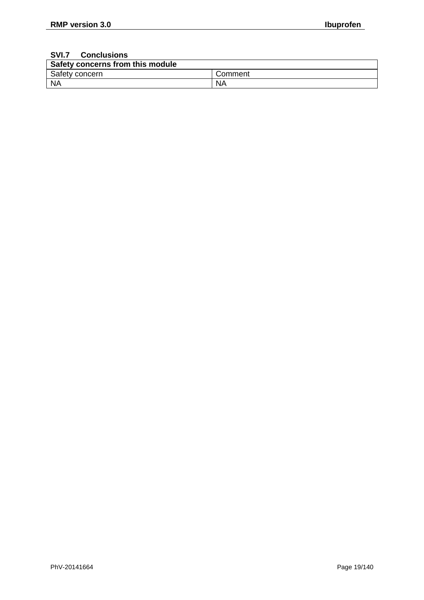#### <span id="page-18-0"></span>**SVI.7 Conclusions**

| Safety concerns from this module |           |  |  |
|----------------------------------|-----------|--|--|
| Safety concern                   | Comment   |  |  |
| NA                               | <b>NA</b> |  |  |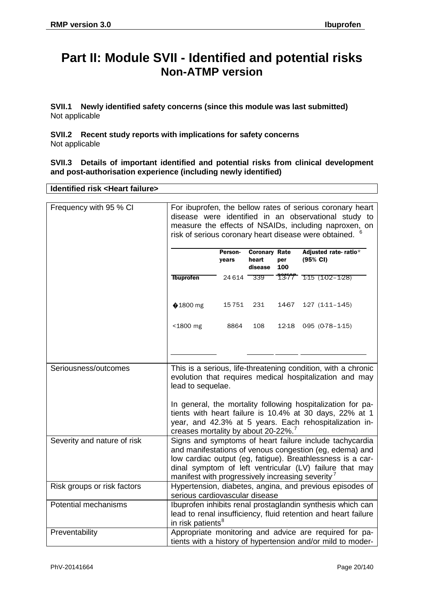# <span id="page-19-0"></span>**Part II: Module SVII - Identified and potential risks Non-ATMP version**

<span id="page-19-1"></span>**SVII.1 Newly identified safety concerns (since this module was last submitted)** Not applicable

<span id="page-19-2"></span>**SVII.2 Recent study reports with implications for safety concerns** Not applicable

<span id="page-19-3"></span>**SVII.3 Details of important identified and potential risks from clinical development and post-authorisation experience (including newly identified)**

**Identified risk <Heart failure>**

<span id="page-19-6"></span><span id="page-19-5"></span><span id="page-19-4"></span>

| Frequency with 95 % CI                    | For ibuprofen, the bellow rates of serious coronary heart<br>disease were identified in an observational study to<br>measure the effects of NSAIDs, including naproxen, on<br>risk of serious coronary heart disease were obtained.                                                                         |                  |                                          |            |                                                                                                                                                                                  |
|-------------------------------------------|-------------------------------------------------------------------------------------------------------------------------------------------------------------------------------------------------------------------------------------------------------------------------------------------------------------|------------------|------------------------------------------|------------|----------------------------------------------------------------------------------------------------------------------------------------------------------------------------------|
|                                           |                                                                                                                                                                                                                                                                                                             | Person-<br>years | <b>Coronary Rate</b><br>heart<br>disease | per<br>100 | Adjusted rate-ratio*<br>(95% CI)                                                                                                                                                 |
|                                           | <b>Ibuprofen</b>                                                                                                                                                                                                                                                                                            |                  | 24 614 339                               |            | $13.77$ 1.15 (1.02-1.28)                                                                                                                                                         |
|                                           | $*1800$ mg                                                                                                                                                                                                                                                                                                  | 15 7 5 1         | 231                                      | 14-67      | $1.27$ $(1.11 - 1.45)$                                                                                                                                                           |
|                                           | <1800 mg                                                                                                                                                                                                                                                                                                    | 8864             | 108                                      |            | 12.18 0.95 (0.78-1.15)                                                                                                                                                           |
|                                           |                                                                                                                                                                                                                                                                                                             |                  |                                          |            |                                                                                                                                                                                  |
| Seriousness/outcomes<br>lead to sequelae. |                                                                                                                                                                                                                                                                                                             |                  |                                          |            | This is a serious, life-threatening condition, with a chronic<br>evolution that requires medical hospitalization and may                                                         |
|                                           | creases mortality by about 20-22%. <sup>7</sup>                                                                                                                                                                                                                                                             |                  |                                          |            | In general, the mortality following hospitalization for pa-<br>tients with heart failure is 10.4% at 30 days, 22% at 1<br>year, and 42.3% at 5 years. Each rehospitalization in- |
| Severity and nature of risk               | Signs and symptoms of heart failure include tachycardia<br>and manifestations of venous congestion (eg, edema) and<br>low cardiac output (eg, fatigue). Breathlessness is a car-<br>dinal symptom of left ventricular (LV) failure that may<br>manifest with progressively increasing severity <sup>7</sup> |                  |                                          |            |                                                                                                                                                                                  |
| Risk groups or risk factors               | serious cardiovascular disease                                                                                                                                                                                                                                                                              |                  |                                          |            | Hypertension, diabetes, angina, and previous episodes of                                                                                                                         |
| Potential mechanisms                      | in risk patients <sup>8</sup>                                                                                                                                                                                                                                                                               |                  |                                          |            | Ibuprofen inhibits renal prostaglandin synthesis which can<br>lead to renal insufficiency, fluid retention and heart failure                                                     |
| Preventability                            |                                                                                                                                                                                                                                                                                                             |                  |                                          |            | Appropriate monitoring and advice are required for pa-<br>tients with a history of hypertension and/or mild to moder-                                                            |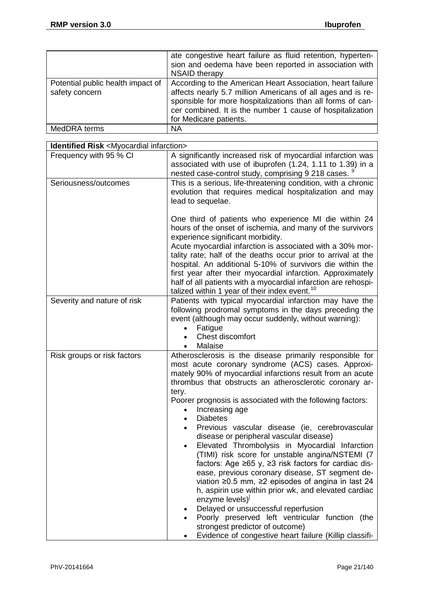|                                                     | ate congestive heart failure as fluid retention, hyperten-<br>sion and oedema have been reported in association with<br><b>NSAID therapy</b>                                                                                                                                   |
|-----------------------------------------------------|--------------------------------------------------------------------------------------------------------------------------------------------------------------------------------------------------------------------------------------------------------------------------------|
| Potential public health impact of<br>safety concern | According to the American Heart Association, heart failure<br>affects nearly 5.7 million Americans of all ages and is re-<br>sponsible for more hospitalizations than all forms of can-<br>cer combined. It is the number 1 cause of hospitalization<br>for Medicare patients. |
| MedDRA terms                                        | <b>NA</b>                                                                                                                                                                                                                                                                      |

<span id="page-20-0"></span>

| Identified Risk <myocardial infarction=""></myocardial> |                                                                                                                                                                                                                                                                                                                                                                                                                                                                                                                                                                                                                                                                                                                                                                                                                                                                                                                                                                                                                                                                   |  |  |  |
|---------------------------------------------------------|-------------------------------------------------------------------------------------------------------------------------------------------------------------------------------------------------------------------------------------------------------------------------------------------------------------------------------------------------------------------------------------------------------------------------------------------------------------------------------------------------------------------------------------------------------------------------------------------------------------------------------------------------------------------------------------------------------------------------------------------------------------------------------------------------------------------------------------------------------------------------------------------------------------------------------------------------------------------------------------------------------------------------------------------------------------------|--|--|--|
| Frequency with 95 % CI                                  | A significantly increased risk of myocardial infarction was<br>associated with use of ibuprofen (1.24, 1.11 to 1.39) in a<br>nested case-control study, comprising 9 218 cases. <sup>9</sup>                                                                                                                                                                                                                                                                                                                                                                                                                                                                                                                                                                                                                                                                                                                                                                                                                                                                      |  |  |  |
| Seriousness/outcomes                                    | This is a serious, life-threatening condition, with a chronic<br>evolution that requires medical hospitalization and may<br>lead to sequelae.                                                                                                                                                                                                                                                                                                                                                                                                                                                                                                                                                                                                                                                                                                                                                                                                                                                                                                                     |  |  |  |
|                                                         | One third of patients who experience MI die within 24<br>hours of the onset of ischemia, and many of the survivors<br>experience significant morbidity.<br>Acute myocardial infarction is associated with a 30% mor-<br>tality rate; half of the deaths occur prior to arrival at the<br>hospital. An additional 5-10% of survivors die within the<br>first year after their myocardial infarction. Approximately<br>half of all patients with a myocardial infarction are rehospi-<br>talized within 1 year of their index event. <sup>10</sup>                                                                                                                                                                                                                                                                                                                                                                                                                                                                                                                  |  |  |  |
| Severity and nature of risk                             | Patients with typical myocardial infarction may have the<br>following prodromal symptoms in the days preceding the<br>event (although may occur suddenly, without warning):<br>Fatigue<br>$\bullet$<br>Chest discomfort<br>Malaise                                                                                                                                                                                                                                                                                                                                                                                                                                                                                                                                                                                                                                                                                                                                                                                                                                |  |  |  |
| Risk groups or risk factors                             | Atherosclerosis is the disease primarily responsible for<br>most acute coronary syndrome (ACS) cases. Approxi-<br>mately 90% of myocardial infarctions result from an acute<br>thrombus that obstructs an atherosclerotic coronary ar-<br>tery.<br>Poorer prognosis is associated with the following factors:<br>Increasing age<br>$\bullet$<br><b>Diabetes</b><br>$\bullet$<br>Previous vascular disease (ie, cerebrovascular<br>$\bullet$<br>disease or peripheral vascular disease)<br>Elevated Thrombolysis in Myocardial Infarction<br>(TIMI) risk score for unstable angina/NSTEMI (7<br>factors: Age $\geq 65$ y, $\geq 3$ risk factors for cardiac dis-<br>ease, previous coronary disease, ST segment de-<br>viation $\geq$ 0.5 mm, $\geq$ 2 episodes of angina in last 24<br>h, aspirin use within prior wk, and elevated cardiac<br>enzyme levels) <sup>l</sup><br>Delayed or unsuccessful reperfusion<br>Poorly preserved left ventricular function (the<br>strongest predictor of outcome)<br>Evidence of congestive heart failure (Killip classifi- |  |  |  |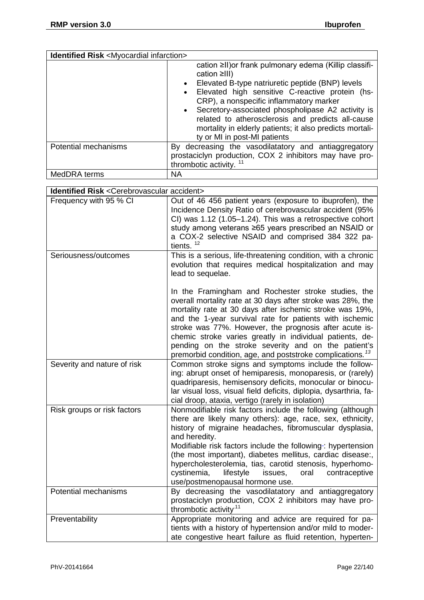| <b>Identified Risk <myocardial infarction=""></myocardial></b> |                                                                                                                                                                                                                                                                                                                                                                                                                                                       |  |  |
|----------------------------------------------------------------|-------------------------------------------------------------------------------------------------------------------------------------------------------------------------------------------------------------------------------------------------------------------------------------------------------------------------------------------------------------------------------------------------------------------------------------------------------|--|--|
|                                                                | cation ≥II) or frank pulmonary edema (Killip classifi-<br>$cation$ $\geq$ III)<br>Elevated B-type natriuretic peptide (BNP) levels<br>Elevated high sensitive C-reactive protein (hs-<br>$\bullet$<br>CRP), a nonspecific inflammatory marker<br>• Secretory-associated phospholipase A2 activity is<br>related to atherosclerosis and predicts all-cause<br>mortality in elderly patients; it also predicts mortali-<br>ty or MI in post-MI patients |  |  |
| Potential mechanisms                                           | By decreasing the vasodilatatory and antiaggregatory<br>prostaciclyn production, COX 2 inhibitors may have pro-<br>thrombotic activity. <sup>11</sup>                                                                                                                                                                                                                                                                                                 |  |  |
| MedDRA terms                                                   | <b>NA</b>                                                                                                                                                                                                                                                                                                                                                                                                                                             |  |  |

<span id="page-21-1"></span><span id="page-21-0"></span>

| <b>Identified Risk <cerebrovascular accident=""></cerebrovascular></b> |                                                                                                                                                                                                                                                                                                                                                                                                                                                                                                  |  |  |  |
|------------------------------------------------------------------------|--------------------------------------------------------------------------------------------------------------------------------------------------------------------------------------------------------------------------------------------------------------------------------------------------------------------------------------------------------------------------------------------------------------------------------------------------------------------------------------------------|--|--|--|
| Frequency with 95 % CI                                                 | Out of 46 456 patient years (exposure to ibuprofen), the<br>Incidence Density Ratio of cerebrovascular accident (95%<br>CI) was 1.12 (1.05-1.24). This was a retrospective cohort<br>study among veterans ≥65 years prescribed an NSAID or<br>a COX-2 selective NSAID and comprised 384 322 pa-<br>tients. $12$                                                                                                                                                                                  |  |  |  |
| Seriousness/outcomes                                                   | This is a serious, life-threatening condition, with a chronic<br>evolution that requires medical hospitalization and may<br>lead to sequelae.                                                                                                                                                                                                                                                                                                                                                    |  |  |  |
|                                                                        | In the Framingham and Rochester stroke studies, the<br>overall mortality rate at 30 days after stroke was 28%, the<br>mortality rate at 30 days after ischemic stroke was 19%,<br>and the 1-year survival rate for patients with ischemic<br>stroke was 77%. However, the prognosis after acute is-<br>chemic stroke varies greatly in individual patients, de-<br>pending on the stroke severity and on the patient's<br>premorbid condition, age, and poststroke complications. <sup>13</sup>  |  |  |  |
| Severity and nature of risk                                            | Common stroke signs and symptoms include the follow-<br>ing: abrupt onset of hemiparesis, monoparesis, or (rarely)<br>quadriparesis, hemisensory deficits, monocular or binocu-<br>lar visual loss, visual field deficits, diplopia, dysarthria, fa-<br>cial droop, ataxia, vertigo (rarely in isolation)                                                                                                                                                                                        |  |  |  |
| Risk groups or risk factors                                            | Nonmodifiable risk factors include the following (although<br>there are likely many others): age, race, sex, ethnicity,<br>history of migraine headaches, fibromuscular dysplasia,<br>and heredity.<br>Modifiable risk factors include the following-: hypertension<br>(the most important), diabetes mellitus, cardiac disease:,<br>hypercholesterolemia, tias, carotid stenosis, hyperhomo-<br>cystinemia,<br>lifestyle<br>issues,<br>contraceptive<br>oral<br>use/postmenopausal hormone use. |  |  |  |
| Potential mechanisms                                                   | By decreasing the vasodilatatory and antiaggregatory<br>prostaciclyn production, COX 2 inhibitors may have pro-<br>thrombotic activity <sup>11</sup>                                                                                                                                                                                                                                                                                                                                             |  |  |  |
| Preventability                                                         | Appropriate monitoring and advice are required for pa-<br>tients with a history of hypertension and/or mild to moder-<br>ate congestive heart failure as fluid retention, hyperten-                                                                                                                                                                                                                                                                                                              |  |  |  |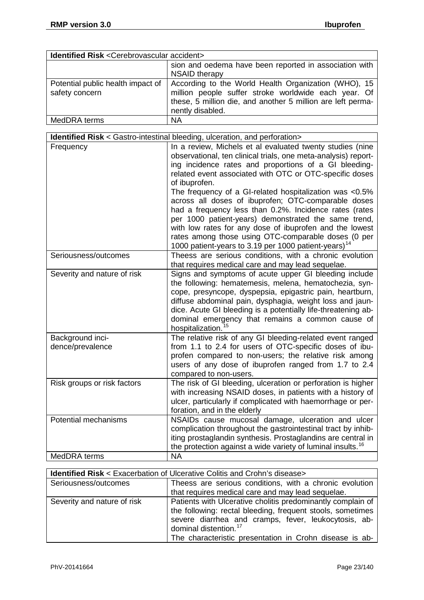| <b>Identified Risk <cerebrovascular accident=""></cerebrovascular></b> |                                                                                                                                                                                                 |  |  |
|------------------------------------------------------------------------|-------------------------------------------------------------------------------------------------------------------------------------------------------------------------------------------------|--|--|
|                                                                        | sion and oedema have been reported in association with<br><b>NSAID therapy</b>                                                                                                                  |  |  |
| Potential public health impact of<br>safety concern                    | According to the World Health Organization (WHO), 15<br>million people suffer stroke worldwide each year. Of<br>these, 5 million die, and another 5 million are left perma-<br>nently disabled. |  |  |
| MedDRA terms                                                           | <b>NA</b>                                                                                                                                                                                       |  |  |

<span id="page-22-0"></span>

| <b>Identified Risk</b> < Gastro-intestinal bleeding, ulceration, and perforation> |                                                                                                                                                                                                                                                                                                                                                                                                                                                                                                                                                                                                                                                                                            |  |  |
|-----------------------------------------------------------------------------------|--------------------------------------------------------------------------------------------------------------------------------------------------------------------------------------------------------------------------------------------------------------------------------------------------------------------------------------------------------------------------------------------------------------------------------------------------------------------------------------------------------------------------------------------------------------------------------------------------------------------------------------------------------------------------------------------|--|--|
| Frequency                                                                         | In a review, Michels et al evaluated twenty studies (nine<br>observational, ten clinical trials, one meta-analysis) report-<br>ing incidence rates and proportions of a GI bleeding-<br>related event associated with OTC or OTC-specific doses<br>of ibuprofen.<br>The frequency of a GI-related hospitalization was <0.5%<br>across all doses of ibuprofen; OTC-comparable doses<br>had a frequency less than 0.2%. Incidence rates (rates<br>per 1000 patient-years) demonstrated the same trend,<br>with low rates for any dose of ibuprofen and the lowest<br>rates among those using OTC-comparable doses (0 per<br>1000 patient-years to 3.19 per 1000 patient-years) <sup>14</sup> |  |  |
| Seriousness/outcomes                                                              | Theess are serious conditions, with a chronic evolution<br>that requires medical care and may lead sequelae.                                                                                                                                                                                                                                                                                                                                                                                                                                                                                                                                                                               |  |  |
| Severity and nature of risk                                                       | Signs and symptoms of acute upper GI bleeding include<br>the following: hematemesis, melena, hematochezia, syn-<br>cope, presyncope, dyspepsia, epigastric pain, heartburn,<br>diffuse abdominal pain, dysphagia, weight loss and jaun-<br>dice. Acute GI bleeding is a potentially life-threatening ab-<br>dominal emergency that remains a common cause of<br>hospitalization. <sup>15</sup>                                                                                                                                                                                                                                                                                             |  |  |
| Background inci-<br>dence/prevalence                                              | The relative risk of any GI bleeding-related event ranged<br>from 1.1 to 2.4 for users of OTC-specific doses of ibu-<br>profen compared to non-users; the relative risk among<br>users of any dose of ibuprofen ranged from 1.7 to 2.4<br>compared to non-users.                                                                                                                                                                                                                                                                                                                                                                                                                           |  |  |
| Risk groups or risk factors                                                       | The risk of GI bleeding, ulceration or perforation is higher<br>with increasing NSAID doses, in patients with a history of<br>ulcer, particularly if complicated with haemorrhage or per-<br>foration, and in the elderly                                                                                                                                                                                                                                                                                                                                                                                                                                                                  |  |  |
| Potential mechanisms                                                              | NSAIDs cause mucosal damage, ulceration and ulcer<br>complication throughout the gastrointestinal tract by inhib-<br>iting prostaglandin synthesis. Prostaglandins are central in<br>the protection against a wide variety of luminal insults. <sup>16</sup>                                                                                                                                                                                                                                                                                                                                                                                                                               |  |  |
| MedDRA terms                                                                      | <b>NA</b>                                                                                                                                                                                                                                                                                                                                                                                                                                                                                                                                                                                                                                                                                  |  |  |

<span id="page-22-1"></span>

| <b>Identified Risk</b> < Exacerbation of Ulcerative Colitis and Crohn's disease> |                                                                                                                                                                                                                        |  |  |
|----------------------------------------------------------------------------------|------------------------------------------------------------------------------------------------------------------------------------------------------------------------------------------------------------------------|--|--|
| Seriousness/outcomes                                                             | Theess are serious conditions, with a chronic evolution                                                                                                                                                                |  |  |
|                                                                                  | that requires medical care and may lead sequelae.                                                                                                                                                                      |  |  |
| Severity and nature of risk                                                      | Patients with Ulcerative cholitis predominantly complain of<br>the following: rectal bleeding, frequent stools, sometimes<br>severe diarrhea and cramps, fever, leukocytosis, ab-<br>dominal distention. <sup>17</sup> |  |  |
|                                                                                  | The characteristic presentation in Crohn disease is ab-                                                                                                                                                                |  |  |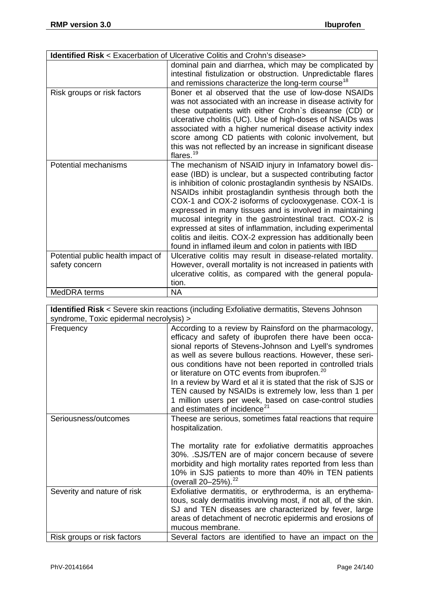<span id="page-23-0"></span>

| <b>Identified Risk &lt; Exacerbation of Ulcerative Colitis and Crohn's disease&gt;</b> |                                                                                                                                                                                                                                                                                                                                                                                                                                                                                                                                                                                                                        |  |
|----------------------------------------------------------------------------------------|------------------------------------------------------------------------------------------------------------------------------------------------------------------------------------------------------------------------------------------------------------------------------------------------------------------------------------------------------------------------------------------------------------------------------------------------------------------------------------------------------------------------------------------------------------------------------------------------------------------------|--|
|                                                                                        | dominal pain and diarrhea, which may be complicated by<br>intestinal fistulization or obstruction. Unpredictable flares<br>and remissions characterize the long-term course <sup>18</sup>                                                                                                                                                                                                                                                                                                                                                                                                                              |  |
| Risk groups or risk factors                                                            | Boner et al observed that the use of low-dose NSAIDs<br>was not associated with an increase in disease activity for<br>these outpatients with either Crohn's diseanse (CD) or<br>ulcerative cholitis (UC). Use of high-doses of NSAIDs was<br>associated with a higher numerical disease activity index<br>score among CD patients with colonic involvement, but<br>this was not reflected by an increase in significant disease<br>flares. $19$                                                                                                                                                                       |  |
| Potential mechanisms                                                                   | The mechanism of NSAID injury in Infamatory bowel dis-<br>ease (IBD) is unclear, but a suspected contributing factor<br>is inhibition of colonic prostaglandin synthesis by NSAIDs.<br>NSAIDs inhibit prostaglandin synthesis through both the<br>COX-1 and COX-2 isoforms of cyclooxygenase. COX-1 is<br>expressed in many tissues and is involved in maintaining<br>mucosal integrity in the gastrointestinal tract. COX-2 is<br>expressed at sites of inflammation, including experimental<br>colitis and ileitis. COX-2 expression has additionally been<br>found in inflamed ileum and colon in patients with IBD |  |
| Potential public health impact of<br>safety concern                                    | Ulcerative colitis may result in disease-related mortality.<br>However, overall mortality is not increased in patients with                                                                                                                                                                                                                                                                                                                                                                                                                                                                                            |  |
|                                                                                        | ulcerative colitis, as compared with the general popula-<br>tion.                                                                                                                                                                                                                                                                                                                                                                                                                                                                                                                                                      |  |
| MedDRA terms                                                                           | <b>NA</b>                                                                                                                                                                                                                                                                                                                                                                                                                                                                                                                                                                                                              |  |

<span id="page-23-1"></span>

| Identified Risk < Severe skin reactions (including Exfoliative dermatitis, Stevens Johnson |                                                                                                                                                                                                                                                                                                                                                                                                                                                                                                                                                                                                         |  |  |
|--------------------------------------------------------------------------------------------|---------------------------------------------------------------------------------------------------------------------------------------------------------------------------------------------------------------------------------------------------------------------------------------------------------------------------------------------------------------------------------------------------------------------------------------------------------------------------------------------------------------------------------------------------------------------------------------------------------|--|--|
| syndrome, Toxic epidermal necrolysis) >                                                    |                                                                                                                                                                                                                                                                                                                                                                                                                                                                                                                                                                                                         |  |  |
| Frequency                                                                                  | According to a review by Rainsford on the pharmacology,<br>efficacy and safety of ibuprofen there have been occa-<br>sional reports of Stevens-Johnson and Lyell's syndromes<br>as well as severe bullous reactions. However, these seri-<br>ous conditions have not been reported in controlled trials<br>or literature on OTC events from ibuprofen. <sup>20</sup><br>In a review by Ward et al it is stated that the risk of SJS or<br>TEN caused by NSAIDs is extremely low, less than 1 per<br>1 million users per week, based on case-control studies<br>and estimates of incidence <sup>21</sup> |  |  |
| Seriousness/outcomes                                                                       | Theese are serious, sometimes fatal reactions that require<br>hospitalization.<br>The mortality rate for exfoliative dermatitis approaches<br>30%. SJS/TEN are of major concern because of severe<br>morbidity and high mortality rates reported from less than<br>10% in SJS patients to more than 40% in TEN patients<br>(overall 20–25%). <sup>22</sup>                                                                                                                                                                                                                                              |  |  |
| Severity and nature of risk                                                                | Exfoliative dermatitis, or erythroderma, is an erythema-<br>tous, scaly dermatitis involving most, if not all, of the skin.<br>SJ and TEN diseases are characterized by fever, large<br>areas of detachment of necrotic epidermis and erosions of<br>mucous membrane.                                                                                                                                                                                                                                                                                                                                   |  |  |
| Risk groups or risk factors                                                                | Several factors are identified to have an impact on the                                                                                                                                                                                                                                                                                                                                                                                                                                                                                                                                                 |  |  |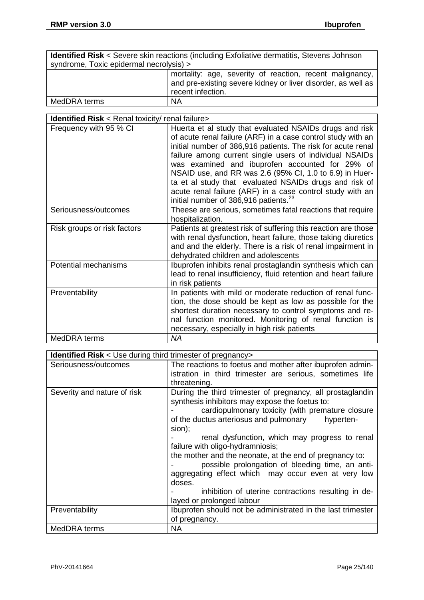|                                         | <b>Identified Risk</b> < Severe skin reactions (including Exfoliative dermatitis, Stevens Johnson |
|-----------------------------------------|---------------------------------------------------------------------------------------------------|
| syndrome, Toxic epidermal necrolysis) > |                                                                                                   |
|                                         | mortality: age, severity of reaction, recent malignancy,                                          |
|                                         | and pre-existing severe kidney or liver disorder, as well as                                      |

|                                                               | and pre-existing severe kidney or liver disorder, as well as<br>recent infection. |
|---------------------------------------------------------------|-----------------------------------------------------------------------------------|
| MedDRA terms                                                  | <b>NA</b>                                                                         |
|                                                               |                                                                                   |
| <b>Identified Risk &lt; Renal toxicity/ renal failure&gt;</b> |                                                                                   |
| $\mathbf{A} = \mathbf{A} \mathbf{A}$                          |                                                                                   |

| Frequency with 95 % CI      | Huerta et al study that evaluated NSAIDs drugs and risk<br>of acute renal failure (ARF) in a case control study with an<br>initial number of 386,916 patients. The risk for acute renal<br>failure among current single users of individual NSAIDs<br>was examined and ibuprofen accounted for 29% of<br>NSAID use, and RR was 2.6 (95% CI, 1.0 to 6.9) in Huer-<br>ta et al study that evaluated NSAIDs drugs and risk of<br>acute renal failure (ARF) in a case control study with an<br>initial number of 386,916 patients. <sup>23</sup> |
|-----------------------------|----------------------------------------------------------------------------------------------------------------------------------------------------------------------------------------------------------------------------------------------------------------------------------------------------------------------------------------------------------------------------------------------------------------------------------------------------------------------------------------------------------------------------------------------|
| Seriousness/outcomes        | Theese are serious, sometimes fatal reactions that require<br>hospitalization.                                                                                                                                                                                                                                                                                                                                                                                                                                                               |
| Risk groups or risk factors | Patients at greatest risk of suffering this reaction are those<br>with renal dysfunction, heart failure, those taking diuretics<br>and and the elderly. There is a risk of renal impairment in<br>dehydrated children and adolescents                                                                                                                                                                                                                                                                                                        |
| Potential mechanisms        | Ibuprofen inhibits renal prostaglandin synthesis which can<br>lead to renal insufficiency, fluid retention and heart failure<br>in risk patients                                                                                                                                                                                                                                                                                                                                                                                             |
| Preventability              | In patients with mild or moderate reduction of renal func-<br>tion, the dose should be kept as low as possible for the<br>shortest duration necessary to control symptoms and re-<br>nal function monitored. Monitoring of renal function is<br>necessary, especially in high risk patients                                                                                                                                                                                                                                                  |
| MedDRA terms                | ΝA                                                                                                                                                                                                                                                                                                                                                                                                                                                                                                                                           |

| <b>Identified Risk</b> < Use during third trimester of pregnancy> |                                                                                                                                                                                                                                                                                                                                                                                                                                                                                                                                                                                          |
|-------------------------------------------------------------------|------------------------------------------------------------------------------------------------------------------------------------------------------------------------------------------------------------------------------------------------------------------------------------------------------------------------------------------------------------------------------------------------------------------------------------------------------------------------------------------------------------------------------------------------------------------------------------------|
| Seriousness/outcomes                                              | The reactions to foetus and mother after ibuprofen admin-<br>istration in third trimester are serious, sometimes life<br>threatening.                                                                                                                                                                                                                                                                                                                                                                                                                                                    |
| Severity and nature of risk                                       | During the third trimester of pregnancy, all prostaglandin<br>synthesis inhibitors may expose the foetus to:<br>cardiopulmonary toxicity (with premature closure<br>of the ductus arteriosus and pulmonary hyperten-<br>sion);<br>renal dysfunction, which may progress to renal<br>failure with oligo-hydramniosis;<br>the mother and the neonate, at the end of pregnancy to:<br>possible prolongation of bleeding time, an anti-<br>aggregating effect which may occur even at very low<br>doses.<br>inhibition of uterine contractions resulting in de-<br>layed or prolonged labour |
| Preventability                                                    | Ibuprofen should not be administrated in the last trimester<br>of pregnancy.                                                                                                                                                                                                                                                                                                                                                                                                                                                                                                             |
| MedDRA terms                                                      | <b>NA</b>                                                                                                                                                                                                                                                                                                                                                                                                                                                                                                                                                                                |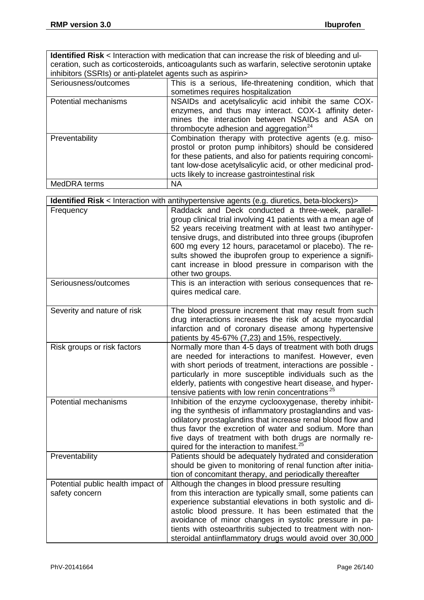**Identified Risk** < Interaction with medication that can increase the risk of bleeding and ulceration, such as corticosteroids, anticoagulants such as warfarin, selective serotonin uptake inhibitors (SSRIs) or anti-platelet agents such as aspirin>

| Seriousness/outcomes | This is a serious, life-threatening condition, which that<br>sometimes requires hospitalization                                                                                                                                                                                                    |
|----------------------|----------------------------------------------------------------------------------------------------------------------------------------------------------------------------------------------------------------------------------------------------------------------------------------------------|
| Potential mechanisms | NSAIDs and acetylsalicylic acid inhibit the same COX-<br>enzymes, and thus may interact. COX-1 affinity deter-<br>mines the interaction between NSAIDs and ASA on<br>thrombocyte adhesion and aggregation <sup>24</sup>                                                                            |
| Preventability       | Combination therapy with protective agents (e.g. miso-<br>prostol or proton pump inhibitors) should be considered<br>for these patients, and also for patients requiring concomi-<br>tant low-dose acetylsalicylic acid, or other medicinal prod-<br>ucts likely to increase gastrointestinal risk |
| MedDRA terms         | <b>NA</b>                                                                                                                                                                                                                                                                                          |

<span id="page-25-0"></span>

|                                                     | Identified Risk < Interaction with antihypertensive agents (e.g. diuretics, beta-blockers)>                                                                                                                                                                                                                                                                                                                                                            |
|-----------------------------------------------------|--------------------------------------------------------------------------------------------------------------------------------------------------------------------------------------------------------------------------------------------------------------------------------------------------------------------------------------------------------------------------------------------------------------------------------------------------------|
| Frequency                                           | Raddack and Deck conducted a three-week, parallel-<br>group clinical trial involving 41 patients with a mean age of<br>52 years receiving treatment with at least two antihyper-<br>tensive drugs, and distributed into three groups (ibuprofen<br>600 mg every 12 hours, paracetamol or placebo). The re-<br>sults showed the ibuprofen group to experience a signifi-<br>cant increase in blood pressure in comparison with the<br>other two groups. |
| Seriousness/outcomes                                | This is an interaction with serious consequences that re-<br>quires medical care.                                                                                                                                                                                                                                                                                                                                                                      |
| Severity and nature of risk                         | The blood pressure increment that may result from such<br>drug interactions increases the risk of acute myocardial<br>infarction and of coronary disease among hypertensive<br>patients by 45-67% (7,23) and 15%, respectively.                                                                                                                                                                                                                        |
| Risk groups or risk factors                         | Normally more than 4-5 days of treatment with both drugs<br>are needed for interactions to manifest. However, even<br>with short periods of treatment, interactions are possible -<br>particularly in more susceptible individuals such as the<br>elderly, patients with congestive heart disease, and hyper-<br>tensive patients with low renin concentrations <sup>-25</sup>                                                                         |
| Potential mechanisms                                | Inhibition of the enzyme cyclooxygenase, thereby inhibit-<br>ing the synthesis of inflammatory prostaglandins and vas-<br>odilatory prostaglandins that increase renal blood flow and<br>thus favor the excretion of water and sodium. More than<br>five days of treatment with both drugs are normally re-<br>quired for the interaction to manifest. <sup>25</sup>                                                                                   |
| Preventability                                      | Patients should be adequately hydrated and consideration<br>should be given to monitoring of renal function after initia-<br>tion of concomitant therapy, and periodically thereafter                                                                                                                                                                                                                                                                  |
| Potential public health impact of<br>safety concern | Although the changes in blood pressure resulting<br>from this interaction are typically small, some patients can<br>experience substantial elevations in both systolic and di-<br>astolic blood pressure. It has been estimated that the<br>avoidance of minor changes in systolic pressure in pa-<br>tients with osteoarthritis subjected to treatment with non-<br>steroidal antiinflammatory drugs would avoid over 30,000                          |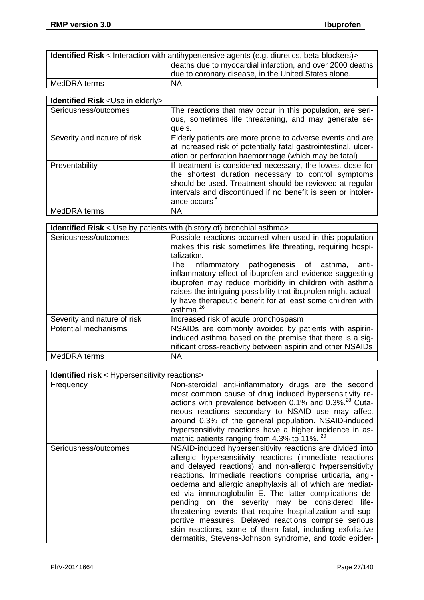| <b>Identified Risk</b> < Interaction with antihypertensive agents (e.g. diuretics, beta-blockers)> |                                                           |
|----------------------------------------------------------------------------------------------------|-----------------------------------------------------------|
|                                                                                                    | deaths due to myocardial infarction, and over 2000 deaths |
|                                                                                                    | due to coronary disease, in the United States alone.      |
| MedDRA terms                                                                                       | <b>NA</b>                                                 |

| <b>Identified Risk &lt; Use in elderly&gt;</b> |                                                                                                                                                                                                                                                                         |
|------------------------------------------------|-------------------------------------------------------------------------------------------------------------------------------------------------------------------------------------------------------------------------------------------------------------------------|
| Seriousness/outcomes                           | The reactions that may occur in this population, are seri-<br>ous, sometimes life threatening, and may generate se-<br>quels.                                                                                                                                           |
| Severity and nature of risk                    | Elderly patients are more prone to adverse events and are<br>at increased risk of potentially fatal gastrointestinal, ulcer-<br>ation or perforation haemorrhage (which may be fatal)                                                                                   |
| Preventability                                 | If treatment is considered necessary, the lowest dose for<br>the shortest duration necessary to control symptoms<br>should be used. Treatment should be reviewed at regular<br>intervals and discontinued if no benefit is seen or intoler-<br>ance occurs <sup>8</sup> |
| MedDRA terms                                   | <b>NA</b>                                                                                                                                                                                                                                                               |

| <b>Identified Risk</b> < Use by patients with (history of) bronchial asthma> |                                                                                                                                                                                                                                                                                                                                                                                                                                                                               |
|------------------------------------------------------------------------------|-------------------------------------------------------------------------------------------------------------------------------------------------------------------------------------------------------------------------------------------------------------------------------------------------------------------------------------------------------------------------------------------------------------------------------------------------------------------------------|
| Seriousness/outcomes                                                         | Possible reactions occurred when used in this population<br>makes this risk sometimes life threating, requiring hospi-<br>talization.<br>inflammatory pathogenesis of asthma,<br>The<br>anti-<br>inflammatory effect of ibuprofen and evidence suggesting<br>ibuprofen may reduce morbidity in children with asthma<br>raises the intriguing possibility that ibuprofen might actual-<br>ly have therapeutic benefit for at least some children with<br>asthma. <sup>26</sup> |
| Severity and nature of risk                                                  | Increased risk of acute bronchospasm                                                                                                                                                                                                                                                                                                                                                                                                                                          |
| Potential mechanisms                                                         | NSAIDs are commonly avoided by patients with aspirin-<br>induced asthma based on the premise that there is a sig-<br>nificant cross-reactivity between aspirin and other NSAIDs                                                                                                                                                                                                                                                                                               |
| MedDRA terms                                                                 | <b>NA</b>                                                                                                                                                                                                                                                                                                                                                                                                                                                                     |

<span id="page-26-0"></span>

| <b>Identified risk</b> < Hypersensitivity reactions> |                                                                                                                              |
|------------------------------------------------------|------------------------------------------------------------------------------------------------------------------------------|
| Frequency                                            | Non-steroidal anti-inflammatory drugs are the second                                                                         |
|                                                      | most common cause of drug induced hypersensitivity re-<br>actions with prevalence between 0.1% and 0.3%. <sup>28</sup> Cuta- |
|                                                      | neous reactions secondary to NSAID use may affect                                                                            |
|                                                      | around 0.3% of the general population. NSAID-induced                                                                         |
|                                                      | hypersensitivity reactions have a higher incidence in as-                                                                    |
|                                                      | mathic patients ranging from 4.3% to 11%. <sup>29</sup>                                                                      |
| Seriousness/outcomes                                 | NSAID-induced hypersensitivity reactions are divided into                                                                    |
|                                                      | allergic hypersensitivity reactions (immediate reactions                                                                     |
|                                                      | and delayed reactions) and non-allergic hypersensitivity                                                                     |
|                                                      | reactions. Immediate reactions comprise urticaria, angi-                                                                     |
|                                                      | oedema and allergic anaphylaxis all of which are mediat-                                                                     |
|                                                      | ed via immunoglobulin E. The latter complications de-                                                                        |
|                                                      | pending on the severity may be considered life-                                                                              |
|                                                      | threatening events that require hospitalization and sup-                                                                     |
|                                                      | portive measures. Delayed reactions comprise serious                                                                         |
|                                                      | skin reactions, some of them fatal, including exfoliative                                                                    |
|                                                      | dermatitis, Stevens-Johnson syndrome, and toxic epider-                                                                      |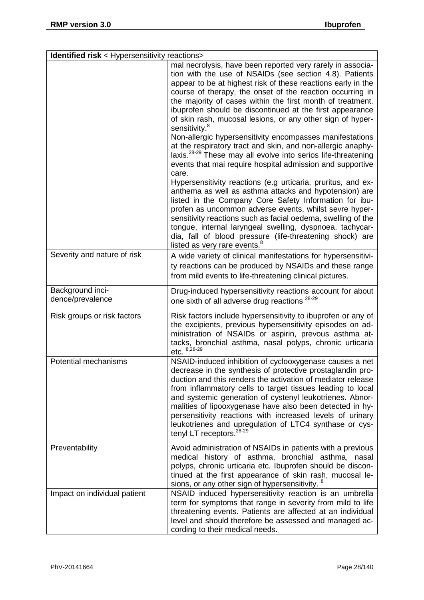| <b>Identified risk</b> < Hypersensitivity reactions> |                                                                                                                                                                                                                                                                                                                                                                                                                                                                                                                                                                                                                                                                                                                                                                                                                                                                                                                                                                                                                                                                                                                                                                                                                                         |
|------------------------------------------------------|-----------------------------------------------------------------------------------------------------------------------------------------------------------------------------------------------------------------------------------------------------------------------------------------------------------------------------------------------------------------------------------------------------------------------------------------------------------------------------------------------------------------------------------------------------------------------------------------------------------------------------------------------------------------------------------------------------------------------------------------------------------------------------------------------------------------------------------------------------------------------------------------------------------------------------------------------------------------------------------------------------------------------------------------------------------------------------------------------------------------------------------------------------------------------------------------------------------------------------------------|
|                                                      | mal necrolysis, have been reported very rarely in associa-<br>tion with the use of NSAIDs (see section 4.8). Patients<br>appear to be at highest risk of these reactions early in the<br>course of therapy, the onset of the reaction occurring in<br>the majority of cases within the first month of treatment.<br>ibuprofen should be discontinued at the first appearance<br>of skin rash, mucosal lesions, or any other sign of hyper-<br>sensitivity. <sup>8</sup><br>Non-allergic hypersensitivity encompasses manifestations<br>at the respiratory tract and skin, and non-allergic anaphy-<br>laxis. <sup>28-29</sup> These may all evolve into serios life-threatening<br>events that mai require hospital admission and supportive<br>care.<br>Hypersensitivity reactions (e.g urticaria, pruritus, and ex-<br>anthema as well as asthma attacks and hypotension) are<br>listed in the Company Core Safety Information for ibu-<br>profen as uncommon adverse events, whilst sevre hyper-<br>sensitivity reactions such as facial oedema, swelling of the<br>tongue, internal laryngeal swelling, dyspnoea, tachycar-<br>dia, fall of blood pressure (life-threatening shock) are<br>listed as very rare events. <sup>8</sup> |
| Severity and nature of risk                          | A wide variety of clinical manifestations for hypersensitivi-<br>ty reactions can be produced by NSAIDs and these range<br>from mild events to life-threatening clinical pictures.                                                                                                                                                                                                                                                                                                                                                                                                                                                                                                                                                                                                                                                                                                                                                                                                                                                                                                                                                                                                                                                      |
| Background inci-<br>dence/prevalence                 | Drug-induced hypersensitivity reactions account for about<br>one sixth of all adverse drug reactions <sup>28-29</sup>                                                                                                                                                                                                                                                                                                                                                                                                                                                                                                                                                                                                                                                                                                                                                                                                                                                                                                                                                                                                                                                                                                                   |
| Risk groups or risk factors                          | Risk factors include hypersensitivity to ibuprofen or any of<br>the excipients, previous hypersensitivity episodes on ad-<br>ministration of NSAIDs or aspirin, prevous asthma at-<br>tacks, bronchial asthma, nasal polyps, chronic urticaria<br>etc. 8,28-29                                                                                                                                                                                                                                                                                                                                                                                                                                                                                                                                                                                                                                                                                                                                                                                                                                                                                                                                                                          |
| Potential mechanisms                                 | NSAID-induced inhibition of cyclooxygenase causes a net<br>decrease in the synthesis of protective prostaglandin pro-<br>duction and this renders the activation of mediator release<br>from inflammatory cells to target tissues leading to local<br>and systemic generation of cystenyl leukotrienes. Abnor-<br>malities of lipooxygenase have also been detected in hy-<br>persensitivity reactions with increased levels of urinary<br>leukotrienes and upregulation of LTC4 synthase or cys-<br>tenyl LT receptors. <sup>28-29</sup>                                                                                                                                                                                                                                                                                                                                                                                                                                                                                                                                                                                                                                                                                               |
| Preventability                                       | Avoid administration of NSAIDs in patients with a previous<br>medical history of asthma, bronchial asthma, nasal<br>polyps, chronic urticaria etc. Ibuprofen should be discon-<br>tinued at the first appearance of skin rash, mucosal le-<br>sions, or any other sign of hypersensitivity. <sup>8</sup>                                                                                                                                                                                                                                                                                                                                                                                                                                                                                                                                                                                                                                                                                                                                                                                                                                                                                                                                |
| Impact on individual patient                         | NSAID induced hypersensitivity reaction is an umbrella<br>term for symptoms that range in severity from mild to life<br>threatening events. Patients are affected at an individual<br>level and should therefore be assessed and managed ac-<br>cording to their medical needs.                                                                                                                                                                                                                                                                                                                                                                                                                                                                                                                                                                                                                                                                                                                                                                                                                                                                                                                                                         |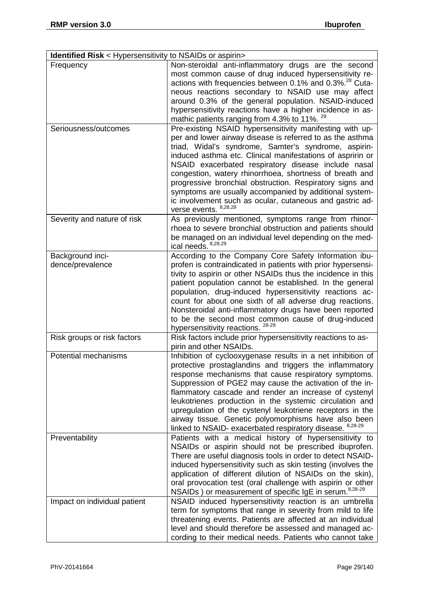| <b>Identified Risk</b> < Hypersensitivity to NSAIDs or aspirin> |                                                                                                                                                                                                                                                                                                                                                                                                                                                                                                                                                                          |  |
|-----------------------------------------------------------------|--------------------------------------------------------------------------------------------------------------------------------------------------------------------------------------------------------------------------------------------------------------------------------------------------------------------------------------------------------------------------------------------------------------------------------------------------------------------------------------------------------------------------------------------------------------------------|--|
| Frequency                                                       | Non-steroidal anti-inflammatory drugs are the second<br>most common cause of drug induced hypersensitivity re-<br>actions with frequencies between 0.1% and 0.3%. <sup>28</sup> Cuta-<br>neous reactions secondary to NSAID use may affect<br>around 0.3% of the general population. NSAID-induced<br>hypersensitivity reactions have a higher incidence in as-<br>mathic patients ranging from 4.3% to 11%. <sup>29</sup>                                                                                                                                               |  |
| Seriousness/outcomes                                            | Pre-existing NSAID hypersensitivity manifesting with up-<br>per and lower airway disease is referred to as the asthma<br>triad, Widal's syndrome, Samter's syndrome, aspirin-<br>induced asthma etc. Clinical manifestations of aspririn or<br>NSAID exacerbated respiratory disease include nasal<br>congestion, watery rhinorrhoea, shortness of breath and<br>progressive bronchial obstruction. Respiratory signs and<br>symptoms are usually accompanied by additional system-<br>ic involvement such as ocular, cutaneous and gastric ad-<br>verse events. 8,28,29 |  |
| Severity and nature of risk                                     | As previously mentioned, symptoms range from rhinor-<br>rhoea to severe bronchial obstruction and patients should<br>be managed on an individual level depending on the med-<br>ical needs. 8,28,29                                                                                                                                                                                                                                                                                                                                                                      |  |
| Background inci-<br>dence/prevalence                            | According to the Company Core Safety Information ibu-<br>profen is contraindicated in patients with prior hypersensi-<br>tivity to aspirin or other NSAIDs thus the incidence in this<br>patient population cannot be established. In the general<br>population, drug-induced hypersensitivity reactions ac-<br>count for about one sixth of all adverse drug reactions.<br>Nonsteroidal anti-inflammatory drugs have been reported<br>to be the second most common cause of drug-induced<br>hypersensitivity reactions. 28-29                                           |  |
| Risk groups or risk factors                                     | Risk factors include prior hypersensitivity reactions to as-<br>pirin and other NSAIDs.                                                                                                                                                                                                                                                                                                                                                                                                                                                                                  |  |
| Potential mechanisms                                            | Inhibition of cyclooxygenase results in a net inhibition of<br>protective prostaglandins and triggers the inflammatory<br>response mechanisms that cause respiratory symptoms.<br>Suppression of PGE2 may cause the activation of the in-<br>flammatory cascade and render an increase of cystenyl<br>leukotrienes production in the systemic circulation and<br>upregulation of the cystenyl leukotriene receptors in the<br>airway tissue. Genetic polyomorphisms have also been<br>linked to NSAID- exacerbated respiratory disease. 8,28-29                          |  |
| Preventability                                                  | Patients with a medical history of hypersensitivity to<br>NSAIDs or aspirin should not be prescribed ibuprofen.<br>There are useful diagnosis tools in order to detect NSAID-<br>induced hypersensitivity such as skin testing (involves the<br>application of different dilution of NSAIDs on the skin),<br>oral provocation test (oral challenge with aspirin or other<br>NSAIDs) or measurement of specific IgE in serum. <sup>8,28-29</sup>                                                                                                                          |  |
| Impact on individual patient                                    | NSAID induced hypersensitivity reaction is an umbrella<br>term for symptoms that range in severity from mild to life<br>threatening events. Patients are affected at an individual<br>level and should therefore be assessed and managed ac-<br>cording to their medical needs. Patients who cannot take                                                                                                                                                                                                                                                                 |  |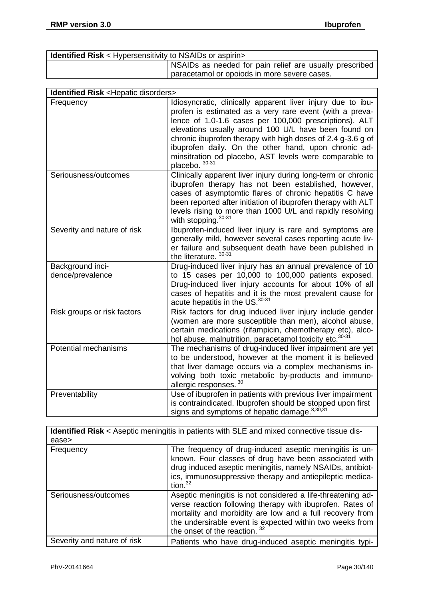| <b>Identified Risk</b> < Hypersensitivity to NSAIDs or aspirin> |                                                         |  |
|-----------------------------------------------------------------|---------------------------------------------------------|--|
|                                                                 | NSAIDs as needed for pain relief are usually prescribed |  |
|                                                                 | paracetamol or opoiods in more severe cases.            |  |

| <b>Identified Risk <hepatic disorders=""></hepatic></b> |                                                                                                                                                                                                                                                                                                                                                                                                                                             |  |
|---------------------------------------------------------|---------------------------------------------------------------------------------------------------------------------------------------------------------------------------------------------------------------------------------------------------------------------------------------------------------------------------------------------------------------------------------------------------------------------------------------------|--|
| Frequency                                               | Idiosyncratic, clinically apparent liver injury due to ibu-<br>profen is estimated as a very rare event (with a preva-<br>lence of 1.0-1.6 cases per 100,000 prescriptions). ALT<br>elevations usually around 100 U/L have been found on<br>chronic ibuprofen therapy with high doses of 2.4 g-3.6 g of<br>ibuprofen daily. On the other hand, upon chronic ad-<br>minsitration od placebo, AST levels were comparable to<br>placebo. 30-31 |  |
| Seriousness/outcomes                                    | Clinically apparent liver injury during long-term or chronic<br>ibuprofen therapy has not been established, however,<br>cases of asymptomtic flares of chronic hepatitis C have<br>been reported after initiation of ibuprofen therapy with ALT<br>levels rising to more than 1000 U/L and rapidly resolving<br>with stopping. 30-31                                                                                                        |  |
| Severity and nature of risk                             | Ibuprofen-induced liver injury is rare and symptoms are<br>generally mild, however several cases reporting acute liv-<br>er failure and subsequent death have been published in<br>the literature. 30-31                                                                                                                                                                                                                                    |  |
| Background inci-<br>dence/prevalence                    | Drug-induced liver injury has an annual prevalence of 10<br>to 15 cases per 10,000 to 100,000 patients exposed.<br>Drug-induced liver injury accounts for about 10% of all<br>cases of hepatitis and it is the most prevalent cause for<br>acute hepatitis in the US. <sup>30-31</sup>                                                                                                                                                      |  |
| Risk groups or risk factors                             | Risk factors for drug induced liver injury include gender<br>(women are more susceptible than men), alcohol abuse,<br>certain medications (rifampicin, chemotherapy etc), alco-<br>hol abuse, malnutrition, paracetamol toxicity etc. <sup>30-31</sup>                                                                                                                                                                                      |  |
| Potential mechanisms                                    | The mechanisms of drug-induced liver impairment are yet<br>to be understood, however at the moment it is believed<br>that liver damage occurs via a complex mechanisms in-<br>volving both toxic metabolic by-products and immuno-<br>allergic responses. <sup>30</sup>                                                                                                                                                                     |  |
| Preventability                                          | Use of ibuprofen in patients with previous liver impairment<br>is contraindicated. Ibuprofen should be stopped upon first<br>signs and symptoms of hepatic damage. <sup>8,30,31</sup>                                                                                                                                                                                                                                                       |  |

| Identified Risk < Aseptic meningitis in patients with SLE and mixed connective tissue dis- |                                                                                                                                                                                                                                                                                     |
|--------------------------------------------------------------------------------------------|-------------------------------------------------------------------------------------------------------------------------------------------------------------------------------------------------------------------------------------------------------------------------------------|
| ease>                                                                                      |                                                                                                                                                                                                                                                                                     |
| Frequency                                                                                  | The frequency of drug-induced aseptic meningitis is un-<br>known. Four classes of drug have been associated with<br>drug induced aseptic meningitis, namely NSAIDs, antibiot-<br>ics, immunosuppressive therapy and antiepileptic medica-<br>tion. $32$                             |
| Seriousness/outcomes                                                                       | Aseptic meningitis is not considered a life-threatening ad-<br>verse reaction following therapy with ibuprofen. Rates of<br>mortality and morbidity are low and a full recovery from<br>the undersirable event is expected within two weeks from<br>the onset of the reaction. $32$ |
| Severity and nature of risk                                                                | Patients who have drug-induced aseptic meningitis typi-                                                                                                                                                                                                                             |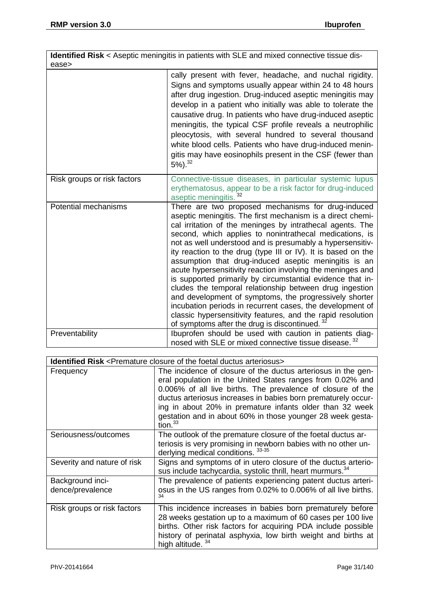|                             | <b>Identified Risk</b> < Aseptic meningitis in patients with SLE and mixed connective tissue dis-                                                                                                                                                                                                                                                                                                                                                                                                                                                                                                                                                                                                                                                                                                                                                                         |
|-----------------------------|---------------------------------------------------------------------------------------------------------------------------------------------------------------------------------------------------------------------------------------------------------------------------------------------------------------------------------------------------------------------------------------------------------------------------------------------------------------------------------------------------------------------------------------------------------------------------------------------------------------------------------------------------------------------------------------------------------------------------------------------------------------------------------------------------------------------------------------------------------------------------|
| ease>                       |                                                                                                                                                                                                                                                                                                                                                                                                                                                                                                                                                                                                                                                                                                                                                                                                                                                                           |
|                             | cally present with fever, headache, and nuchal rigidity.<br>Signs and symptoms usually appear within 24 to 48 hours<br>after drug ingestion. Drug-induced aseptic meningitis may<br>develop in a patient who initially was able to tolerate the<br>causative drug. In patients who have drug-induced aseptic<br>meningitis, the typical CSF profile reveals a neutrophilic<br>pleocytosis, with several hundred to several thousand<br>white blood cells. Patients who have drug-induced menin-<br>gitis may have eosinophils present in the CSF (fewer than<br>$5\%$ ). $32$                                                                                                                                                                                                                                                                                             |
| Risk groups or risk factors | Connective-tissue diseases, in particular systemic lupus<br>erythematosus, appear to be a risk factor for drug-induced<br>aseptic meningitis. <sup>32</sup>                                                                                                                                                                                                                                                                                                                                                                                                                                                                                                                                                                                                                                                                                                               |
| Potential mechanisms        | There are two proposed mechanisms for drug-induced<br>aseptic meningitis. The first mechanism is a direct chemi-<br>cal irritation of the meninges by intrathecal agents. The<br>second, which applies to nonintrathecal medications, is<br>not as well understood and is presumably a hypersensitiv-<br>ity reaction to the drug (type III or IV). It is based on the<br>assumption that drug-induced aseptic meningitis is an<br>acute hypersensitivity reaction involving the meninges and<br>is supported primarily by circumstantial evidence that in-<br>cludes the temporal relationship between drug ingestion<br>and development of symptoms, the progressively shorter<br>incubation periods in recurrent cases, the development of<br>classic hypersensitivity features, and the rapid resolution<br>of symptoms after the drug is discontinued. <sup>32</sup> |
| Preventability              | Ibuprofen should be used with caution in patients diag-<br>nosed with SLE or mixed connective tissue disease. <sup>32</sup>                                                                                                                                                                                                                                                                                                                                                                                                                                                                                                                                                                                                                                                                                                                                               |

| <b>Identified Risk</b> <premature arteriosus="" closure="" ductus="" foetal="" of="" the=""></premature> |                                                                                                                                                                                                                                                                                                                                                                                                     |  |
|----------------------------------------------------------------------------------------------------------|-----------------------------------------------------------------------------------------------------------------------------------------------------------------------------------------------------------------------------------------------------------------------------------------------------------------------------------------------------------------------------------------------------|--|
| Frequency                                                                                                | The incidence of closure of the ductus arteriosus in the gen-<br>eral population in the United States ranges from 0.02% and<br>0.006% of all live births. The prevalence of closure of the<br>ductus arteriosus increases in babies born prematurely occur-<br>ing in about 20% in premature infants older than 32 week<br>gestation and in about 60% in those younger 28 week gesta-<br>tion. $33$ |  |
| Seriousness/outcomes                                                                                     | The outlook of the premature closure of the foetal ductus ar-<br>teriosis is very promising in newborn babies with no other un-<br>derlying medical conditions. 33-35                                                                                                                                                                                                                               |  |
| Severity and nature of risk                                                                              | Signs and symptoms of in utero closure of the ductus arterio-<br>sus include tachycardia, systolic thrill, heart murmurs. <sup>34</sup>                                                                                                                                                                                                                                                             |  |
| Background inci-<br>dence/prevalence                                                                     | The prevalence of patients experiencing patent ductus arteri-<br>osus in the US ranges from 0.02% to 0.006% of all live births.<br>34                                                                                                                                                                                                                                                               |  |
| Risk groups or risk factors                                                                              | This incidence increases in babies born prematurely before<br>28 weeks gestation up to a maximum of 60 cases per 100 live<br>births. Other risk factors for acquiring PDA include possible<br>history of perinatal asphyxia, low birth weight and births at<br>high altitude. <sup>34</sup>                                                                                                         |  |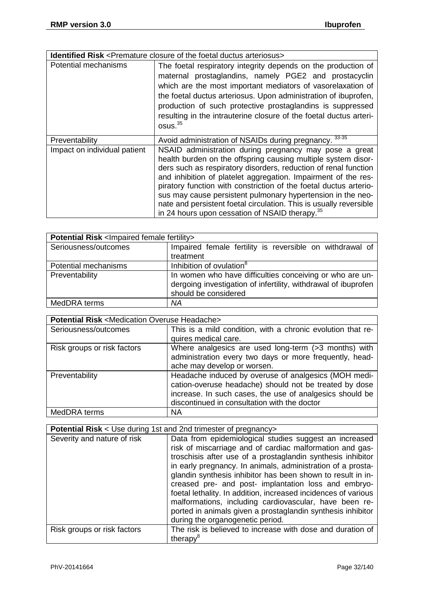| <b>Identified Risk</b> <premature arteriosus="" closure="" ductus="" foetal="" of="" the=""></premature> |                                                                                                                                                                                                                                                                                                                                                                                                                                                                                                                                      |
|----------------------------------------------------------------------------------------------------------|--------------------------------------------------------------------------------------------------------------------------------------------------------------------------------------------------------------------------------------------------------------------------------------------------------------------------------------------------------------------------------------------------------------------------------------------------------------------------------------------------------------------------------------|
| Potential mechanisms                                                                                     | The foetal respiratory integrity depends on the production of<br>maternal prostaglandins, namely PGE2 and prostacyclin<br>which are the most important mediators of vasorelaxation of<br>the foetal ductus arteriosus. Upon administration of ibuprofen,<br>production of such protective prostaglandins is suppressed<br>resulting in the intrauterine closure of the foetal ductus arteri-<br>$0s$ us. $35$                                                                                                                        |
| Preventability                                                                                           | 33-35<br>Avoid administration of NSAIDs during pregnancy.                                                                                                                                                                                                                                                                                                                                                                                                                                                                            |
| Impact on individual patient                                                                             | NSAID administration during pregnancy may pose a great<br>health burden on the offspring causing multiple system disor-<br>ders such as respiratory disorders, reduction of renal function<br>and inhibition of platelet aggregation. Impairment of the res-<br>piratory function with constriction of the foetal ductus arterio-<br>sus may cause persistent pulmonary hypertension in the neo-<br>nate and persistent foetal circulation. This is usually reversible<br>in 24 hours upon cessation of NSAID therapy. <sup>35</sup> |

| <b>Potential Risk &lt; Impaired female fertility&gt;</b> |                                                                                                                                                    |
|----------------------------------------------------------|----------------------------------------------------------------------------------------------------------------------------------------------------|
| Seriousness/outcomes                                     | Impaired female fertility is reversible on withdrawal of                                                                                           |
|                                                          | treatment                                                                                                                                          |
| Potential mechanisms                                     | Inhibition of ovulation <sup>8</sup>                                                                                                               |
| Preventability                                           | In women who have difficulties conceiving or who are un-<br>dergoing investigation of infertility, withdrawal of ibuprofen<br>should be considered |
| MedDRA terms                                             | ΝA                                                                                                                                                 |

| <b>Potential Risk <medication headache="" overuse=""></medication></b> |                                                                                                                                                                                                                            |
|------------------------------------------------------------------------|----------------------------------------------------------------------------------------------------------------------------------------------------------------------------------------------------------------------------|
| Seriousness/outcomes                                                   | This is a mild condition, with a chronic evolution that re-<br>quires medical care.                                                                                                                                        |
| Risk groups or risk factors                                            | Where analgesics are used long-term (>3 months) with<br>administration every two days or more frequently, head-<br>ache may develop or worsen.                                                                             |
| Preventability                                                         | Headache induced by overuse of analgesics (MOH medi-<br>cation-overuse headache) should not be treated by dose<br>increase. In such cases, the use of analgesics should be<br>discontinued in consultation with the doctor |
| MedDRA terms                                                           | <b>NA</b>                                                                                                                                                                                                                  |

| <b>Potential Risk</b> < Use during 1st and 2nd trimester of pregnancy> |                                                                                                                                                                                                                                                                                                                                                                                                                                                                                                                                                                                                        |
|------------------------------------------------------------------------|--------------------------------------------------------------------------------------------------------------------------------------------------------------------------------------------------------------------------------------------------------------------------------------------------------------------------------------------------------------------------------------------------------------------------------------------------------------------------------------------------------------------------------------------------------------------------------------------------------|
| Severity and nature of risk                                            | Data from epidemiological studies suggest an increased<br>risk of miscarriage and of cardiac malformation and gas-<br>troschisis after use of a prostaglandin synthesis inhibitor<br>in early pregnancy. In animals, administration of a prosta-<br>glandin synthesis inhibitor has been shown to result in in-<br>creased pre- and post- implantation loss and embryo-<br>foetal lethality. In addition, increased incidences of various<br>malformations, including cardiovascular, have been re-<br>ported in animals given a prostaglandin synthesis inhibitor<br>during the organogenetic period. |
| Risk groups or risk factors                                            | The risk is believed to increase with dose and duration of<br>therapy <sup>8</sup>                                                                                                                                                                                                                                                                                                                                                                                                                                                                                                                     |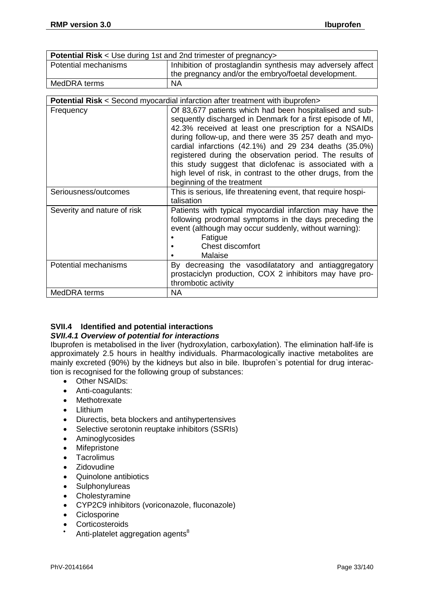| <b>Potential Risk</b> < Use during 1st and 2nd trimester of pregnancy>               |                                                                                                                                                                                                                                                                                                                                                                                                                                                                                                                        |
|--------------------------------------------------------------------------------------|------------------------------------------------------------------------------------------------------------------------------------------------------------------------------------------------------------------------------------------------------------------------------------------------------------------------------------------------------------------------------------------------------------------------------------------------------------------------------------------------------------------------|
| Potential mechanisms                                                                 | Inhibition of prostaglandin synthesis may adversely affect<br>the pregnancy and/or the embryo/foetal development.                                                                                                                                                                                                                                                                                                                                                                                                      |
| MedDRA terms                                                                         | <b>NA</b>                                                                                                                                                                                                                                                                                                                                                                                                                                                                                                              |
|                                                                                      |                                                                                                                                                                                                                                                                                                                                                                                                                                                                                                                        |
| <b>Potential Risk</b> < Second myocardial infarction after treatment with ibuprofen> |                                                                                                                                                                                                                                                                                                                                                                                                                                                                                                                        |
| Frequency                                                                            | Of 83,677 patients which had been hospitalised and sub-<br>sequently discharged in Denmark for a first episode of MI,<br>42.3% received at least one prescription for a NSAIDs<br>during follow-up, and there were 35 257 death and myo-<br>cardial infarctions (42.1%) and 29 234 deaths (35.0%)<br>registered during the observation period. The results of<br>this study suggest that diclofenac is associated with a<br>high level of risk, in contrast to the other drugs, from the<br>beginning of the treatment |
| Seriousness/outcomes                                                                 | This is serious, life threatening event, that require hospi-<br>talisation                                                                                                                                                                                                                                                                                                                                                                                                                                             |
| Severity and nature of risk                                                          | Patients with typical myocardial infarction may have the<br>following prodromal symptoms in the days preceding the<br>event (although may occur suddenly, without warning):<br>Fatigue<br>Chest discomfort<br>Malaise                                                                                                                                                                                                                                                                                                  |
| Potential mechanisms                                                                 | By decreasing the vasodilatatory and antiaggregatory<br>prostaciclyn production, COX 2 inhibitors may have pro-<br>thrombotic activity                                                                                                                                                                                                                                                                                                                                                                                 |
| MedDRA terms                                                                         | <b>NA</b>                                                                                                                                                                                                                                                                                                                                                                                                                                                                                                              |

# <span id="page-32-0"></span>**SVII.4 Identified and potential interactions**

# <span id="page-32-1"></span>*SVII.4.1 Overview of potential for interactions*

Ibuprofen is metabolised in the liver (hydroxylation, carboxylation). The elimination half-life is approximately 2.5 hours in healthy individuals. Pharmacologically inactive metabolites are mainly excreted (90%) by the kidneys but also in bile. Ibuprofen`s potential for drug interaction is recognised for the following group of substances:

- Other NSAIDs:
- Anti-coagulants:
- Methotrexate
- Llithium
- Diurectis, beta blockers and antihypertensives
- Selective serotonin reuptake inhibitors (SSRIs)
- Aminoglycosides
- Mifepristone
- Tacrolimus
- Zidovudine
- Quinolone antibiotics
- Sulphonylureas
- Cholestyramine
- CYP2C9 inhibitors (voriconazole, fluconazole)
- Ciclosporine
- Corticosteroids
- Anti-platelet aggregation agents<sup>8</sup>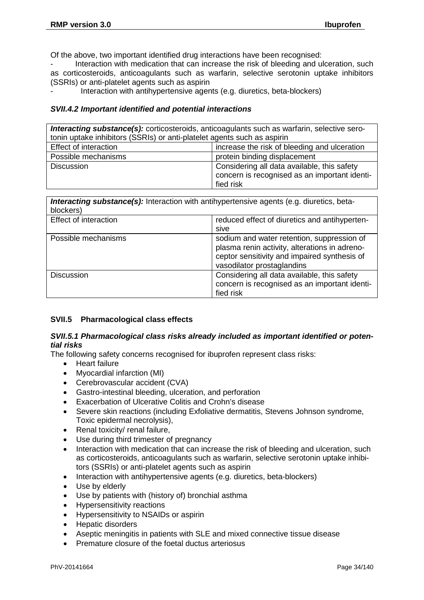Of the above, two important identified drug interactions have been recognised:

Interaction with medication that can increase the risk of bleeding and ulceration, such as corticosteroids, anticoagulants such as warfarin, selective serotonin uptake inhibitors (SSRIs) or anti-platelet agents such as aspirin

Interaction with antihypertensive agents (e.g. diuretics, beta-blockers)

#### <span id="page-33-0"></span>*SVII.4.2 Important identified and potential interactions*

*Interacting substance(s):* corticosteroids, anticoagulants such as warfarin, selective serotonin uptake inhibitors (SSRIs) or anti-platelet agents such as aspirin

| Effect of interaction | increase the risk of bleeding and ulceration  |
|-----------------------|-----------------------------------------------|
| Possible mechanisms   | protein binding displacement                  |
| <b>Discussion</b>     | Considering all data available, this safety   |
|                       | concern is recognised as an important identi- |
|                       | fied risk                                     |

| <b>Interacting substance(s):</b> Interaction with antihypertensive agents (e.g. diuretics, beta-<br>blockers) |                                                                                                                                                                           |
|---------------------------------------------------------------------------------------------------------------|---------------------------------------------------------------------------------------------------------------------------------------------------------------------------|
| <b>Effect of interaction</b>                                                                                  | reduced effect of diuretics and antihyperten-                                                                                                                             |
|                                                                                                               | sive                                                                                                                                                                      |
| Possible mechanisms                                                                                           | sodium and water retention, suppression of<br>plasma renin activity, alterations in adreno-<br>ceptor sensitivity and impaired synthesis of<br>vasodilator prostaglandins |
| <b>Discussion</b>                                                                                             | Considering all data available, this safety<br>concern is recognised as an important identi-<br>fied risk                                                                 |

#### <span id="page-33-1"></span>**SVII.5 Pharmacological class effects**

#### <span id="page-33-2"></span>*SVII.5.1 Pharmacological class risks already included as important identified or potential risks*

The following safety concerns recognised for ibuprofen represent class risks:

- Heart failure
- Myocardial infarction (MI)
- Cerebrovascular accident (CVA)
- Gastro-intestinal bleeding, ulceration, and perforation
- Exacerbation of Ulcerative Colitis and Crohn's disease
- Severe skin reactions (including Exfoliative dermatitis, Stevens Johnson syndrome, Toxic epidermal necrolysis),
- Renal toxicity/ renal failure,
- Use during third trimester of pregnancy
- Interaction with medication that can increase the risk of bleeding and ulceration, such as corticosteroids, anticoagulants such as warfarin, selective serotonin uptake inhibitors (SSRIs) or anti-platelet agents such as aspirin
- Interaction with antihypertensive agents (e.g. diuretics, beta-blockers)
- Use by elderly
- Use by patients with (history of) bronchial asthma
- Hypersensitivity reactions
- Hypersensitivity to NSAIDs or aspirin
- Hepatic disorders
- Aseptic meningitis in patients with SLE and mixed connective tissue disease
- Premature closure of the foetal ductus arteriosus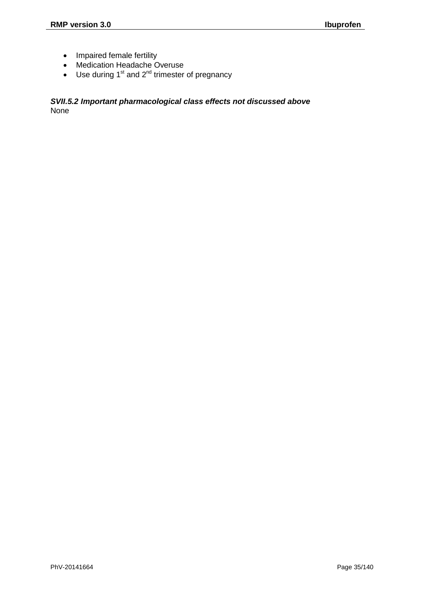- Impaired female fertility
- Medication Headache Overuse
- Use during  $1<sup>st</sup>$  and  $2<sup>nd</sup>$  trimester of pregnancy

# <span id="page-34-0"></span>*SVII.5.2 Important pharmacological class effects not discussed above* None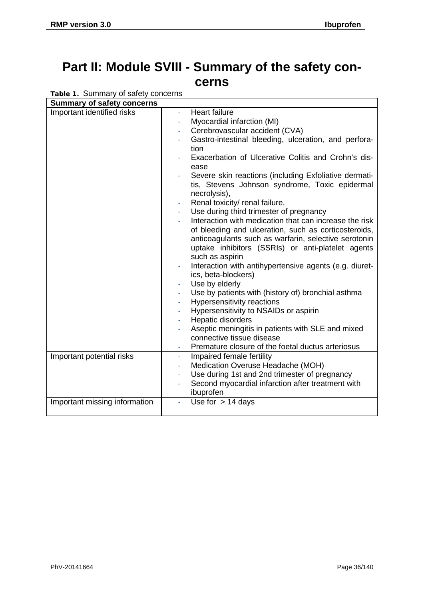# <span id="page-35-0"></span>**Part II: Module SVIII - Summary of the safety concerns**

**Table 1.** Summary of safety concerns

| <b>Summary of safety concerns</b>                       |                                                                                                                                                                                                                                                                                                                                                                                                                                                                                                                                                                                                                                                                                                                                                                                                                                                                                                                                                                                                                                                                                                                                                                                         |
|---------------------------------------------------------|-----------------------------------------------------------------------------------------------------------------------------------------------------------------------------------------------------------------------------------------------------------------------------------------------------------------------------------------------------------------------------------------------------------------------------------------------------------------------------------------------------------------------------------------------------------------------------------------------------------------------------------------------------------------------------------------------------------------------------------------------------------------------------------------------------------------------------------------------------------------------------------------------------------------------------------------------------------------------------------------------------------------------------------------------------------------------------------------------------------------------------------------------------------------------------------------|
| Important identified risks<br>Important potential risks | Heart failure<br>÷<br>Myocardial infarction (MI)<br>٠<br>Cerebrovascular accident (CVA)<br>÷<br>Gastro-intestinal bleeding, ulceration, and perfora-<br>÷<br>tion<br>Exacerbation of Ulcerative Colitis and Crohn's dis-<br>ease<br>Severe skin reactions (including Exfoliative dermati-<br>tis, Stevens Johnson syndrome, Toxic epidermal<br>necrolysis),<br>Renal toxicity/ renal failure,<br>٠<br>Use during third trimester of pregnancy<br>Interaction with medication that can increase the risk<br>of bleeding and ulceration, such as corticosteroids,<br>anticoagulants such as warfarin, selective serotonin<br>uptake inhibitors (SSRIs) or anti-platelet agents<br>such as aspirin<br>Interaction with antihypertensive agents (e.g. diuret-<br>ics, beta-blockers)<br>Use by elderly<br>Use by patients with (history of) bronchial asthma<br>Hypersensitivity reactions<br>÷,<br>Hypersensitivity to NSAIDs or aspirin<br>٠<br>Hepatic disorders<br>÷<br>Aseptic meningitis in patients with SLE and mixed<br>connective tissue disease<br>Premature closure of the foetal ductus arteriosus<br>Impaired female fertility<br>٠<br>Medication Overuse Headache (MOH)<br>٠ |
|                                                         | Use during 1st and 2nd trimester of pregnancy<br>÷<br>Second myocardial infarction after treatment with<br>٠<br>ibuprofen                                                                                                                                                                                                                                                                                                                                                                                                                                                                                                                                                                                                                                                                                                                                                                                                                                                                                                                                                                                                                                                               |
| Important missing information                           | Use for $> 14$ days<br>÷                                                                                                                                                                                                                                                                                                                                                                                                                                                                                                                                                                                                                                                                                                                                                                                                                                                                                                                                                                                                                                                                                                                                                                |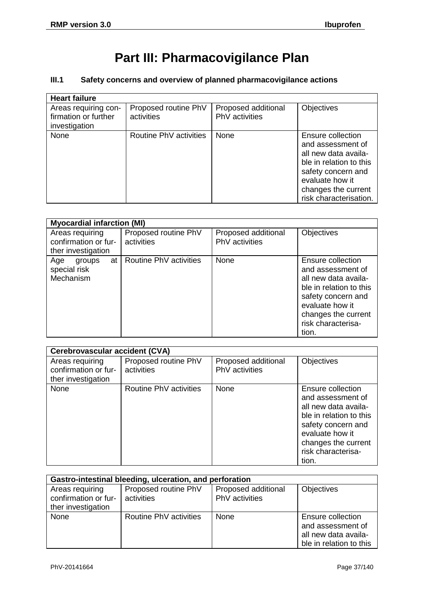# **Part III: Pharmacovigilance Plan**

# **III.1 Safety concerns and overview of planned pharmacovigilance actions**

| <b>Heart failure</b>                                          |                                    |                                       |                                                                                                                                                                                     |
|---------------------------------------------------------------|------------------------------------|---------------------------------------|-------------------------------------------------------------------------------------------------------------------------------------------------------------------------------------|
| Areas requiring con-<br>firmation or further<br>investigation | Proposed routine PhV<br>activities | Proposed additional<br>PhV activities | <b>Objectives</b>                                                                                                                                                                   |
| None                                                          | Routine PhV activities             | <b>None</b>                           | Ensure collection<br>and assessment of<br>all new data availa-<br>ble in relation to this<br>safety concern and<br>evaluate how it<br>changes the current<br>risk characterisation. |

| <b>Myocardial infarction (MI)</b>                             |                                    |                                       |                                                                                                                                                                                          |  |
|---------------------------------------------------------------|------------------------------------|---------------------------------------|------------------------------------------------------------------------------------------------------------------------------------------------------------------------------------------|--|
| Areas requiring<br>confirmation or fur-<br>ther investigation | Proposed routine PhV<br>activities | Proposed additional<br>PhV activities | Objectives                                                                                                                                                                               |  |
| at l<br>Age<br>groups<br>special risk<br>Mechanism            | Routine PhV activities             | None                                  | Ensure collection<br>and assessment of<br>all new data availa-<br>ble in relation to this<br>safety concern and<br>evaluate how it<br>changes the current<br>risk characterisa-<br>tion. |  |

| Cerebrovascular accident (CVA)                                |                                    |                                       |                                                                                                                                                                                          |  |
|---------------------------------------------------------------|------------------------------------|---------------------------------------|------------------------------------------------------------------------------------------------------------------------------------------------------------------------------------------|--|
| Areas requiring<br>confirmation or fur-<br>ther investigation | Proposed routine PhV<br>activities | Proposed additional<br>PhV activities | <b>Objectives</b>                                                                                                                                                                        |  |
| None                                                          | Routine PhV activities             | None                                  | Ensure collection<br>and assessment of<br>all new data availa-<br>ble in relation to this<br>safety concern and<br>evaluate how it<br>changes the current<br>risk characterisa-<br>tion. |  |

| Gastro-intestinal bleeding, ulceration, and perforation       |                                    |                                       |                                                                                           |  |
|---------------------------------------------------------------|------------------------------------|---------------------------------------|-------------------------------------------------------------------------------------------|--|
| Areas requiring<br>confirmation or fur-<br>ther investigation | Proposed routine PhV<br>activities | Proposed additional<br>PhV activities | Objectives                                                                                |  |
| None                                                          | Routine PhV activities             | None                                  | Ensure collection<br>and assessment of<br>all new data availa-<br>ble in relation to this |  |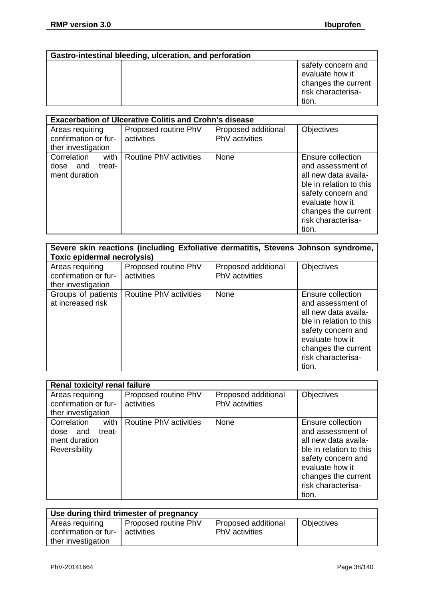| Gastro-intestinal bleeding, ulceration, and perforation |  |  |                                                                                             |  |
|---------------------------------------------------------|--|--|---------------------------------------------------------------------------------------------|--|
|                                                         |  |  | safety concern and<br>evaluate how it<br>changes the current<br>risk characterisa-<br>tion. |  |

| <b>Exacerbation of Ulcerative Colitis and Crohn's disease</b> |                                    |                                       |                                                                                                                                                                                          |  |
|---------------------------------------------------------------|------------------------------------|---------------------------------------|------------------------------------------------------------------------------------------------------------------------------------------------------------------------------------------|--|
| Areas requiring<br>confirmation or fur-                       | Proposed routine PhV<br>activities | Proposed additional<br>PhV activities | Objectives                                                                                                                                                                               |  |
| ther investigation                                            |                                    |                                       |                                                                                                                                                                                          |  |
| with<br>Correlation<br>treat-<br>dose<br>and<br>ment duration | Routine PhV activities             | None                                  | Ensure collection<br>and assessment of<br>all new data availa-<br>ble in relation to this<br>safety concern and<br>evaluate how it<br>changes the current<br>risk characterisa-<br>tion. |  |

| Severe skin reactions (including Exfoliative dermatitis, Stevens Johnson syndrome,<br><b>Toxic epidermal necrolysis)</b> |                                    |                                       |                                                                                                                                                                                          |  |
|--------------------------------------------------------------------------------------------------------------------------|------------------------------------|---------------------------------------|------------------------------------------------------------------------------------------------------------------------------------------------------------------------------------------|--|
| Areas requiring<br>confirmation or fur-<br>ther investigation                                                            | Proposed routine PhV<br>activities | Proposed additional<br>PhV activities | Objectives                                                                                                                                                                               |  |
| Groups of patients<br>at increased risk                                                                                  | Routine PhV activities             | None                                  | Ensure collection<br>and assessment of<br>all new data availa-<br>ble in relation to this<br>safety concern and<br>evaluate how it<br>changes the current<br>risk characterisa-<br>tion. |  |

| Renal toxicity/ renal failure                                                  |                                    |                                       |                                                                                                                                                                                          |  |
|--------------------------------------------------------------------------------|------------------------------------|---------------------------------------|------------------------------------------------------------------------------------------------------------------------------------------------------------------------------------------|--|
| Areas requiring<br>confirmation or fur-<br>ther investigation                  | Proposed routine PhV<br>activities | Proposed additional<br>PhV activities | Objectives                                                                                                                                                                               |  |
| Correlation<br>with<br>and<br>treat-<br>dose<br>ment duration<br>Reversibility | Routine PhV activities             | None                                  | Ensure collection<br>and assessment of<br>all new data availa-<br>ble in relation to this<br>safety concern and<br>evaluate how it<br>changes the current<br>risk characterisa-<br>tion. |  |

| Use during third trimester of pregnancy                       |                                    |                                       |                   |
|---------------------------------------------------------------|------------------------------------|---------------------------------------|-------------------|
| Areas requiring<br>confirmation or fur-<br>ther investigation | Proposed routine PhV<br>activities | Proposed additional<br>PhV activities | <b>Objectives</b> |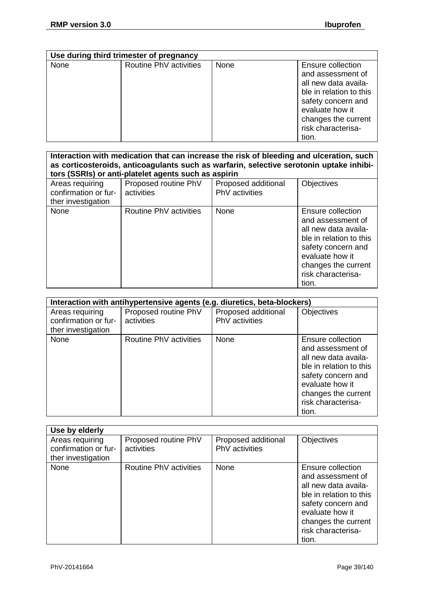| Use during third trimester of pregnancy |                        |      |                                                                                                                                                                                          |  |
|-----------------------------------------|------------------------|------|------------------------------------------------------------------------------------------------------------------------------------------------------------------------------------------|--|
| None                                    | Routine PhV activities | None | Ensure collection<br>and assessment of<br>all new data availa-<br>ble in relation to this<br>safety concern and<br>evaluate how it<br>changes the current<br>risk characterisa-<br>tion. |  |

| Interaction with medication that can increase the risk of bleeding and ulceration, such |
|-----------------------------------------------------------------------------------------|
| as corticosteroids, anticoagulants such as warfarin, selective serotonin uptake inhibi- |
| tors (SSRIs) or anti-platelet agents such as aspirin                                    |

| Areas requiring<br>confirmation or fur-<br>ther investigation | Proposed routine PhV<br>activities | Proposed additional<br>PhV activities | Objectives                                                                                                                                                                               |
|---------------------------------------------------------------|------------------------------------|---------------------------------------|------------------------------------------------------------------------------------------------------------------------------------------------------------------------------------------|
| None                                                          | Routine PhV activities             | None                                  | Ensure collection<br>and assessment of<br>all new data availa-<br>ble in relation to this<br>safety concern and<br>evaluate how it<br>changes the current<br>risk characterisa-<br>tion. |

| Interaction with antihypertensive agents (e.g. diuretics, beta-blockers) |                                    |                                       |                                                                                                                                                                                          |
|--------------------------------------------------------------------------|------------------------------------|---------------------------------------|------------------------------------------------------------------------------------------------------------------------------------------------------------------------------------------|
| Areas requiring<br>confirmation or fur-<br>ther investigation            | Proposed routine PhV<br>activities | Proposed additional<br>PhV activities | Objectives                                                                                                                                                                               |
| None                                                                     | Routine PhV activities             | None                                  | Ensure collection<br>and assessment of<br>all new data availa-<br>ble in relation to this<br>safety concern and<br>evaluate how it<br>changes the current<br>risk characterisa-<br>tion. |

| Use by elderly                                                |                                    |                                       |                                                                                                                                                                                                 |
|---------------------------------------------------------------|------------------------------------|---------------------------------------|-------------------------------------------------------------------------------------------------------------------------------------------------------------------------------------------------|
| Areas requiring<br>confirmation or fur-<br>ther investigation | Proposed routine PhV<br>activities | Proposed additional<br>PhV activities | <b>Objectives</b>                                                                                                                                                                               |
| None                                                          | Routine PhV activities             | <b>None</b>                           | <b>Ensure collection</b><br>and assessment of<br>all new data availa-<br>ble in relation to this<br>safety concern and<br>evaluate how it<br>changes the current<br>risk characterisa-<br>tion. |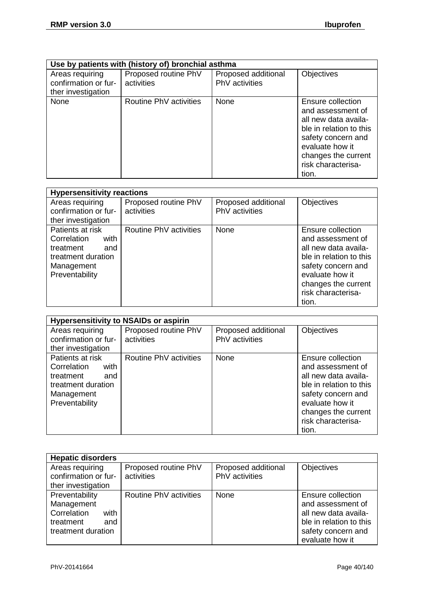| Use by patients with (history of) bronchial asthma            |                                    |                                              |                                                                                                                                                                                          |
|---------------------------------------------------------------|------------------------------------|----------------------------------------------|------------------------------------------------------------------------------------------------------------------------------------------------------------------------------------------|
| Areas requiring<br>confirmation or fur-<br>ther investigation | Proposed routine PhV<br>activities | Proposed additional<br><b>PhV</b> activities | Objectives                                                                                                                                                                               |
| None                                                          | Routine PhV activities             | None                                         | Ensure collection<br>and assessment of<br>all new data availa-<br>ble in relation to this<br>safety concern and<br>evaluate how it<br>changes the current<br>risk characterisa-<br>tion. |

| <b>Hypersensitivity reactions</b>                                                                                 |                                    |                                              |                                                                                                                                                                                          |
|-------------------------------------------------------------------------------------------------------------------|------------------------------------|----------------------------------------------|------------------------------------------------------------------------------------------------------------------------------------------------------------------------------------------|
| Areas requiring<br>confirmation or fur-<br>ther investigation                                                     | Proposed routine PhV<br>activities | Proposed additional<br><b>PhV</b> activities | <b>Objectives</b>                                                                                                                                                                        |
| Patients at risk<br>Correlation<br>with<br>treatment<br>and<br>treatment duration<br>Management<br>Preventability | Routine PhV activities             | None                                         | Ensure collection<br>and assessment of<br>all new data availa-<br>ble in relation to this<br>safety concern and<br>evaluate how it<br>changes the current<br>risk characterisa-<br>tion. |

| <b>Hypersensitivity to NSAIDs or aspirin</b>                                                                      |                                    |                                       |                                                                                                                                                                                          |
|-------------------------------------------------------------------------------------------------------------------|------------------------------------|---------------------------------------|------------------------------------------------------------------------------------------------------------------------------------------------------------------------------------------|
| Areas requiring<br>confirmation or fur-<br>ther investigation                                                     | Proposed routine PhV<br>activities | Proposed additional<br>PhV activities | Objectives                                                                                                                                                                               |
| Patients at risk<br>Correlation<br>with<br>treatment<br>and<br>treatment duration<br>Management<br>Preventability | Routine PhV activities             | <b>None</b>                           | Ensure collection<br>and assessment of<br>all new data availa-<br>ble in relation to this<br>safety concern and<br>evaluate how it<br>changes the current<br>risk characterisa-<br>tion. |

| <b>Hepatic disorders</b>                                                                      |                                    |                                       |                                                                                                                                    |
|-----------------------------------------------------------------------------------------------|------------------------------------|---------------------------------------|------------------------------------------------------------------------------------------------------------------------------------|
| Areas requiring<br>confirmation or fur-<br>ther investigation                                 | Proposed routine PhV<br>activities | Proposed additional<br>PhV activities | Objectives                                                                                                                         |
| Preventability<br>Management<br>Correlation<br>with<br>and<br>treatment<br>treatment duration | Routine PhV activities             | None                                  | Ensure collection<br>and assessment of<br>all new data availa-<br>ble in relation to this<br>safety concern and<br>evaluate how it |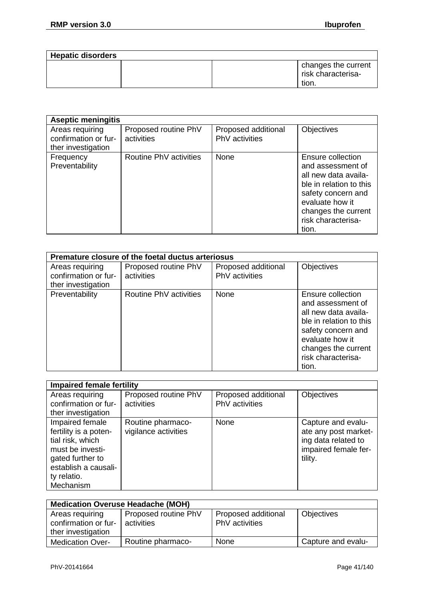| <b>Hepatic disorders</b> |  |                                                    |  |
|--------------------------|--|----------------------------------------------------|--|
|                          |  | changes the current<br>risk characterisa-<br>tion. |  |

| <b>Aseptic meningitis</b>                                     |                                    |                                       |                                                                                                                                                                                                 |
|---------------------------------------------------------------|------------------------------------|---------------------------------------|-------------------------------------------------------------------------------------------------------------------------------------------------------------------------------------------------|
| Areas requiring<br>confirmation or fur-<br>ther investigation | Proposed routine PhV<br>activities | Proposed additional<br>PhV activities | Objectives                                                                                                                                                                                      |
| Frequency<br>Preventability                                   | Routine PhV activities             | None                                  | <b>Ensure collection</b><br>and assessment of<br>all new data availa-<br>ble in relation to this<br>safety concern and<br>evaluate how it<br>changes the current<br>risk characterisa-<br>tion. |

| Premature closure of the foetal ductus arteriosus             |                                    |                                              |                                                                                                                                                                                          |
|---------------------------------------------------------------|------------------------------------|----------------------------------------------|------------------------------------------------------------------------------------------------------------------------------------------------------------------------------------------|
| Areas requiring<br>confirmation or fur-<br>ther investigation | Proposed routine PhV<br>activities | Proposed additional<br><b>PhV</b> activities | Objectives                                                                                                                                                                               |
| Preventability                                                | Routine PhV activities             | None                                         | Ensure collection<br>and assessment of<br>all new data availa-<br>ble in relation to this<br>safety concern and<br>evaluate how it<br>changes the current<br>risk characterisa-<br>tion. |

| <b>Impaired female fertility</b>                                                                                                                         |                                           |                                       |                                                                                                      |
|----------------------------------------------------------------------------------------------------------------------------------------------------------|-------------------------------------------|---------------------------------------|------------------------------------------------------------------------------------------------------|
| Areas requiring<br>confirmation or fur-<br>ther investigation                                                                                            | Proposed routine PhV<br>activities        | Proposed additional<br>PhV activities | Objectives                                                                                           |
| Impaired female<br>fertility is a poten-<br>tial risk, which<br>must be investi-<br>gated further to<br>establish a causali-<br>ty relatio.<br>Mechanism | Routine pharmaco-<br>vigilance activities | None                                  | Capture and evalu-<br>ate any post market-<br>ing data related to<br>impaired female fer-<br>tility. |

| <b>Medication Overuse Headache (MOH)</b>                      |                                    |                                       |                    |
|---------------------------------------------------------------|------------------------------------|---------------------------------------|--------------------|
| Areas requiring<br>confirmation or fur-<br>ther investigation | Proposed routine PhV<br>activities | Proposed additional<br>PhV activities | Objectives         |
| <b>Medication Over-</b>                                       | Routine pharmaco-                  | None                                  | Capture and evalu- |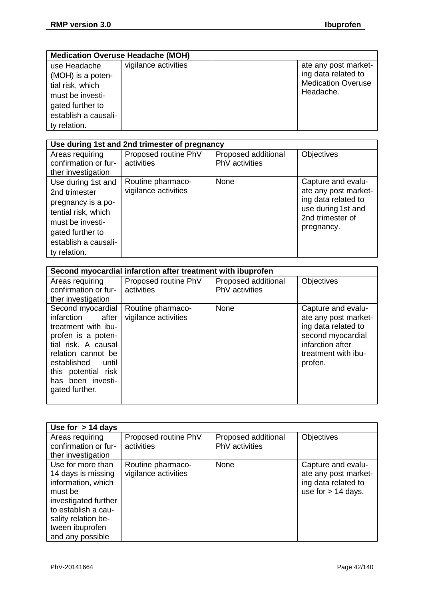| <b>Medication Overuse Headache (MOH)</b> |                      |  |                           |
|------------------------------------------|----------------------|--|---------------------------|
| use Headache                             | vigilance activities |  | ate any post market-      |
| (MOH) is a poten-                        |                      |  | ing data related to       |
| tial risk, which                         |                      |  | <b>Medication Overuse</b> |
| must be investi-                         |                      |  | Headache.                 |
| gated further to                         |                      |  |                           |
| establish a causali-                     |                      |  |                           |
| ty relation.                             |                      |  |                           |

| Use during 1st and 2nd trimester of pregnancy                                                                                                                    |                                           |                                              |                                                                                                                           |
|------------------------------------------------------------------------------------------------------------------------------------------------------------------|-------------------------------------------|----------------------------------------------|---------------------------------------------------------------------------------------------------------------------------|
| Areas requiring<br>confirmation or fur-<br>ther investigation                                                                                                    | Proposed routine PhV<br>activities        | Proposed additional<br><b>PhV</b> activities | Objectives                                                                                                                |
| Use during 1st and<br>2nd trimester<br>pregnancy is a po-<br>tential risk, which<br>must be investi-<br>gated further to<br>establish a causali-<br>ty relation. | Routine pharmaco-<br>vigilance activities | None                                         | Capture and evalu-<br>ate any post market-<br>ing data related to<br>use during 1st and<br>2nd trimester of<br>pregnancy. |

| Second myocardial infarction after treatment with ibuprofen                                                                                                                                                              |                                           |                                              |                                                                                                                                              |
|--------------------------------------------------------------------------------------------------------------------------------------------------------------------------------------------------------------------------|-------------------------------------------|----------------------------------------------|----------------------------------------------------------------------------------------------------------------------------------------------|
| Areas requiring<br>confirmation or fur-<br>ther investigation                                                                                                                                                            | Proposed routine PhV<br>activities        | Proposed additional<br><b>PhV</b> activities | Objectives                                                                                                                                   |
| Second myocardial<br>infarction<br>after<br>treatment with ibu-<br>profen is a poten-<br>tial risk. A causal<br>relation cannot be<br>established<br>until<br>this potential risk<br>has been investi-<br>gated further. | Routine pharmaco-<br>vigilance activities | None                                         | Capture and evalu-<br>ate any post market-<br>ing data related to<br>second myocardial<br>infarction after<br>treatment with ibu-<br>profen. |

| Use for $> 14$ days                                                                                                                                                                   |                                           |                                       |                                                                                           |
|---------------------------------------------------------------------------------------------------------------------------------------------------------------------------------------|-------------------------------------------|---------------------------------------|-------------------------------------------------------------------------------------------|
| Areas requiring<br>confirmation or fur-<br>ther investigation                                                                                                                         | Proposed routine PhV<br>activities        | Proposed additional<br>PhV activities | Objectives                                                                                |
| Use for more than<br>14 days is missing<br>information, which<br>must be<br>investigated further<br>to establish a cau-<br>sality relation be-<br>tween ibuprofen<br>and any possible | Routine pharmaco-<br>vigilance activities | None                                  | Capture and evalu-<br>ate any post market-<br>ing data related to<br>use for $> 14$ days. |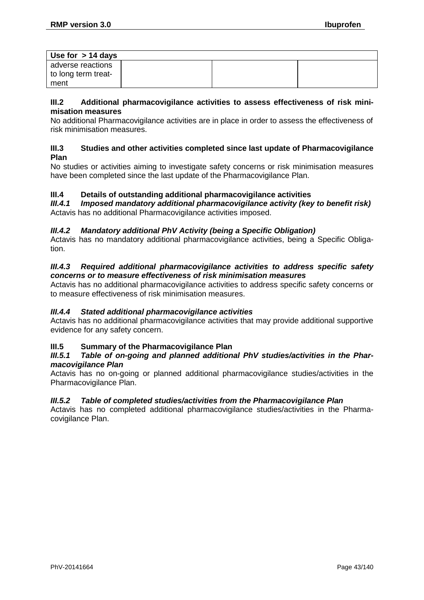| Use for $> 14$ days |  |  |
|---------------------|--|--|
| adverse reactions   |  |  |
| to long term treat- |  |  |
| ment                |  |  |

#### **III.2 Additional pharmacovigilance activities to assess effectiveness of risk minimisation measures**

No additional Pharmacovigilance activities are in place in order to assess the effectiveness of risk minimisation measures.

#### **III.3 Studies and other activities completed since last update of Pharmacovigilance Plan**

No studies or activities aiming to investigate safety concerns or risk minimisation measures have been completed since the last update of the Pharmacovigilance Plan.

# **III.4 Details of outstanding additional pharmacovigilance activities**

*Imposed mandatory additional pharmacovigilance activity (key to benefit risk)* Actavis has no additional Pharmacovigilance activities imposed.

### *III.4.2 Mandatory additional PhV Activity (being a Specific Obligation)*

Actavis has no mandatory additional pharmacovigilance activities, being a Specific Obligation.

#### *III.4.3 Required additional pharmacovigilance activities to address specific safety concerns or to measure effectiveness of risk minimisation measures*

Actavis has no additional pharmacovigilance activities to address specific safety concerns or to measure effectiveness of risk minimisation measures.

#### *III.4.4 Stated additional pharmacovigilance activities*

Actavis has no additional pharmacovigilance activities that may provide additional supportive evidence for any safety concern.

# **III.5** Summary of the Pharmacovigilance Plan *III.5.1* Table of on-going and planned addition

#### Table of on-going and planned additional PhV studies/activities in the Phar*macovigilance Plan*

Actavis has no on-going or planned additional pharmacovigilance studies/activities in the Pharmacovigilance Plan.

#### *III.5.2 Table of completed studies/activities from the Pharmacovigilance Plan*

Actavis has no completed additional pharmacovigilance studies/activities in the Pharmacovigilance Plan.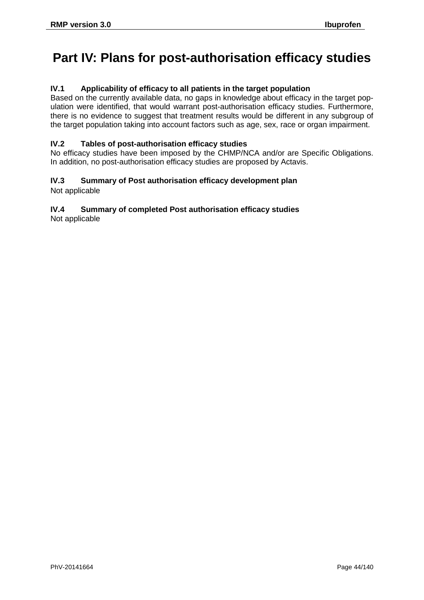# **Part IV: Plans for post-authorisation efficacy studies**

### **IV.1 Applicability of efficacy to all patients in the target population**

Based on the currently available data, no gaps in knowledge about efficacy in the target population were identified, that would warrant post-authorisation efficacy studies. Furthermore, there is no evidence to suggest that treatment results would be different in any subgroup of the target population taking into account factors such as age, sex, race or organ impairment.

### **IV.2 Tables of post-authorisation efficacy studies**

No efficacy studies have been imposed by the CHMP/NCA and/or are Specific Obligations. In addition, no post-authorisation efficacy studies are proposed by Actavis.

### **IV.3 Summary of Post authorisation efficacy development plan**

Not applicable

# **IV.4 Summary of completed Post authorisation efficacy studies**

Not applicable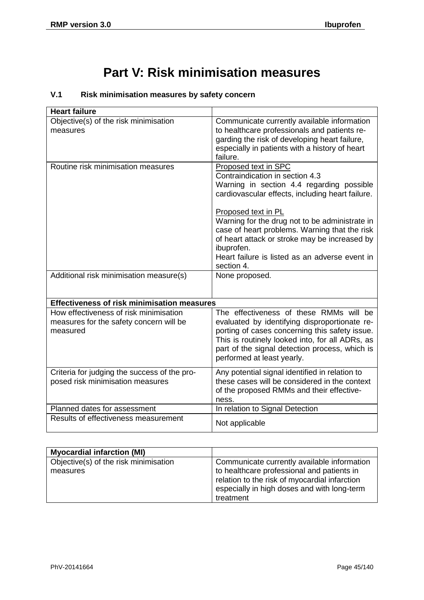# **Part V: Risk minimisation measures**

# **V.1 Risk minimisation measures by safety concern**

| <b>Heart failure</b>                                                 |                                                                                                 |
|----------------------------------------------------------------------|-------------------------------------------------------------------------------------------------|
| Objective(s) of the risk minimisation                                | Communicate currently available information                                                     |
| measures                                                             | to healthcare professionals and patients re-                                                    |
|                                                                      | garding the risk of developing heart failure,                                                   |
|                                                                      | especially in patients with a history of heart                                                  |
|                                                                      | failure.                                                                                        |
| Routine risk minimisation measures                                   | Proposed text in SPC                                                                            |
|                                                                      | Contraindication in section 4.3                                                                 |
|                                                                      | Warning in section 4.4 regarding possible<br>cardiovascular effects, including heart failure.   |
|                                                                      |                                                                                                 |
|                                                                      | Proposed text in PL                                                                             |
|                                                                      | Warning for the drug not to be administrate in                                                  |
|                                                                      | case of heart problems. Warning that the risk                                                   |
|                                                                      | of heart attack or stroke may be increased by                                                   |
|                                                                      | ibuprofen.                                                                                      |
|                                                                      | Heart failure is listed as an adverse event in                                                  |
|                                                                      | section 4.                                                                                      |
| Additional risk minimisation measure(s)                              | None proposed.                                                                                  |
|                                                                      |                                                                                                 |
| <b>Effectiveness of risk minimisation measures</b>                   |                                                                                                 |
| How effectiveness of risk minimisation                               | The effectiveness of these RMMs will be                                                         |
|                                                                      |                                                                                                 |
| measures for the safety concern will be<br>measured                  | evaluated by identifying disproportionate re-<br>porting of cases concerning this safety issue. |
|                                                                      | This is routinely looked into, for all ADRs, as                                                 |
|                                                                      | part of the signal detection process, which is                                                  |
|                                                                      | performed at least yearly.                                                                      |
|                                                                      |                                                                                                 |
| Criteria for judging the success of the pro-                         | Any potential signal identified in relation to                                                  |
| posed risk minimisation measures                                     | these cases will be considered in the context                                                   |
|                                                                      | of the proposed RMMs and their effective-                                                       |
|                                                                      | ness.                                                                                           |
| Planned dates for assessment<br>Results of effectiveness measurement | In relation to Signal Detection                                                                 |
|                                                                      | Not applicable                                                                                  |

| <b>Myocardial infarction (MI)</b>                 |                                                                                                                                                                                                        |
|---------------------------------------------------|--------------------------------------------------------------------------------------------------------------------------------------------------------------------------------------------------------|
| Objective(s) of the risk minimisation<br>measures | Communicate currently available information<br>to healthcare professional and patients in<br>relation to the risk of myocardial infarction<br>especially in high doses and with long-term<br>treatment |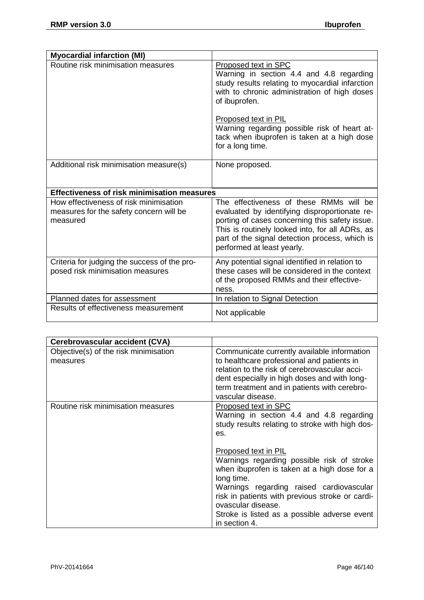| <b>Myocardial infarction (MI)</b>                                                             |                                                                                                                                                                                                                                                                               |
|-----------------------------------------------------------------------------------------------|-------------------------------------------------------------------------------------------------------------------------------------------------------------------------------------------------------------------------------------------------------------------------------|
| Routine risk minimisation measures                                                            | <b>Proposed text in SPC</b><br>Warning in section 4.4 and 4.8 regarding<br>study results relating to myocardial infarction<br>with to chronic administration of high doses<br>of ibuprofen.                                                                                   |
|                                                                                               | Proposed text in PIL<br>Warning regarding possible risk of heart at-<br>tack when ibuprofen is taken at a high dose<br>for a long time.                                                                                                                                       |
| Additional risk minimisation measure(s)                                                       | None proposed.                                                                                                                                                                                                                                                                |
| <b>Effectiveness of risk minimisation measures</b>                                            |                                                                                                                                                                                                                                                                               |
| How effectiveness of risk minimisation<br>measures for the safety concern will be<br>measured | The effectiveness of these RMMs will be<br>evaluated by identifying disproportionate re-<br>porting of cases concerning this safety issue.<br>This is routinely looked into, for all ADRs, as<br>part of the signal detection process, which is<br>performed at least yearly. |
| Criteria for judging the success of the pro-<br>posed risk minimisation measures              | Any potential signal identified in relation to<br>these cases will be considered in the context<br>of the proposed RMMs and their effective-<br>ness.                                                                                                                         |
| Planned dates for assessment                                                                  | In relation to Signal Detection                                                                                                                                                                                                                                               |
| Results of effectiveness measurement                                                          | Not applicable                                                                                                                                                                                                                                                                |

| Objective(s) of the risk minimisation<br>measures | Communicate currently available information<br>to healthcare professional and patients in<br>relation to the risk of cerebrovascular acci-<br>dent especially in high doses and with long-<br>term treatment and in patients with cerebro-<br>vascular disease.                                                                                                                                                                               |
|---------------------------------------------------|-----------------------------------------------------------------------------------------------------------------------------------------------------------------------------------------------------------------------------------------------------------------------------------------------------------------------------------------------------------------------------------------------------------------------------------------------|
| Routine risk minimisation measures<br>es.         | Proposed text in SPC<br>Warning in section 4.4 and 4.8 regarding<br>study results relating to stroke with high dos-<br>Proposed text in PIL<br>Warnings regarding possible risk of stroke<br>when ibuprofen is taken at a high dose for a<br>long time.<br>Warnings regarding raised cardiovascular<br>risk in patients with previous stroke or cardi-<br>ovascular disease.<br>Stroke is listed as a possible adverse event<br>in section 4. |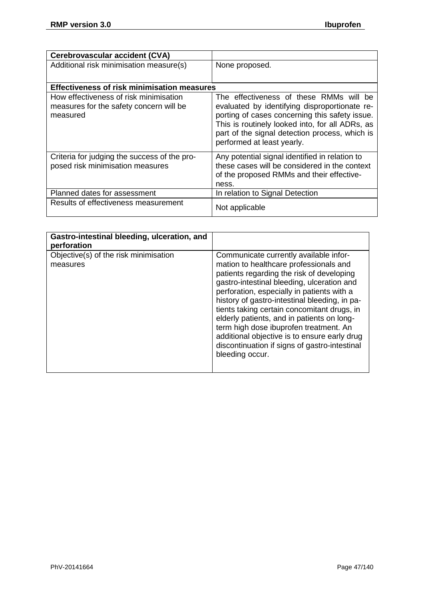| Cerebrovascular accident (CVA)                                                                |                                                                                                                                                                                                                                                                               |
|-----------------------------------------------------------------------------------------------|-------------------------------------------------------------------------------------------------------------------------------------------------------------------------------------------------------------------------------------------------------------------------------|
| Additional risk minimisation measure(s)                                                       | None proposed.                                                                                                                                                                                                                                                                |
| <b>Effectiveness of risk minimisation measures</b>                                            |                                                                                                                                                                                                                                                                               |
| How effectiveness of risk minimisation<br>measures for the safety concern will be<br>measured | The effectiveness of these RMMs will be<br>evaluated by identifying disproportionate re-<br>porting of cases concerning this safety issue.<br>This is routinely looked into, for all ADRs, as<br>part of the signal detection process, which is<br>performed at least yearly. |
| Criteria for judging the success of the pro-<br>posed risk minimisation measures              | Any potential signal identified in relation to<br>these cases will be considered in the context<br>of the proposed RMMs and their effective-<br>ness.                                                                                                                         |
| Planned dates for assessment                                                                  | In relation to Signal Detection                                                                                                                                                                                                                                               |
| Results of effectiveness measurement                                                          | Not applicable                                                                                                                                                                                                                                                                |

| Gastro-intestinal bleeding, ulceration, and<br>perforation |                                                                                                                                                                                                                                                                                                                                                                                                                                                                                                                                       |
|------------------------------------------------------------|---------------------------------------------------------------------------------------------------------------------------------------------------------------------------------------------------------------------------------------------------------------------------------------------------------------------------------------------------------------------------------------------------------------------------------------------------------------------------------------------------------------------------------------|
| Objective(s) of the risk minimisation<br>measures          | Communicate currently available infor-<br>mation to healthcare professionals and<br>patients regarding the risk of developing<br>gastro-intestinal bleeding, ulceration and<br>perforation, especially in patients with a<br>history of gastro-intestinal bleeding, in pa-<br>tients taking certain concomitant drugs, in<br>elderly patients, and in patients on long-<br>term high dose ibuprofen treatment. An<br>additional objective is to ensure early drug<br>discontinuation if signs of gastro-intestinal<br>bleeding occur. |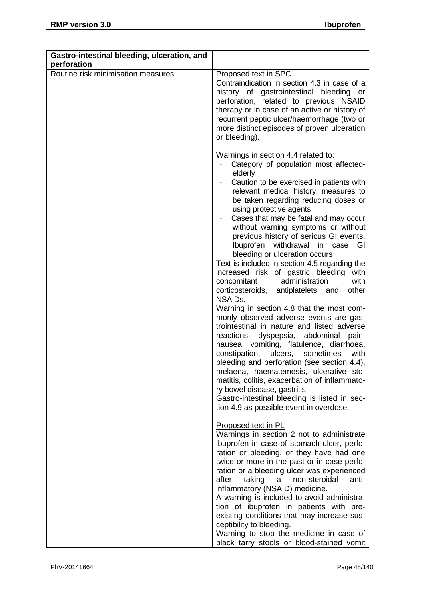| Gastro-intestinal bleeding, ulceration, and<br>perforation |                                                                                                                                                                                                                                                                                                                                                                                                                                                                                                                                                                                                                                                                                                                                                                                                                                                                                                                                                                                                                                                                                                                                                                                                               |
|------------------------------------------------------------|---------------------------------------------------------------------------------------------------------------------------------------------------------------------------------------------------------------------------------------------------------------------------------------------------------------------------------------------------------------------------------------------------------------------------------------------------------------------------------------------------------------------------------------------------------------------------------------------------------------------------------------------------------------------------------------------------------------------------------------------------------------------------------------------------------------------------------------------------------------------------------------------------------------------------------------------------------------------------------------------------------------------------------------------------------------------------------------------------------------------------------------------------------------------------------------------------------------|
| Routine risk minimisation measures                         | Proposed text in SPC<br>Contraindication in section 4.3 in case of a<br>history of gastrointestinal bleeding or<br>perforation, related to previous NSAID<br>therapy or in case of an active or history of<br>recurrent peptic ulcer/haemorrhage (two or<br>more distinct episodes of proven ulceration<br>or bleeding).                                                                                                                                                                                                                                                                                                                                                                                                                                                                                                                                                                                                                                                                                                                                                                                                                                                                                      |
|                                                            | Warnings in section 4.4 related to:<br>Category of population most affected-<br>elderly<br>Caution to be exercised in patients with<br>relevant medical history, measures to<br>be taken regarding reducing doses or<br>using protective agents<br>Cases that may be fatal and may occur<br>٠<br>without warning symptoms or without<br>previous history of serious GI events.<br>Ibuprofen withdrawal<br>in case<br>GI<br>bleeding or ulceration occurs<br>Text is included in section 4.5 regarding the<br>increased risk of gastric bleeding<br>with<br>administration<br>with<br>concomitant<br>corticosteroids, antiplatelets and<br>other<br><b>NSAIDs.</b><br>Warning in section 4.8 that the most com-<br>monly observed adverse events are gas-<br>trointestinal in nature and listed adverse<br>reactions: dyspepsia, abdominal<br>pain,<br>nausea, vomiting, flatulence, diarrhoea,<br>constipation, ulcers, sometimes<br>with<br>bleeding and perforation (see section 4.4),<br>melaena, haematemesis, ulcerative sto-<br>matitis, colitis, exacerbation of inflammato-<br>ry bowel disease, gastritis<br>Gastro-intestinal bleeding is listed in sec-<br>tion 4.9 as possible event in overdose. |
|                                                            | Proposed text in PL<br>Warnings in section 2 not to administrate<br>ibuprofen in case of stomach ulcer, perfo-<br>ration or bleeding, or they have had one<br>twice or more in the past or in case perfo-<br>ration or a bleeding ulcer was experienced                                                                                                                                                                                                                                                                                                                                                                                                                                                                                                                                                                                                                                                                                                                                                                                                                                                                                                                                                       |
|                                                            | after<br>taking<br>non-steroidal<br>anti-<br>a<br>inflammatory (NSAID) medicine.<br>A warning is included to avoid administra-<br>tion of ibuprofen in patients with pre-<br>existing conditions that may increase sus-<br>ceptibility to bleeding.<br>Warning to stop the medicine in case of                                                                                                                                                                                                                                                                                                                                                                                                                                                                                                                                                                                                                                                                                                                                                                                                                                                                                                                |
|                                                            | black tarry stools or blood-stained vomit                                                                                                                                                                                                                                                                                                                                                                                                                                                                                                                                                                                                                                                                                                                                                                                                                                                                                                                                                                                                                                                                                                                                                                     |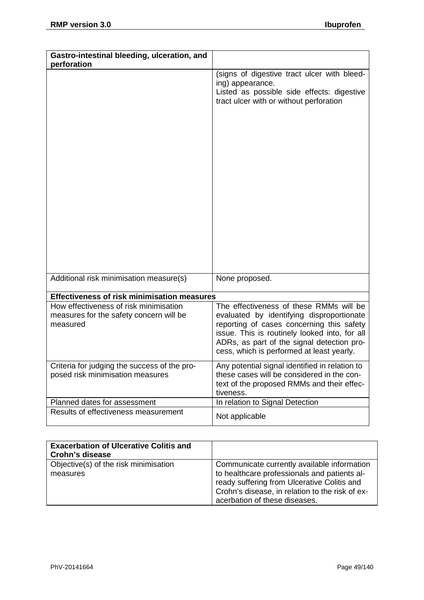| Gastro-intestinal bleeding, ulceration, and                                                   |                                                                                                                                                                                                                                                                               |
|-----------------------------------------------------------------------------------------------|-------------------------------------------------------------------------------------------------------------------------------------------------------------------------------------------------------------------------------------------------------------------------------|
| perforation                                                                                   |                                                                                                                                                                                                                                                                               |
|                                                                                               | (signs of digestive tract ulcer with bleed-<br>ing) appearance.<br>Listed as possible side effects: digestive<br>tract ulcer with or without perforation                                                                                                                      |
| Additional risk minimisation measure(s)                                                       | None proposed.                                                                                                                                                                                                                                                                |
| <b>Effectiveness of risk minimisation measures</b>                                            |                                                                                                                                                                                                                                                                               |
| How effectiveness of risk minimisation<br>measures for the safety concern will be<br>measured | The effectiveness of these RMMs will be<br>evaluated by identifying disproportionate<br>reporting of cases concerning this safety<br>issue. This is routinely looked into, for all<br>ADRs, as part of the signal detection pro-<br>cess, which is performed at least yearly. |
| Criteria for judging the success of the pro-<br>posed risk minimisation measures              | Any potential signal identified in relation to<br>these cases will be considered in the con-<br>text of the proposed RMMs and their effec-<br>tiveness.                                                                                                                       |
| Planned dates for assessment                                                                  | In relation to Signal Detection                                                                                                                                                                                                                                               |
| Results of effectiveness measurement                                                          | Not applicable                                                                                                                                                                                                                                                                |

| <b>Exacerbation of Ulcerative Colitis and</b><br>Crohn's disease |                                                                                                                                                                                                                                |
|------------------------------------------------------------------|--------------------------------------------------------------------------------------------------------------------------------------------------------------------------------------------------------------------------------|
| Objective(s) of the risk minimisation<br>measures                | Communicate currently available information<br>to healthcare professionals and patients al-<br>ready suffering from Ulcerative Colitis and<br>Crohn's disease, in relation to the risk of ex-<br>acerbation of these diseases. |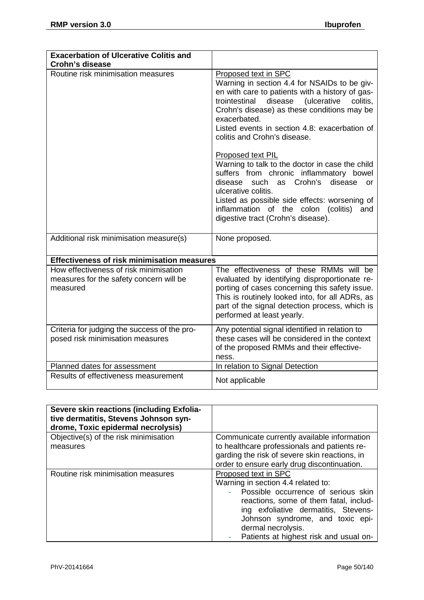| <b>Exacerbation of Ulcerative Colitis and</b>                                                 |                                                                                                                                                                                                                                                                                                                                |
|-----------------------------------------------------------------------------------------------|--------------------------------------------------------------------------------------------------------------------------------------------------------------------------------------------------------------------------------------------------------------------------------------------------------------------------------|
| Crohn's disease                                                                               |                                                                                                                                                                                                                                                                                                                                |
| Routine risk minimisation measures                                                            | Proposed text in SPC<br>Warning in section 4.4 for NSAIDs to be giv-<br>en with care to patients with a history of gas-<br>trointestinal<br>disease<br>(ulcerative<br>colitis,<br>Crohn's disease) as these conditions may be<br>exacerbated.<br>Listed events in section 4.8: exacerbation of<br>colitis and Crohn's disease. |
|                                                                                               | Proposed text PIL<br>Warning to talk to the doctor in case the child<br>suffers from chronic inflammatory bowel<br>such as Crohn's disease<br>disease<br><b>or</b><br>ulcerative colitis.<br>Listed as possible side effects: worsening of<br>inflammation of the colon (colitis)<br>and<br>digestive tract (Crohn's disease). |
| Additional risk minimisation measure(s)                                                       | None proposed.                                                                                                                                                                                                                                                                                                                 |
| <b>Effectiveness of risk minimisation measures</b>                                            |                                                                                                                                                                                                                                                                                                                                |
| How effectiveness of risk minimisation<br>measures for the safety concern will be<br>measured | The effectiveness of these RMMs will be<br>evaluated by identifying disproportionate re-<br>porting of cases concerning this safety issue.<br>This is routinely looked into, for all ADRs, as<br>part of the signal detection process, which is<br>performed at least yearly.                                                  |
| Criteria for judging the success of the pro-<br>posed risk minimisation measures              | Any potential signal identified in relation to<br>these cases will be considered in the context<br>of the proposed RMMs and their effective-<br>ness.                                                                                                                                                                          |
| Planned dates for assessment                                                                  | In relation to Signal Detection                                                                                                                                                                                                                                                                                                |
| Results of effectiveness measurement                                                          | Not applicable                                                                                                                                                                                                                                                                                                                 |

| Severe skin reactions (including Exfolia-<br>tive dermatitis, Stevens Johnson syn-<br>drome, Toxic epidermal necrolysis) |                                               |
|--------------------------------------------------------------------------------------------------------------------------|-----------------------------------------------|
| Objective(s) of the risk minimisation                                                                                    | Communicate currently available information   |
| measures                                                                                                                 | to healthcare professionals and patients re-  |
|                                                                                                                          | garding the risk of severe skin reactions, in |
|                                                                                                                          | order to ensure early drug discontinuation.   |
| Routine risk minimisation measures                                                                                       | Proposed text in SPC                          |
|                                                                                                                          | Warning in section 4.4 related to:            |
|                                                                                                                          | Possible occurrence of serious skin<br>a.     |
|                                                                                                                          | reactions, some of them fatal, includ-        |
|                                                                                                                          | ing exfoliative dermatitis, Stevens-          |
|                                                                                                                          | Johnson syndrome, and toxic epi-              |
|                                                                                                                          | dermal necrolysis.                            |
|                                                                                                                          | Patients at highest risk and usual on-        |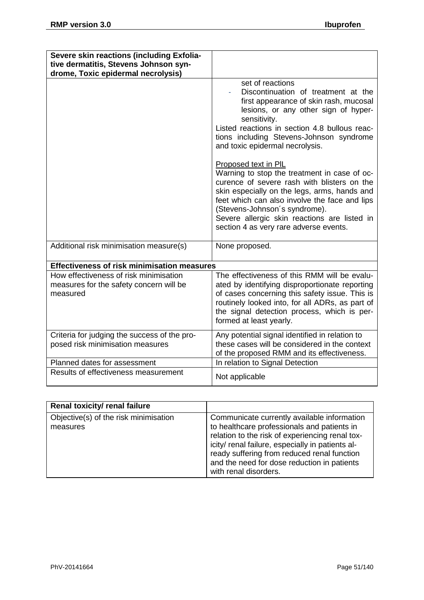| Severe skin reactions (including Exfolia-                                                     |                                                                                                                                                                                                                                                                                                                                                                                                                                                                                                                                                                                                                                              |
|-----------------------------------------------------------------------------------------------|----------------------------------------------------------------------------------------------------------------------------------------------------------------------------------------------------------------------------------------------------------------------------------------------------------------------------------------------------------------------------------------------------------------------------------------------------------------------------------------------------------------------------------------------------------------------------------------------------------------------------------------------|
| tive dermatitis, Stevens Johnson syn-                                                         |                                                                                                                                                                                                                                                                                                                                                                                                                                                                                                                                                                                                                                              |
|                                                                                               |                                                                                                                                                                                                                                                                                                                                                                                                                                                                                                                                                                                                                                              |
| drome, Toxic epidermal necrolysis)                                                            | set of reactions<br>Discontinuation of treatment at the<br>first appearance of skin rash, mucosal<br>lesions, or any other sign of hyper-<br>sensitivity.<br>Listed reactions in section 4.8 bullous reac-<br>tions including Stevens-Johnson syndrome<br>and toxic epidermal necrolysis.<br>Proposed text in PIL<br>Warning to stop the treatment in case of oc-<br>curence of severe rash with blisters on the<br>skin especially on the legs, arms, hands and<br>feet which can also involve the face and lips<br>(Stevens-Johnson's syndrome).<br>Severe allergic skin reactions are listed in<br>section 4 as very rare adverse events. |
| Additional risk minimisation measure(s)                                                       | None proposed.                                                                                                                                                                                                                                                                                                                                                                                                                                                                                                                                                                                                                               |
| <b>Effectiveness of risk minimisation measures</b>                                            |                                                                                                                                                                                                                                                                                                                                                                                                                                                                                                                                                                                                                                              |
| How effectiveness of risk minimisation<br>measures for the safety concern will be<br>measured | The effectiveness of this RMM will be evalu-<br>ated by identifying disproportionate reporting<br>of cases concerning this safety issue. This is<br>routinely looked into, for all ADRs, as part of<br>the signal detection process, which is per-<br>formed at least yearly.                                                                                                                                                                                                                                                                                                                                                                |
| Criteria for judging the success of the pro-<br>posed risk minimisation measures              | Any potential signal identified in relation to<br>these cases will be considered in the context<br>of the proposed RMM and its effectiveness.                                                                                                                                                                                                                                                                                                                                                                                                                                                                                                |
| Planned dates for assessment                                                                  | In relation to Signal Detection                                                                                                                                                                                                                                                                                                                                                                                                                                                                                                                                                                                                              |
| Results of effectiveness measurement                                                          | Not applicable                                                                                                                                                                                                                                                                                                                                                                                                                                                                                                                                                                                                                               |

| Renal toxicity/ renal failure                     |                                                                                                                                                                                                                                                                                                                          |
|---------------------------------------------------|--------------------------------------------------------------------------------------------------------------------------------------------------------------------------------------------------------------------------------------------------------------------------------------------------------------------------|
| Objective(s) of the risk minimisation<br>measures | Communicate currently available information<br>to healthcare professionals and patients in<br>relation to the risk of experiencing renal tox-<br>icity/ renal failure, especially in patients al-<br>ready suffering from reduced renal function<br>and the need for dose reduction in patients<br>with renal disorders. |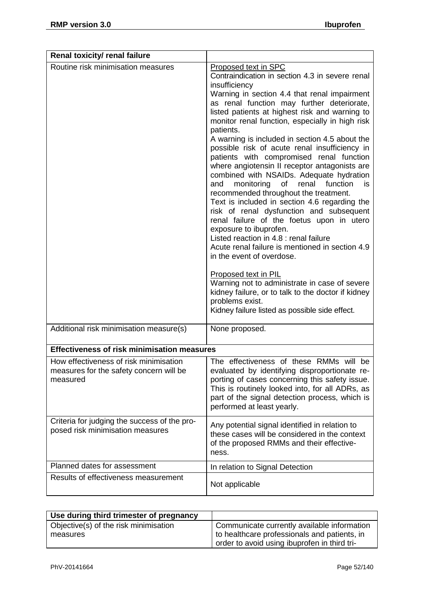| Renal toxicity/ renal failure                                                                 |                                                                                                                                                                                                                                                                                                                                                                                                                                                                                                                                                                                                                                                                                                                                                                                                                                                                                                                                                                                                                                                                                                                                                                      |
|-----------------------------------------------------------------------------------------------|----------------------------------------------------------------------------------------------------------------------------------------------------------------------------------------------------------------------------------------------------------------------------------------------------------------------------------------------------------------------------------------------------------------------------------------------------------------------------------------------------------------------------------------------------------------------------------------------------------------------------------------------------------------------------------------------------------------------------------------------------------------------------------------------------------------------------------------------------------------------------------------------------------------------------------------------------------------------------------------------------------------------------------------------------------------------------------------------------------------------------------------------------------------------|
| Routine risk minimisation measures                                                            | <b>Proposed text in SPC</b><br>Contraindication in section 4.3 in severe renal<br>insufficiency<br>Warning in section 4.4 that renal impairment<br>as renal function may further deteriorate,<br>listed patients at highest risk and warning to<br>monitor renal function, especially in high risk<br>patients.<br>A warning is included in section 4.5 about the<br>possible risk of acute renal insufficiency in<br>patients with compromised renal function<br>where angiotensin II receptor antagonists are<br>combined with NSAIDs. Adequate hydration<br>renal<br>monitoring<br>of<br>function<br>and<br>is.<br>recommended throughout the treatment.<br>Text is included in section 4.6 regarding the<br>risk of renal dysfunction and subsequent<br>renal failure of the foetus upon in utero<br>exposure to ibuprofen.<br>Listed reaction in 4.8 : renal failure<br>Acute renal failure is mentioned in section 4.9<br>in the event of overdose.<br><b>Proposed text in PIL</b><br>Warning not to administrate in case of severe<br>kidney failure, or to talk to the doctor if kidney<br>problems exist.<br>Kidney failure listed as possible side effect. |
| Additional risk minimisation measure(s)                                                       | None proposed.                                                                                                                                                                                                                                                                                                                                                                                                                                                                                                                                                                                                                                                                                                                                                                                                                                                                                                                                                                                                                                                                                                                                                       |
| <b>Effectiveness of risk minimisation measures</b>                                            |                                                                                                                                                                                                                                                                                                                                                                                                                                                                                                                                                                                                                                                                                                                                                                                                                                                                                                                                                                                                                                                                                                                                                                      |
| How effectiveness of risk minimisation<br>measures for the safety concern will be<br>measured | The effectiveness of these RMMs will be<br>evaluated by identifying disproportionate re-<br>porting of cases concerning this safety issue.<br>This is routinely looked into, for all ADRs, as<br>part of the signal detection process, which is<br>performed at least yearly.                                                                                                                                                                                                                                                                                                                                                                                                                                                                                                                                                                                                                                                                                                                                                                                                                                                                                        |
| Criteria for judging the success of the pro-<br>posed risk minimisation measures              | Any potential signal identified in relation to<br>these cases will be considered in the context<br>of the proposed RMMs and their effective-<br>ness.                                                                                                                                                                                                                                                                                                                                                                                                                                                                                                                                                                                                                                                                                                                                                                                                                                                                                                                                                                                                                |
| Planned dates for assessment                                                                  | In relation to Signal Detection                                                                                                                                                                                                                                                                                                                                                                                                                                                                                                                                                                                                                                                                                                                                                                                                                                                                                                                                                                                                                                                                                                                                      |
| Results of effectiveness measurement                                                          | Not applicable                                                                                                                                                                                                                                                                                                                                                                                                                                                                                                                                                                                                                                                                                                                                                                                                                                                                                                                                                                                                                                                                                                                                                       |

| Use during third trimester of pregnancy |                                              |
|-----------------------------------------|----------------------------------------------|
| Objective(s) of the risk minimisation   | Communicate currently available information  |
| measures                                | to healthcare professionals and patients, in |
|                                         | order to avoid using ibuprofen in third tri- |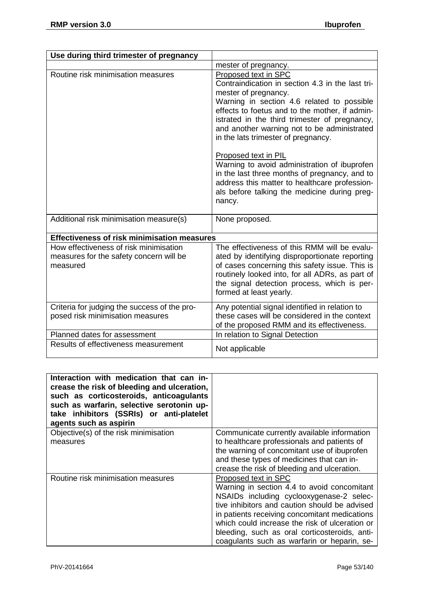| Use during third trimester of pregnancy                                                       |                                                                                                                                                                                                                                                                                                                                         |
|-----------------------------------------------------------------------------------------------|-----------------------------------------------------------------------------------------------------------------------------------------------------------------------------------------------------------------------------------------------------------------------------------------------------------------------------------------|
|                                                                                               | mester of pregnancy.                                                                                                                                                                                                                                                                                                                    |
| Routine risk minimisation measures                                                            | Proposed text in SPC<br>Contraindication in section 4.3 in the last tri-<br>mester of pregnancy.<br>Warning in section 4.6 related to possible<br>effects to foetus and to the mother, if admin-<br>istrated in the third trimester of pregnancy,<br>and another warning not to be administrated<br>in the lats trimester of pregnancy. |
|                                                                                               | Proposed text in PIL<br>Warning to avoid administration of ibuprofen<br>in the last three months of pregnancy, and to<br>address this matter to healthcare profession-<br>als before talking the medicine during preg-<br>nancy.                                                                                                        |
| Additional risk minimisation measure(s)                                                       | None proposed.                                                                                                                                                                                                                                                                                                                          |
| <b>Effectiveness of risk minimisation measures</b>                                            |                                                                                                                                                                                                                                                                                                                                         |
| How effectiveness of risk minimisation<br>measures for the safety concern will be<br>measured | The effectiveness of this RMM will be evalu-<br>ated by identifying disproportionate reporting<br>of cases concerning this safety issue. This is<br>routinely looked into, for all ADRs, as part of<br>the signal detection process, which is per-<br>formed at least yearly.                                                           |
| Criteria for judging the success of the pro-<br>posed risk minimisation measures              | Any potential signal identified in relation to<br>these cases will be considered in the context<br>of the proposed RMM and its effectiveness.                                                                                                                                                                                           |
| Planned dates for assessment                                                                  | In relation to Signal Detection                                                                                                                                                                                                                                                                                                         |
| Results of effectiveness measurement                                                          | Not applicable                                                                                                                                                                                                                                                                                                                          |

| Interaction with medication that can in-<br>crease the risk of bleeding and ulceration,<br>such as corticosteroids, anticoagulants<br>such as warfarin, selective serotonin up-<br>take inhibitors (SSRIs) or anti-platelet<br>agents such as aspirin |                                                                                                                                                                                                                                                                                                                                                                     |
|-------------------------------------------------------------------------------------------------------------------------------------------------------------------------------------------------------------------------------------------------------|---------------------------------------------------------------------------------------------------------------------------------------------------------------------------------------------------------------------------------------------------------------------------------------------------------------------------------------------------------------------|
| Objective(s) of the risk minimisation<br>measures                                                                                                                                                                                                     | Communicate currently available information<br>to healthcare professionals and patients of<br>the warning of concomitant use of ibuprofen<br>and these types of medicines that can in-<br>crease the risk of bleeding and ulceration.                                                                                                                               |
| Routine risk minimisation measures                                                                                                                                                                                                                    | Proposed text in SPC<br>Warning in section 4.4 to avoid concomitant<br>NSAIDs including cyclooxygenase-2 selec-<br>tive inhibitors and caution should be advised<br>in patients receiving concomitant medications<br>which could increase the risk of ulceration or<br>bleeding, such as oral corticosteroids, anti-<br>coagulants such as warfarin or heparin, se- |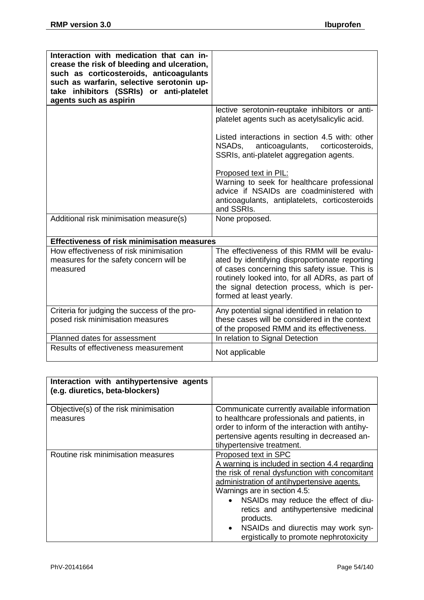| Interaction with medication that can in-<br>crease the risk of bleeding and ulceration,<br>such as corticosteroids, anticoagulants<br>such as warfarin, selective serotonin up-<br>take inhibitors (SSRIs) or anti-platelet<br>agents such as aspirin |                                                                                                                                                                                                                                                                               |
|-------------------------------------------------------------------------------------------------------------------------------------------------------------------------------------------------------------------------------------------------------|-------------------------------------------------------------------------------------------------------------------------------------------------------------------------------------------------------------------------------------------------------------------------------|
|                                                                                                                                                                                                                                                       | lective serotonin-reuptake inhibitors or anti-<br>platelet agents such as acetylsalicylic acid.                                                                                                                                                                               |
|                                                                                                                                                                                                                                                       | Listed interactions in section 4.5 with: other<br>anticoagulants, corticosteroids,<br>NSAD <sub>s</sub><br>SSRIs, anti-platelet aggregation agents.                                                                                                                           |
|                                                                                                                                                                                                                                                       | Proposed text in PIL:<br>Warning to seek for healthcare professional<br>advice if NSAIDs are coadministered with<br>anticoagulants, antiplatelets, corticosteroids<br>and SSRIs.                                                                                              |
| Additional risk minimisation measure(s)                                                                                                                                                                                                               | None proposed.                                                                                                                                                                                                                                                                |
| <b>Effectiveness of risk minimisation measures</b>                                                                                                                                                                                                    |                                                                                                                                                                                                                                                                               |
| How effectiveness of risk minimisation<br>measures for the safety concern will be<br>measured                                                                                                                                                         | The effectiveness of this RMM will be evalu-<br>ated by identifying disproportionate reporting<br>of cases concerning this safety issue. This is<br>routinely looked into, for all ADRs, as part of<br>the signal detection process, which is per-<br>formed at least yearly. |
| Criteria for judging the success of the pro-<br>posed risk minimisation measures                                                                                                                                                                      | Any potential signal identified in relation to<br>these cases will be considered in the context<br>of the proposed RMM and its effectiveness.                                                                                                                                 |
| Planned dates for assessment                                                                                                                                                                                                                          | In relation to Signal Detection                                                                                                                                                                                                                                               |
| Results of effectiveness measurement                                                                                                                                                                                                                  | Not applicable                                                                                                                                                                                                                                                                |

| Interaction with antihypertensive agents<br>(e.g. diuretics, beta-blockers) |                                                                                                                                                                                                                                                                                                                                                                                                     |
|-----------------------------------------------------------------------------|-----------------------------------------------------------------------------------------------------------------------------------------------------------------------------------------------------------------------------------------------------------------------------------------------------------------------------------------------------------------------------------------------------|
| Objective(s) of the risk minimisation<br>measures                           | Communicate currently available information<br>to healthcare professionals and patients, in<br>order to inform of the interaction with antihy-<br>pertensive agents resulting in decreased an-<br>tihypertensive treatment.                                                                                                                                                                         |
| Routine risk minimisation measures                                          | Proposed text in SPC<br>A warning is included in section 4.4 regarding<br>the risk of renal dysfunction with concomitant<br>administration of antihypertensive agents.<br>Warnings are in section 4.5:<br>NSAIDs may reduce the effect of diu-<br>$\bullet$<br>retics and antihypertensive medicinal<br>products.<br>• NSAIDs and diurectis may work syn-<br>ergistically to promote nephrotoxicity |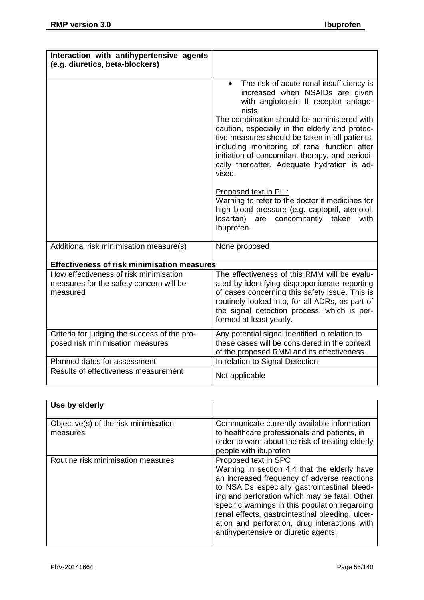| Interaction with antihypertensive agents<br>(e.g. diuretics, beta-blockers)                   |                                                                                                                                                                                                                                                                                                                                                                                                                                                          |
|-----------------------------------------------------------------------------------------------|----------------------------------------------------------------------------------------------------------------------------------------------------------------------------------------------------------------------------------------------------------------------------------------------------------------------------------------------------------------------------------------------------------------------------------------------------------|
|                                                                                               | The risk of acute renal insufficiency is<br>$\bullet$<br>increased when NSAIDs are given<br>with angiotensin II receptor antago-<br>nists<br>The combination should be administered with<br>caution, especially in the elderly and protec-<br>tive measures should be taken in all patients,<br>including monitoring of renal function after<br>initiation of concomitant therapy, and periodi-<br>cally thereafter. Adequate hydration is ad-<br>vised. |
|                                                                                               | Proposed text in PIL:<br>Warning to refer to the doctor if medicines for<br>high blood pressure (e.g. captopril, atenolol,<br>losartan) are<br>concomitantly taken<br>with<br>Ibuprofen.                                                                                                                                                                                                                                                                 |
| Additional risk minimisation measure(s)                                                       | None proposed                                                                                                                                                                                                                                                                                                                                                                                                                                            |
| <b>Effectiveness of risk minimisation measures</b>                                            |                                                                                                                                                                                                                                                                                                                                                                                                                                                          |
| How effectiveness of risk minimisation<br>measures for the safety concern will be<br>measured | The effectiveness of this RMM will be evalu-<br>ated by identifying disproportionate reporting<br>of cases concerning this safety issue. This is<br>routinely looked into, for all ADRs, as part of<br>the signal detection process, which is per-<br>formed at least yearly.                                                                                                                                                                            |
| Criteria for judging the success of the pro-<br>posed risk minimisation measures              | Any potential signal identified in relation to<br>these cases will be considered in the context<br>of the proposed RMM and its effectiveness.                                                                                                                                                                                                                                                                                                            |
| Planned dates for assessment                                                                  | In relation to Signal Detection                                                                                                                                                                                                                                                                                                                                                                                                                          |
| Results of effectiveness measurement                                                          | Not applicable                                                                                                                                                                                                                                                                                                                                                                                                                                           |

| Use by elderly                                    |                                                                                                                                                                                                                                                                                                                                                                                                                     |
|---------------------------------------------------|---------------------------------------------------------------------------------------------------------------------------------------------------------------------------------------------------------------------------------------------------------------------------------------------------------------------------------------------------------------------------------------------------------------------|
| Objective(s) of the risk minimisation<br>measures | Communicate currently available information<br>to healthcare professionals and patients, in<br>order to warn about the risk of treating elderly<br>people with ibuprofen                                                                                                                                                                                                                                            |
| Routine risk minimisation measures                | Proposed text in SPC<br>Warning in section 4.4 that the elderly have<br>an increased frequency of adverse reactions<br>to NSAIDs especially gastrointestinal bleed-<br>ing and perforation which may be fatal. Other<br>specific warnings in this population regarding<br>renal effects, gastrointestinal bleeding, ulcer-<br>ation and perforation, drug interactions with<br>antihypertensive or diuretic agents. |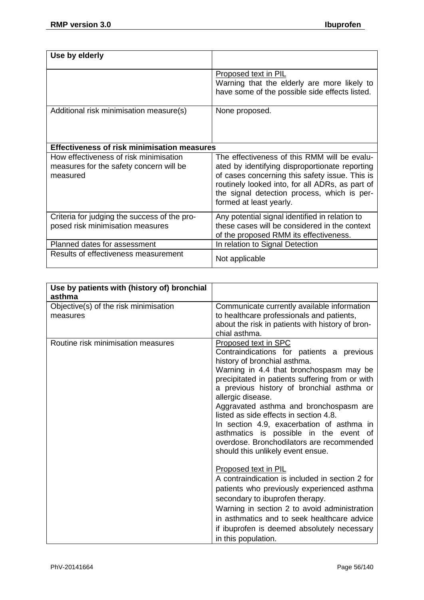| Use by elderly                                                                                |                                                                                                                                                                                                                                                                               |
|-----------------------------------------------------------------------------------------------|-------------------------------------------------------------------------------------------------------------------------------------------------------------------------------------------------------------------------------------------------------------------------------|
|                                                                                               | Proposed text in PIL<br>Warning that the elderly are more likely to<br>have some of the possible side effects listed.                                                                                                                                                         |
| Additional risk minimisation measure(s)                                                       | None proposed.                                                                                                                                                                                                                                                                |
| <b>Effectiveness of risk minimisation measures</b>                                            |                                                                                                                                                                                                                                                                               |
| How effectiveness of risk minimisation<br>measures for the safety concern will be<br>measured | The effectiveness of this RMM will be evalu-<br>ated by identifying disproportionate reporting<br>of cases concerning this safety issue. This is<br>routinely looked into, for all ADRs, as part of<br>the signal detection process, which is per-<br>formed at least yearly. |
| Criteria for judging the success of the pro-<br>posed risk minimisation measures              | Any potential signal identified in relation to<br>these cases will be considered in the context<br>of the proposed RMM its effectiveness.                                                                                                                                     |
| Planned dates for assessment                                                                  | In relation to Signal Detection                                                                                                                                                                                                                                               |
| Results of effectiveness measurement                                                          | Not applicable                                                                                                                                                                                                                                                                |

| Use by patients with (history of) bronchial<br>asthma |                                                                                                                                                                                                                                                                                                                                                                                                                                                                                                                                       |
|-------------------------------------------------------|---------------------------------------------------------------------------------------------------------------------------------------------------------------------------------------------------------------------------------------------------------------------------------------------------------------------------------------------------------------------------------------------------------------------------------------------------------------------------------------------------------------------------------------|
| Objective(s) of the risk minimisation<br>measures     | Communicate currently available information<br>to healthcare professionals and patients,<br>about the risk in patients with history of bron-<br>chial asthma.                                                                                                                                                                                                                                                                                                                                                                         |
| Routine risk minimisation measures                    | <b>Proposed text in SPC</b><br>Contraindications for patients a previous<br>history of bronchial asthma.<br>Warning in 4.4 that bronchospasm may be<br>precipitated in patients suffering from or with<br>a previous history of bronchial asthma or<br>allergic disease.<br>Aggravated asthma and bronchospasm are<br>listed as side effects in section 4.8.<br>In section 4.9, exacerbation of asthma in<br>asthmatics is possible in the event of<br>overdose. Bronchodilators are recommended<br>should this unlikely event ensue. |
|                                                       | <b>Proposed text in PIL</b><br>A contraindication is included in section 2 for<br>patients who previously experienced asthma<br>secondary to ibuprofen therapy.<br>Warning in section 2 to avoid administration<br>in asthmatics and to seek healthcare advice<br>if ibuprofen is deemed absolutely necessary<br>in this population.                                                                                                                                                                                                  |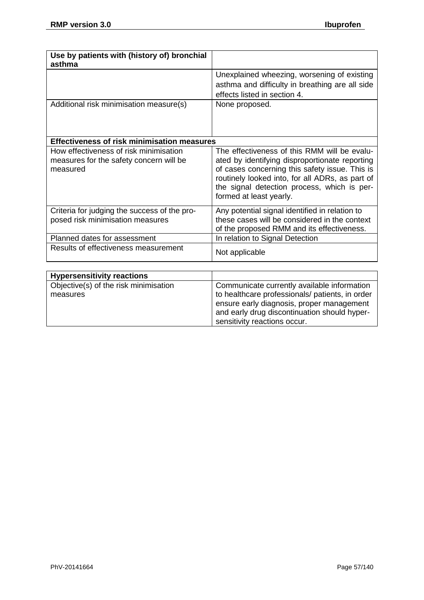| Use by patients with (history of) bronchial                                                   |                                                                                                                                                                                                                                                                               |
|-----------------------------------------------------------------------------------------------|-------------------------------------------------------------------------------------------------------------------------------------------------------------------------------------------------------------------------------------------------------------------------------|
| asthma                                                                                        |                                                                                                                                                                                                                                                                               |
|                                                                                               | Unexplained wheezing, worsening of existing<br>asthma and difficulty in breathing are all side<br>effects listed in section 4.                                                                                                                                                |
| Additional risk minimisation measure(s)                                                       | None proposed.                                                                                                                                                                                                                                                                |
| <b>Effectiveness of risk minimisation measures</b>                                            |                                                                                                                                                                                                                                                                               |
| How effectiveness of risk minimisation<br>measures for the safety concern will be<br>measured | The effectiveness of this RMM will be evalu-<br>ated by identifying disproportionate reporting<br>of cases concerning this safety issue. This is<br>routinely looked into, for all ADRs, as part of<br>the signal detection process, which is per-<br>formed at least yearly. |
| Criteria for judging the success of the pro-<br>posed risk minimisation measures              | Any potential signal identified in relation to<br>these cases will be considered in the context<br>of the proposed RMM and its effectiveness.                                                                                                                                 |
| Planned dates for assessment                                                                  | In relation to Signal Detection                                                                                                                                                                                                                                               |
| Results of effectiveness measurement                                                          | Not applicable                                                                                                                                                                                                                                                                |
|                                                                                               |                                                                                                                                                                                                                                                                               |
| <b>Hypersensitivity reactions</b>                                                             |                                                                                                                                                                                                                                                                               |
| Objective(s) of the risk minimisation<br>measures                                             | Communicate currently available information<br>to healthcare professionals/ patients, in order<br>ensure early diagnosis, proper management                                                                                                                                   |

and early drug discontinuation should hyper-

sensitivity reactions occur.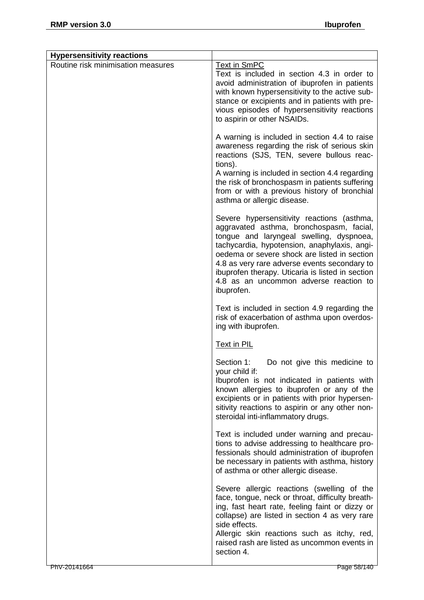| Routine risk minimisation measures<br><b>Text in SmPC</b><br>Text is included in section 4.3 in order to<br>avoid administration of ibuprofen in patients<br>with known hypersensitivity to the active sub-<br>stance or excipients and in patients with pre-<br>vious episodes of hypersensitivity reactions<br>to aspirin or other NSAIDs.<br>A warning is included in section 4.4 to raise<br>awareness regarding the risk of serious skin<br>reactions (SJS, TEN, severe bullous reac-<br>tions).<br>A warning is included in section 4.4 regarding<br>the risk of bronchospasm in patients suffering<br>from or with a previous history of bronchial<br>asthma or allergic disease.<br>Severe hypersensitivity reactions (asthma,<br>aggravated asthma, bronchospasm, facial,<br>tongue and laryngeal swelling, dyspnoea,<br>tachycardia, hypotension, anaphylaxis, angi-<br>oedema or severe shock are listed in section<br>4.8 as very rare adverse events secondary to<br>ibuprofen therapy. Uticaria is listed in section<br>4.8 as an uncommon adverse reaction to<br>ibuprofen.<br>Text is included in section 4.9 regarding the<br>risk of exacerbation of asthma upon overdos-<br>ing with ibuprofen.<br><b>Text in PIL</b><br>Do not give this medicine to<br>Section 1:<br>your child if:<br>Ibuprofen is not indicated in patients with<br>known allergies to ibuprofen or any of the<br>excipients or in patients with prior hypersen- |
|---------------------------------------------------------------------------------------------------------------------------------------------------------------------------------------------------------------------------------------------------------------------------------------------------------------------------------------------------------------------------------------------------------------------------------------------------------------------------------------------------------------------------------------------------------------------------------------------------------------------------------------------------------------------------------------------------------------------------------------------------------------------------------------------------------------------------------------------------------------------------------------------------------------------------------------------------------------------------------------------------------------------------------------------------------------------------------------------------------------------------------------------------------------------------------------------------------------------------------------------------------------------------------------------------------------------------------------------------------------------------------------------------------------------------------------------------------|
|                                                                                                                                                                                                                                                                                                                                                                                                                                                                                                                                                                                                                                                                                                                                                                                                                                                                                                                                                                                                                                                                                                                                                                                                                                                                                                                                                                                                                                                         |
|                                                                                                                                                                                                                                                                                                                                                                                                                                                                                                                                                                                                                                                                                                                                                                                                                                                                                                                                                                                                                                                                                                                                                                                                                                                                                                                                                                                                                                                         |
|                                                                                                                                                                                                                                                                                                                                                                                                                                                                                                                                                                                                                                                                                                                                                                                                                                                                                                                                                                                                                                                                                                                                                                                                                                                                                                                                                                                                                                                         |
|                                                                                                                                                                                                                                                                                                                                                                                                                                                                                                                                                                                                                                                                                                                                                                                                                                                                                                                                                                                                                                                                                                                                                                                                                                                                                                                                                                                                                                                         |
|                                                                                                                                                                                                                                                                                                                                                                                                                                                                                                                                                                                                                                                                                                                                                                                                                                                                                                                                                                                                                                                                                                                                                                                                                                                                                                                                                                                                                                                         |
| sitivity reactions to aspirin or any other non-<br>steroidal inti-inflammatory drugs.                                                                                                                                                                                                                                                                                                                                                                                                                                                                                                                                                                                                                                                                                                                                                                                                                                                                                                                                                                                                                                                                                                                                                                                                                                                                                                                                                                   |
| Text is included under warning and precau-<br>tions to advise addressing to healthcare pro-<br>fessionals should administration of ibuprofen<br>be necessary in patients with asthma, history<br>of asthma or other allergic disease.                                                                                                                                                                                                                                                                                                                                                                                                                                                                                                                                                                                                                                                                                                                                                                                                                                                                                                                                                                                                                                                                                                                                                                                                                   |
| Severe allergic reactions (swelling of the<br>face, tongue, neck or throat, difficulty breath-<br>ing, fast heart rate, feeling faint or dizzy or<br>collapse) are listed in section 4 as very rare<br>side effects.<br>Allergic skin reactions such as itchy, red,                                                                                                                                                                                                                                                                                                                                                                                                                                                                                                                                                                                                                                                                                                                                                                                                                                                                                                                                                                                                                                                                                                                                                                                     |
| raised rash are listed as uncommon events in<br>section 4.<br>PhV-20141664<br>Page 58/140                                                                                                                                                                                                                                                                                                                                                                                                                                                                                                                                                                                                                                                                                                                                                                                                                                                                                                                                                                                                                                                                                                                                                                                                                                                                                                                                                               |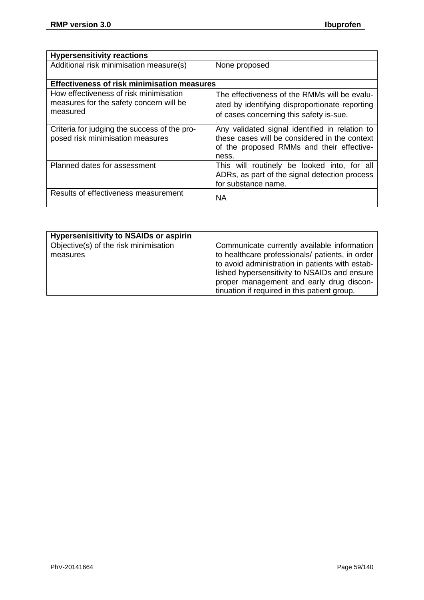| <b>Hypersensitivity reactions</b>                                                             |                                                                                                                                                       |
|-----------------------------------------------------------------------------------------------|-------------------------------------------------------------------------------------------------------------------------------------------------------|
| Additional risk minimisation measure(s)                                                       | None proposed                                                                                                                                         |
|                                                                                               |                                                                                                                                                       |
| <b>Effectiveness of risk minimisation measures</b>                                            |                                                                                                                                                       |
| How effectiveness of risk minimisation<br>measures for the safety concern will be<br>measured | The effectiveness of the RMMs will be evalu-<br>ated by identifying disproportionate reporting<br>of cases concerning this safety is-sue.             |
| Criteria for judging the success of the pro-<br>posed risk minimisation measures              | Any validated signal identified in relation to<br>these cases will be considered in the context<br>of the proposed RMMs and their effective-<br>ness. |
| Planned dates for assessment                                                                  | This will routinely be looked into, for all<br>ADRs, as part of the signal detection process<br>for substance name.                                   |
| Results of effectiveness measurement                                                          | <b>NA</b>                                                                                                                                             |

| <b>Hypersenisitivity to NSAIDs or aspirin</b> |                                                 |
|-----------------------------------------------|-------------------------------------------------|
| Objective(s) of the risk minimisation         | Communicate currently available information     |
| measures                                      | to healthcare professionals/ patients, in order |
|                                               | to avoid administration in patients with estab- |
|                                               | lished hypersensitivity to NSAIDs and ensure    |
|                                               | proper management and early drug discon-        |
|                                               | tinuation if required in this patient group.    |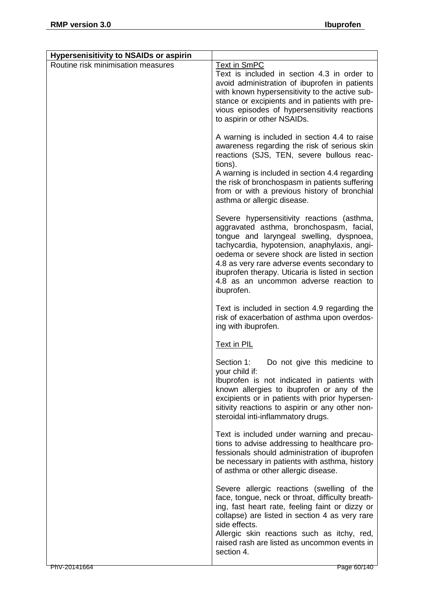| <b>Hypersenisitivity to NSAIDs or aspirin</b> |                                                                                                                                                                                                                                                                                                                                                                                                |
|-----------------------------------------------|------------------------------------------------------------------------------------------------------------------------------------------------------------------------------------------------------------------------------------------------------------------------------------------------------------------------------------------------------------------------------------------------|
| Routine risk minimisation measures            | <b>Text in SmPC</b><br>Text is included in section 4.3 in order to<br>avoid administration of ibuprofen in patients<br>with known hypersensitivity to the active sub-<br>stance or excipients and in patients with pre-<br>vious episodes of hypersensitivity reactions<br>to aspirin or other NSAIDs.                                                                                         |
|                                               | A warning is included in section 4.4 to raise<br>awareness regarding the risk of serious skin<br>reactions (SJS, TEN, severe bullous reac-<br>tions).<br>A warning is included in section 4.4 regarding<br>the risk of bronchospasm in patients suffering<br>from or with a previous history of bronchial<br>asthma or allergic disease.                                                       |
|                                               | Severe hypersensitivity reactions (asthma,<br>aggravated asthma, bronchospasm, facial,<br>tongue and laryngeal swelling, dyspnoea,<br>tachycardia, hypotension, anaphylaxis, angi-<br>oedema or severe shock are listed in section<br>4.8 as very rare adverse events secondary to<br>ibuprofen therapy. Uticaria is listed in section<br>4.8 as an uncommon adverse reaction to<br>ibuprofen. |
|                                               | Text is included in section 4.9 regarding the<br>risk of exacerbation of asthma upon overdos-<br>ing with ibuprofen.                                                                                                                                                                                                                                                                           |
|                                               | <b>Text in PIL</b>                                                                                                                                                                                                                                                                                                                                                                             |
|                                               | Section 1:<br>Do not give this medicine to<br>your child if:<br>Ibuprofen is not indicated in patients with<br>known allergies to ibuprofen or any of the<br>excipients or in patients with prior hypersen-<br>sitivity reactions to aspirin or any other non-<br>steroidal inti-inflammatory drugs.                                                                                           |
|                                               | Text is included under warning and precau-<br>tions to advise addressing to healthcare pro-<br>fessionals should administration of ibuprofen<br>be necessary in patients with asthma, history<br>of asthma or other allergic disease.                                                                                                                                                          |
|                                               | Severe allergic reactions (swelling of the<br>face, tongue, neck or throat, difficulty breath-<br>ing, fast heart rate, feeling faint or dizzy or<br>collapse) are listed in section 4 as very rare<br>side effects.<br>Allergic skin reactions such as itchy, red,                                                                                                                            |
|                                               | raised rash are listed as uncommon events in<br>section 4.                                                                                                                                                                                                                                                                                                                                     |
| PhV-20141664                                  | Page 60/140                                                                                                                                                                                                                                                                                                                                                                                    |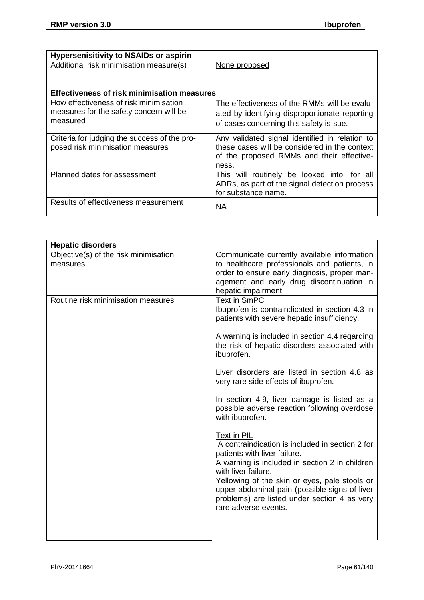| <b>Hypersenisitivity to NSAIDs or aspirin</b>                                                 |                                                                                                                                                       |
|-----------------------------------------------------------------------------------------------|-------------------------------------------------------------------------------------------------------------------------------------------------------|
| Additional risk minimisation measure(s)                                                       | None proposed                                                                                                                                         |
| <b>Effectiveness of risk minimisation measures</b>                                            |                                                                                                                                                       |
| How effectiveness of risk minimisation<br>measures for the safety concern will be<br>measured | The effectiveness of the RMMs will be evalu-<br>ated by identifying disproportionate reporting<br>of cases concerning this safety is-sue.             |
| Criteria for judging the success of the pro-<br>posed risk minimisation measures              | Any validated signal identified in relation to<br>these cases will be considered in the context<br>of the proposed RMMs and their effective-<br>ness. |
| Planned dates for assessment                                                                  | This will routinely be looked into, for all<br>ADRs, as part of the signal detection process<br>for substance name.                                   |
| Results of effectiveness measurement                                                          | NA.                                                                                                                                                   |

| <b>Hepatic disorders</b>                          |                                                                                                                                                                                                                                                                                                                                                                                                                                                                                                                                                                                                                                                                                                                                                                                               |
|---------------------------------------------------|-----------------------------------------------------------------------------------------------------------------------------------------------------------------------------------------------------------------------------------------------------------------------------------------------------------------------------------------------------------------------------------------------------------------------------------------------------------------------------------------------------------------------------------------------------------------------------------------------------------------------------------------------------------------------------------------------------------------------------------------------------------------------------------------------|
| Objective(s) of the risk minimisation<br>measures | Communicate currently available information<br>to healthcare professionals and patients, in<br>order to ensure early diagnosis, proper man-<br>agement and early drug discontinuation in<br>hepatic impairment.                                                                                                                                                                                                                                                                                                                                                                                                                                                                                                                                                                               |
| Routine risk minimisation measures                | Text in SmPC<br>Ibuprofen is contraindicated in section 4.3 in<br>patients with severe hepatic insufficiency.<br>A warning is included in section 4.4 regarding<br>the risk of hepatic disorders associated with<br>ibuprofen.<br>Liver disorders are listed in section 4.8 as<br>very rare side effects of ibuprofen.<br>In section 4.9, liver damage is listed as a<br>possible adverse reaction following overdose<br>with ibuprofen.<br>Text in PIL<br>A contraindication is included in section 2 for<br>patients with liver failure.<br>A warning is included in section 2 in children<br>with liver failure.<br>Yellowing of the skin or eyes, pale stools or<br>upper abdominal pain (possible signs of liver<br>problems) are listed under section 4 as very<br>rare adverse events. |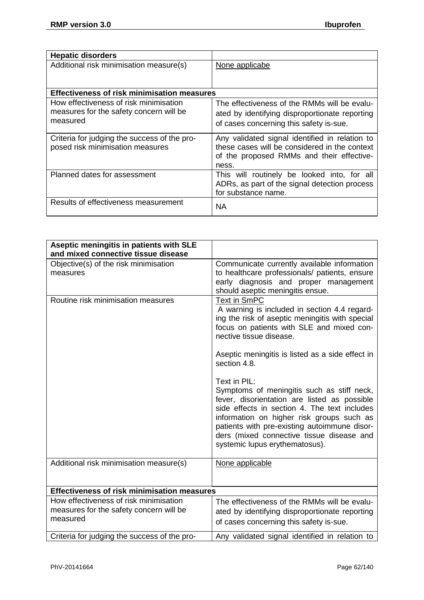| <b>Hepatic disorders</b>                                                                      |                                                                                                                                                       |
|-----------------------------------------------------------------------------------------------|-------------------------------------------------------------------------------------------------------------------------------------------------------|
| Additional risk minimisation measure(s)                                                       | None applicabe                                                                                                                                        |
|                                                                                               |                                                                                                                                                       |
| <b>Effectiveness of risk minimisation measures</b>                                            |                                                                                                                                                       |
| How effectiveness of risk minimisation<br>measures for the safety concern will be<br>measured | The effectiveness of the RMMs will be evalu-<br>ated by identifying disproportionate reporting<br>of cases concerning this safety is-sue.             |
| Criteria for judging the success of the pro-<br>posed risk minimisation measures              | Any validated signal identified in relation to<br>these cases will be considered in the context<br>of the proposed RMMs and their effective-<br>ness. |
| Planned dates for assessment                                                                  | This will routinely be looked into, for all<br>ADRs, as part of the signal detection process<br>for substance name.                                   |
| Results of effectiveness measurement                                                          | NA.                                                                                                                                                   |

| Aseptic meningitis in patients with SLE<br>and mixed connective tissue disease |                                                  |
|--------------------------------------------------------------------------------|--------------------------------------------------|
| Objective(s) of the risk minimisation                                          | Communicate currently available information      |
| measures                                                                       | to healthcare professionals/ patients, ensure    |
|                                                                                | early diagnosis and proper management            |
|                                                                                |                                                  |
|                                                                                | should aseptic meningitis ensue.                 |
| Routine risk minimisation measures                                             | <b>Text in SmPC</b>                              |
|                                                                                | A warning is included in section 4.4 regard-     |
|                                                                                | ing the risk of aseptic meningitis with special  |
|                                                                                | focus on patients with SLE and mixed con-        |
|                                                                                | nective tissue disease.                          |
|                                                                                | Aseptic meningitis is listed as a side effect in |
|                                                                                | section 4.8.                                     |
|                                                                                |                                                  |
|                                                                                | Text in PIL:                                     |
|                                                                                | Symptoms of meningitis such as stiff neck,       |
|                                                                                | fever, disorientation are listed as possible     |
|                                                                                | side effects in section 4. The text includes     |
|                                                                                | information on higher risk groups such as        |
|                                                                                | patients with pre-existing autoimmune disor-     |
|                                                                                | ders (mixed connective tissue disease and        |
|                                                                                |                                                  |
|                                                                                | systemic lupus erythematosus).                   |
| Additional risk minimisation measure(s)                                        | None applicable                                  |
|                                                                                |                                                  |
|                                                                                |                                                  |
| <b>Effectiveness of risk minimisation measures</b>                             |                                                  |
| How effectiveness of risk minimisation                                         | The effectiveness of the RMMs will be evalu-     |
| measures for the safety concern will be                                        | ated by identifying disproportionate reporting   |
| measured                                                                       |                                                  |
|                                                                                | of cases concerning this safety is-sue.          |
| Criteria for judging the success of the pro-                                   | Any validated signal identified in relation to   |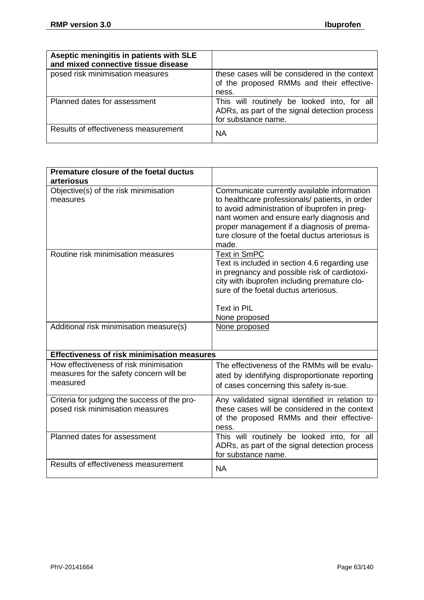| Aseptic meningitis in patients with SLE<br>and mixed connective tissue disease |                                                                                                                     |
|--------------------------------------------------------------------------------|---------------------------------------------------------------------------------------------------------------------|
| posed risk minimisation measures                                               | these cases will be considered in the context<br>of the proposed RMMs and their effective-<br>ness.                 |
| Planned dates for assessment                                                   | This will routinely be looked into, for all<br>ADRs, as part of the signal detection process<br>for substance name. |
| Results of effectiveness measurement                                           | <b>NA</b>                                                                                                           |

| Premature closure of the foetal ductus                                                        |                                                                                                                                                                                                                                                                                                        |
|-----------------------------------------------------------------------------------------------|--------------------------------------------------------------------------------------------------------------------------------------------------------------------------------------------------------------------------------------------------------------------------------------------------------|
| arteriosus                                                                                    |                                                                                                                                                                                                                                                                                                        |
| Objective(s) of the risk minimisation<br>measures                                             | Communicate currently available information<br>to healthcare professionals/ patients, in order<br>to avoid administration of ibuprofen in preg-<br>nant women and ensure early diagnosis and<br>proper management if a diagnosis of prema-<br>ture closure of the foetal ductus arteriosus is<br>made. |
| Routine risk minimisation measures                                                            | <b>Text in SmPC</b><br>Text is included in section 4.6 regarding use<br>in pregnancy and possible risk of cardiotoxi-<br>city with ibuprofen including premature clo-<br>sure of the foetal ductus arteriosus.<br><b>Text in PIL</b><br>None proposed                                                  |
| Additional risk minimisation measure(s)                                                       | None proposed                                                                                                                                                                                                                                                                                          |
| <b>Effectiveness of risk minimisation measures</b>                                            |                                                                                                                                                                                                                                                                                                        |
| How effectiveness of risk minimisation<br>measures for the safety concern will be<br>measured | The effectiveness of the RMMs will be evalu-<br>ated by identifying disproportionate reporting<br>of cases concerning this safety is-sue.                                                                                                                                                              |
| Criteria for judging the success of the pro-<br>posed risk minimisation measures              | Any validated signal identified in relation to<br>these cases will be considered in the context<br>of the proposed RMMs and their effective-<br>ness.                                                                                                                                                  |
| Planned dates for assessment                                                                  | This will routinely be looked into, for all<br>ADRs, as part of the signal detection process<br>for substance name.                                                                                                                                                                                    |
| Results of effectiveness measurement                                                          | <b>NA</b>                                                                                                                                                                                                                                                                                              |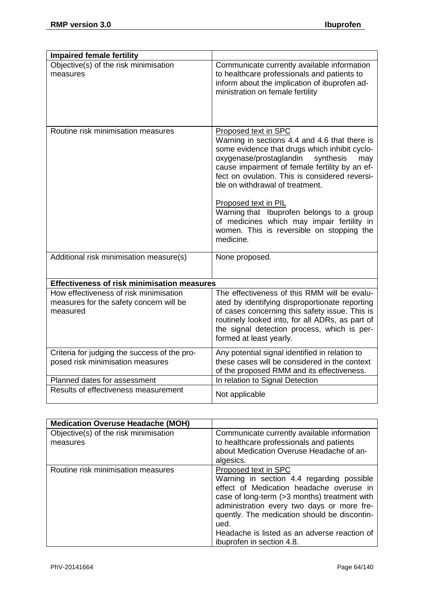| <b>Impaired female fertility</b>                                                              |                                                                                                                                                                                                                                                                                                                                                                                                                                                                                           |
|-----------------------------------------------------------------------------------------------|-------------------------------------------------------------------------------------------------------------------------------------------------------------------------------------------------------------------------------------------------------------------------------------------------------------------------------------------------------------------------------------------------------------------------------------------------------------------------------------------|
| Objective(s) of the risk minimisation<br>measures                                             | Communicate currently available information<br>to healthcare professionals and patients to<br>inform about the implication of ibuprofen ad-<br>ministration on female fertility                                                                                                                                                                                                                                                                                                           |
| Routine risk minimisation measures                                                            | Proposed text in SPC<br>Warning in sections 4.4 and 4.6 that there is<br>some evidence that drugs which inhibit cyclo-<br>oxygenase/prostaglandin<br>synthesis<br>may<br>cause impairment of female fertility by an ef-<br>fect on ovulation. This is considered reversi-<br>ble on withdrawal of treatment.<br>Proposed text in PIL<br>Warning that Ibuprofen belongs to a group<br>of medicines which may impair fertility in<br>women. This is reversible on stopping the<br>medicine. |
| Additional risk minimisation measure(s)                                                       | None proposed.                                                                                                                                                                                                                                                                                                                                                                                                                                                                            |
| <b>Effectiveness of risk minimisation measures</b>                                            |                                                                                                                                                                                                                                                                                                                                                                                                                                                                                           |
| How effectiveness of risk minimisation<br>measures for the safety concern will be<br>measured | The effectiveness of this RMM will be evalu-<br>ated by identifying disproportionate reporting<br>of cases concerning this safety issue. This is<br>routinely looked into, for all ADRs, as part of<br>the signal detection process, which is per-<br>formed at least yearly.                                                                                                                                                                                                             |
| Criteria for judging the success of the pro-<br>posed risk minimisation measures              | Any potential signal identified in relation to<br>these cases will be considered in the context<br>of the proposed RMM and its effectiveness.                                                                                                                                                                                                                                                                                                                                             |
| Planned dates for assessment                                                                  | In relation to Signal Detection                                                                                                                                                                                                                                                                                                                                                                                                                                                           |
| Results of effectiveness measurement                                                          | Not applicable                                                                                                                                                                                                                                                                                                                                                                                                                                                                            |

| <b>Medication Overuse Headache (MOH)</b> |                                              |
|------------------------------------------|----------------------------------------------|
| Objective(s) of the risk minimisation    | Communicate currently available information  |
| measures                                 | to healthcare professionals and patients     |
|                                          | about Medication Overuse Headache of an-     |
|                                          | algesics.                                    |
| Routine risk minimisation measures       | Proposed text in SPC                         |
|                                          | Warning in section 4.4 regarding possible    |
|                                          | effect of Medication headache overuse in     |
|                                          | case of long-term (>3 months) treatment with |
|                                          | administration every two days or more fre-   |
|                                          | quently. The medication should be discontin- |
|                                          | ued.                                         |
|                                          | Headache is listed as an adverse reaction of |
|                                          | ibuprofen in section 4.8.                    |
|                                          |                                              |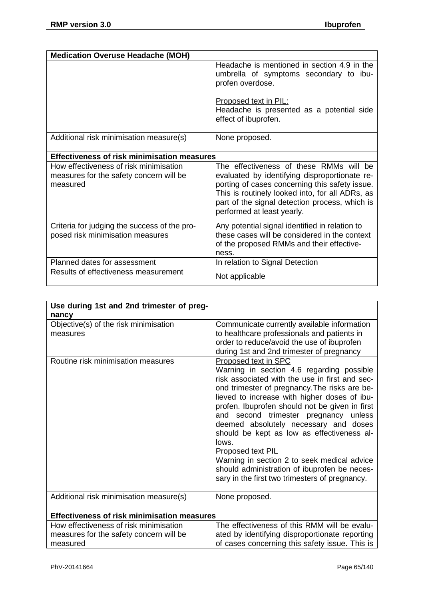| <b>Medication Overuse Headache (MOH)</b>                                                      |                                                                                                                                                                                                                                                                               |
|-----------------------------------------------------------------------------------------------|-------------------------------------------------------------------------------------------------------------------------------------------------------------------------------------------------------------------------------------------------------------------------------|
|                                                                                               | Headache is mentioned in section 4.9 in the<br>umbrella of symptoms secondary to ibu-<br>profen overdose.                                                                                                                                                                     |
|                                                                                               | Proposed text in PIL:<br>Headache is presented as a potential side<br>effect of ibuprofen.                                                                                                                                                                                    |
| Additional risk minimisation measure(s)                                                       | None proposed.                                                                                                                                                                                                                                                                |
| <b>Effectiveness of risk minimisation measures</b>                                            |                                                                                                                                                                                                                                                                               |
| How effectiveness of risk minimisation<br>measures for the safety concern will be<br>measured | The effectiveness of these RMMs will be<br>evaluated by identifying disproportionate re-<br>porting of cases concerning this safety issue.<br>This is routinely looked into, for all ADRs, as<br>part of the signal detection process, which is<br>performed at least yearly. |
| Criteria for judging the success of the pro-<br>posed risk minimisation measures              | Any potential signal identified in relation to<br>these cases will be considered in the context<br>of the proposed RMMs and their effective-<br>ness.                                                                                                                         |
| Planned dates for assessment                                                                  | In relation to Signal Detection                                                                                                                                                                                                                                               |
| Results of effectiveness measurement                                                          | Not applicable                                                                                                                                                                                                                                                                |

| Use during 1st and 2nd trimester of preg-<br>nancy |                                                                                                                                                                                                                                                                                                                                                                                                                                                                                                                                                                      |
|----------------------------------------------------|----------------------------------------------------------------------------------------------------------------------------------------------------------------------------------------------------------------------------------------------------------------------------------------------------------------------------------------------------------------------------------------------------------------------------------------------------------------------------------------------------------------------------------------------------------------------|
| Objective(s) of the risk minimisation<br>measures  | Communicate currently available information<br>to healthcare professionals and patients in                                                                                                                                                                                                                                                                                                                                                                                                                                                                           |
|                                                    | order to reduce/avoid the use of ibuprofen<br>during 1st and 2nd trimester of pregnancy                                                                                                                                                                                                                                                                                                                                                                                                                                                                              |
| Routine risk minimisation measures                 | Proposed text in SPC                                                                                                                                                                                                                                                                                                                                                                                                                                                                                                                                                 |
|                                                    | Warning in section 4.6 regarding possible<br>risk associated with the use in first and sec-<br>ond trimester of pregnancy. The risks are be-<br>lieved to increase with higher doses of ibu-<br>profen. Ibuprofen should not be given in first<br>and second trimester pregnancy unless<br>deemed absolutely necessary and doses<br>should be kept as low as effectiveness al-<br>lows.<br><b>Proposed text PIL</b><br>Warning in section 2 to seek medical advice<br>should administration of ibuprofen be neces-<br>sary in the first two trimesters of pregnancy. |
| Additional risk minimisation measure(s)            | None proposed.                                                                                                                                                                                                                                                                                                                                                                                                                                                                                                                                                       |
| <b>Effectiveness of risk minimisation measures</b> |                                                                                                                                                                                                                                                                                                                                                                                                                                                                                                                                                                      |
| How effectiveness of risk minimisation             | The effectiveness of this RMM will be evalu-                                                                                                                                                                                                                                                                                                                                                                                                                                                                                                                         |
| measures for the safety concern will be            | ated by identifying disproportionate reporting                                                                                                                                                                                                                                                                                                                                                                                                                                                                                                                       |
| measured                                           | of cases concerning this safety issue. This is                                                                                                                                                                                                                                                                                                                                                                                                                                                                                                                       |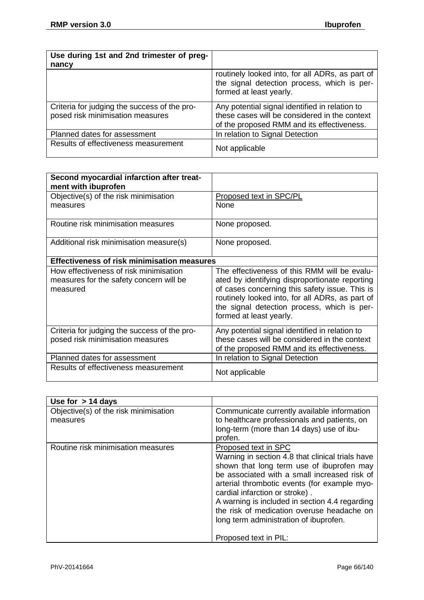| Use during 1st and 2nd trimester of preg-    |                                                                                                                           |
|----------------------------------------------|---------------------------------------------------------------------------------------------------------------------------|
| nancy                                        |                                                                                                                           |
|                                              | routinely looked into, for all ADRs, as part of<br>the signal detection process, which is per-<br>formed at least yearly. |
| Criteria for judging the success of the pro- | Any potential signal identified in relation to                                                                            |
| posed risk minimisation measures             | these cases will be considered in the context                                                                             |
|                                              | of the proposed RMM and its effectiveness.                                                                                |
| Planned dates for assessment                 | In relation to Signal Detection                                                                                           |
| Results of effectiveness measurement         | Not applicable                                                                                                            |

| Second myocardial infarction after treat-<br>ment with ibuprofen                              |                                                                                                                                                                                                                                                                               |
|-----------------------------------------------------------------------------------------------|-------------------------------------------------------------------------------------------------------------------------------------------------------------------------------------------------------------------------------------------------------------------------------|
| Objective(s) of the risk minimisation                                                         | Proposed text in SPC/PL                                                                                                                                                                                                                                                       |
| measures                                                                                      | <b>None</b>                                                                                                                                                                                                                                                                   |
| Routine risk minimisation measures                                                            | None proposed.                                                                                                                                                                                                                                                                |
|                                                                                               |                                                                                                                                                                                                                                                                               |
| Additional risk minimisation measure(s)                                                       | None proposed.                                                                                                                                                                                                                                                                |
| <b>Effectiveness of risk minimisation measures</b>                                            |                                                                                                                                                                                                                                                                               |
| How effectiveness of risk minimisation<br>measures for the safety concern will be<br>measured | The effectiveness of this RMM will be evalu-<br>ated by identifying disproportionate reporting<br>of cases concerning this safety issue. This is<br>routinely looked into, for all ADRs, as part of<br>the signal detection process, which is per-<br>formed at least yearly. |
| Criteria for judging the success of the pro-<br>posed risk minimisation measures              | Any potential signal identified in relation to<br>these cases will be considered in the context<br>of the proposed RMM and its effectiveness.                                                                                                                                 |
| Planned dates for assessment                                                                  | In relation to Signal Detection                                                                                                                                                                                                                                               |
| Results of effectiveness measurement                                                          | Not applicable                                                                                                                                                                                                                                                                |

| Use for $> 14$ days                               |                                                                                                                                                                                                                                                                                                                                                                                                                            |
|---------------------------------------------------|----------------------------------------------------------------------------------------------------------------------------------------------------------------------------------------------------------------------------------------------------------------------------------------------------------------------------------------------------------------------------------------------------------------------------|
| Objective(s) of the risk minimisation<br>measures | Communicate currently available information<br>to healthcare professionals and patients, on<br>long-term (more than 14 days) use of ibu-<br>profen.                                                                                                                                                                                                                                                                        |
| Routine risk minimisation measures                | Proposed text in SPC<br>Warning in section 4.8 that clinical trials have<br>shown that long term use of ibuprofen may<br>be associated with a small increased risk of<br>arterial thrombotic events (for example myo-<br>cardial infarction or stroke).<br>A warning is included in section 4.4 regarding<br>the risk of medication overuse headache on<br>long term administration of ibuprofen.<br>Proposed text in PIL: |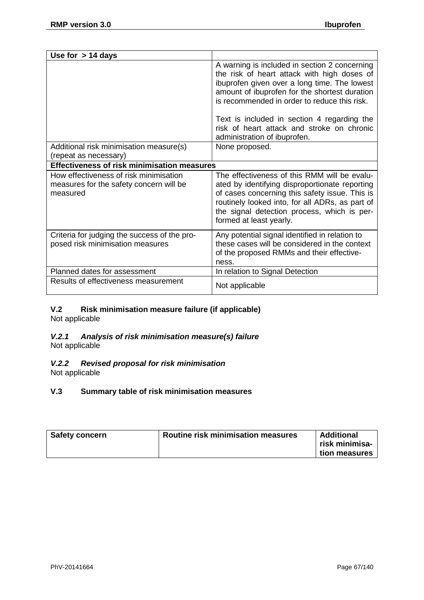| Use for $> 14$ days                                                                           |                                                                                                                                                                                                                                                                                                                                                                            |
|-----------------------------------------------------------------------------------------------|----------------------------------------------------------------------------------------------------------------------------------------------------------------------------------------------------------------------------------------------------------------------------------------------------------------------------------------------------------------------------|
|                                                                                               | A warning is included in section 2 concerning<br>the risk of heart attack with high doses of<br>ibuprofen given over a long time. The lowest<br>amount of ibuprofen for the shortest duration<br>is recommended in order to reduce this risk.<br>Text is included in section 4 regarding the<br>risk of heart attack and stroke on chronic<br>administration of ibuprofen. |
| Additional risk minimisation measure(s)                                                       | None proposed.                                                                                                                                                                                                                                                                                                                                                             |
| (repeat as necessary)                                                                         |                                                                                                                                                                                                                                                                                                                                                                            |
| <b>Effectiveness of risk minimisation measures</b>                                            |                                                                                                                                                                                                                                                                                                                                                                            |
| How effectiveness of risk minimisation<br>measures for the safety concern will be<br>measured | The effectiveness of this RMM will be evalu-<br>ated by identifying disproportionate reporting<br>of cases concerning this safety issue. This is<br>routinely looked into, for all ADRs, as part of<br>the signal detection process, which is per-<br>formed at least yearly.                                                                                              |
| Criteria for judging the success of the pro-<br>posed risk minimisation measures              | Any potential signal identified in relation to<br>these cases will be considered in the context<br>of the proposed RMMs and their effective-<br>ness.                                                                                                                                                                                                                      |
| Planned dates for assessment                                                                  | In relation to Signal Detection                                                                                                                                                                                                                                                                                                                                            |
| Results of effectiveness measurement                                                          | Not applicable                                                                                                                                                                                                                                                                                                                                                             |

### **V.2 Risk minimisation measure failure (if applicable)** Not applicable

#### *V.2.1 Analysis of risk minimisation measure(s) failure* Not applicable

#### *V.2.2 Revised proposal for risk minimisation* Not applicable

# **V.3 Summary table of risk minimisation measures**

| <b>Safety concern</b> | Routine risk minimisation measures | <b>Additional</b><br>risk minimisa-<br>tion measures |
|-----------------------|------------------------------------|------------------------------------------------------|
|-----------------------|------------------------------------|------------------------------------------------------|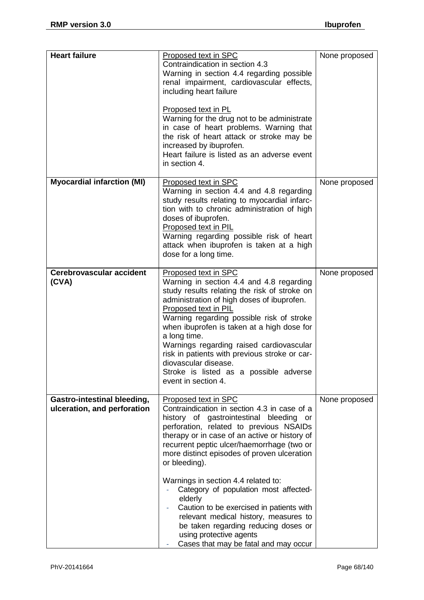| <b>Heart failure</b>                                              | Proposed text in SPC<br>Contraindication in section 4.3<br>Warning in section 4.4 regarding possible<br>renal impairment, cardiovascular effects,<br>including heart failure<br>Proposed text in PL<br>Warning for the drug not to be administrate<br>in case of heart problems. Warning that<br>the risk of heart attack or stroke may be<br>increased by ibuprofen.<br>Heart failure is listed as an adverse event<br>in section 4.                                                                                                                                                                                       | None proposed |
|-------------------------------------------------------------------|-----------------------------------------------------------------------------------------------------------------------------------------------------------------------------------------------------------------------------------------------------------------------------------------------------------------------------------------------------------------------------------------------------------------------------------------------------------------------------------------------------------------------------------------------------------------------------------------------------------------------------|---------------|
| <b>Myocardial infarction (MI)</b>                                 | <b>Proposed text in SPC</b><br>Warning in section 4.4 and 4.8 regarding<br>study results relating to myocardial infarc-<br>tion with to chronic administration of high<br>doses of ibuprofen.<br>Proposed text in PIL<br>Warning regarding possible risk of heart<br>attack when ibuprofen is taken at a high<br>dose for a long time.                                                                                                                                                                                                                                                                                      | None proposed |
| Cerebrovascular accident<br>(CVA)                                 | Proposed text in SPC<br>Warning in section 4.4 and 4.8 regarding<br>study results relating the risk of stroke on<br>administration of high doses of ibuprofen.<br>Proposed text in PIL<br>Warning regarding possible risk of stroke<br>when ibuprofen is taken at a high dose for<br>a long time.<br>Warnings regarding raised cardiovascular<br>risk in patients with previous stroke or car-<br>diovascular disease.<br>Stroke is listed as a possible adverse<br>event in section 4.                                                                                                                                     | None proposed |
| <b>Gastro-intestinal bleeding,</b><br>ulceration, and perforation | Proposed text in SPC<br>Contraindication in section 4.3 in case of a<br>history of gastrointestinal bleeding or<br>perforation, related to previous NSAIDs<br>therapy or in case of an active or history of<br>recurrent peptic ulcer/haemorrhage (two or<br>more distinct episodes of proven ulceration<br>or bleeding).<br>Warnings in section 4.4 related to:<br>Category of population most affected-<br>elderly<br>Caution to be exercised in patients with<br>÷,<br>relevant medical history, measures to<br>be taken regarding reducing doses or<br>using protective agents<br>Cases that may be fatal and may occur | None proposed |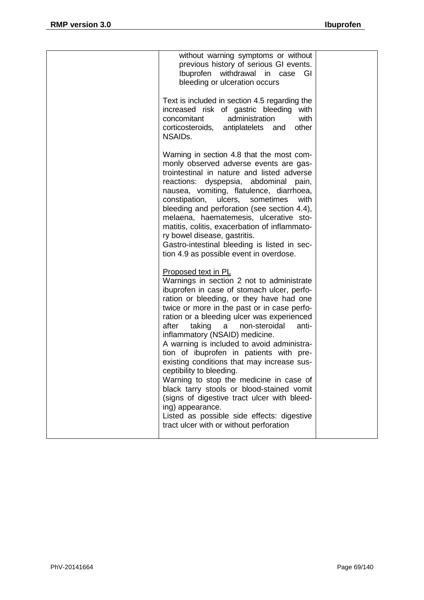| without warning symptoms or without<br>previous history of serious GI events.<br>Ibuprofen withdrawal in case<br>GI<br>bleeding or ulceration occurs                                                                                                                                                                                                                                                                                                                                                                                                                                                                                                                                                                                                            |  |
|-----------------------------------------------------------------------------------------------------------------------------------------------------------------------------------------------------------------------------------------------------------------------------------------------------------------------------------------------------------------------------------------------------------------------------------------------------------------------------------------------------------------------------------------------------------------------------------------------------------------------------------------------------------------------------------------------------------------------------------------------------------------|--|
| Text is included in section 4.5 regarding the<br>increased risk of gastric bleeding<br>with<br>concomitant<br>administration<br>with<br>corticosteroids, antiplatelets and<br>other<br><b>NSAIDs.</b>                                                                                                                                                                                                                                                                                                                                                                                                                                                                                                                                                           |  |
| Warning in section 4.8 that the most com-<br>monly observed adverse events are gas-<br>trointestinal in nature and listed adverse<br>reactions: dyspepsia, abdominal pain,<br>nausea, vomiting, flatulence, diarrhoea,<br>constipation,<br>ulcers, sometimes<br>with<br>bleeding and perforation (see section 4.4),<br>melaena, haematemesis, ulcerative sto-<br>matitis, colitis, exacerbation of inflammato-<br>ry bowel disease, gastritis.<br>Gastro-intestinal bleeding is listed in sec-<br>tion 4.9 as possible event in overdose.                                                                                                                                                                                                                       |  |
| Proposed text in PL<br>Warnings in section 2 not to administrate<br>ibuprofen in case of stomach ulcer, perfo-<br>ration or bleeding, or they have had one<br>twice or more in the past or in case perfo-<br>ration or a bleeding ulcer was experienced<br>after<br>taking a<br>non-steroidal<br>anti-<br>inflammatory (NSAID) medicine.<br>A warning is included to avoid administra-<br>tion of ibuprofen in patients with pre-<br>existing conditions that may increase sus-<br>ceptibility to bleeding.<br>Warning to stop the medicine in case of<br>black tarry stools or blood-stained vomit<br>(signs of digestive tract ulcer with bleed-<br>ing) appearance.<br>Listed as possible side effects: digestive<br>tract ulcer with or without perforation |  |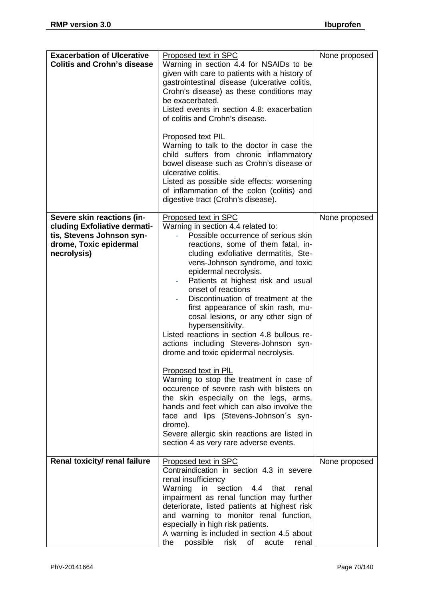| <b>Exacerbation of Ulcerative</b><br><b>Colitis and Crohn's disease</b>                                                          | <b>Proposed text in SPC</b><br>Warning in section 4.4 for NSAIDs to be<br>given with care to patients with a history of<br>gastrointestinal disease (ulcerative colitis,<br>Crohn's disease) as these conditions may<br>be exacerbated.<br>Listed events in section 4.8: exacerbation<br>of colitis and Crohn's disease.<br>Proposed text PIL<br>Warning to talk to the doctor in case the<br>child suffers from chronic inflammatory<br>bowel disease such as Crohn's disease or<br>ulcerative colitis.<br>Listed as possible side effects: worsening<br>of inflammation of the colon (colitis) and<br>digestive tract (Crohn's disease).                                                                                                                                                                                                                                                                                                | None proposed |
|----------------------------------------------------------------------------------------------------------------------------------|-------------------------------------------------------------------------------------------------------------------------------------------------------------------------------------------------------------------------------------------------------------------------------------------------------------------------------------------------------------------------------------------------------------------------------------------------------------------------------------------------------------------------------------------------------------------------------------------------------------------------------------------------------------------------------------------------------------------------------------------------------------------------------------------------------------------------------------------------------------------------------------------------------------------------------------------|---------------|
| Severe skin reactions (in-<br>cluding Exfoliative dermati-<br>tis, Stevens Johnson syn-<br>drome, Toxic epidermal<br>necrolysis) | Proposed text in SPC<br>Warning in section 4.4 related to:<br>Possible occurrence of serious skin<br>reactions, some of them fatal, in-<br>cluding exfoliative dermatitis, Ste-<br>vens-Johnson syndrome, and toxic<br>epidermal necrolysis.<br>Patients at highest risk and usual<br>onset of reactions<br>Discontinuation of treatment at the<br>first appearance of skin rash, mu-<br>cosal lesions, or any other sign of<br>hypersensitivity.<br>Listed reactions in section 4.8 bullous re-<br>actions including Stevens-Johnson syn-<br>drome and toxic epidermal necrolysis.<br>Proposed text in PIL<br>Warning to stop the treatment in case of<br>occurence of severe rash with blisters on<br>the skin especially on the legs, arms,<br>hands and feet which can also involve the<br>face and lips (Stevens-Johnson's syn-<br>drome).<br>Severe allergic skin reactions are listed in<br>section 4 as very rare adverse events. | None proposed |
| Renal toxicity/ renal failure                                                                                                    | Proposed text in SPC<br>Contraindication in section 4.3 in severe<br>renal insufficiency<br>Warning in<br>section<br>4.4<br>that<br>renal<br>impairment as renal function may further<br>deteriorate, listed patients at highest risk<br>and warning to monitor renal function,<br>especially in high risk patients.<br>A warning is included in section 4.5 about<br>possible<br>risk<br>the<br>of<br>renal<br>acute                                                                                                                                                                                                                                                                                                                                                                                                                                                                                                                     | None proposed |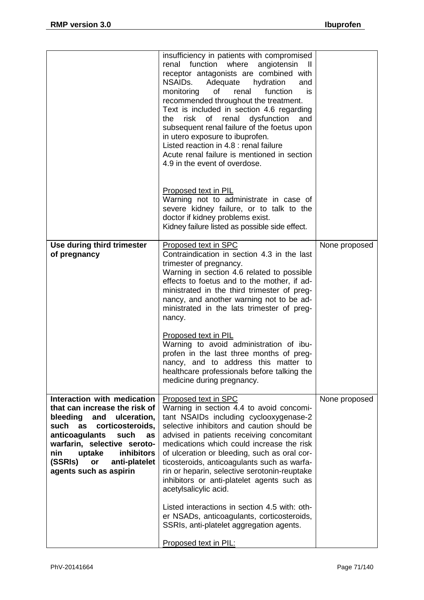|                                                                                                                                                                                                                                                                                                   | insufficiency in patients with compromised<br>renal function where<br>angiotensin<br>H.<br>receptor antagonists are combined with<br>NSAIDs.<br>Adequate hydration<br>and<br>of<br>renal<br>monitoring<br>function<br>is<br>recommended throughout the treatment.<br>Text is included in section 4.6 regarding<br>of renal<br>risk<br>dysfunction<br>the<br>and<br>subsequent renal failure of the foetus upon<br>in utero exposure to ibuprofen.<br>Listed reaction in 4.8 : renal failure<br>Acute renal failure is mentioned in section<br>4.9 in the event of overdose.                                                                  |               |
|---------------------------------------------------------------------------------------------------------------------------------------------------------------------------------------------------------------------------------------------------------------------------------------------------|----------------------------------------------------------------------------------------------------------------------------------------------------------------------------------------------------------------------------------------------------------------------------------------------------------------------------------------------------------------------------------------------------------------------------------------------------------------------------------------------------------------------------------------------------------------------------------------------------------------------------------------------|---------------|
|                                                                                                                                                                                                                                                                                                   | <b>Proposed text in PIL</b><br>Warning not to administrate in case of<br>severe kidney failure, or to talk to the<br>doctor if kidney problems exist.<br>Kidney failure listed as possible side effect.                                                                                                                                                                                                                                                                                                                                                                                                                                      |               |
| Use during third trimester<br>of pregnancy                                                                                                                                                                                                                                                        | Proposed text in SPC<br>Contraindication in section 4.3 in the last<br>trimester of pregnancy.<br>Warning in section 4.6 related to possible<br>effects to foetus and to the mother, if ad-<br>ministrated in the third trimester of preg-<br>nancy, and another warning not to be ad-<br>ministrated in the lats trimester of preg-<br>nancy.<br>Proposed text in PIL<br>Warning to avoid administration of ibu-<br>profen in the last three months of preg-<br>nancy, and to address this matter to<br>healthcare professionals before talking the<br>medicine during pregnancy.                                                           | None proposed |
| Interaction with medication<br>that can increase the risk of<br>bleeding<br>and<br>ulceration,<br>corticosteroids,<br>such<br>as<br>anticoagulants<br>such<br>as<br>warfarin, selective seroto-<br><b>inhibitors</b><br>nin<br>uptake<br>(SSRIs)<br>anti-platelet<br>or<br>agents such as aspirin | Proposed text in SPC<br>Warning in section 4.4 to avoid concomi-<br>tant NSAIDs including cyclooxygenase-2<br>selective inhibitors and caution should be<br>advised in patients receiving concomitant<br>medications which could increase the risk<br>of ulceration or bleeding, such as oral cor-<br>ticosteroids, anticoagulants such as warfa-<br>rin or heparin, selective serotonin-reuptake<br>inhibitors or anti-platelet agents such as<br>acetylsalicylic acid.<br>Listed interactions in section 4.5 with: oth-<br>er NSADs, anticoagulants, corticosteroids,<br>SSRIs, anti-platelet aggregation agents.<br>Proposed text in PIL: | None proposed |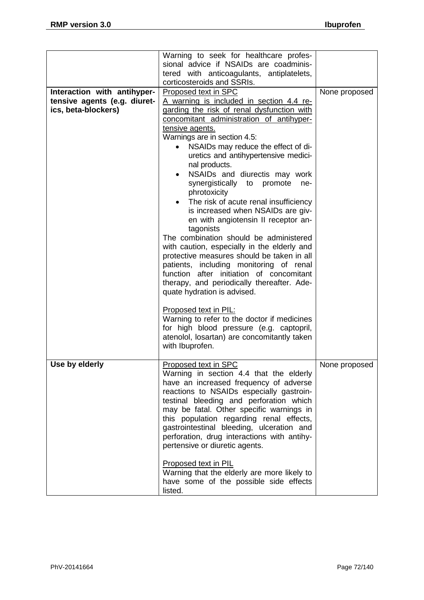|                              | Warning to seek for healthcare profes-<br>sional advice if NSAIDs are coadminis- |               |
|------------------------------|----------------------------------------------------------------------------------|---------------|
|                              | tered with anticoagulants, antiplatelets,                                        |               |
|                              | corticosteroids and SSRIs.                                                       |               |
| Interaction with antihyper-  | Proposed text in SPC                                                             | None proposed |
| tensive agents (e.g. diuret- | A warning is included in section 4.4 re-                                         |               |
| ics, beta-blockers)          | garding the risk of renal dysfunction with                                       |               |
|                              | concomitant administration of antihyper-                                         |               |
|                              | tensive agents.                                                                  |               |
|                              | Warnings are in section 4.5:                                                     |               |
|                              | NSAIDs may reduce the effect of di-                                              |               |
|                              | uretics and antihypertensive medici-                                             |               |
|                              | nal products.                                                                    |               |
|                              | NSAIDs and diurectis may work                                                    |               |
|                              | synergistically to<br>promote<br>ne-                                             |               |
|                              | phrotoxicity                                                                     |               |
|                              | The risk of acute renal insufficiency<br>$\bullet$                               |               |
|                              | is increased when NSAIDs are giv-                                                |               |
|                              | en with angiotensin II receptor an-                                              |               |
|                              | tagonists                                                                        |               |
|                              | The combination should be administered                                           |               |
|                              | with caution, especially in the elderly and                                      |               |
|                              | protective measures should be taken in all                                       |               |
|                              | patients, including monitoring of renal                                          |               |
|                              | function after initiation of concomitant                                         |               |
|                              | therapy, and periodically thereafter. Ade-                                       |               |
|                              | quate hydration is advised.                                                      |               |
|                              |                                                                                  |               |
|                              | Proposed text in PIL:                                                            |               |
|                              | Warning to refer to the doctor if medicines                                      |               |
|                              | for high blood pressure (e.g. captopril,                                         |               |
|                              | atenolol, losartan) are concomitantly taken                                      |               |
|                              | with Ibuprofen.                                                                  |               |
|                              |                                                                                  |               |
| Use by elderly               | Proposed text in SPC                                                             | None proposed |
|                              | Warning in section 4.4 that the elderly                                          |               |
|                              | have an increased frequency of adverse                                           |               |
|                              | reactions to NSAIDs especially gastroin-                                         |               |
|                              | testinal bleeding and perforation which                                          |               |
|                              | may be fatal. Other specific warnings in                                         |               |
|                              | this population regarding renal effects,                                         |               |
|                              | gastrointestinal bleeding, ulceration and                                        |               |
|                              | perforation, drug interactions with antihy-                                      |               |
|                              | pertensive or diuretic agents.                                                   |               |
|                              |                                                                                  |               |
|                              | Proposed text in PIL                                                             |               |
|                              | Warning that the elderly are more likely to                                      |               |
|                              | have some of the possible side effects                                           |               |
|                              | listed.                                                                          |               |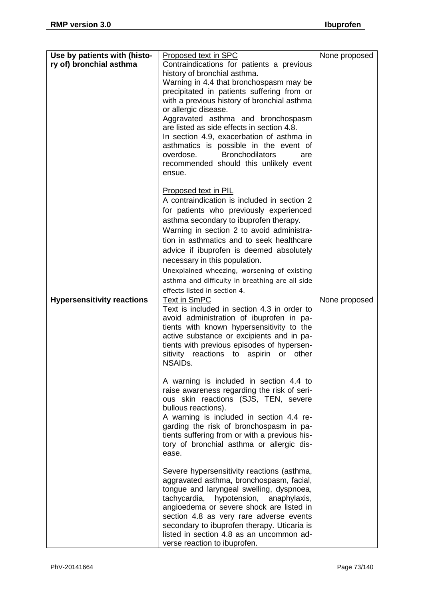| Use by patients with (histo-      | Proposed text in SPC                                                                                                                                                                                                                                                                                                                                                                                                                                                                                                   | None proposed |
|-----------------------------------|------------------------------------------------------------------------------------------------------------------------------------------------------------------------------------------------------------------------------------------------------------------------------------------------------------------------------------------------------------------------------------------------------------------------------------------------------------------------------------------------------------------------|---------------|
| ry of) bronchial asthma           | Contraindications for patients a previous<br>history of bronchial asthma.<br>Warning in 4.4 that bronchospasm may be<br>precipitated in patients suffering from or<br>with a previous history of bronchial asthma<br>or allergic disease.<br>Aggravated asthma and bronchospasm<br>are listed as side effects in section 4.8.<br>In section 4.9, exacerbation of asthma in<br>asthmatics is possible in the event of<br>overdose.<br><b>Bronchodilators</b><br>are<br>recommended should this unlikely event<br>ensue. |               |
|                                   | <b>Proposed text in PIL</b><br>A contraindication is included in section 2<br>for patients who previously experienced<br>asthma secondary to ibuprofen therapy.<br>Warning in section 2 to avoid administra-<br>tion in asthmatics and to seek healthcare<br>advice if ibuprofen is deemed absolutely<br>necessary in this population.<br>Unexplained wheezing, worsening of existing<br>asthma and difficulty in breathing are all side<br>effects listed in section 4.                                               |               |
| <b>Hypersensitivity reactions</b> | Text in SmPC<br>Text is included in section 4.3 in order to<br>avoid administration of ibuprofen in pa-<br>tients with known hypersensitivity to the<br>active substance or excipients and in pa-<br>tients with previous episodes of hypersen-<br>sitivity reactions to aspirin<br>or<br>other<br>NSAID <sub>s</sub> .                                                                                                                                                                                                | None proposed |
|                                   | A warning is included in section 4.4 to<br>raise awareness regarding the risk of seri-<br>ous skin reactions (SJS, TEN, severe<br>bullous reactions).<br>A warning is included in section 4.4 re-<br>garding the risk of bronchospasm in pa-<br>tients suffering from or with a previous his-<br>tory of bronchial asthma or allergic dis-<br>ease.                                                                                                                                                                    |               |
|                                   | Severe hypersensitivity reactions (asthma,<br>aggravated asthma, bronchospasm, facial,<br>tongue and laryngeal swelling, dyspnoea,<br>tachycardia, hypotension, anaphylaxis,<br>angioedema or severe shock are listed in<br>section 4.8 as very rare adverse events<br>secondary to ibuprofen therapy. Uticaria is<br>listed in section 4.8 as an uncommon ad-<br>verse reaction to ibuprofen.                                                                                                                         |               |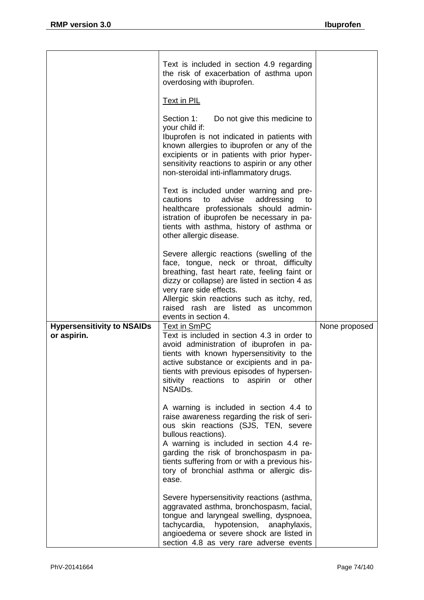|                                                  | Text is included in section 4.9 regarding<br>the risk of exacerbation of asthma upon<br>overdosing with ibuprofen.                                                                                                                                                                                                                                  |               |
|--------------------------------------------------|-----------------------------------------------------------------------------------------------------------------------------------------------------------------------------------------------------------------------------------------------------------------------------------------------------------------------------------------------------|---------------|
|                                                  | <b>Text in PIL</b>                                                                                                                                                                                                                                                                                                                                  |               |
|                                                  | Section 1: Do not give this medicine to<br>your child if:<br>Ibuprofen is not indicated in patients with<br>known allergies to ibuprofen or any of the<br>excipients or in patients with prior hyper-<br>sensitivity reactions to aspirin or any other<br>non-steroidal inti-inflammatory drugs.                                                    |               |
|                                                  | Text is included under warning and pre-<br>advise<br>addressing<br>cautions<br>to<br>to<br>healthcare professionals should admin-<br>istration of ibuprofen be necessary in pa-<br>tients with asthma, history of asthma or<br>other allergic disease.                                                                                              |               |
|                                                  | Severe allergic reactions (swelling of the<br>face, tongue, neck or throat, difficulty<br>breathing, fast heart rate, feeling faint or<br>dizzy or collapse) are listed in section 4 as<br>very rare side effects.<br>Allergic skin reactions such as itchy, red,<br>raised rash are listed as uncommon<br>events in section 4.                     |               |
| <b>Hypersensitivity to NSAIDs</b><br>or aspirin. | <b>Text in SmPC</b><br>Text is included in section 4.3 in order to<br>avoid administration of ibuprofen in pa-<br>tients with known hypersensitivity to the<br>active substance or excipients and in pa-<br>tients with previous episodes of hypersen-<br>sitivity reactions to aspirin or<br>other<br>NSAID <sub>s.</sub>                          | None proposed |
|                                                  | A warning is included in section 4.4 to<br>raise awareness regarding the risk of seri-<br>ous skin reactions (SJS, TEN, severe<br>bullous reactions).<br>A warning is included in section 4.4 re-<br>garding the risk of bronchospasm in pa-<br>tients suffering from or with a previous his-<br>tory of bronchial asthma or allergic dis-<br>ease. |               |
|                                                  | Severe hypersensitivity reactions (asthma,<br>aggravated asthma, bronchospasm, facial,<br>tongue and laryngeal swelling, dyspnoea,<br>tachycardia,<br>hypotension,<br>anaphylaxis,<br>angioedema or severe shock are listed in<br>section 4.8 as very rare adverse events                                                                           |               |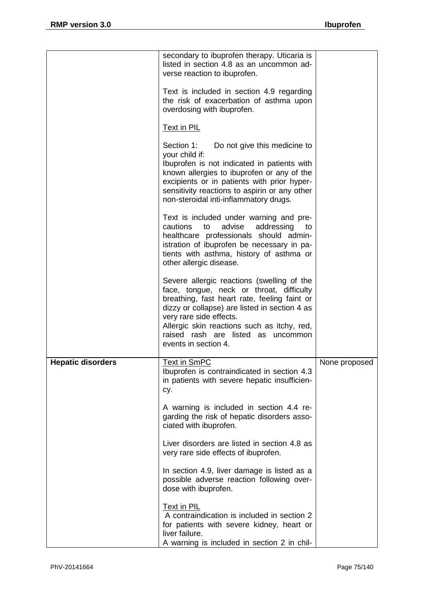|                          | secondary to ibuprofen therapy. Uticaria is<br>listed in section 4.8 as an uncommon ad-<br>verse reaction to ibuprofen.                                                                                                                                                                                                         |               |
|--------------------------|---------------------------------------------------------------------------------------------------------------------------------------------------------------------------------------------------------------------------------------------------------------------------------------------------------------------------------|---------------|
|                          | Text is included in section 4.9 regarding<br>the risk of exacerbation of asthma upon<br>overdosing with ibuprofen.                                                                                                                                                                                                              |               |
|                          | <b>Text in PIL</b>                                                                                                                                                                                                                                                                                                              |               |
|                          | Section 1:<br>Do not give this medicine to<br>your child if:<br>Ibuprofen is not indicated in patients with<br>known allergies to ibuprofen or any of the<br>excipients or in patients with prior hyper-<br>sensitivity reactions to aspirin or any other<br>non-steroidal inti-inflammatory drugs.                             |               |
|                          | Text is included under warning and pre-<br>advise<br>addressing<br>cautions to<br>to<br>healthcare professionals should admin-<br>istration of ibuprofen be necessary in pa-<br>tients with asthma, history of asthma or<br>other allergic disease.                                                                             |               |
|                          | Severe allergic reactions (swelling of the<br>face, tongue, neck or throat, difficulty<br>breathing, fast heart rate, feeling faint or<br>dizzy or collapse) are listed in section 4 as<br>very rare side effects.<br>Allergic skin reactions such as itchy, red,<br>raised rash are listed as uncommon<br>events in section 4. |               |
| <b>Hepatic disorders</b> | <b>Text in SmPC</b><br>Ibuprofen is contraindicated in section 4.3<br>in patients with severe hepatic insufficien-<br>cy.                                                                                                                                                                                                       | None proposed |
|                          | A warning is included in section 4.4 re-<br>garding the risk of hepatic disorders asso-<br>ciated with ibuprofen.                                                                                                                                                                                                               |               |
|                          | Liver disorders are listed in section 4.8 as<br>very rare side effects of ibuprofen.                                                                                                                                                                                                                                            |               |
|                          | In section 4.9, liver damage is listed as a<br>possible adverse reaction following over-<br>dose with ibuprofen.                                                                                                                                                                                                                |               |
|                          | <b>Text in PIL</b><br>A contraindication is included in section 2<br>for patients with severe kidney, heart or<br>liver failure.<br>A warning is included in section 2 in chil-                                                                                                                                                 |               |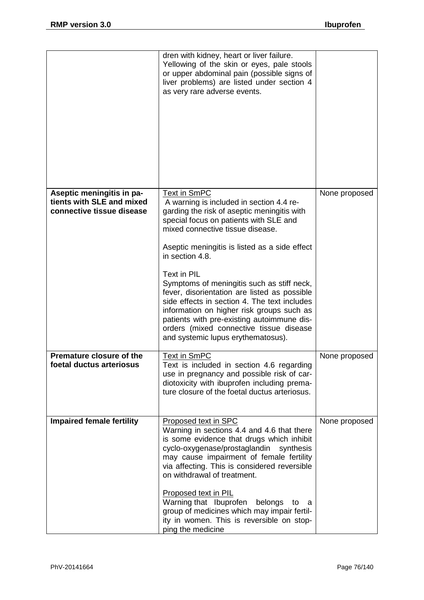|                                                                                     | dren with kidney, heart or liver failure.<br>Yellowing of the skin or eyes, pale stools<br>or upper abdominal pain (possible signs of<br>liver problems) are listed under section 4<br>as very rare adverse events.                                                                                                                                                                                                                                                                                                                                                                                       |               |
|-------------------------------------------------------------------------------------|-----------------------------------------------------------------------------------------------------------------------------------------------------------------------------------------------------------------------------------------------------------------------------------------------------------------------------------------------------------------------------------------------------------------------------------------------------------------------------------------------------------------------------------------------------------------------------------------------------------|---------------|
| Aseptic meningitis in pa-<br>tients with SLE and mixed<br>connective tissue disease | <b>Text in SmPC</b><br>A warning is included in section 4.4 re-<br>garding the risk of aseptic meningitis with<br>special focus on patients with SLE and<br>mixed connective tissue disease.<br>Aseptic meningitis is listed as a side effect<br>in section 4.8.<br>Text in PIL<br>Symptoms of meningitis such as stiff neck,<br>fever, disorientation are listed as possible<br>side effects in section 4. The text includes<br>information on higher risk groups such as<br>patients with pre-existing autoimmune dis-<br>orders (mixed connective tissue disease<br>and systemic lupus erythematosus). | None proposed |
| Premature closure of the<br>foetal ductus arteriosus                                | Text in SmPC<br>Text is included in section 4.6 regarding<br>use in pregnancy and possible risk of car-<br>diotoxicity with ibuprofen including prema-<br>ture closure of the foetal ductus arteriosus.                                                                                                                                                                                                                                                                                                                                                                                                   | None proposed |
| <b>Impaired female fertility</b>                                                    | Proposed text in SPC<br>Warning in sections 4.4 and 4.6 that there<br>is some evidence that drugs which inhibit<br>cyclo-oxygenase/prostaglandin<br>synthesis<br>may cause impairment of female fertility<br>via affecting. This is considered reversible<br>on withdrawal of treatment.<br><b>Proposed text in PIL</b><br>Warning that Ibuprofen<br>belongs<br>to<br>a<br>group of medicines which may impair fertil-<br>ity in women. This is reversible on stop-<br>ping the medicine                                                                                                                  | None proposed |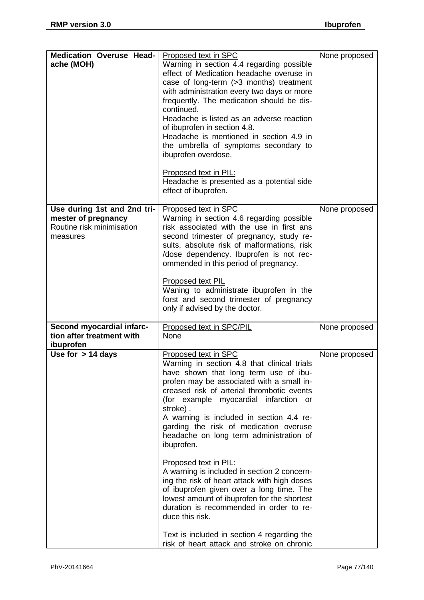| <b>Medication Overuse Head-</b><br>ache (MOH)                                               | Proposed text in SPC<br>Warning in section 4.4 regarding possible<br>effect of Medication headache overuse in<br>case of long-term (>3 months) treatment<br>with administration every two days or more<br>frequently. The medication should be dis-<br>continued.<br>Headache is listed as an adverse reaction<br>of ibuprofen in section 4.8.<br>Headache is mentioned in section 4.9 in<br>the umbrella of symptoms secondary to<br>ibuprofen overdose.<br>Proposed text in PIL:<br>Headache is presented as a potential side<br>effect of ibuprofen.                                                                                                                                                                                                                                   | None proposed |
|---------------------------------------------------------------------------------------------|-------------------------------------------------------------------------------------------------------------------------------------------------------------------------------------------------------------------------------------------------------------------------------------------------------------------------------------------------------------------------------------------------------------------------------------------------------------------------------------------------------------------------------------------------------------------------------------------------------------------------------------------------------------------------------------------------------------------------------------------------------------------------------------------|---------------|
| Use during 1st and 2nd tri-<br>mester of pregnancy<br>Routine risk minimisation<br>measures | Proposed text in SPC<br>Warning in section 4.6 regarding possible<br>risk associated with the use in first ans<br>second trimester of pregnancy, study re-<br>sults, absolute risk of malformations, risk<br>/dose dependency. Ibuprofen is not rec-<br>ommended in this period of pregnancy.<br>Proposed text PIL<br>Waning to administrate ibuprofen in the<br>forst and second trimester of pregnancy<br>only if advised by the doctor.                                                                                                                                                                                                                                                                                                                                                | None proposed |
| Second myocardial infarc-<br>tion after treatment with<br>ibuprofen                         | Proposed text in SPC/PIL<br>None                                                                                                                                                                                                                                                                                                                                                                                                                                                                                                                                                                                                                                                                                                                                                          | None proposed |
| Use for $> 14$ days                                                                         | Proposed text in SPC<br>Warning in section 4.8 that clinical trials<br>have shown that long term use of ibu-<br>profen may be associated with a small in-<br>creased risk of arterial thrombotic events<br>(for example myocardial infarction or<br>stroke).<br>A warning is included in section 4.4 re-<br>garding the risk of medication overuse<br>headache on long term administration of<br>ibuprofen.<br>Proposed text in PIL:<br>A warning is included in section 2 concern-<br>ing the risk of heart attack with high doses<br>of ibuprofen given over a long time. The<br>lowest amount of ibuprofen for the shortest<br>duration is recommended in order to re-<br>duce this risk.<br>Text is included in section 4 regarding the<br>risk of heart attack and stroke on chronic | None proposed |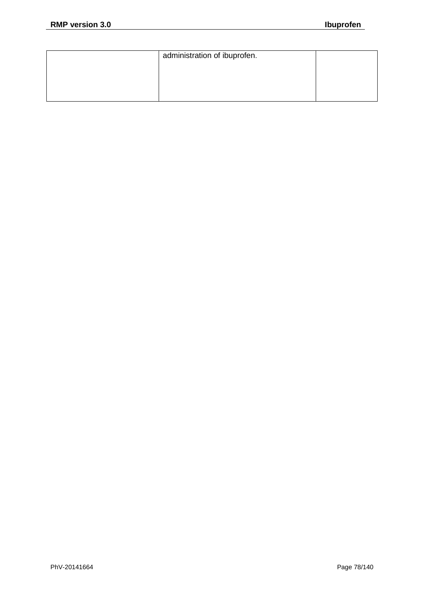| administration of ibuprofen. |  |
|------------------------------|--|
|                              |  |
|                              |  |
|                              |  |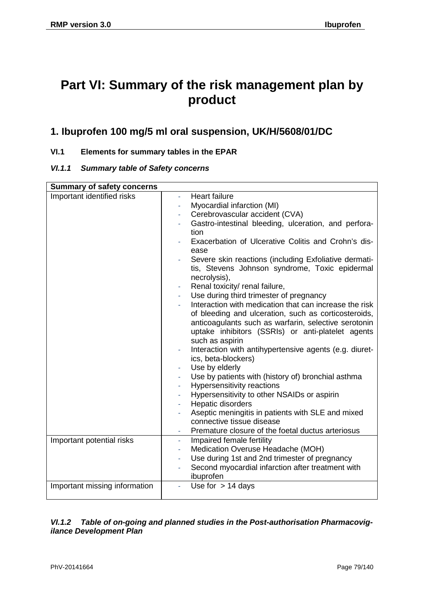# **Part VI: Summary of the risk management plan by product**

## **1. Ibuprofen 100 mg/5 ml oral suspension, UK/H/5608/01/DC**

## **VI.1 Elements for summary tables in the EPAR**

## *VI.1.1 Summary table of Safety concerns*

| <b>Summary of safety concerns</b>                       |                                                                                                                                                                                                                                                                                                                                                                                                                                                                                                                                                                                                                                                                                                                                                                                                                                                                                                                                                                                                                                                                                                                                                                                                                                                                                                         |
|---------------------------------------------------------|---------------------------------------------------------------------------------------------------------------------------------------------------------------------------------------------------------------------------------------------------------------------------------------------------------------------------------------------------------------------------------------------------------------------------------------------------------------------------------------------------------------------------------------------------------------------------------------------------------------------------------------------------------------------------------------------------------------------------------------------------------------------------------------------------------------------------------------------------------------------------------------------------------------------------------------------------------------------------------------------------------------------------------------------------------------------------------------------------------------------------------------------------------------------------------------------------------------------------------------------------------------------------------------------------------|
| Important identified risks<br>Important potential risks | <b>Heart failure</b><br>Myocardial infarction (MI)<br>٠<br>Cerebrovascular accident (CVA)<br>Gastro-intestinal bleeding, ulceration, and perfora-<br>tion<br>Exacerbation of Ulcerative Colitis and Crohn's dis-<br>ease<br>Severe skin reactions (including Exfoliative dermati-<br>tis, Stevens Johnson syndrome, Toxic epidermal<br>necrolysis),<br>Renal toxicity/ renal failure,<br>٠<br>Use during third trimester of pregnancy<br>÷<br>Interaction with medication that can increase the risk<br>of bleeding and ulceration, such as corticosteroids,<br>anticoagulants such as warfarin, selective serotonin<br>uptake inhibitors (SSRIs) or anti-platelet agents<br>such as aspirin<br>Interaction with antihypertensive agents (e.g. diuret-<br>ics, beta-blockers)<br>Use by elderly<br>Use by patients with (history of) bronchial asthma<br>Hypersensitivity reactions<br>٠<br>Hypersensitivity to other NSAIDs or aspirin<br>Hepatic disorders<br>٠<br>Aseptic meningitis in patients with SLE and mixed<br>connective tissue disease<br>Premature closure of the foetal ductus arteriosus<br>Impaired female fertility<br>٠<br>Medication Overuse Headache (MOH)<br>÷,<br>Use during 1st and 2nd trimester of pregnancy<br>÷,<br>Second myocardial infarction after treatment with<br>ä, |
|                                                         | ibuprofen                                                                                                                                                                                                                                                                                                                                                                                                                                                                                                                                                                                                                                                                                                                                                                                                                                                                                                                                                                                                                                                                                                                                                                                                                                                                                               |
| Important missing information                           | Use for $> 14$ days                                                                                                                                                                                                                                                                                                                                                                                                                                                                                                                                                                                                                                                                                                                                                                                                                                                                                                                                                                                                                                                                                                                                                                                                                                                                                     |

## *VI.1.2 Table of on-going and planned studies in the Post-authorisation Pharmacovigilance Development Plan*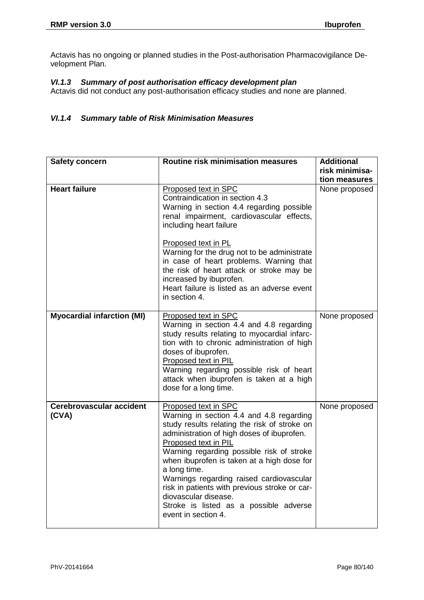Actavis has no ongoing or planned studies in the Post-authorisation Pharmacovigilance Development Plan.

## *VI.1.3 Summary of post authorisation efficacy development plan*

Actavis did not conduct any post-authorisation efficacy studies and none are planned.

## *VI.1.4 Summary table of Risk Minimisation Measures*

| <b>Safety concern</b>             | Routine risk minimisation measures                                                                                                                                                                                                                                                                                                                                                                                                                                                      | <b>Additional</b>               |
|-----------------------------------|-----------------------------------------------------------------------------------------------------------------------------------------------------------------------------------------------------------------------------------------------------------------------------------------------------------------------------------------------------------------------------------------------------------------------------------------------------------------------------------------|---------------------------------|
|                                   |                                                                                                                                                                                                                                                                                                                                                                                                                                                                                         | risk minimisa-<br>tion measures |
| <b>Heart failure</b>              | Proposed text in SPC<br>Contraindication in section 4.3<br>Warning in section 4.4 regarding possible<br>renal impairment, cardiovascular effects,<br>including heart failure                                                                                                                                                                                                                                                                                                            | None proposed                   |
|                                   | Proposed text in PL<br>Warning for the drug not to be administrate<br>in case of heart problems. Warning that<br>the risk of heart attack or stroke may be<br>increased by ibuprofen.<br>Heart failure is listed as an adverse event<br>in section 4.                                                                                                                                                                                                                                   |                                 |
| <b>Myocardial infarction (MI)</b> | Proposed text in SPC<br>Warning in section 4.4 and 4.8 regarding<br>study results relating to myocardial infarc-<br>tion with to chronic administration of high<br>doses of ibuprofen.<br>Proposed text in PIL<br>Warning regarding possible risk of heart<br>attack when ibuprofen is taken at a high<br>dose for a long time.                                                                                                                                                         | None proposed                   |
| Cerebrovascular accident<br>(CVA) | Proposed text in SPC<br>Warning in section 4.4 and 4.8 regarding<br>study results relating the risk of stroke on<br>administration of high doses of ibuprofen.<br>Proposed text in PIL<br>Warning regarding possible risk of stroke<br>when ibuprofen is taken at a high dose for<br>a long time.<br>Warnings regarding raised cardiovascular<br>risk in patients with previous stroke or car-<br>diovascular disease.<br>Stroke is listed as a possible adverse<br>event in section 4. | None proposed                   |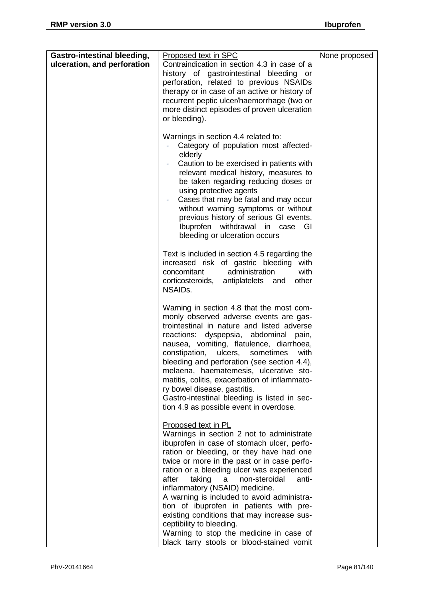| <b>Gastro-intestinal bleeding,</b> | Proposed text in SPC                                                                                                                                                                                                                                                                                                                                                                                                                                                                                                                   | None proposed |
|------------------------------------|----------------------------------------------------------------------------------------------------------------------------------------------------------------------------------------------------------------------------------------------------------------------------------------------------------------------------------------------------------------------------------------------------------------------------------------------------------------------------------------------------------------------------------------|---------------|
| ulceration, and perforation        | Contraindication in section 4.3 in case of a<br>history of gastrointestinal bleeding or                                                                                                                                                                                                                                                                                                                                                                                                                                                |               |
|                                    | perforation, related to previous NSAIDs                                                                                                                                                                                                                                                                                                                                                                                                                                                                                                |               |
|                                    | therapy or in case of an active or history of                                                                                                                                                                                                                                                                                                                                                                                                                                                                                          |               |
|                                    | recurrent peptic ulcer/haemorrhage (two or                                                                                                                                                                                                                                                                                                                                                                                                                                                                                             |               |
|                                    | more distinct episodes of proven ulceration                                                                                                                                                                                                                                                                                                                                                                                                                                                                                            |               |
|                                    | or bleeding).                                                                                                                                                                                                                                                                                                                                                                                                                                                                                                                          |               |
|                                    | Warnings in section 4.4 related to:<br>Category of population most affected-<br>elderly<br>Caution to be exercised in patients with<br>$\overline{\phantom{a}}$<br>relevant medical history, measures to<br>be taken regarding reducing doses or<br>using protective agents<br>Cases that may be fatal and may occur<br>without warning symptoms or without<br>previous history of serious GI events.<br>Ibuprofen withdrawal in case<br>GI<br>bleeding or ulceration occurs                                                           |               |
|                                    | Text is included in section 4.5 regarding the<br>increased risk of gastric bleeding with<br>administration<br>concomitant<br>with<br>corticosteroids, antiplatelets and<br>other<br>NSAID <sub>s</sub> .                                                                                                                                                                                                                                                                                                                               |               |
|                                    |                                                                                                                                                                                                                                                                                                                                                                                                                                                                                                                                        |               |
|                                    | Warning in section 4.8 that the most com-<br>monly observed adverse events are gas-<br>trointestinal in nature and listed adverse<br>reactions: dyspepsia, abdominal pain,<br>nausea, vomiting, flatulence, diarrhoea,<br>constipation, ulcers, sometimes<br>with<br>bleeding and perforation (see section 4.4),<br>melaena, haematemesis, ulcerative sto-<br>matitis, colitis, exacerbation of inflammato-<br>ry bowel disease, gastritis.<br>Gastro-intestinal bleeding is listed in sec-<br>tion 4.9 as possible event in overdose. |               |
|                                    | Proposed text in PL<br>Warnings in section 2 not to administrate<br>ibuprofen in case of stomach ulcer, perfo-<br>ration or bleeding, or they have had one                                                                                                                                                                                                                                                                                                                                                                             |               |
|                                    | twice or more in the past or in case perfo-                                                                                                                                                                                                                                                                                                                                                                                                                                                                                            |               |
|                                    | ration or a bleeding ulcer was experienced                                                                                                                                                                                                                                                                                                                                                                                                                                                                                             |               |
|                                    | taking<br>after<br>non-steroidal<br>a<br>anti-                                                                                                                                                                                                                                                                                                                                                                                                                                                                                         |               |
|                                    | inflammatory (NSAID) medicine.<br>A warning is included to avoid administra-                                                                                                                                                                                                                                                                                                                                                                                                                                                           |               |
|                                    | tion of ibuprofen in patients with pre-                                                                                                                                                                                                                                                                                                                                                                                                                                                                                                |               |
|                                    | existing conditions that may increase sus-                                                                                                                                                                                                                                                                                                                                                                                                                                                                                             |               |
|                                    | ceptibility to bleeding.                                                                                                                                                                                                                                                                                                                                                                                                                                                                                                               |               |
|                                    | Warning to stop the medicine in case of                                                                                                                                                                                                                                                                                                                                                                                                                                                                                                |               |
|                                    | black tarry stools or blood-stained vomit                                                                                                                                                                                                                                                                                                                                                                                                                                                                                              |               |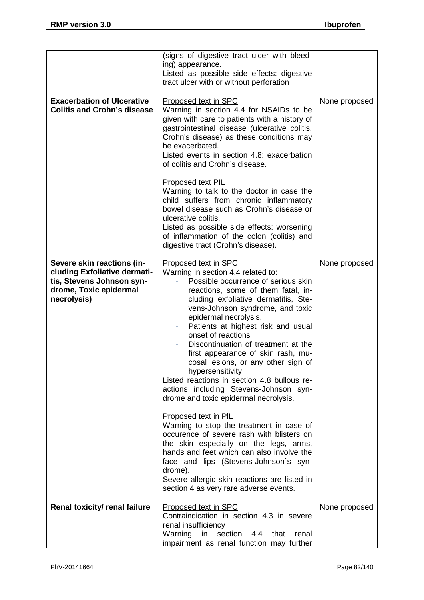|                                                                                                                                         | (signs of digestive tract ulcer with bleed-<br>ing) appearance.<br>Listed as possible side effects: digestive<br>tract ulcer with or without perforation                                                                                                                                                                                                                                                                                                                                                                                                                                                                                                                                                                                                                                                                                                                                        |               |
|-----------------------------------------------------------------------------------------------------------------------------------------|-------------------------------------------------------------------------------------------------------------------------------------------------------------------------------------------------------------------------------------------------------------------------------------------------------------------------------------------------------------------------------------------------------------------------------------------------------------------------------------------------------------------------------------------------------------------------------------------------------------------------------------------------------------------------------------------------------------------------------------------------------------------------------------------------------------------------------------------------------------------------------------------------|---------------|
| <b>Exacerbation of Ulcerative</b><br><b>Colitis and Crohn's disease</b>                                                                 | <b>Proposed text in SPC</b><br>Warning in section 4.4 for NSAIDs to be<br>given with care to patients with a history of<br>gastrointestinal disease (ulcerative colitis,<br>Crohn's disease) as these conditions may<br>be exacerbated.<br>Listed events in section 4.8: exacerbation<br>of colitis and Crohn's disease.                                                                                                                                                                                                                                                                                                                                                                                                                                                                                                                                                                        | None proposed |
|                                                                                                                                         | Proposed text PIL<br>Warning to talk to the doctor in case the<br>child suffers from chronic inflammatory<br>bowel disease such as Crohn's disease or<br>ulcerative colitis.<br>Listed as possible side effects: worsening<br>of inflammation of the colon (colitis) and<br>digestive tract (Crohn's disease).                                                                                                                                                                                                                                                                                                                                                                                                                                                                                                                                                                                  |               |
| Severe skin reactions (in-<br><b>cluding Exfoliative dermati-</b><br>tis, Stevens Johnson syn-<br>drome, Toxic epidermal<br>necrolysis) | Proposed text in SPC<br>Warning in section 4.4 related to:<br>Possible occurrence of serious skin<br>reactions, some of them fatal, in-<br>cluding exfoliative dermatitis, Ste-<br>vens-Johnson syndrome, and toxic<br>epidermal necrolysis.<br>Patients at highest risk and usual<br>onset of reactions<br>Discontinuation of treatment at the<br>first appearance of skin rash, mu-<br>cosal lesions, or any other sign of<br>hypersensitivity.<br>Listed reactions in section 4.8 bullous re-<br>actions including Stevens-Johnson syn-<br>drome and toxic epidermal necrolysis.<br>Proposed text in PIL<br>Warning to stop the treatment in case of<br>occurence of severe rash with blisters on<br>the skin especially on the legs, arms,<br>hands and feet which can also involve the<br>face and lips (Stevens-Johnson's syn-<br>drome).<br>Severe allergic skin reactions are listed in | None proposed |
|                                                                                                                                         | section 4 as very rare adverse events.                                                                                                                                                                                                                                                                                                                                                                                                                                                                                                                                                                                                                                                                                                                                                                                                                                                          |               |
| Renal toxicity/ renal failure                                                                                                           | Proposed text in SPC<br>Contraindication in section 4.3 in severe<br>renal insufficiency<br>Warning<br>section<br>in<br>4.4<br>that<br>renal<br>impairment as renal function may further                                                                                                                                                                                                                                                                                                                                                                                                                                                                                                                                                                                                                                                                                                        | None proposed |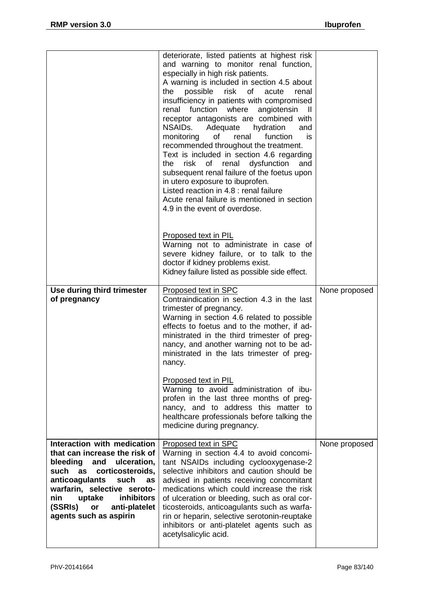|                                                                                                                                                                                                                                                                                       | deteriorate, listed patients at highest risk<br>and warning to monitor renal function,<br>especially in high risk patients.<br>A warning is included in section 4.5 about<br>possible<br>risk<br><b>of</b><br>the<br>acute<br>renal<br>insufficiency in patients with compromised<br>function<br>where<br>angiotensin<br>renal<br>receptor antagonists are combined with<br>NSAIDs.<br>Adequate<br>hydration<br>and<br>of<br>monitoring<br>renal<br>function<br>is.<br>recommended throughout the treatment.<br>Text is included in section 4.6 regarding<br>the<br>risk of renal dysfunction<br>and<br>subsequent renal failure of the foetus upon<br>in utero exposure to ibuprofen.<br>Listed reaction in 4.8 : renal failure<br>Acute renal failure is mentioned in section<br>4.9 in the event of overdose. |               |
|---------------------------------------------------------------------------------------------------------------------------------------------------------------------------------------------------------------------------------------------------------------------------------------|------------------------------------------------------------------------------------------------------------------------------------------------------------------------------------------------------------------------------------------------------------------------------------------------------------------------------------------------------------------------------------------------------------------------------------------------------------------------------------------------------------------------------------------------------------------------------------------------------------------------------------------------------------------------------------------------------------------------------------------------------------------------------------------------------------------|---------------|
|                                                                                                                                                                                                                                                                                       | Proposed text in PIL<br>Warning not to administrate in case of<br>severe kidney failure, or to talk to the<br>doctor if kidney problems exist.<br>Kidney failure listed as possible side effect.                                                                                                                                                                                                                                                                                                                                                                                                                                                                                                                                                                                                                 |               |
| Use during third trimester<br>of pregnancy                                                                                                                                                                                                                                            | Proposed text in SPC<br>Contraindication in section 4.3 in the last<br>trimester of pregnancy.<br>Warning in section 4.6 related to possible<br>effects to foetus and to the mother, if ad-<br>ministrated in the third trimester of preg-<br>nancy, and another warning not to be ad-<br>ministrated in the lats trimester of preg-<br>nancy.                                                                                                                                                                                                                                                                                                                                                                                                                                                                   | None proposed |
|                                                                                                                                                                                                                                                                                       | Proposed text in PIL<br>Warning to avoid administration of ibu-<br>profen in the last three months of preg-<br>nancy, and to address this matter to<br>healthcare professionals before talking the<br>medicine during pregnancy.                                                                                                                                                                                                                                                                                                                                                                                                                                                                                                                                                                                 |               |
| Interaction with medication<br>that can increase the risk of<br>bleeding and ulceration,<br>such as corticosteroids,<br>anticoagulants<br>such<br>as<br>warfarin, selective seroto-<br><b>inhibitors</b><br>nin<br>uptake<br>(SSRIs)<br>anti-platelet<br>or<br>agents such as aspirin | Proposed text in SPC<br>Warning in section 4.4 to avoid concomi-<br>tant NSAIDs including cyclooxygenase-2<br>selective inhibitors and caution should be<br>advised in patients receiving concomitant<br>medications which could increase the risk<br>of ulceration or bleeding, such as oral cor-<br>ticosteroids, anticoagulants such as warfa-<br>rin or heparin, selective serotonin-reuptake<br>inhibitors or anti-platelet agents such as<br>acetylsalicylic acid.                                                                                                                                                                                                                                                                                                                                         | None proposed |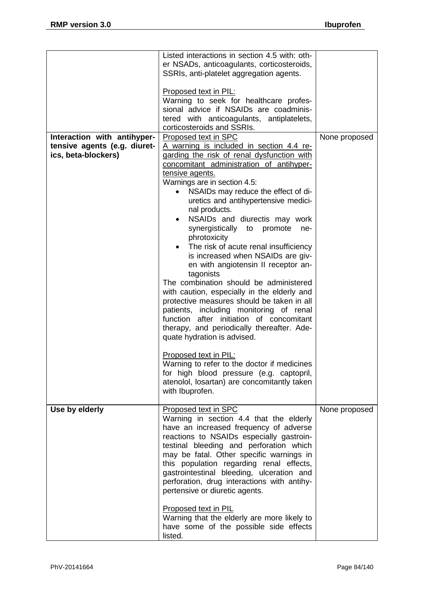|                                                     | Listed interactions in section 4.5 with: oth-<br>er NSADs, anticoagulants, corticosteroids,<br>SSRIs, anti-platelet aggregation agents.                                                                                                                                                                                                                                                                                                                                                                                                                                                                                                                                                                                                                                                                                                                  |               |
|-----------------------------------------------------|----------------------------------------------------------------------------------------------------------------------------------------------------------------------------------------------------------------------------------------------------------------------------------------------------------------------------------------------------------------------------------------------------------------------------------------------------------------------------------------------------------------------------------------------------------------------------------------------------------------------------------------------------------------------------------------------------------------------------------------------------------------------------------------------------------------------------------------------------------|---------------|
|                                                     | Proposed text in PIL:<br>Warning to seek for healthcare profes-<br>sional advice if NSAIDs are coadminis-<br>tered with anticoagulants, antiplatelets,<br>corticosteroids and SSRIs.                                                                                                                                                                                                                                                                                                                                                                                                                                                                                                                                                                                                                                                                     |               |
| Interaction with antihyper-                         | Proposed text in SPC                                                                                                                                                                                                                                                                                                                                                                                                                                                                                                                                                                                                                                                                                                                                                                                                                                     | None proposed |
| tensive agents (e.g. diuret-<br>ics, beta-blockers) | A warning is included in section 4.4 re-<br>garding the risk of renal dysfunction with<br>concomitant administration of antihyper-<br>tensive agents.<br>Warnings are in section 4.5:<br>NSAIDs may reduce the effect of di-<br>$\bullet$<br>uretics and antihypertensive medici-<br>nal products.<br>NSAIDs and diurectis may work<br>synergistically to<br>promote<br>ne-<br>phrotoxicity<br>The risk of acute renal insufficiency<br>$\bullet$<br>is increased when NSAIDs are giv-<br>en with angiotensin II receptor an-<br>tagonists<br>The combination should be administered<br>with caution, especially in the elderly and<br>protective measures should be taken in all<br>patients, including monitoring of renal<br>after initiation of concomitant<br>function<br>therapy, and periodically thereafter. Ade-<br>quate hydration is advised. |               |
|                                                     | Proposed text in PIL:<br>Warning to refer to the doctor if medicines<br>for high blood pressure (e.g. captopril,<br>atenolol, losartan) are concomitantly taken<br>with Ibuprofen.                                                                                                                                                                                                                                                                                                                                                                                                                                                                                                                                                                                                                                                                       |               |
| Use by elderly                                      | Proposed text in SPC<br>Warning in section 4.4 that the elderly<br>have an increased frequency of adverse<br>reactions to NSAIDs especially gastroin-<br>testinal bleeding and perforation which<br>may be fatal. Other specific warnings in<br>this population regarding renal effects,<br>gastrointestinal bleeding, ulceration and<br>perforation, drug interactions with antihy-<br>pertensive or diuretic agents.                                                                                                                                                                                                                                                                                                                                                                                                                                   | None proposed |
|                                                     | <b>Proposed text in PIL</b><br>Warning that the elderly are more likely to<br>have some of the possible side effects<br>listed.                                                                                                                                                                                                                                                                                                                                                                                                                                                                                                                                                                                                                                                                                                                          |               |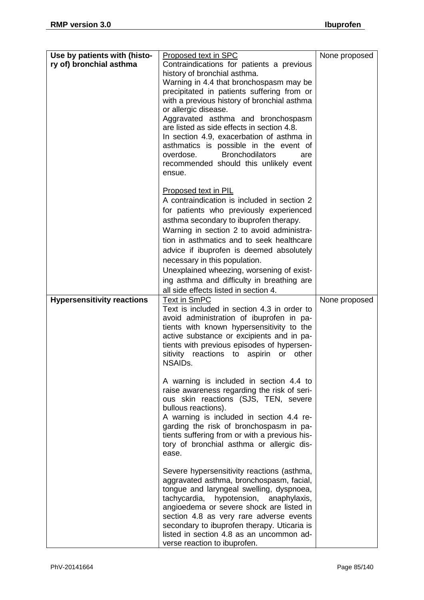| Use by patients with (histo-      | Proposed text in SPC                                                                                                                                                                                                                                                                                                                                                                                                                                                                                                   | None proposed |
|-----------------------------------|------------------------------------------------------------------------------------------------------------------------------------------------------------------------------------------------------------------------------------------------------------------------------------------------------------------------------------------------------------------------------------------------------------------------------------------------------------------------------------------------------------------------|---------------|
| ry of) bronchial asthma           | Contraindications for patients a previous<br>history of bronchial asthma.<br>Warning in 4.4 that bronchospasm may be<br>precipitated in patients suffering from or<br>with a previous history of bronchial asthma<br>or allergic disease.<br>Aggravated asthma and bronchospasm<br>are listed as side effects in section 4.8.<br>In section 4.9, exacerbation of asthma in<br>asthmatics is possible in the event of<br>overdose.<br><b>Bronchodilators</b><br>are<br>recommended should this unlikely event<br>ensue. |               |
|                                   | <b>Proposed text in PIL</b><br>A contraindication is included in section 2<br>for patients who previously experienced<br>asthma secondary to ibuprofen therapy.<br>Warning in section 2 to avoid administra-<br>tion in asthmatics and to seek healthcare<br>advice if ibuprofen is deemed absolutely<br>necessary in this population.<br>Unexplained wheezing, worsening of exist-<br>ing asthma and difficulty in breathing are<br>all side effects listed in section 4.                                             |               |
| <b>Hypersensitivity reactions</b> | Text in SmPC<br>Text is included in section 4.3 in order to<br>avoid administration of ibuprofen in pa-<br>tients with known hypersensitivity to the<br>active substance or excipients and in pa-<br>tients with previous episodes of hypersen-<br>sitivity reactions to aspirin<br>or<br>other<br>NSAID <sub>s</sub> .                                                                                                                                                                                                | None proposed |
|                                   | A warning is included in section 4.4 to<br>raise awareness regarding the risk of seri-<br>ous skin reactions (SJS, TEN, severe<br>bullous reactions).<br>A warning is included in section 4.4 re-<br>garding the risk of bronchospasm in pa-<br>tients suffering from or with a previous his-<br>tory of bronchial asthma or allergic dis-<br>ease.                                                                                                                                                                    |               |
|                                   | Severe hypersensitivity reactions (asthma,<br>aggravated asthma, bronchospasm, facial,<br>tongue and laryngeal swelling, dyspnoea,<br>tachycardia, hypotension, anaphylaxis,<br>angioedema or severe shock are listed in<br>section 4.8 as very rare adverse events<br>secondary to ibuprofen therapy. Uticaria is<br>listed in section 4.8 as an uncommon ad-<br>verse reaction to ibuprofen.                                                                                                                         |               |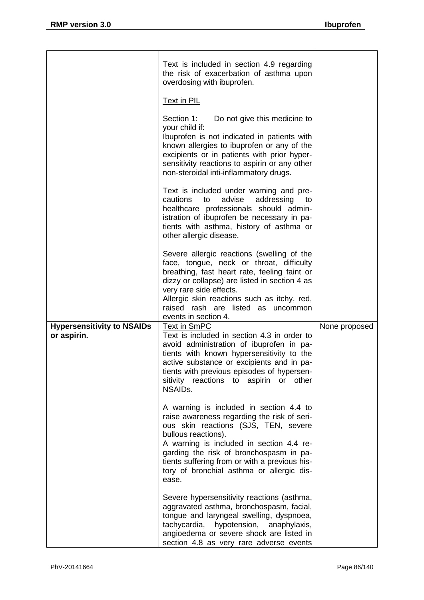|                                                  | Text is included in section 4.9 regarding<br>the risk of exacerbation of asthma upon<br>overdosing with ibuprofen.                                                                                                                                                                                                                                  |               |
|--------------------------------------------------|-----------------------------------------------------------------------------------------------------------------------------------------------------------------------------------------------------------------------------------------------------------------------------------------------------------------------------------------------------|---------------|
|                                                  | <b>Text in PIL</b>                                                                                                                                                                                                                                                                                                                                  |               |
|                                                  | Section 1: Do not give this medicine to<br>your child if:<br>Ibuprofen is not indicated in patients with<br>known allergies to ibuprofen or any of the<br>excipients or in patients with prior hyper-<br>sensitivity reactions to aspirin or any other<br>non-steroidal inti-inflammatory drugs.                                                    |               |
|                                                  | Text is included under warning and pre-<br>advise<br>addressing<br>cautions<br>to<br>to<br>healthcare professionals should admin-<br>istration of ibuprofen be necessary in pa-<br>tients with asthma, history of asthma or<br>other allergic disease.                                                                                              |               |
|                                                  | Severe allergic reactions (swelling of the<br>face, tongue, neck or throat, difficulty<br>breathing, fast heart rate, feeling faint or<br>dizzy or collapse) are listed in section 4 as<br>very rare side effects.<br>Allergic skin reactions such as itchy, red,<br>raised rash are listed as uncommon<br>events in section 4.                     |               |
| <b>Hypersensitivity to NSAIDs</b><br>or aspirin. | <b>Text in SmPC</b><br>Text is included in section 4.3 in order to<br>avoid administration of ibuprofen in pa-<br>tients with known hypersensitivity to the<br>active substance or excipients and in pa-<br>tients with previous episodes of hypersen-<br>sitivity reactions to aspirin or<br>other<br>NSAID <sub>s.</sub>                          | None proposed |
|                                                  | A warning is included in section 4.4 to<br>raise awareness regarding the risk of seri-<br>ous skin reactions (SJS, TEN, severe<br>bullous reactions).<br>A warning is included in section 4.4 re-<br>garding the risk of bronchospasm in pa-<br>tients suffering from or with a previous his-<br>tory of bronchial asthma or allergic dis-<br>ease. |               |
|                                                  | Severe hypersensitivity reactions (asthma,<br>aggravated asthma, bronchospasm, facial,<br>tongue and laryngeal swelling, dyspnoea,<br>tachycardia,<br>hypotension,<br>anaphylaxis,<br>angioedema or severe shock are listed in<br>section 4.8 as very rare adverse events                                                                           |               |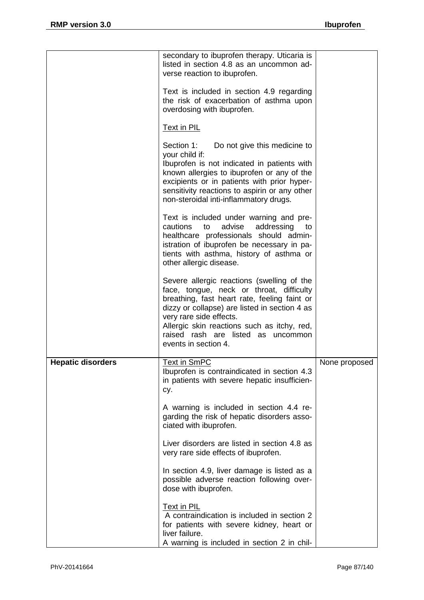|                          | secondary to ibuprofen therapy. Uticaria is<br>listed in section 4.8 as an uncommon ad-<br>verse reaction to ibuprofen.                                                                                                                                                                                                         |               |
|--------------------------|---------------------------------------------------------------------------------------------------------------------------------------------------------------------------------------------------------------------------------------------------------------------------------------------------------------------------------|---------------|
|                          | Text is included in section 4.9 regarding<br>the risk of exacerbation of asthma upon<br>overdosing with ibuprofen.                                                                                                                                                                                                              |               |
|                          | <b>Text in PIL</b>                                                                                                                                                                                                                                                                                                              |               |
|                          | Section 1:<br>Do not give this medicine to<br>your child if:<br>Ibuprofen is not indicated in patients with<br>known allergies to ibuprofen or any of the<br>excipients or in patients with prior hyper-<br>sensitivity reactions to aspirin or any other<br>non-steroidal inti-inflammatory drugs.                             |               |
|                          | Text is included under warning and pre-<br>advise<br>addressing<br>cautions to<br>to<br>healthcare professionals should admin-<br>istration of ibuprofen be necessary in pa-<br>tients with asthma, history of asthma or<br>other allergic disease.                                                                             |               |
|                          | Severe allergic reactions (swelling of the<br>face, tongue, neck or throat, difficulty<br>breathing, fast heart rate, feeling faint or<br>dizzy or collapse) are listed in section 4 as<br>very rare side effects.<br>Allergic skin reactions such as itchy, red,<br>raised rash are listed as uncommon<br>events in section 4. |               |
| <b>Hepatic disorders</b> | <b>Text in SmPC</b><br>Ibuprofen is contraindicated in section 4.3<br>in patients with severe hepatic insufficien-<br>cy.                                                                                                                                                                                                       | None proposed |
|                          | A warning is included in section 4.4 re-<br>garding the risk of hepatic disorders asso-<br>ciated with ibuprofen.                                                                                                                                                                                                               |               |
|                          | Liver disorders are listed in section 4.8 as<br>very rare side effects of ibuprofen.                                                                                                                                                                                                                                            |               |
|                          | In section 4.9, liver damage is listed as a<br>possible adverse reaction following over-<br>dose with ibuprofen.                                                                                                                                                                                                                |               |
|                          | <b>Text in PIL</b><br>A contraindication is included in section 2<br>for patients with severe kidney, heart or<br>liver failure.<br>A warning is included in section 2 in chil-                                                                                                                                                 |               |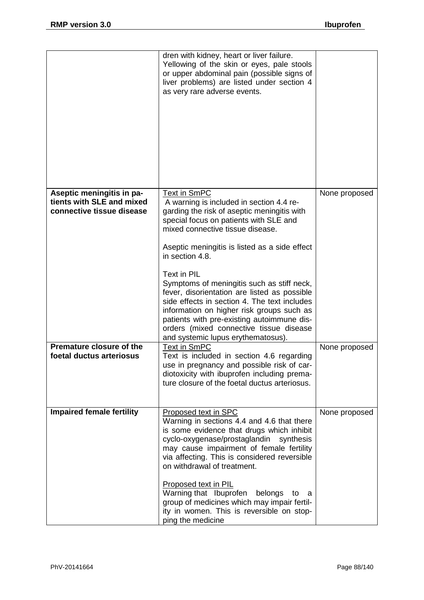|                                                                                     | dren with kidney, heart or liver failure.<br>Yellowing of the skin or eyes, pale stools<br>or upper abdominal pain (possible signs of<br>liver problems) are listed under section 4<br>as very rare adverse events.                                                                                                                   |               |
|-------------------------------------------------------------------------------------|---------------------------------------------------------------------------------------------------------------------------------------------------------------------------------------------------------------------------------------------------------------------------------------------------------------------------------------|---------------|
|                                                                                     |                                                                                                                                                                                                                                                                                                                                       |               |
| Aseptic meningitis in pa-<br>tients with SLE and mixed<br>connective tissue disease | <b>Text in SmPC</b><br>A warning is included in section 4.4 re-<br>garding the risk of aseptic meningitis with<br>special focus on patients with SLE and<br>mixed connective tissue disease.                                                                                                                                          | None proposed |
|                                                                                     | Aseptic meningitis is listed as a side effect<br>in section 4.8.                                                                                                                                                                                                                                                                      |               |
|                                                                                     | Text in PIL<br>Symptoms of meningitis such as stiff neck,<br>fever, disorientation are listed as possible<br>side effects in section 4. The text includes<br>information on higher risk groups such as<br>patients with pre-existing autoimmune dis-<br>orders (mixed connective tissue disease<br>and systemic lupus erythematosus). |               |
| <b>Premature closure of the</b><br>foetal ductus arteriosus                         | <b>Text in SmPC</b><br>Text is included in section 4.6 regarding<br>use in pregnancy and possible risk of car-<br>diotoxicity with ibuprofen including prema-<br>ture closure of the foetal ductus arteriosus.                                                                                                                        | None proposed |
| <b>Impaired female fertility</b>                                                    | Proposed text in SPC<br>Warning in sections 4.4 and 4.6 that there<br>is some evidence that drugs which inhibit<br>cyclo-oxygenase/prostaglandin<br>synthesis<br>may cause impairment of female fertility<br>via affecting. This is considered reversible<br>on withdrawal of treatment.                                              | None proposed |
|                                                                                     | <b>Proposed text in PIL</b><br>Warning that Ibuprofen<br>belongs<br>to<br>a<br>group of medicines which may impair fertil-<br>ity in women. This is reversible on stop-<br>ping the medicine                                                                                                                                          |               |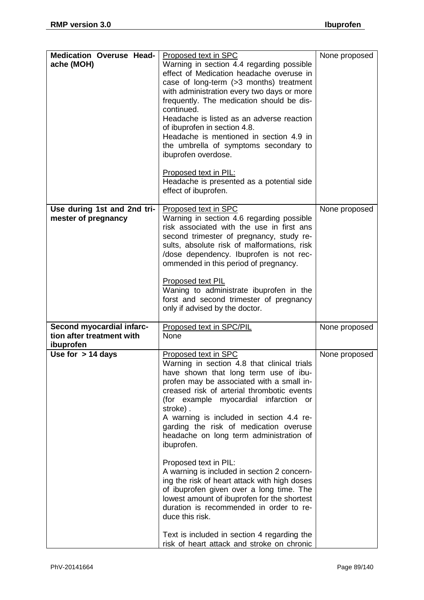| <b>Medication Overuse Head-</b><br>ache (MOH)                       | Proposed text in SPC<br>Warning in section 4.4 regarding possible<br>effect of Medication headache overuse in<br>case of long-term (>3 months) treatment<br>with administration every two days or more<br>frequently. The medication should be dis-<br>continued.<br>Headache is listed as an adverse reaction<br>of ibuprofen in section 4.8.<br>Headache is mentioned in section 4.9 in<br>the umbrella of symptoms secondary to<br>ibuprofen overdose.<br>Proposed text in PIL:<br>Headache is presented as a potential side<br>effect of ibuprofen.                                                                                                                                                                                                                                   | None proposed |
|---------------------------------------------------------------------|-------------------------------------------------------------------------------------------------------------------------------------------------------------------------------------------------------------------------------------------------------------------------------------------------------------------------------------------------------------------------------------------------------------------------------------------------------------------------------------------------------------------------------------------------------------------------------------------------------------------------------------------------------------------------------------------------------------------------------------------------------------------------------------------|---------------|
| Use during 1st and 2nd tri-<br>mester of pregnancy                  | Proposed text in SPC<br>Warning in section 4.6 regarding possible<br>risk associated with the use in first ans<br>second trimester of pregnancy, study re-<br>sults, absolute risk of malformations, risk<br>/dose dependency. Ibuprofen is not rec-<br>ommended in this period of pregnancy.<br>Proposed text PIL<br>Waning to administrate ibuprofen in the<br>forst and second trimester of pregnancy<br>only if advised by the doctor.                                                                                                                                                                                                                                                                                                                                                | None proposed |
| Second myocardial infarc-<br>tion after treatment with<br>ibuprofen | Proposed text in SPC/PIL<br>None                                                                                                                                                                                                                                                                                                                                                                                                                                                                                                                                                                                                                                                                                                                                                          | None proposed |
| Use for $> 14$ days                                                 | Proposed text in SPC<br>Warning in section 4.8 that clinical trials<br>have shown that long term use of ibu-<br>profen may be associated with a small in-<br>creased risk of arterial thrombotic events<br>(for example myocardial infarction or<br>stroke).<br>A warning is included in section 4.4 re-<br>garding the risk of medication overuse<br>headache on long term administration of<br>ibuprofen.<br>Proposed text in PIL:<br>A warning is included in section 2 concern-<br>ing the risk of heart attack with high doses<br>of ibuprofen given over a long time. The<br>lowest amount of ibuprofen for the shortest<br>duration is recommended in order to re-<br>duce this risk.<br>Text is included in section 4 regarding the<br>risk of heart attack and stroke on chronic | None proposed |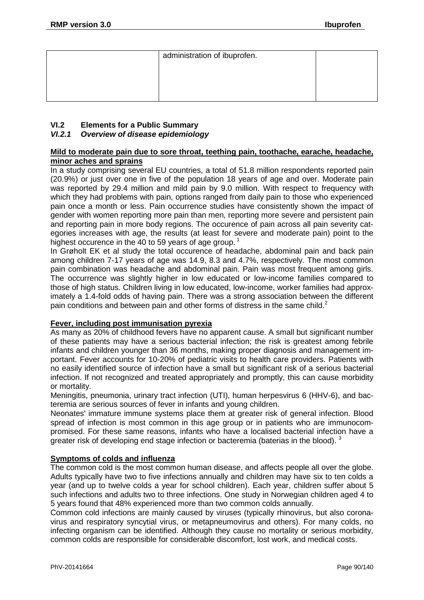| administration of ibuprofen. |  |
|------------------------------|--|
|                              |  |
|                              |  |
|                              |  |

#### **VI.2 Elements for a Public Summary** *VI.2.1 Overview of disease epidemiology*

## **Mild to moderate pain due to sore throat, teething pain, toothache, earache, headache, minor aches and sprains**

In a study comprising several EU countries, a total of 51.8 million respondents reported pain (20.9%) or just over one in five of the population 18 years of age and over. Moderate pain was reported by 29.4 million and mild pain by 9.0 million. With respect to frequency with which they had problems with pain, options ranged from daily pain to those who experienced pain once a month or less. Pain occurrence studies have consistently shown the impact of gender with women reporting more pain than men, reporting more severe and persistent pain and reporting pain in more body regions. The occurence of pain across all pain severity categories increases with age, the results (at least for severe and moderate pain) point to the highest occurence in the 40 to 59 years of age group.<sup>[1](#page-9-0)</sup>

In Grøholt EK et al study the total occurence of headache, abdominal pain and back pain among children 7-17 years of age was 14.9, 8.3 and 4.7%, respectively. The most common pain combination was headache and abdominal pain. Pain was most frequent among girls. The occurrence was slightly higher in low educated or low-income families compared to those of high status. Children living in low educated, low-income, worker families had approximately a 1.4-fold odds of having pain. There was a strong association between the different pain conditions and between pain and other forms of distress in the same child.<sup>[2](#page-9-1)</sup>

## **Fever, including post immunisation pyrexia**

As many as 20% of childhood fevers have no apparent cause. A small but significant number of these patients may have a serious bacterial infection; the risk is greatest among febrile infants and children younger than 36 months, making proper diagnosis and management important. Fever accounts for 10-20% of pediatric visits to health care providers. Patients with no easily identified source of infection have a small but significant risk of a serious bacterial infection. If not recognized and treated appropriately and promptly, this can cause morbidity or mortality.

Meningitis, pneumonia, urinary tract infection (UTI), human herpesvirus 6 (HHV-6), and bacteremia are serious sources of fever in infants and young children.

Neonates' immature immune systems place them at greater risk of general infection. Blood spread of infection is most common in this age group or in patients who are immunocompromised. For these same reasons, infants who have a localised bacterial infection have a greater risk of developing end stage infection or bacteremia (baterias in the blood). <sup>3</sup>

## **Symptoms of colds and influenza**

The common cold is the most common human disease, and affects people all over the globe. Adults typically have two to five infections annually and children may have six to ten colds a year (and up to twelve colds a year for school children). Each year, children suffer about 5 such infections and adults two to three infections. One study in Norwegian children aged 4 to 5 years found that 48% experienced more than two common colds annually.

Common cold infections are mainly caused by viruses (typically rhinovirus, but also coronavirus and respiratory syncytial virus, or metapneumovirus and others). For many colds, no infecting organism can be identified. Although they cause no mortality or serious morbidity, common colds are responsible for considerable discomfort, lost work, and medical costs.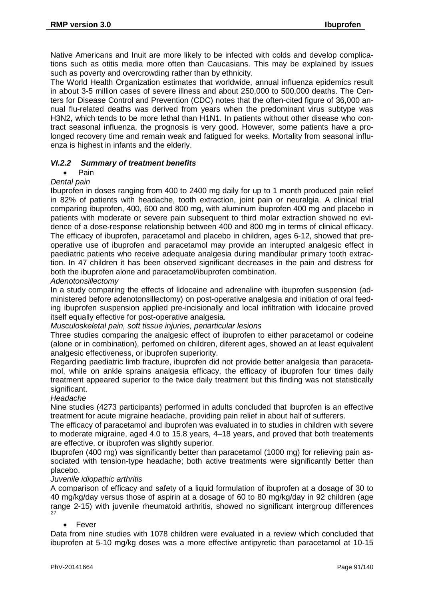Native Americans and Inuit are more likely to be infected with colds and develop complications such as otitis media more often than Caucasians. This may be explained by issues such as poverty and overcrowding rather than by ethnicity.

The World Health Organization estimates that worldwide, annual influenza epidemics result in about 3-5 million cases of severe illness and about 250,000 to 500,000 deaths. The Centers for Disease Control and Prevention (CDC) notes that the often-cited figure of 36,000 annual flu-related deaths was derived from years when the predominant virus subtype was H3N2, which tends to be more lethal than H1N1. In patients without other disease who contract seasonal influenza, the prognosis is very good. However, some patients have a prolonged recovery time and remain weak and fatigued for weeks. Mortality from seasonal influenza is highest in infants and the elderly.

## *VI.2.2 Summary of treatment benefits*

## • Pain

#### *Dental pain*

Ibuprofen in doses ranging from 400 to 2400 mg daily for up to 1 month produced pain relief in 82% of patients with headache, tooth extraction, joint pain or neuralgia. A clinical trial comparing ibuprofen, 400, 600 and 800 mg, with aluminum ibuprofen 400 mg and placebo in patients with moderate or severe pain subsequent to third molar extraction showed no evidence of a dose-response relationship between 400 and 800 mg in terms of clinical efficacy. The efficacy of ibuprofen, paracetamol and placebo in children, ages 6-12, showed that preoperative use of ibuprofen and paracetamol may provide an interupted analgesic effect in paediatric patients who receive adequate analgesia during mandibular primary tooth extraction. In 47 children it has been observed significant decreases in the pain and distress for both the ibuprofen alone and paracetamol/ibuprofen combination.

## *Adenotonsillectomy*

In a study comparing the effects of lidocaine and adrenaline with ibuprofen suspension (administered before adenotonsillectomy) on post-operative analgesia and initiation of oral feeding ibuprofen suspension applied pre-incisionally and local infiltration with lidocaine proved itself equally effective for post-operative analgesia.

## *Musculoskeletal pain, soft tissue injuries, periarticular lesions*

Three studies comparing the analgesic effect of ibuprofen to either paracetamol or codeine (alone or in combination), perfomed on children, diferent ages, showed an at least equivalent analgesic effectiveness, or ibuprofen superiority.

Regarding paediatric limb fracture, ibuprofen did not provide better analgesia than paracetamol, while on ankle sprains analgesia efficacy, the efficacy of ibuprofen four times daily treatment appeared superior to the twice daily treatment but this finding was not statistically significant.

## *Headache*

Nine studies (4273 participants) performed in adults concluded that ibuprofen is an effective treatment for acute migraine headache, providing pain relief in about half of sufferers.

The efficacy of paracetamol and ibuprofen was evaluated in to studies in children with severe to moderate migraine, aged 4.0 to 15.8 years, 4–18 years, and proved that both treatements are effective, or ibuprofen was slightly superior.

Ibuprofen (400 mg) was significantly better than paracetamol (1000 mg) for relieving pain associated with tension-type headache; both active treatments were significantly better than placebo.

## *Juvenile idiopathic arthritis*

A comparison of efficacy and safety of a liquid formulation of ibuprofen at a dosage of 30 to 40 mg/kg/day versus those of aspirin at a dosage of 60 to 80 mg/kg/day in 92 children (age range 2-15) with juvenile rheumatoid arthritis, showed no significant intergroup differences [27](#page-139-0)

## <span id="page-90-0"></span>**Fever**

Data from nine studies with 1078 children were evaluated in a review which concluded that ibuprofen at 5-10 mg/kg doses was a more effective antipyretic than paracetamol at 10-15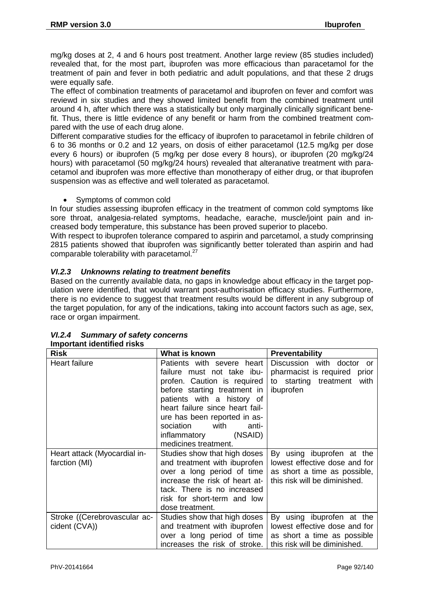mg/kg doses at 2, 4 and 6 hours post treatment. Another large review (85 studies included) revealed that, for the most part, ibuprofen was more efficacious than paracetamol for the treatment of pain and fever in both pediatric and adult populations, and that these 2 drugs were equally safe.

The effect of combination treatments of paracetamol and ibuprofen on fever and comfort was reviewd in six studies and they showed limited benefit from the combined treatment until around 4 h, after which there was a statistically but only marginally clinically significant benefit. Thus, there is little evidence of any benefit or harm from the combined treatment compared with the use of each drug alone.

Different comparative studies for the efficacy of ibuprofen to paracetamol in febrile children of 6 to 36 months or 0.2 and 12 years, on dosis of either paracetamol (12.5 mg/kg per dose every 6 hours) or ibuprofen (5 mg/kg per dose every 8 hours), or ibuprofen (20 mg/kg/24 hours) with paracetamol (50 mg/kg/24 hours) revealed that alteranative treatment with paracetamol and ibuprofen was more effective than monotherapy of either drug, or that ibuprofen suspension was as effective and well tolerated as paracetamol[.](#page-90-0)

## • Symptoms of common cold

In four studies assessing ibuprofen efficacy in the treatment of common cold symptoms like sore throat, analgesia-related symptoms, headache, earache, muscle/joint pain and increased body temperature, this substance has been proved superior to placebo.

With respect to ibuprofen tolerance compared to aspirin and parcetamol, a study comprinsing 2815 patients showed that ibuprofen was significantly better tolerated than aspirin and had comparable tolerability with paracetamol.<sup>[27](#page-90-0)</sup>

## *VI.2.3 Unknowns relating to treatment benefits*

Based on the currently available data, no gaps in knowledge about efficacy in the target population were identified, that would warrant post-authorisation efficacy studies. Furthermore, there is no evidence to suggest that treatment results would be different in any subgroup of the target population, for any of the indications, taking into account factors such as age, sex, race or organ impairment.

| <b>Risk</b>                  | What is known                   | <b>Preventability</b>         |
|------------------------------|---------------------------------|-------------------------------|
| <b>Heart failure</b>         | Patients with severe heart      | Discussion with doctor<br>or  |
|                              | failure must not take ibu-      | pharmacist is required prior  |
|                              | profen. Caution is required     | to starting treatment<br>with |
|                              | before starting treatment in    | ibuprofen                     |
|                              | patients with a history of      |                               |
|                              | heart failure since heart fail- |                               |
|                              | ure has been reported in as-    |                               |
|                              | with<br>sociation<br>anti-      |                               |
|                              | inflammatory (NSAID)            |                               |
|                              | medicines treatment.            |                               |
| Heart attack (Myocardial in- | Studies show that high doses    | By using ibuprofen at the     |
| farction (MI)                | and treatment with ibuprofen    | lowest effective dose and for |
|                              | over a long period of time      | as short a time as possible,  |
|                              | increase the risk of heart at-  | this risk will be diminished. |
|                              | tack. There is no increased     |                               |
|                              | risk for short-term and low     |                               |
|                              | dose treatment.                 |                               |
| Stroke ((Cerebrovascular ac- | Studies show that high doses    | By using ibuprofen at the     |
| cident (CVA))                | and treatment with ibuprofen    | lowest effective dose and for |
|                              | over a long period of time      | as short a time as possible   |
|                              | increases the risk of stroke.   | this risk will be diminished. |

#### *VI.2.4 Summary of safety concerns* **Important identified risks**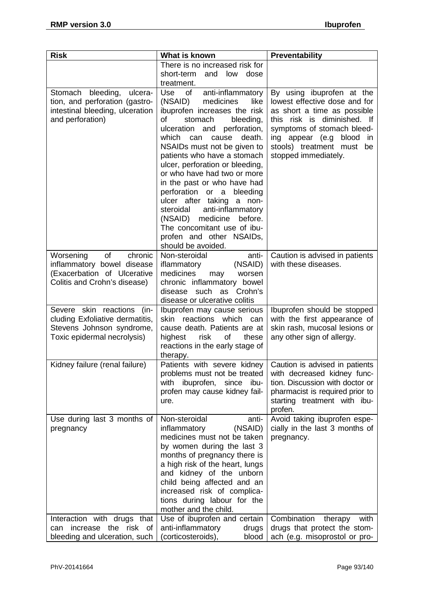| <b>Risk</b>                                                                                                                  | What is known                                                                                                                                                                                                                                                                                                                                                                                                                                                                                                                                                             | Preventability                                                                                                                                                                                                                                       |
|------------------------------------------------------------------------------------------------------------------------------|---------------------------------------------------------------------------------------------------------------------------------------------------------------------------------------------------------------------------------------------------------------------------------------------------------------------------------------------------------------------------------------------------------------------------------------------------------------------------------------------------------------------------------------------------------------------------|------------------------------------------------------------------------------------------------------------------------------------------------------------------------------------------------------------------------------------------------------|
|                                                                                                                              | There is no increased risk for<br>short-term<br>low<br>and<br>dose<br>treatment.                                                                                                                                                                                                                                                                                                                                                                                                                                                                                          |                                                                                                                                                                                                                                                      |
| Stomach bleeding,<br>ulcera-<br>tion, and perforation (gastro-<br>intestinal bleeding, ulceration<br>and perforation)        | anti-inflammatory<br>Use<br>of<br>(NSAID)<br>medicines<br>like<br>ibuprofen increases the risk<br>of<br>stomach<br>bleeding,<br>perforation,<br>ulceration and<br>which can<br>death.<br>cause<br>NSAIDs must not be given to<br>patients who have a stomach<br>ulcer, perforation or bleeding,<br>or who have had two or more<br>in the past or who have had<br>perforation or a<br>bleeding<br>ulcer after taking a non-<br>steroidal anti-inflammatory<br>(NSAID) medicine<br>before.<br>The concomitant use of ibu-<br>profen and other NSAIDs,<br>should be avoided. | By using ibuprofen at the<br>lowest effective dose and for<br>as short a time as possible<br>this risk is diminished.<br>lf<br>symptoms of stomach bleed-<br>ing appear (e.g blood<br><i>in</i><br>stools) treatment must be<br>stopped immediately. |
| Worsening<br>of<br>chronic<br>inflammatory bowel disease<br>(Exacerbation of Ulcerative<br>Colitis and Crohn's disease)      | Non-steroidal<br>anti-<br>(NSAID)<br>iflammatory<br>medicines<br>worsen<br>may<br>chronic inflammatory bowel<br>disease such as Crohn's<br>disease or ulcerative colitis                                                                                                                                                                                                                                                                                                                                                                                                  | Caution is advised in patients<br>with these diseases.                                                                                                                                                                                               |
| Severe skin reactions<br>(in-<br>cluding Exfoliative dermatitis,<br>Stevens Johnson syndrome,<br>Toxic epidermal necrolysis) | Ibuprofen may cause serious<br>skin<br>reactions<br>which can<br>cause death. Patients are at<br>highest<br>risk<br>0f<br>these<br>reactions in the early stage of<br>therapy.                                                                                                                                                                                                                                                                                                                                                                                            | Ibuprofen should be stopped<br>with the first appearance of<br>skin rash, mucosal lesions or<br>any other sign of allergy.                                                                                                                           |
| Kidney failure (renal failure)                                                                                               | Patients with severe kidney<br>problems must not be treated<br>ibuprofen, since<br>with<br>ibu-<br>profen may cause kidney fail-<br>ure.                                                                                                                                                                                                                                                                                                                                                                                                                                  | Caution is advised in patients<br>with decreased kidney func-<br>tion. Discussion with doctor or<br>pharmacist is required prior to<br>starting treatment with ibu-<br>profen.                                                                       |
| Use during last 3 months of<br>pregnancy<br>Interaction with drugs that                                                      | Non-steroidal<br>anti-<br>(NSAID)<br>inflammatory<br>medicines must not be taken<br>by women during the last 3<br>months of pregnancy there is<br>a high risk of the heart, lungs<br>and kidney of the unborn<br>child being affected and an<br>increased risk of complica-<br>tions during labour for the<br>mother and the child.<br>Use of ibuprofen and certain                                                                                                                                                                                                       | Avoid taking ibuprofen espe-<br>cially in the last 3 months of<br>pregnancy.<br>Combination<br>therapy<br>with                                                                                                                                       |
| can increase the risk of                                                                                                     | anti-inflammatory<br>drugs                                                                                                                                                                                                                                                                                                                                                                                                                                                                                                                                                | drugs that protect the stom-                                                                                                                                                                                                                         |
| bleeding and ulceration, such                                                                                                | (corticosteroids),<br>blood                                                                                                                                                                                                                                                                                                                                                                                                                                                                                                                                               | ach (e.g. misoprostol or pro-                                                                                                                                                                                                                        |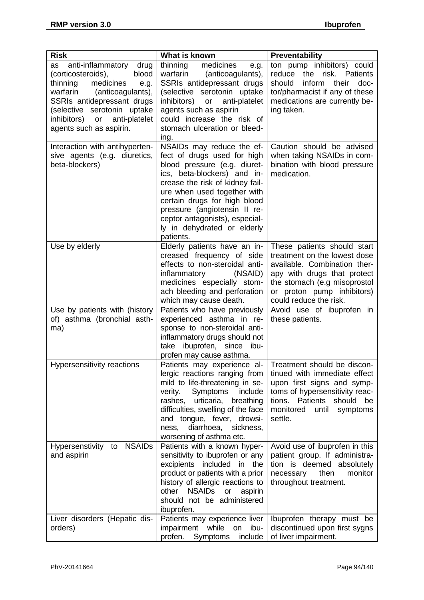| <b>Risk</b>                                                                                                                                                                                                                                                    | What is known                                                                                                                                                                                                                                                                                                                           | Preventability                                                                                                                                                                                                     |
|----------------------------------------------------------------------------------------------------------------------------------------------------------------------------------------------------------------------------------------------------------------|-----------------------------------------------------------------------------------------------------------------------------------------------------------------------------------------------------------------------------------------------------------------------------------------------------------------------------------------|--------------------------------------------------------------------------------------------------------------------------------------------------------------------------------------------------------------------|
| as<br>anti-inflammatory<br>drug<br>(corticosteroids),<br>blood<br>medicines<br>thinning<br>e.g.<br>warfarin<br>(anticoagulants),<br>SSRIs antidepressant drugs<br>(selective serotonin uptake<br>inhibitors)<br>anti-platelet<br>or<br>agents such as aspirin. | thinning<br>medicines<br>e.g.<br>warfarin<br>(anticoagulants),<br>SSRIs antidepressant drugs<br>(selective serotonin uptake<br>inhibitors)<br>anti-platelet<br>or<br>agents such as aspirin<br>could increase the risk of<br>stomach ulceration or bleed-<br>ing.                                                                       | ton pump inhibitors) could<br>reduce the risk. Patients<br>inform<br>their<br>should<br>doc-<br>tor/pharmacist if any of these<br>medications are currently be-<br>ing taken.                                      |
| Interaction with antihyperten-<br>sive agents (e.g. diuretics,<br>beta-blockers)                                                                                                                                                                               | NSAIDs may reduce the ef-<br>fect of drugs used for high<br>blood pressure (e.g. diuret-<br>ics, beta-blockers) and in-<br>crease the risk of kidney fail-<br>ure when used together with<br>certain drugs for high blood<br>pressure (angiotensin II re-<br>ceptor antagonists), especial-<br>ly in dehydrated or elderly<br>patients. | Caution should be advised<br>when taking NSAIDs in com-<br>bination with blood pressure<br>medication.                                                                                                             |
| Use by elderly                                                                                                                                                                                                                                                 | Elderly patients have an in-<br>creased frequency of side<br>effects to non-steroidal anti-<br>inflammatory<br>(NSAID)<br>medicines especially stom-<br>ach bleeding and perforation<br>which may cause death.                                                                                                                          | These patients should start<br>treatment on the lowest dose<br>available. Combination ther-<br>apy with drugs that protect<br>the stomach (e.g misoprostol<br>or proton pump inhibitors)<br>could reduce the risk. |
| Use by patients with (history<br>of) asthma (bronchial asth-<br>ma)                                                                                                                                                                                            | Patients who have previously<br>experienced asthma in re-<br>sponse to non-steroidal anti-<br>inflammatory drugs should not<br>ibuprofen, since ibu-<br>take<br>profen may cause asthma.                                                                                                                                                | Avoid use of ibuprofen in<br>these patients.                                                                                                                                                                       |
| Hypersensitivity reactions                                                                                                                                                                                                                                     | Patients may experience al-<br>lergic reactions ranging from<br>mild to life-threatening in se-<br>verity.<br><b>Symptoms</b><br>include<br>rashes, urticaria,<br>breathing<br>difficulties, swelling of the face<br>and tongue, fever, drowsi-<br>diarrhoea,<br>sickness,<br>ness,<br>worsening of asthma etc.                         | Treatment should be discon-<br>tinued with immediate effect<br>upon first signs and symp-<br>toms of hypersensitivity reac-<br>tions. Patients<br>should be<br>monitored<br>until<br>symptoms<br>settle.           |
| Hypersenstivity to<br><b>NSAIDs</b><br>and aspirin                                                                                                                                                                                                             | Patients with a known hyper-<br>sensitivity to ibuprofen or any<br>excipients<br>included in<br>the<br>product or patients with a prior<br>history of allergic reactions to<br><b>NSAIDs</b><br>other<br>aspirin<br>or<br>should not be administered<br>ibuprofen.                                                                      | Avoid use of ibuprofen in this<br>patient group. If administra-<br>tion is deemed absolutely<br>then<br>monitor<br>necessary<br>throughout treatment.                                                              |
| Liver disorders (Hepatic dis-<br>orders)                                                                                                                                                                                                                       | Patients may experience liver<br>impairment while<br>ibu-<br>on<br>profen.<br>include<br>Symptoms                                                                                                                                                                                                                                       | Ibuprofen therapy must be<br>discontinued upon first sygns<br>of liver impairment.                                                                                                                                 |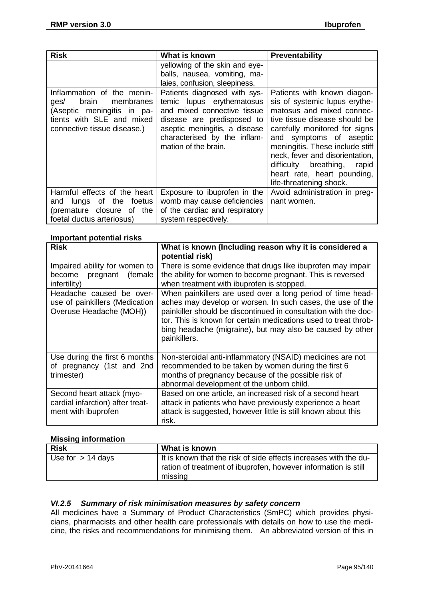| <b>Risk</b>                                                                                                                                        | What is known                                                                                                                                                                                                   | <b>Preventability</b>                                                                                                                                                                                                                                                                                                                                    |
|----------------------------------------------------------------------------------------------------------------------------------------------------|-----------------------------------------------------------------------------------------------------------------------------------------------------------------------------------------------------------------|----------------------------------------------------------------------------------------------------------------------------------------------------------------------------------------------------------------------------------------------------------------------------------------------------------------------------------------------------------|
|                                                                                                                                                    | yellowing of the skin and eye-<br>balls, nausea, vomiting, ma-<br>laies, confusion, sleepiness.                                                                                                                 |                                                                                                                                                                                                                                                                                                                                                          |
| Inflammation of the menin-<br>brain<br>membranes<br>ges/<br>(Aseptic meningitis in pa-<br>tients with SLE and mixed<br>connective tissue disease.) | Patients diagnosed with sys-<br>temic lupus erythematosus<br>and mixed connective tissue<br>disease are predisposed to<br>aseptic meningitis, a disease<br>characterised by the inflam-<br>mation of the brain. | Patients with known diagon-<br>sis of systemic lupus erythe-<br>matosus and mixed connec-<br>tive tissue disease should be<br>carefully monitored for signs<br>and symptoms of aseptic<br>meningitis. These include stiff<br>neck, fever and disorientation,<br>difficulty breathing,<br>rapid<br>heart rate, heart pounding,<br>life-threatening shock. |
| Harmful effects of the heart<br>and lungs of the foetus<br>(premature closure of the<br>foetal ductus arteriosus)                                  | Exposure to ibuprofen in the<br>womb may cause deficiencies<br>of the cardiac and respiratory<br>system respectively.                                                                                           | Avoid administration in preg-<br>nant women.                                                                                                                                                                                                                                                                                                             |

## **Important potential risks**

| <b>Risk</b>                                                                           | What is known (Including reason why it is considered a<br>potential risk)                                                                                                                                                                                                                                                                   |
|---------------------------------------------------------------------------------------|---------------------------------------------------------------------------------------------------------------------------------------------------------------------------------------------------------------------------------------------------------------------------------------------------------------------------------------------|
| Impaired ability for women to<br>become<br>(female<br>pregnant<br>infertility)        | There is some evidence that drugs like ibuprofen may impair<br>the ability for women to become pregnant. This is reversed<br>when treatment with ibuprofen is stopped.                                                                                                                                                                      |
| Headache caused be over-<br>use of painkillers (Medication<br>Overuse Headache (MOH)) | When painkillers are used over a long period of time head-<br>aches may develop or worsen. In such cases, the use of the<br>painkiller should be discontinued in consultation with the doc-<br>tor. This is known for certain medications used to treat throb-<br>bing headache (migraine), but may also be caused by other<br>painkillers. |
| Use during the first 6 months<br>of pregnancy (1st and 2nd<br>trimester)              | Non-steroidal anti-inflammatory (NSAID) medicines are not<br>recommended to be taken by women during the first 6<br>months of pregnancy because of the possible risk of<br>abnormal development of the unborn child.                                                                                                                        |
| Second heart attack (myo-<br>cardial infarction) after treat-<br>ment with ibuprofen  | Based on one article, an increased risk of a second heart<br>attack in patients who have previously experience a heart<br>attack is suggested, however little is still known about this<br>risk.                                                                                                                                            |

## **Missing information**

| <b>Risk</b>         | What is known                                                                                                                                 |
|---------------------|-----------------------------------------------------------------------------------------------------------------------------------------------|
| Use for $> 14$ days | It is known that the risk of side effects increases with the du-<br>ration of treatment of ibuprofen, however information is still<br>missing |

## *VI.2.5 Summary of risk minimisation measures by safety concern*

All medicines have a Summary of Product Characteristics (SmPC) which provides physicians, pharmacists and other health care professionals with details on how to use the medicine, the risks and recommendations for minimising them. An abbreviated version of this in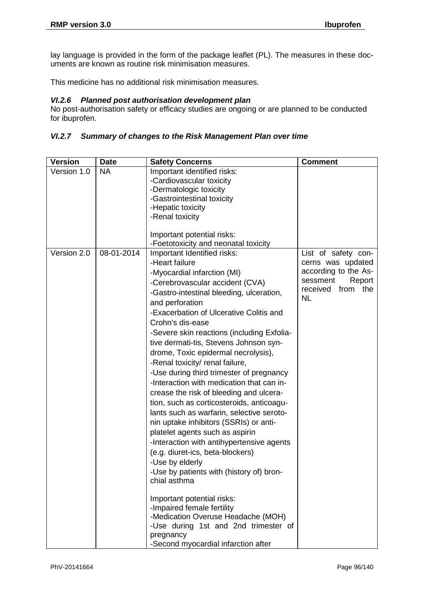lay language is provided in the form of the package leaflet (PL). The measures in these documents are known as routine risk minimisation measures.

This medicine has no additional risk minimisation measures.

## *VI.2.6 Planned post authorisation development plan*

No post-authorisation safety or efficacy studies are ongoing or are planned to be conducted for ibuprofen.

## *VI.2.7 Summary of changes to the Risk Management Plan over time*

| <b>Version</b> | <b>Date</b> | <b>Safety Concerns</b>                                   | <b>Comment</b>                            |
|----------------|-------------|----------------------------------------------------------|-------------------------------------------|
| Version 1.0    | <b>NA</b>   | Important identified risks:                              |                                           |
|                |             | -Cardiovascular toxicity                                 |                                           |
|                |             | -Dermatologic toxicity                                   |                                           |
|                |             | -Gastrointestinal toxicity                               |                                           |
|                |             | -Hepatic toxicity                                        |                                           |
|                |             | -Renal toxicity                                          |                                           |
|                |             |                                                          |                                           |
|                |             | Important potential risks:                               |                                           |
| Version 2.0    | 08-01-2014  | -Foetotoxicity and neonatal toxicity                     |                                           |
|                |             | Important Identified risks:<br>-Heart failure            | List of safety con-                       |
|                |             |                                                          | cerns was updated<br>according to the As- |
|                |             | -Myocardial infarction (MI)                              | sessment<br>Report                        |
|                |             | -Cerebrovascular accident (CVA)                          | received from<br>the                      |
|                |             | -Gastro-intestinal bleeding, ulceration,                 | <b>NL</b>                                 |
|                |             | and perforation                                          |                                           |
|                |             | -Exacerbation of Ulcerative Colitis and                  |                                           |
|                |             | Crohn's dis-ease                                         |                                           |
|                |             | -Severe skin reactions (including Exfolia-               |                                           |
|                |             | tive dermati-tis, Stevens Johnson syn-                   |                                           |
|                |             | drome, Toxic epidermal necrolysis),                      |                                           |
|                |             | -Renal toxicity/ renal failure,                          |                                           |
|                |             | -Use during third trimester of pregnancy                 |                                           |
|                |             | -Interaction with medication that can in-                |                                           |
|                |             | crease the risk of bleeding and ulcera-                  |                                           |
|                |             | tion, such as corticosteroids, anticoagu-                |                                           |
|                |             | lants such as warfarin, selective seroto-                |                                           |
|                |             | nin uptake inhibitors (SSRIs) or anti-                   |                                           |
|                |             | platelet agents such as aspirin                          |                                           |
|                |             | -Interaction with antihypertensive agents                |                                           |
|                |             |                                                          |                                           |
|                |             | (e.g. diuret-ics, beta-blockers)                         |                                           |
|                |             | -Use by elderly                                          |                                           |
|                |             | -Use by patients with (history of) bron-<br>chial asthma |                                           |
|                |             |                                                          |                                           |
|                |             | Important potential risks:                               |                                           |
|                |             | -Impaired female fertility                               |                                           |
|                |             | -Medication Overuse Headache (MOH)                       |                                           |
|                |             | -Use during 1st and 2nd trimester of                     |                                           |
|                |             | pregnancy                                                |                                           |
|                |             | -Second myocardial infarction after                      |                                           |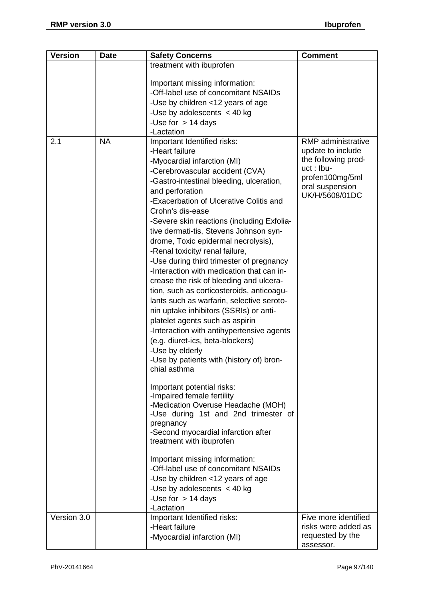| <b>Version</b> | <b>Date</b> | <b>Safety Concerns</b>                                                                                                                                                                                                                                                                                                                                                                                                                                                                                                                                                                                                                                                                                                                                                                                                                                                                                                                                 | <b>Comment</b>                                                                                                                       |
|----------------|-------------|--------------------------------------------------------------------------------------------------------------------------------------------------------------------------------------------------------------------------------------------------------------------------------------------------------------------------------------------------------------------------------------------------------------------------------------------------------------------------------------------------------------------------------------------------------------------------------------------------------------------------------------------------------------------------------------------------------------------------------------------------------------------------------------------------------------------------------------------------------------------------------------------------------------------------------------------------------|--------------------------------------------------------------------------------------------------------------------------------------|
|                |             | treatment with ibuprofen                                                                                                                                                                                                                                                                                                                                                                                                                                                                                                                                                                                                                                                                                                                                                                                                                                                                                                                               |                                                                                                                                      |
|                |             |                                                                                                                                                                                                                                                                                                                                                                                                                                                                                                                                                                                                                                                                                                                                                                                                                                                                                                                                                        |                                                                                                                                      |
|                |             | Important missing information:                                                                                                                                                                                                                                                                                                                                                                                                                                                                                                                                                                                                                                                                                                                                                                                                                                                                                                                         |                                                                                                                                      |
|                |             | -Off-label use of concomitant NSAIDs                                                                                                                                                                                                                                                                                                                                                                                                                                                                                                                                                                                                                                                                                                                                                                                                                                                                                                                   |                                                                                                                                      |
|                |             | -Use by children <12 years of age                                                                                                                                                                                                                                                                                                                                                                                                                                                                                                                                                                                                                                                                                                                                                                                                                                                                                                                      |                                                                                                                                      |
|                |             | -Use by adolescents $<$ 40 kg                                                                                                                                                                                                                                                                                                                                                                                                                                                                                                                                                                                                                                                                                                                                                                                                                                                                                                                          |                                                                                                                                      |
|                |             | -Use for $> 14$ days                                                                                                                                                                                                                                                                                                                                                                                                                                                                                                                                                                                                                                                                                                                                                                                                                                                                                                                                   |                                                                                                                                      |
|                |             | -Lactation                                                                                                                                                                                                                                                                                                                                                                                                                                                                                                                                                                                                                                                                                                                                                                                                                                                                                                                                             |                                                                                                                                      |
| 2.1            | <b>NA</b>   | Important Identified risks:<br>-Heart failure<br>-Myocardial infarction (MI)<br>-Cerebrovascular accident (CVA)<br>-Gastro-intestinal bleeding, ulceration,<br>and perforation<br>-Exacerbation of Ulcerative Colitis and<br>Crohn's dis-ease<br>-Severe skin reactions (including Exfolia-<br>tive dermati-tis, Stevens Johnson syn-<br>drome, Toxic epidermal necrolysis),<br>-Renal toxicity/ renal failure,<br>-Use during third trimester of pregnancy<br>-Interaction with medication that can in-<br>crease the risk of bleeding and ulcera-<br>tion, such as corticosteroids, anticoagu-<br>lants such as warfarin, selective seroto-<br>nin uptake inhibitors (SSRIs) or anti-<br>platelet agents such as aspirin<br>-Interaction with antihypertensive agents<br>(e.g. diuret-ics, beta-blockers)<br>-Use by elderly<br>-Use by patients with (history of) bron-<br>chial asthma<br>Important potential risks:<br>-Impaired female fertility | RMP administrative<br>update to include<br>the following prod-<br>uct : Ibu-<br>profen100mg/5ml<br>oral suspension<br>UK/H/5608/01DC |
|                |             | -Medication Overuse Headache (MOH)<br>-Use during 1st and 2nd trimester of<br>pregnancy<br>-Second myocardial infarction after<br>treatment with ibuprofen                                                                                                                                                                                                                                                                                                                                                                                                                                                                                                                                                                                                                                                                                                                                                                                             |                                                                                                                                      |
|                |             | Important missing information:                                                                                                                                                                                                                                                                                                                                                                                                                                                                                                                                                                                                                                                                                                                                                                                                                                                                                                                         |                                                                                                                                      |
|                |             | -Off-label use of concomitant NSAIDs                                                                                                                                                                                                                                                                                                                                                                                                                                                                                                                                                                                                                                                                                                                                                                                                                                                                                                                   |                                                                                                                                      |
|                |             | -Use by children <12 years of age                                                                                                                                                                                                                                                                                                                                                                                                                                                                                                                                                                                                                                                                                                                                                                                                                                                                                                                      |                                                                                                                                      |
|                |             | -Use by adolescents $<$ 40 kg                                                                                                                                                                                                                                                                                                                                                                                                                                                                                                                                                                                                                                                                                                                                                                                                                                                                                                                          |                                                                                                                                      |
|                |             | -Use for $> 14$ days<br>-Lactation                                                                                                                                                                                                                                                                                                                                                                                                                                                                                                                                                                                                                                                                                                                                                                                                                                                                                                                     |                                                                                                                                      |
| Version 3.0    |             | Important Identified risks:                                                                                                                                                                                                                                                                                                                                                                                                                                                                                                                                                                                                                                                                                                                                                                                                                                                                                                                            | Five more identified                                                                                                                 |
|                |             | -Heart failure                                                                                                                                                                                                                                                                                                                                                                                                                                                                                                                                                                                                                                                                                                                                                                                                                                                                                                                                         | risks were added as                                                                                                                  |
|                |             | -Myocardial infarction (MI)                                                                                                                                                                                                                                                                                                                                                                                                                                                                                                                                                                                                                                                                                                                                                                                                                                                                                                                            | requested by the                                                                                                                     |
|                |             |                                                                                                                                                                                                                                                                                                                                                                                                                                                                                                                                                                                                                                                                                                                                                                                                                                                                                                                                                        | assessor.                                                                                                                            |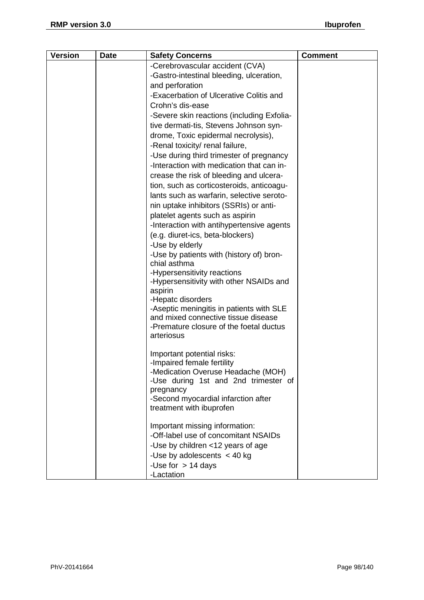| <b>Version</b> | <b>Date</b> | <b>Safety Concerns</b>                                   | <b>Comment</b> |
|----------------|-------------|----------------------------------------------------------|----------------|
|                |             | -Cerebrovascular accident (CVA)                          |                |
|                |             | -Gastro-intestinal bleeding, ulceration,                 |                |
|                |             | and perforation                                          |                |
|                |             | -Exacerbation of Ulcerative Colitis and                  |                |
|                |             | Crohn's dis-ease                                         |                |
|                |             | -Severe skin reactions (including Exfolia-               |                |
|                |             | tive dermati-tis, Stevens Johnson syn-                   |                |
|                |             | drome, Toxic epidermal necrolysis),                      |                |
|                |             | -Renal toxicity/ renal failure,                          |                |
|                |             | -Use during third trimester of pregnancy                 |                |
|                |             | -Interaction with medication that can in-                |                |
|                |             | crease the risk of bleeding and ulcera-                  |                |
|                |             | tion, such as corticosteroids, anticoagu-                |                |
|                |             | lants such as warfarin, selective seroto-                |                |
|                |             | nin uptake inhibitors (SSRIs) or anti-                   |                |
|                |             | platelet agents such as aspirin                          |                |
|                |             | -Interaction with antihypertensive agents                |                |
|                |             | (e.g. diuret-ics, beta-blockers)                         |                |
|                |             | -Use by elderly                                          |                |
|                |             | -Use by patients with (history of) bron-<br>chial asthma |                |
|                |             | -Hypersensitivity reactions                              |                |
|                |             | -Hypersensitivity with other NSAIDs and                  |                |
|                |             | aspirin                                                  |                |
|                |             | -Hepatc disorders                                        |                |
|                |             | -Aseptic meningitis in patients with SLE                 |                |
|                |             | and mixed connective tissue disease                      |                |
|                |             | -Premature closure of the foetal ductus                  |                |
|                |             | arteriosus                                               |                |
|                |             | Important potential risks:                               |                |
|                |             | -Impaired female fertility                               |                |
|                |             | -Medication Overuse Headache (MOH)                       |                |
|                |             | -Use during 1st and 2nd trimester of                     |                |
|                |             | pregnancy                                                |                |
|                |             | -Second myocardial infarction after                      |                |
|                |             | treatment with ibuprofen                                 |                |
|                |             | Important missing information:                           |                |
|                |             | -Off-label use of concomitant NSAIDs                     |                |
|                |             | -Use by children <12 years of age                        |                |
|                |             | -Use by adolescents $<$ 40 kg                            |                |
|                |             | -Use for $> 14$ days                                     |                |
|                |             | -Lactation                                               |                |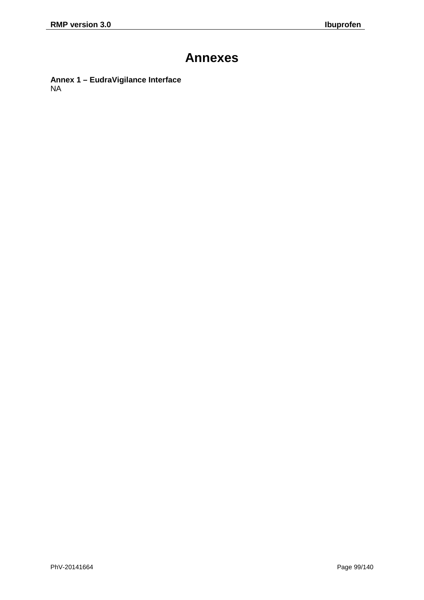# **Annexes**

**Annex 1 – EudraVigilance Interface** NA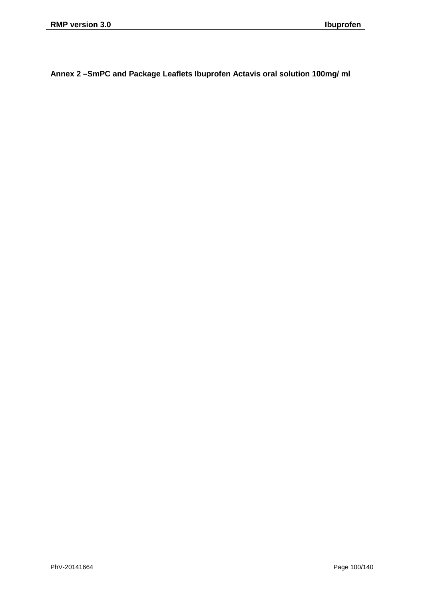**Annex 2 –SmPC and Package Leaflets Ibuprofen Actavis oral solution 100mg/ ml**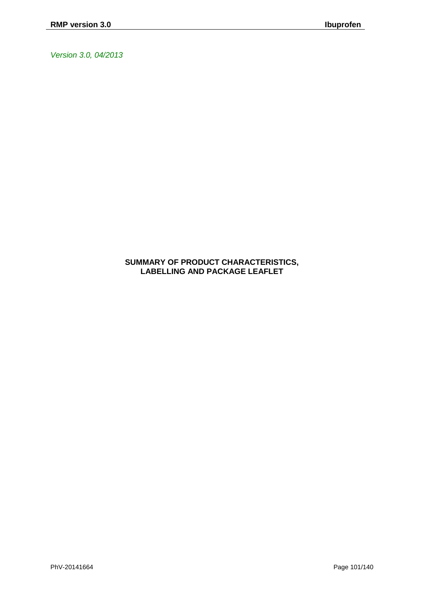## **SUMMARY OF PRODUCT CHARACTERISTICS, LABELLING AND PACKAGE LEAFLET**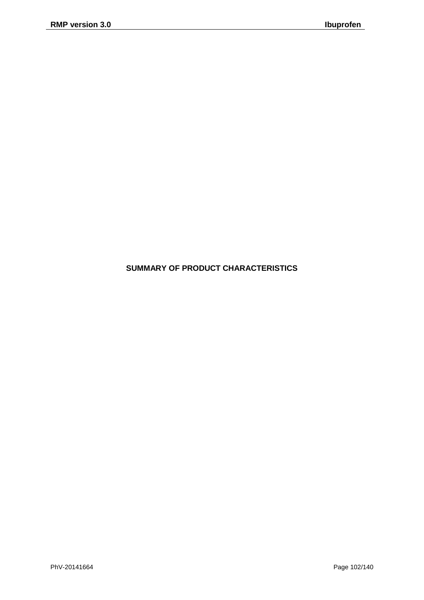## **SUMMARY OF PRODUCT CHARACTERISTICS**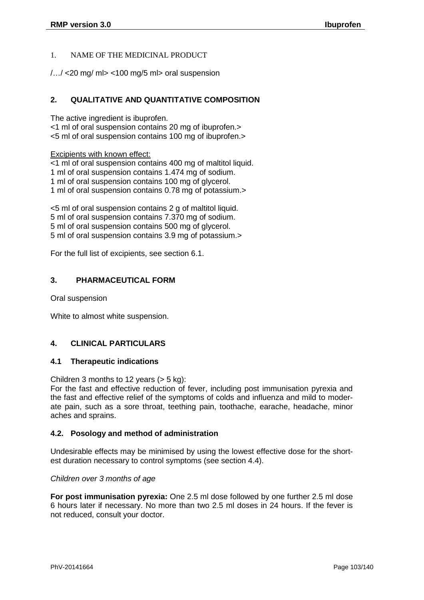## 1. NAME OF THE MEDICINAL PRODUCT

/…/ <20 mg/ ml> <100 mg/5 ml> oral suspension

## **2. QUALITATIVE AND QUANTITATIVE COMPOSITION**

The active ingredient is ibuprofen.

<1 ml of oral suspension contains 20 mg of ibuprofen.> <5 ml of oral suspension contains 100 mg of ibuprofen.>

Excipients with known effect:

<1 ml of oral suspension contains 400 mg of maltitol liquid. 1 ml of oral suspension contains 1.474 mg of sodium. 1 ml of oral suspension contains 100 mg of glycerol. 1 ml of oral suspension contains 0.78 mg of potassium.>

<5 ml of oral suspension contains 2 g of maltitol liquid. 5 ml of oral suspension contains 7.370 mg of sodium. 5 ml of oral suspension contains 500 mg of glycerol. 5 ml of oral suspension contains 3.9 mg of potassium.>

For the full list of excipients, see section 6.1.

## **3. PHARMACEUTICAL FORM**

Oral suspension

White to almost white suspension.

## **4. CLINICAL PARTICULARS**

## **4.1 Therapeutic indications**

Children 3 months to 12 years (> 5 kg):

For the fast and effective reduction of fever, including post immunisation pyrexia and the fast and effective relief of the symptoms of colds and influenza and mild to moderate pain, such as a sore throat, teething pain, toothache, earache, headache, minor aches and sprains.

## **4.2. Posology and method of administration**

Undesirable effects may be minimised by using the lowest effective dose for the shortest duration necessary to control symptoms (see section 4.4).

*Children over 3 months of age*

**For post immunisation pyrexia:** One 2.5 ml dose followed by one further 2.5 ml dose 6 hours later if necessary. No more than two 2.5 ml doses in 24 hours. If the fever is not reduced, consult your doctor.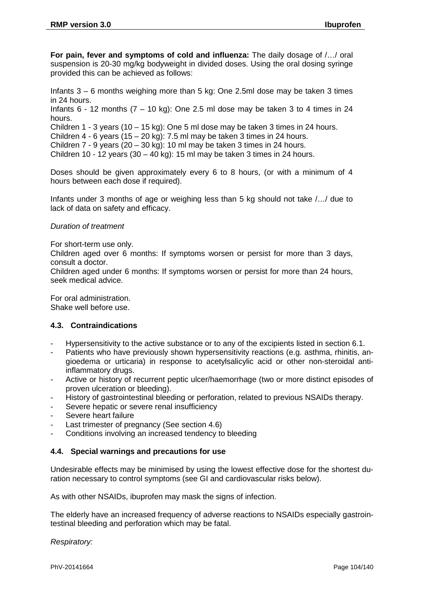**For pain, fever and symptoms of cold and influenza:** The daily dosage of /…/ oral suspension is 20-30 mg/kg bodyweight in divided doses. Using the oral dosing syringe provided this can be achieved as follows:

Infants 3 – 6 months weighing more than 5 kg: One 2.5ml dose may be taken 3 times in 24 hours.

Infants  $6 - 12$  months  $(7 - 10 \text{ kg})$ : One 2.5 ml dose may be taken 3 to 4 times in 24 hours.

Children 1 - 3 years (10 – 15 kg): One 5 ml dose may be taken 3 times in 24 hours.

Children  $4 - 6$  years  $(15 - 20$  kg): 7.5 ml may be taken 3 times in 24 hours.

Children  $7 - 9$  years  $(20 - 30 \text{ kg})$ : 10 ml may be taken 3 times in 24 hours.

Children 10 - 12 years  $(30 - 40 \text{ kg})$ : 15 ml may be taken 3 times in 24 hours.

Doses should be given approximately every 6 to 8 hours, (or with a minimum of 4 hours between each dose if required).

Infants under 3 months of age or weighing less than 5 kg should not take /…/ due to lack of data on safety and efficacy.

#### *Duration of treatment*

For short-term use only.

Children aged over 6 months: If symptoms worsen or persist for more than 3 days, consult a doctor.

Children aged under 6 months: If symptoms worsen or persist for more than 24 hours, seek medical advice.

For oral administration. Shake well before use.

## **4.3. Contraindications**

- Hypersensitivity to the active substance or to any of the excipients listed in section 6.1.
- Patients who have previously shown hypersensitivity reactions (e.g. asthma, rhinitis, angioedema or urticaria) in response to acetylsalicylic acid or other non-steroidal antiinflammatory drugs.
- Active or history of recurrent peptic ulcer/haemorrhage (two or more distinct episodes of proven ulceration or bleeding).
- History of gastrointestinal bleeding or perforation, related to previous NSAIDs therapy.
- Severe hepatic or severe renal insufficiency
- Severe heart failure
- Last trimester of pregnancy (See section 4.6)
- Conditions involving an increased tendency to bleeding

## **4.4. Special warnings and precautions for use**

Undesirable effects may be minimised by using the lowest effective dose for the shortest duration necessary to control symptoms (see GI and cardiovascular risks below).

As with other NSAIDs, ibuprofen may mask the signs of infection.

The elderly have an increased frequency of adverse reactions to NSAIDs especially gastrointestinal bleeding and perforation which may be fatal.

*Respiratory:*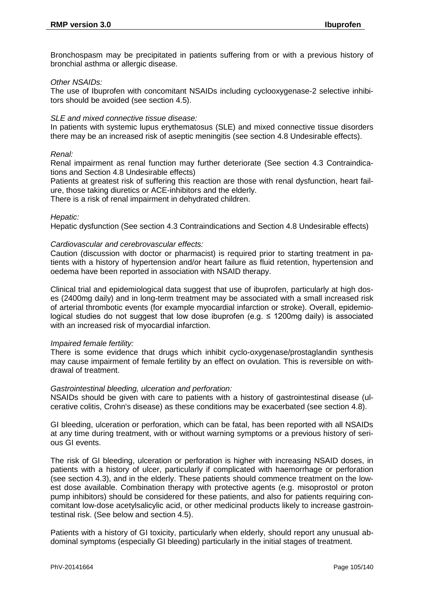Bronchospasm may be precipitated in patients suffering from or with a previous history of bronchial asthma or allergic disease.

#### *Other NSAIDs:*

The use of Ibuprofen with concomitant NSAIDs including cyclooxygenase-2 selective inhibitors should be avoided (see section 4.5).

#### *SLE and mixed connective tissue disease:*

In patients with systemic lupus erythematosus (SLE) and mixed connective tissue disorders there may be an increased risk of aseptic meningitis (see section 4.8 Undesirable effects).

#### *Renal:*

Renal impairment as renal function may further deteriorate (See section 4.3 Contraindications and Section 4.8 Undesirable effects)

Patients at greatest risk of suffering this reaction are those with renal dysfunction, heart failure, those taking diuretics or ACE-inhibitors and the elderly.

There is a risk of renal impairment in dehydrated children.

#### *Hepatic:*

Hepatic dysfunction (See section 4.3 Contraindications and Section 4.8 Undesirable effects)

#### *Cardiovascular and cerebrovascular effects:*

Caution (discussion with doctor or pharmacist) is required prior to starting treatment in patients with a history of hypertension and/or heart failure as fluid retention, hypertension and oedema have been reported in association with NSAID therapy.

Clinical trial and epidemiological data suggest that use of ibuprofen, particularly at high doses (2400mg daily) and in long-term treatment may be associated with a small increased risk of arterial thrombotic events (for example myocardial infarction or stroke). Overall, epidemiological studies do not suggest that low dose ibuprofen (e.g.  $\leq$  1200mg daily) is associated with an increased risk of myocardial infarction.

#### *Impaired female fertility:*

There is some evidence that drugs which inhibit cyclo-oxygenase/prostaglandin synthesis may cause impairment of female fertility by an effect on ovulation. This is reversible on withdrawal of treatment.

## *Gastrointestinal bleeding, ulceration and perforation:*

NSAIDs should be given with care to patients with a history of gastrointestinal disease (ulcerative colitis, Crohn's disease) as these conditions may be exacerbated (see section 4.8).

GI bleeding, ulceration or perforation, which can be fatal, has been reported with all NSAIDs at any time during treatment, with or without warning symptoms or a previous history of serious GI events.

The risk of GI bleeding, ulceration or perforation is higher with increasing NSAID doses, in patients with a history of ulcer, particularly if complicated with haemorrhage or perforation (see section 4.3), and in the elderly. These patients should commence treatment on the lowest dose available. Combination therapy with protective agents (e.g. misoprostol or proton pump inhibitors) should be considered for these patients, and also for patients requiring concomitant low-dose acetylsalicylic acid, or other medicinal products likely to increase gastrointestinal risk. (See below and section 4.5).

Patients with a history of GI toxicity, particularly when elderly, should report any unusual abdominal symptoms (especially GI bleeding) particularly in the initial stages of treatment.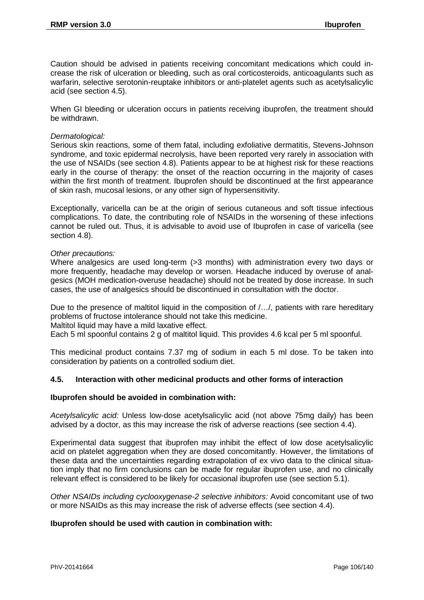Caution should be advised in patients receiving concomitant medications which could increase the risk of ulceration or bleeding, such as oral corticosteroids, anticoagulants such as warfarin, selective serotonin-reuptake inhibitors or anti-platelet agents such as acetylsalicylic acid (see section 4.5).

When GI bleeding or ulceration occurs in patients receiving ibuprofen, the treatment should be withdrawn.

## *Dermatological:*

Serious skin reactions, some of them fatal, including exfoliative dermatitis, Stevens-Johnson syndrome, and toxic epidermal necrolysis, have been reported very rarely in association with the use of NSAIDs (see section 4.8). Patients appear to be at highest risk for these reactions early in the course of therapy: the onset of the reaction occurring in the majority of cases within the first month of treatment. Ibuprofen should be discontinued at the first appearance of skin rash, mucosal lesions, or any other sign of hypersensitivity.

Exceptionally, varicella can be at the origin of serious cutaneous and soft tissue infectious complications. To date, the contributing role of NSAIDs in the worsening of these infections cannot be ruled out. Thus, it is advisable to avoid use of Ibuprofen in case of varicella (see section 4.8).

## *Other precautions:*

Where analgesics are used long-term (>3 months) with administration every two days or more frequently, headache may develop or worsen. Headache induced by overuse of analgesics (MOH medication-overuse headache) should not be treated by dose increase. In such cases, the use of analgesics should be discontinued in consultation with the doctor.

Due to the presence of maltitol liquid in the composition of  $/$ ... $/$ , patients with rare hereditary problems of fructose intolerance should not take this medicine.

Maltitol liquid may have a mild laxative effect.

Each 5 ml spoonful contains 2 g of maltitol liquid. This provides 4.6 kcal per 5 ml spoonful.

This medicinal product contains 7.37 mg of sodium in each 5 ml dose. To be taken into consideration by patients on a controlled sodium diet.

## **4.5. Interaction with other medicinal products and other forms of interaction**

## **Ibuprofen should be avoided in combination with:**

*Acetylsalicylic acid:* Unless low-dose acetylsalicylic acid (not above 75mg daily) has been advised by a doctor, as this may increase the risk of adverse reactions (see section 4.4).

Experimental data suggest that ibuprofen may inhibit the effect of low dose acetylsalicylic acid on platelet aggregation when they are dosed concomitantly. However, the limitations of these data and the uncertainties regarding extrapolation of ex vivo data to the clinical situation imply that no firm conclusions can be made for regular ibuprofen use, and no clinically relevant effect is considered to be likely for occasional ibuprofen use (see section 5.1).

*Other NSAIDs including cyclooxygenase-2 selective inhibitors:* Avoid concomitant use of two or more NSAIDs as this may increase the risk of adverse effects (see section 4.4).

## **Ibuprofen should be used with caution in combination with:**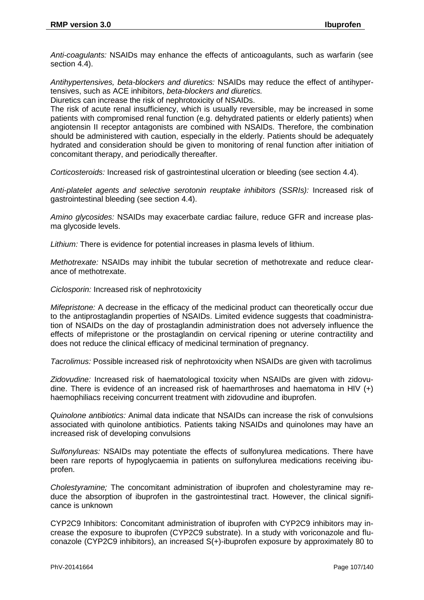*Anti-coagulants:* NSAIDs may enhance the effects of anticoagulants, such as warfarin (see section 4.4).

*Antihypertensives, beta-blockers and diuretics:* NSAIDs may reduce the effect of antihypertensives, such as ACE inhibitors, *beta-blockers and diuretics.*

Diuretics can increase the risk of nephrotoxicity of NSAIDs.

The risk of acute renal insufficiency, which is usually reversible, may be increased in some patients with compromised renal function (e.g. dehydrated patients or elderly patients) when angiotensin II receptor antagonists are combined with NSAIDs. Therefore, the combination should be administered with caution, especially in the elderly. Patients should be adequately hydrated and consideration should be given to monitoring of renal function after initiation of concomitant therapy, and periodically thereafter.

*Corticosteroids:* Increased risk of gastrointestinal ulceration or bleeding (see section 4.4).

*Anti-platelet agents and selective serotonin reuptake inhibitors (SSRIs):* Increased risk of gastrointestinal bleeding (see section 4.4).

*Amino glycosides:* NSAIDs may exacerbate cardiac failure, reduce GFR and increase plasma glycoside levels.

*Lithium:* There is evidence for potential increases in plasma levels of lithium.

*Methotrexate:* NSAIDs may inhibit the tubular secretion of methotrexate and reduce clearance of methotrexate.

*Ciclosporin:* Increased risk of nephrotoxicity

*Mifepristone:* A decrease in the efficacy of the medicinal product can theoretically occur due to the antiprostaglandin properties of NSAIDs. Limited evidence suggests that coadministration of NSAIDs on the day of prostaglandin administration does not adversely influence the effects of mifepristone or the prostaglandin on cervical ripening or uterine contractility and does not reduce the clinical efficacy of medicinal termination of pregnancy.

*Tacrolimus:* Possible increased risk of nephrotoxicity when NSAIDs are given with tacrolimus

*Zidovudine:* Increased risk of haematological toxicity when NSAIDs are given with zidovudine. There is evidence of an increased risk of haemarthroses and haematoma in HIV (+) haemophiliacs receiving concurrent treatment with zidovudine and ibuprofen.

*Quinolone antibiotics:* Animal data indicate that NSAIDs can increase the risk of convulsions associated with quinolone antibiotics. Patients taking NSAIDs and quinolones may have an increased risk of developing convulsions

*Sulfonylureas:* NSAIDs may potentiate the effects of sulfonylurea medications. There have been rare reports of hypoglycaemia in patients on sulfonylurea medications receiving ibuprofen.

*Cholestyramine;* The concomitant administration of ibuprofen and cholestyramine may reduce the absorption of ibuprofen in the gastrointestinal tract. However, the clinical significance is unknown

CYP2C9 Inhibitors: Concomitant administration of ibuprofen with CYP2C9 inhibitors may increase the exposure to ibuprofen (CYP2C9 substrate). In a study with voriconazole and fluconazole (CYP2C9 inhibitors), an increased S(+)-ibuprofen exposure by approximately 80 to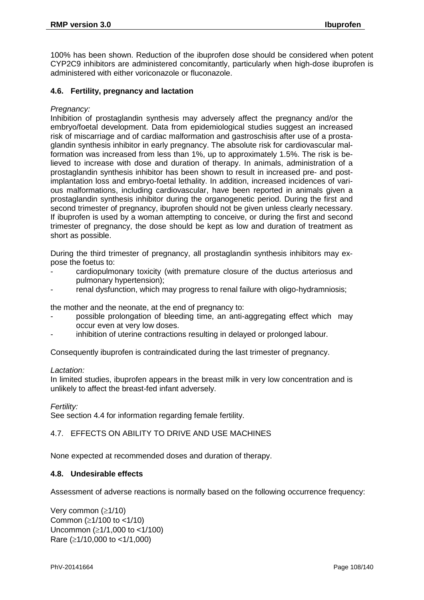100% has been shown. Reduction of the ibuprofen dose should be considered when potent CYP2C9 inhibitors are administered concomitantly, particularly when high-dose ibuprofen is administered with either voriconazole or fluconazole.

## **4.6. Fertility, pregnancy and lactation**

## *Pregnancy:*

Inhibition of prostaglandin synthesis may adversely affect the pregnancy and/or the embryo/foetal development. Data from epidemiological studies suggest an increased risk of miscarriage and of cardiac malformation and gastroschisis after use of a prostaglandin synthesis inhibitor in early pregnancy. The absolute risk for cardiovascular malformation was increased from less than 1%, up to approximately 1.5%. The risk is believed to increase with dose and duration of therapy. In animals, administration of a prostaglandin synthesis inhibitor has been shown to result in increased pre- and postimplantation loss and embryo-foetal lethality. In addition, increased incidences of various malformations, including cardiovascular, have been reported in animals given a prostaglandin synthesis inhibitor during the organogenetic period. During the first and second trimester of pregnancy, ibuprofen should not be given unless clearly necessary. If ibuprofen is used by a woman attempting to conceive, or during the first and second trimester of pregnancy, the dose should be kept as low and duration of treatment as short as possible.

During the third trimester of pregnancy, all prostaglandin synthesis inhibitors may expose the foetus to:

- cardiopulmonary toxicity (with premature closure of the ductus arteriosus and pulmonary hypertension);
- renal dysfunction, which may progress to renal failure with oligo-hydramniosis;

the mother and the neonate, at the end of pregnancy to:

- possible prolongation of bleeding time, an anti-aggregating effect which may occur even at very low doses.
- inhibition of uterine contractions resulting in delayed or prolonged labour.

Consequently ibuprofen is contraindicated during the last trimester of pregnancy.

#### *Lactation:*

In limited studies, ibuprofen appears in the breast milk in very low concentration and is unlikely to affect the breast-fed infant adversely.

## *Fertility:*

See section 4.4 for information regarding female fertility.

## 4.7. EFFECTS ON ABILITY TO DRIVE AND USE MACHINES

None expected at recommended doses and duration of therapy.

## **4.8. Undesirable effects**

Assessment of adverse reactions is normally based on the following occurrence frequency:

Very common (≥1/10) Common (≥1/100 to <1/10) Uncommon (≥1/1,000 to <1/100) Rare (≥1/10,000 to <1/1,000)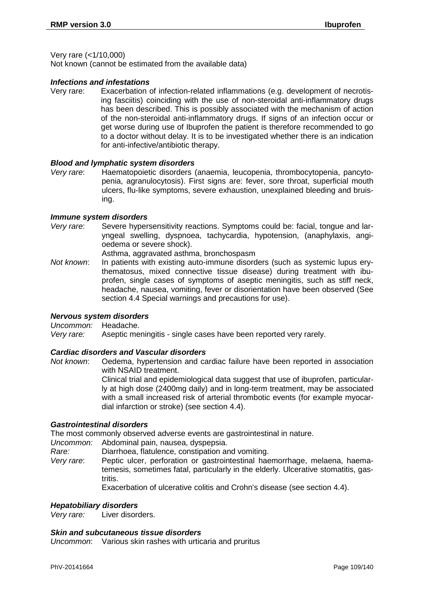#### Very rare (<1/10,000)

Not known (cannot be estimated from the available data)

#### *Infections and infestations*

Very rare: Exacerbation of infection-related inflammations (e.g. development of necrotising fasciitis) coinciding with the use of non-steroidal anti-inflammatory drugs has been described. This is possibly associated with the mechanism of action of the non-steroidal anti-inflammatory drugs. If signs of an infection occur or get worse during use of Ibuprofen the patient is therefore recommended to go to a doctor without delay. It is to be investigated whether there is an indication for anti-infective/antibiotic therapy.

## *Blood and lymphatic system disorders*

*Very rare*: Haematopoietic disorders (anaemia, leucopenia, thrombocytopenia, pancytopenia, agranulocytosis). First signs are: fever, sore throat, superficial mouth ulcers, flu-like symptoms, severe exhaustion, unexplained bleeding and bruising.

#### *Immune system disorders*

*Very rare*: Severe hypersensitivity reactions. Symptoms could be: facial, tongue and laryngeal swelling, dyspnoea, tachycardia, hypotension, (anaphylaxis, angioedema or severe shock).

Asthma, aggravated asthma, bronchospasm

*Not known*: In patients with existing auto-immune disorders (such as systemic lupus erythematosus, mixed connective tissue disease) during treatment with ibuprofen, single cases of symptoms of aseptic meningitis, such as stiff neck, headache, nausea, vomiting, fever or disorientation have been observed (See section 4.4 Special warnings and precautions for use).

#### *Nervous system disorders*

*Uncommon:* Headache.

*Very rare:* Aseptic meningitis - single cases have been reported very rarely.

## *Cardiac disorders and Vascular disorders*

*Not known*: Oedema, hypertension and cardiac failure have been reported in association with NSAID treatment. Clinical trial and epidemiological data suggest that use of ibuprofen, particularly at high dose (2400mg daily) and in long-term treatment, may be associated with a small increased risk of arterial thrombotic events (for example myocar-

#### *Gastrointestinal disorders*

The most commonly observed adverse events are gastrointestinal in nature.

dial infarction or stroke) (see section 4.4).

*Uncommon:* Abdominal pain, nausea, dyspepsia.

*Rare:* Diarrhoea, flatulence, constipation and vomiting.

*Very rare*: Peptic ulcer, perforation or gastrointestinal haemorrhage, melaena, haematemesis, sometimes fatal, particularly in the elderly. Ulcerative stomatitis, gastritis.

Exacerbation of ulcerative colitis and Crohn's disease (see section 4.4).

#### *Hepatobiliary disorders*

*Very rare:* Liver disorders.

#### *Skin and subcutaneous tissue disorders*

*Uncommon*: Various skin rashes with urticaria and pruritus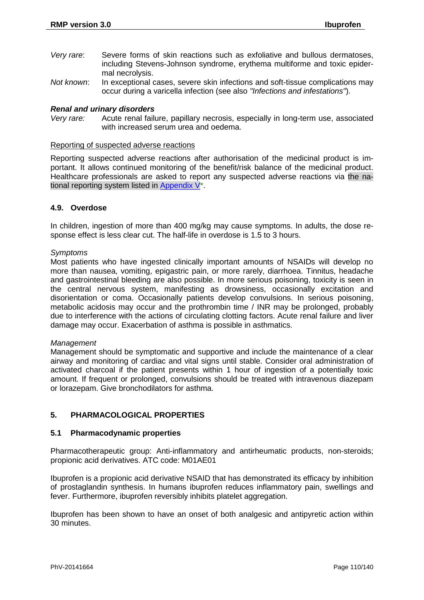- *Very rare*: Severe forms of skin reactions such as exfoliative and bullous dermatoses, including Stevens-Johnson syndrome, erythema multiforme and toxic epidermal necrolysis.
- *Not known*: In exceptional cases, severe skin infections and soft-tissue complications may occur during a varicella infection (see also *"Infections and infestations"*).

# *Renal and urinary disorders*

Acute renal failure, papillary necrosis, especially in long-term use, associated with increased serum urea and oedema.

#### Reporting of suspected adverse reactions

Reporting suspected adverse reactions after authorisation of the medicinal product is important. It allows continued monitoring of the benefit/risk balance of the medicinal product. Healthcare professionals are asked to report any suspected adverse reactions via the national reporting system listed in Appendix V\*.

#### **4.9. Overdose**

In children, ingestion of more than 400 mg/kg may cause symptoms. In adults, the dose response effect is less clear cut. The half-life in overdose is 1.5 to 3 hours.

#### *Symptoms*

Most patients who have ingested clinically important amounts of NSAIDs will develop no more than nausea, vomiting, epigastric pain, or more rarely, diarrhoea. Tinnitus, headache and gastrointestinal bleeding are also possible. In more serious poisoning, toxicity is seen in the central nervous system, manifesting as drowsiness, occasionally excitation and disorientation or coma. Occasionally patients develop convulsions. In serious poisoning, metabolic acidosis may occur and the prothrombin time / INR may be prolonged, probably due to interference with the actions of circulating clotting factors. Acute renal failure and liver damage may occur. Exacerbation of asthma is possible in asthmatics.

#### *Management*

Management should be symptomatic and supportive and include the maintenance of a clear airway and monitoring of cardiac and vital signs until stable. Consider oral administration of activated charcoal if the patient presents within 1 hour of ingestion of a potentially toxic amount. If frequent or prolonged, convulsions should be treated with intravenous diazepam or lorazepam. Give bronchodilators for asthma.

#### **5. PHARMACOLOGICAL PROPERTIES**

#### **5.1 Pharmacodynamic properties**

Pharmacotherapeutic group: Anti-inflammatory and antirheumatic products, non-steroids; propionic acid derivatives. ATC code: M01AE01

Ibuprofen is a propionic acid derivative NSAID that has demonstrated its efficacy by inhibition of prostaglandin synthesis. In humans ibuprofen reduces inflammatory pain, swellings and fever. Furthermore, ibuprofen reversibly inhibits platelet aggregation.

Ibuprofen has been shown to have an onset of both analgesic and antipyretic action within 30 minutes.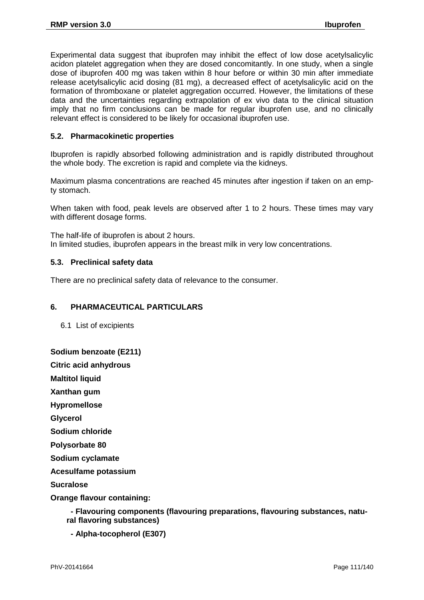Experimental data suggest that ibuprofen may inhibit the effect of low dose acetylsalicylic acidon platelet aggregation when they are dosed concomitantly. In one study, when a single dose of ibuprofen 400 mg was taken within 8 hour before or within 30 min after immediate release acetylsalicylic acid dosing (81 mg), a decreased effect of acetylsalicylic acid on the formation of thromboxane or platelet aggregation occurred. However, the limitations of these data and the uncertainties regarding extrapolation of ex vivo data to the clinical situation imply that no firm conclusions can be made for regular ibuprofen use, and no clinically relevant effect is considered to be likely for occasional ibuprofen use.

## **5.2. Pharmacokinetic properties**

Ibuprofen is rapidly absorbed following administration and is rapidly distributed throughout the whole body. The excretion is rapid and complete via the kidneys.

Maximum plasma concentrations are reached 45 minutes after ingestion if taken on an empty stomach.

When taken with food, peak levels are observed after 1 to 2 hours. These times may vary with different dosage forms.

The half-life of ibuprofen is about 2 hours. In limited studies, ibuprofen appears in the breast milk in very low concentrations.

#### **5.3. Preclinical safety data**

There are no preclinical safety data of relevance to the consumer.

#### **6. PHARMACEUTICAL PARTICULARS**

6.1 List of excipients

**Sodium benzoate (E211)**

**Citric acid anhydrous**

**Maltitol liquid**

**Xanthan gum**

**Hypromellose**

**Glycerol**

**Sodium chloride**

**Polysorbate 80**

**Sodium cyclamate**

**Acesulfame potassium**

**Sucralose**

**Orange flavour containing:**

**- Flavouring components (flavouring preparations, flavouring substances, natural flavoring substances)**

**- Alpha-tocopherol (E307)**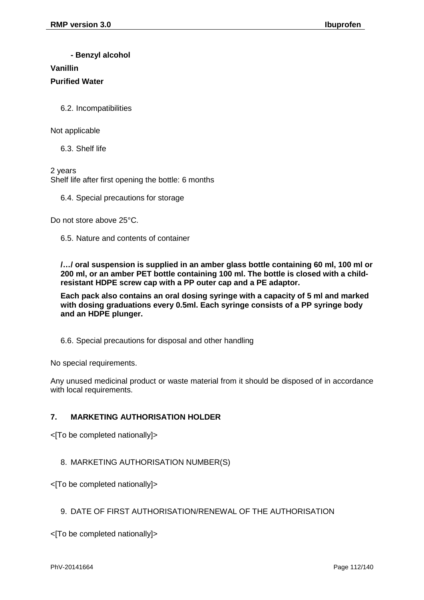## **- Benzyl alcohol**

#### **Vanillin**

## **Purified Water**

6.2. Incompatibilities

Not applicable

6.3. Shelf life

2 years Shelf life after first opening the bottle: 6 months

6.4. Special precautions for storage

Do not store above 25°C.

6.5. Nature and contents of container

**/…/ oral suspension is supplied in an amber glass bottle containing 60 ml, 100 ml or 200 ml, or an amber PET bottle containing 100 ml. The bottle is closed with a childresistant HDPE screw cap with a PP outer cap and a PE adaptor.**

**Each pack also contains an oral dosing syringe with a capacity of 5 ml and marked with dosing graduations every 0.5ml. Each syringe consists of a PP syringe body and an HDPE plunger.**

6.6. Special precautions for disposal and other handling

No special requirements.

Any unused medicinal product or waste material from it should be disposed of in accordance with local requirements.

## **7. MARKETING AUTHORISATION HOLDER**

<[To be completed nationally]>

## 8. MARKETING AUTHORISATION NUMBER(S)

<[To be completed nationally]>

## 9. DATE OF FIRST AUTHORISATION/RENEWAL OF THE AUTHORISATION

<[To be completed nationally]>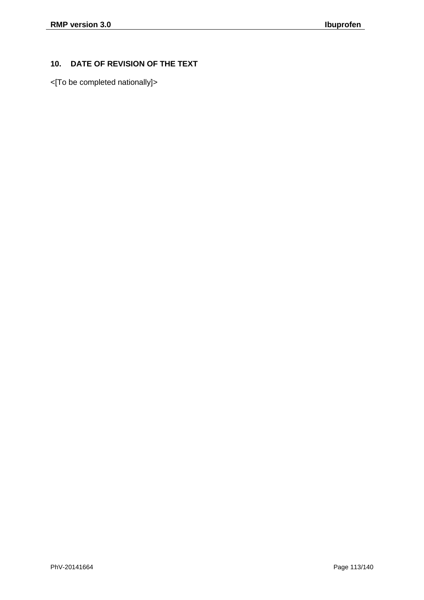## **10. DATE OF REVISION OF THE TEXT**

<[To be completed nationally]>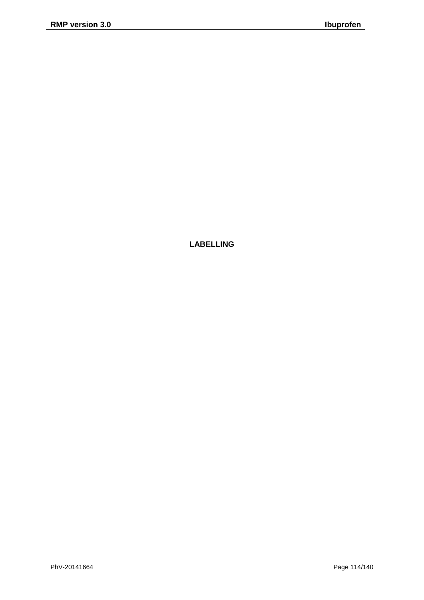**LABELLING**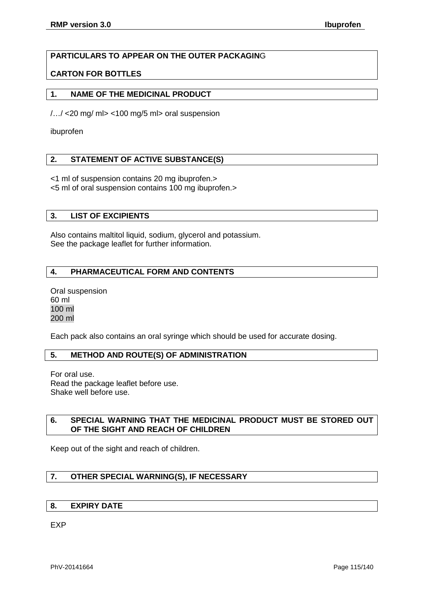## **PARTICULARS TO APPEAR ON THE OUTER PACKAGIN**G

## **CARTON FOR ΒΟTTLES**

## **1. NAME OF THE MEDICINAL PRODUCT**

/…/ <20 mg/ ml> <100 mg/5 ml> oral suspension

ibuprofen

## **2. STATEMENT OF ACTIVE SUBSTANCE(S)**

<1 ml of suspension contains 20 mg ibuprofen.> <5 ml of oral suspension contains 100 mg ibuprofen.>

## **3. LIST OF EXCIPIENTS**

Also contains maltitol liquid, sodium, glycerol and potassium. See the package leaflet for further information.

## **4. PHARMACEUTICAL FORM AND CONTENTS**

Oral suspension 60 ml 100 ml 200 ml

Each pack also contains an oral syringe which should be used for accurate dosing.

## **5. METHOD AND ROUTE(S) OF ADMINISTRATION**

For oral use. Read the package leaflet before use. Shake well before use.

## **6. SPECIAL WARNING THAT THE MEDICINAL PRODUCT MUST BE STORED OUT OF THE SIGHT AND REACH OF CHILDREN**

Keep out of the sight and reach of children.

## **7. OTHER SPECIAL WARNING(S), IF NECESSARY**

#### **8. EXPIRY DATE**

EXP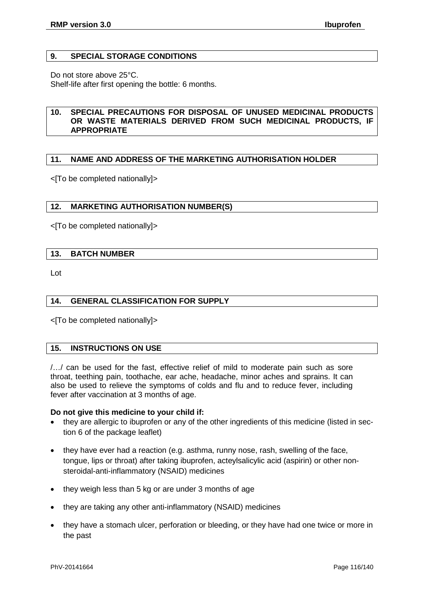#### **9. SPECIAL STORAGE CONDITIONS**

Do not store above 25°C.

Shelf-life after first opening the bottle: 6 months.

## **10. SPECIAL PRECAUTIONS FOR DISPOSAL OF UNUSED MEDICINAL PRODUCTS OR WASTE MATERIALS DERIVED FROM SUCH MEDICINAL PRODUCTS, IF APPROPRIATE**

## **11. NAME AND ADDRESS OF THE MARKETING AUTHORISATION HOLDER**

<[To be completed nationally]>

## **12. MARKETING AUTHORISATION NUMBER(S)**

<[To be completed nationally]>

## **13. BATCH NUMBER**

Lot

## **14. GENERAL CLASSIFICATION FOR SUPPLY**

<[To be completed nationally]>

## **15. INSTRUCTIONS ON USE**

/…/ can be used for the fast, effective relief of mild to moderate pain such as sore throat, teething pain, toothache, ear ache, headache, minor aches and sprains. It can also be used to relieve the symptoms of colds and flu and to reduce fever, including fever after vaccination at 3 months of age.

#### **Do not give this medicine to your child if:**

- they are allergic to ibuprofen or any of the other ingredients of this medicine (listed in section 6 of the package leaflet)
- they have ever had a reaction (e.g. asthma, runny nose, rash, swelling of the face, tongue, lips or throat) after taking ibuprofen, acteylsalicylic acid (aspirin) or other nonsteroidal-anti-inflammatory (NSAID) medicines
- they weigh less than 5 kg or are under 3 months of age
- they are taking any other anti-inflammatory (NSAID) medicines
- they have a stomach ulcer, perforation or bleeding, or they have had one twice or more in the past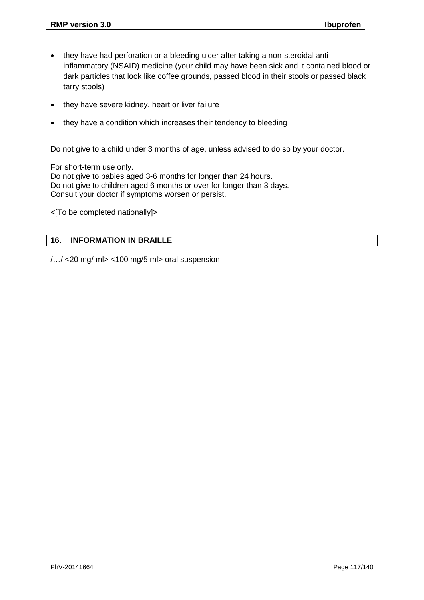- they have had perforation or a bleeding ulcer after taking a non-steroidal antiinflammatory (NSAID) medicine (your child may have been sick and it contained blood or dark particles that look like coffee grounds, passed blood in their stools or passed black tarry stools)
- they have severe kidney, heart or liver failure
- they have a condition which increases their tendency to bleeding

Do not give to a child under 3 months of age, unless advised to do so by your doctor.

For short-term use only. Do not give to babies aged 3-6 months for longer than 24 hours. Do not give to children aged 6 months or over for longer than 3 days. Consult your doctor if symptoms worsen or persist.

<[To be completed nationally]>

## **16. INFORMATION IN BRAILLE**

/…/ <20 mg/ ml> <100 mg/5 ml> oral suspension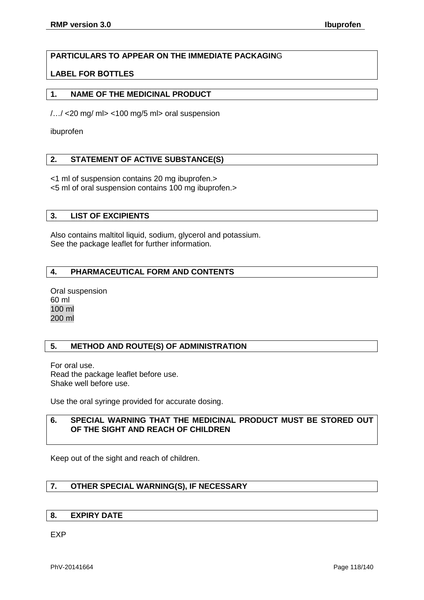## **PARTICULARS TO APPEAR ON THE IMMEDIATE PACKAGIN**G

## **LABEL FOR ΒΟTTLES**

## **1. NAME OF THE MEDICINAL PRODUCT**

/…/ <20 mg/ ml> <100 mg/5 ml> oral suspension

ibuprofen

## **2. STATEMENT OF ACTIVE SUBSTANCE(S)**

<1 ml of suspension contains 20 mg ibuprofen.> <5 ml of oral suspension contains 100 mg ibuprofen.>

## **3. LIST OF EXCIPIENTS**

Also contains maltitol liquid, sodium, glycerol and potassium. See the package leaflet for further information.

## **4. PHARMACEUTICAL FORM AND CONTENTS**

Oral suspension 60 ml 100 ml 200 ml

## **5. METHOD AND ROUTE(S) OF ADMINISTRATION**

For oral use. Read the package leaflet before use. Shake well before use.

Use the oral syringe provided for accurate dosing.

## **6. SPECIAL WARNING THAT THE MEDICINAL PRODUCT MUST BE STORED OUT OF THE SIGHT AND REACH OF CHILDREN**

Keep out of the sight and reach of children.

## **7. OTHER SPECIAL WARNING(S), IF NECESSARY**

## **8. EXPIRY DATE**

EXP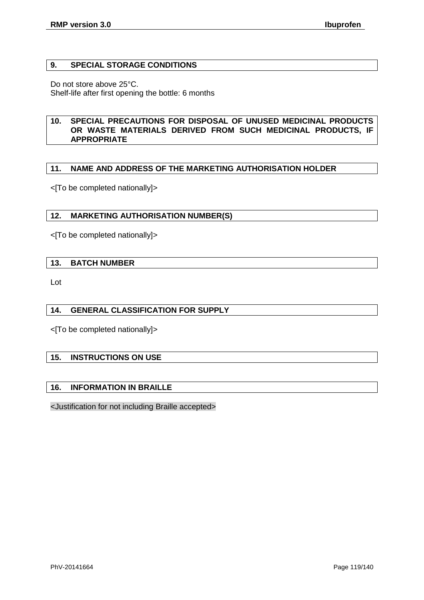## **9. SPECIAL STORAGE CONDITIONS**

Do not store above 25°C.

Shelf-life after first opening the bottle: 6 months

## **10. SPECIAL PRECAUTIONS FOR DISPOSAL OF UNUSED MEDICINAL PRODUCTS OR WASTE MATERIALS DERIVED FROM SUCH MEDICINAL PRODUCTS, IF APPROPRIATE**

## **11. NAME AND ADDRESS OF THE MARKETING AUTHORISATION HOLDER**

<[To be completed nationally]>

## **12. MARKETING AUTHORISATION NUMBER(S)**

<[To be completed nationally]>

## **13. BATCH NUMBER**

Lot

## **14. GENERAL CLASSIFICATION FOR SUPPLY**

<[To be completed nationally]>

## **15. INSTRUCTIONS ON USE**

## **16. INFORMATION IN BRAILLE**

<Justification for not including Braille accepted>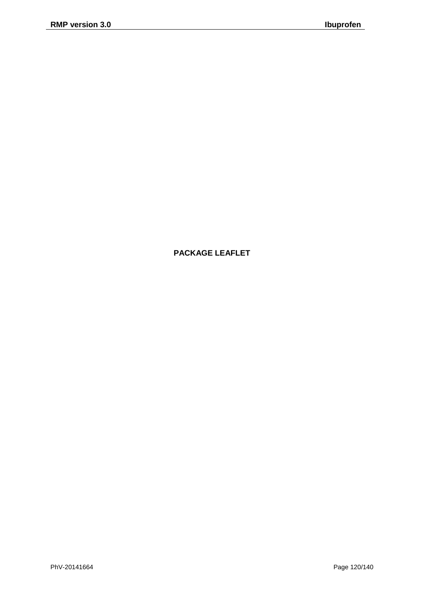## **PACKAGE LEAFLET**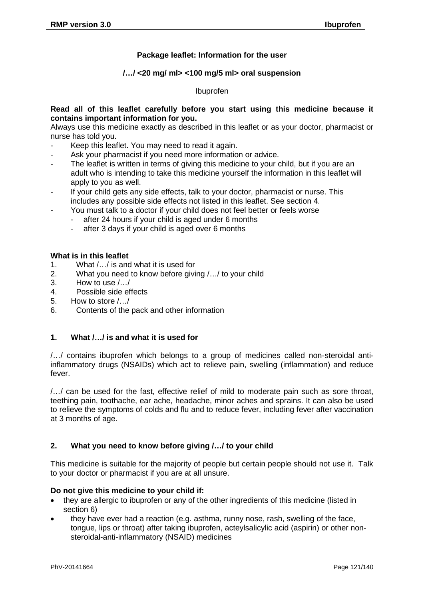## **Package leaflet: Information for the user**

## **/…/ <20 mg/ ml> <100 mg/5 ml> oral suspension**

#### Ibuprofen

## **Read all of this leaflet carefully before you start using this medicine because it contains important information for you.**

Always use this medicine exactly as described in this leaflet or as your doctor, pharmacist or nurse has told you.

- Keep this leaflet. You may need to read it again.
- Ask your pharmacist if you need more information or advice.
- The leaflet is written in terms of giving this medicine to your child, but if you are an adult who is intending to take this medicine yourself the information in this leaflet will apply to you as well.
- If your child gets any side effects, talk to your doctor, pharmacist or nurse. This includes any possible side effects not listed in this leaflet. See section 4.
- You must talk to a doctor if your child does not feel better or feels worse
	- after 24 hours if your child is aged under 6 months
		- after 3 days if your child is aged over 6 months

#### **What is in this leaflet**

- 1. What /…/ is and what it is used for
- 2. What you need to know before giving /…/ to your child
- 3. How to use  $/$ .../<br>4. Possible side ef-
- Possible side effects
- 5. How to store /…/
- 6. Contents of the pack and other information

#### **1. What /…/ is and what it is used for**

/…/ contains ibuprofen which belongs to a group of medicines called non-steroidal antiinflammatory drugs (NSAIDs) which act to relieve pain, swelling (inflammation) and reduce fever.

/…/ can be used for the fast, effective relief of mild to moderate pain such as sore throat, teething pain, toothache, ear ache, headache, minor aches and sprains. It can also be used to relieve the symptoms of colds and flu and to reduce fever, including fever after vaccination at 3 months of age.

#### **2. What you need to know before giving /…/ to your child**

This medicine is suitable for the majority of people but certain people should not use it. Talk to your doctor or pharmacist if you are at all unsure.

#### **Do not give this medicine to your child if:**

- they are allergic to ibuprofen or any of the other ingredients of this medicine (listed in section 6)
- they have ever had a reaction (e.g. asthma, runny nose, rash, swelling of the face, tongue, lips or throat) after taking ibuprofen, acteylsalicylic acid (aspirin) or other nonsteroidal-anti-inflammatory (NSAID) medicines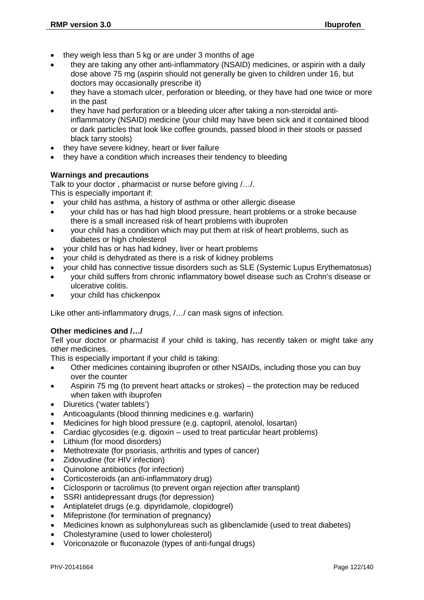- they weigh less than 5 kg or are under 3 months of age
- they are taking any other anti-inflammatory (NSAID) medicines, or aspirin with a daily dose above 75 mg (aspirin should not generally be given to children under 16, but doctors may occasionally prescribe it)
- they have a stomach ulcer, perforation or bleeding, or they have had one twice or more in the past
- they have had perforation or a bleeding ulcer after taking a non-steroidal antiinflammatory (NSAID) medicine (your child may have been sick and it contained blood or dark particles that look like coffee grounds, passed blood in their stools or passed black tarry stools)
- they have severe kidney, heart or liver failure
- they have a condition which increases their tendency to bleeding

## **Warnings and precautions**

Talk to your doctor , pharmacist or nurse before giving /…/. This is especially important if:

- your child has asthma, a history of asthma or other allergic disease
- your child has or has had high blood pressure, heart problems or a stroke because there is a small increased risk of heart problems with ibuprofen
- your child has a condition which may put them at risk of heart problems, such as diabetes or high cholesterol
- your child has or has had kidney, liver or heart problems
- your child is dehydrated as there is a risk of kidney problems
- your child has connective tissue disorders such as SLE (Systemic Lupus Erythematosus)
- your child suffers from chronic inflammatory bowel disease such as Crohn's disease or ulcerative colitis.
- your child has chickenpox

Like other anti-inflammatory drugs, /…/ can mask signs of infection.

#### **Other medicines and /…/**

Tell your doctor or pharmacist if your child is taking, has recently taken or might take any other medicines.

This is especially important if your child is taking:

- Other medicines containing ibuprofen or other NSAIDs, including those you can buy over the counter
- Aspirin 75 mg (to prevent heart attacks or strokes) the protection may be reduced when taken with ibuprofen
- Diuretics ('water tablets')
- Anticoagulants (blood thinning medicines e.g. warfarin)
- Medicines for high blood pressure (e.g. captopril, atenolol, losartan)
- Cardiac glycosides (e.g. digoxin used to treat particular heart problems)
- Lithium (for mood disorders)
- Methotrexate (for psoriasis, arthritis and types of cancer)
- Zidovudine (for HIV infection)
- Quinolone antibiotics (for infection)
- Corticosteroids (an anti-inflammatory drug)
- Ciclosporin or tacrolimus (to prevent organ rejection after transplant)
- SSRI antidepressant drugs (for depression)
- Antiplatelet drugs (e.g. dipyridamole, clopidogrel)
- Mifepristone (for termination of pregnancy)
- Medicines known as sulphonylureas such as glibenclamide (used to treat diabetes)
- Cholestyramine (used to lower cholesterol)
- Voriconazole or fluconazole (types of anti-fungal drugs)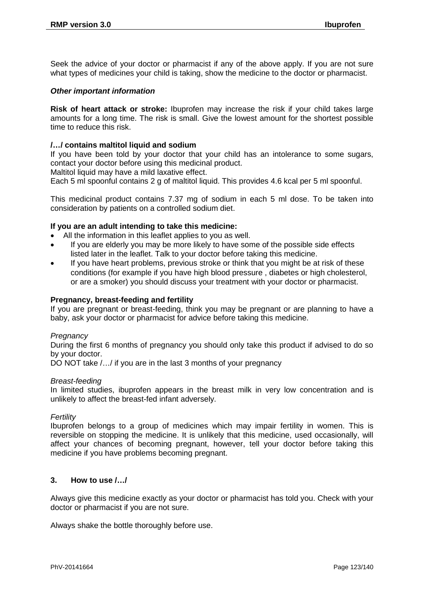Seek the advice of your doctor or pharmacist if any of the above apply. If you are not sure what types of medicines your child is taking, show the medicine to the doctor or pharmacist.

#### *Other important information*

**Risk of heart attack or stroke:** Ibuprofen may increase the risk if your child takes large amounts for a long time. The risk is small. Give the lowest amount for the shortest possible time to reduce this risk.

#### **/…/ contains maltitol liquid and sodium**

If you have been told by your doctor that your child has an intolerance to some sugars, contact your doctor before using this medicinal product.

Maltitol liquid may have a mild laxative effect.

Each 5 ml spoonful contains 2 g of maltitol liquid. This provides 4.6 kcal per 5 ml spoonful.

This medicinal product contains 7.37 mg of sodium in each 5 ml dose. To be taken into consideration by patients on a controlled sodium diet.

#### **If you are an adult intending to take this medicine:**

- All the information in this leaflet applies to you as well.
- If you are elderly you may be more likely to have some of the possible side effects listed later in the leaflet. Talk to your doctor before taking this medicine.
- If you have heart problems, previous stroke or think that you might be at risk of these conditions (for example if you have high blood pressure , diabetes or high cholesterol, or are a smoker) you should discuss your treatment with your doctor or pharmacist.

#### **Pregnancy, breast-feeding and fertility**

If you are pregnant or breast-feeding, think you may be pregnant or are planning to have a baby, ask your doctor or pharmacist for advice before taking this medicine.

#### *Pregnancy*

During the first 6 months of pregnancy you should only take this product if advised to do so by your doctor.

DO NOT take /…/ if you are in the last 3 months of your pregnancy

#### *Breast-feeding*

In limited studies, ibuprofen appears in the breast milk in very low concentration and is unlikely to affect the breast-fed infant adversely.

#### *Fertility*

Ibuprofen belongs to a group of medicines which may impair fertility in women. This is reversible on stopping the medicine. It is unlikely that this medicine, used occasionally, will affect your chances of becoming pregnant, however, tell your doctor before taking this medicine if you have problems becoming pregnant.

#### **3. How to use /…/**

Always give this medicine exactly as your doctor or pharmacist has told you. Check with your doctor or pharmacist if you are not sure.

Always shake the bottle thoroughly before use.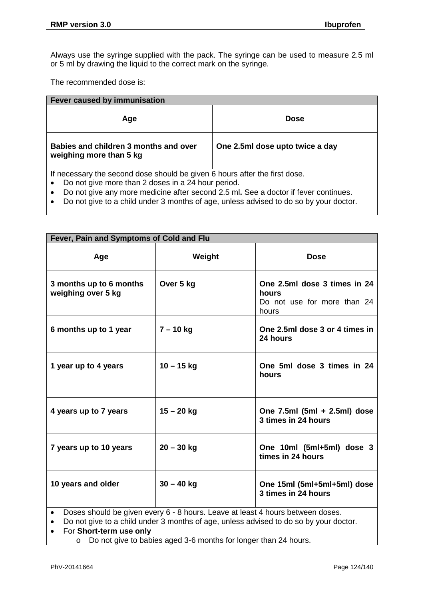Always use the syringe supplied with the pack. The syringe can be used to measure 2.5 ml or 5 ml by drawing the liquid to the correct mark on the syringe.

The recommended dose is:

| Fever caused by immunisation                                                                                                     |                                 |  |  |  |
|----------------------------------------------------------------------------------------------------------------------------------|---------------------------------|--|--|--|
| Age                                                                                                                              | <b>Dose</b>                     |  |  |  |
| Babies and children 3 months and over<br>weighing more than 5 kg                                                                 | One 2.5ml dose upto twice a day |  |  |  |
| If necessary the second dose should be given 6 hours after the first dose.<br>Do not give more than 2 doses in a 24 hour period. |                                 |  |  |  |

• Do not give any more medicine after second 2.5 ml**.** See a doctor if fever continues.

• Do not give to a child under 3 months of age, unless advised to do so by your doctor.

| Fever, Pain and Symptoms of Cold and Flu                                                    |              |                                                                               |  |  |  |  |  |
|---------------------------------------------------------------------------------------------|--------------|-------------------------------------------------------------------------------|--|--|--|--|--|
| Age                                                                                         | Weight       | <b>Dose</b>                                                                   |  |  |  |  |  |
| 3 months up to 6 months<br>weighing over 5 kg                                               | Over 5 kg    | One 2.5ml dose 3 times in 24<br>hours<br>Do not use for more than 24<br>hours |  |  |  |  |  |
| 6 months up to 1 year                                                                       | $7 - 10$ kg  | One 2.5ml dose 3 or 4 times in<br>24 hours                                    |  |  |  |  |  |
| 1 year up to 4 years                                                                        | $10 - 15$ kg | One 5ml dose 3 times in 24<br>hours                                           |  |  |  |  |  |
| 4 years up to 7 years                                                                       | $15 - 20$ kg | One 7.5ml (5ml + 2.5ml) dose<br>3 times in 24 hours                           |  |  |  |  |  |
| 7 years up to 10 years                                                                      | $20 - 30$ kg | One 10ml (5ml+5ml) dose 3<br>times in 24 hours                                |  |  |  |  |  |
| 10 years and older                                                                          | $30 - 40$ kg | One 15ml (5ml+5ml+5ml) dose<br>3 times in 24 hours                            |  |  |  |  |  |
| Doses should be given every 6 - 8 hours. Leave at least 4 hours between doses.<br>$\bullet$ |              |                                                                               |  |  |  |  |  |

• Do not give to a child under 3 months of age, unless advised to do so by your doctor.

• For **Short-term use only**

o Do not give to babies aged 3-6 months for longer than 24 hours.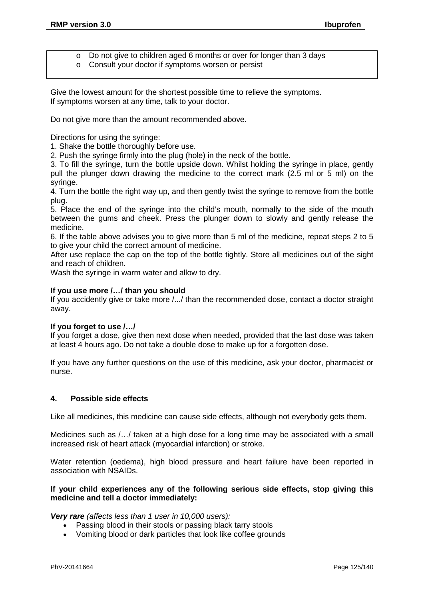- o Do not give to children aged 6 months or over for longer than 3 days
- o Consult your doctor if symptoms worsen or persist

Give the lowest amount for the shortest possible time to relieve the symptoms. If symptoms worsen at any time, talk to your doctor.

Do not give more than the amount recommended above.

Directions for using the syringe:

1. Shake the bottle thoroughly before use.

2. Push the syringe firmly into the plug (hole) in the neck of the bottle.

3. To fill the syringe, turn the bottle upside down. Whilst holding the syringe in place, gently pull the plunger down drawing the medicine to the correct mark (2.5 ml or 5 ml) on the syringe.

4. Turn the bottle the right way up, and then gently twist the syringe to remove from the bottle plug.

5. Place the end of the syringe into the child's mouth, normally to the side of the mouth between the gums and cheek. Press the plunger down to slowly and gently release the medicine.

6. If the table above advises you to give more than 5 ml of the medicine, repeat steps 2 to 5 to give your child the correct amount of medicine.

After use replace the cap on the top of the bottle tightly. Store all medicines out of the sight and reach of children.

Wash the syringe in warm water and allow to dry.

#### **If you use more /…/ than you should**

If you accidently give or take more /.../ than the recommended dose, contact a doctor straight away.

#### **If you forget to use /…/**

If you forget a dose, give then next dose when needed, provided that the last dose was taken at least 4 hours ago. Do not take a double dose to make up for a forgotten dose.

If you have any further questions on the use of this medicine, ask your doctor, pharmacist or nurse.

#### **4. Possible side effects**

Like all medicines, this medicine can cause side effects, although not everybody gets them.

Medicines such as /…/ taken at a high dose for a long time may be associated with a small increased risk of heart attack (myocardial infarction) or stroke.

Water retention (oedema), high blood pressure and heart failure have been reported in association with NSAIDs.

#### **If your child experiences any of the following serious side effects, stop giving this medicine and tell a doctor immediately:**

*Very rare (affects less than 1 user in 10,000 users):*

- Passing blood in their stools or passing black tarry stools
- Vomiting blood or dark particles that look like coffee grounds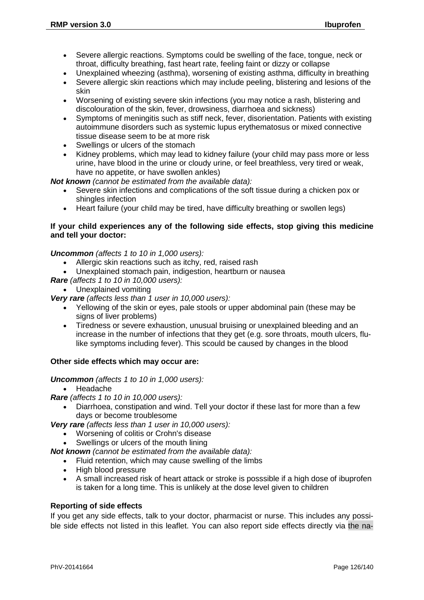- Severe allergic reactions. Symptoms could be swelling of the face, tongue, neck or throat, difficulty breathing, fast heart rate, feeling faint or dizzy or collapse
- Unexplained wheezing (asthma), worsening of existing asthma, difficulty in breathing
- Severe allergic skin reactions which may include peeling, blistering and lesions of the skin
- Worsening of existing severe skin infections (you may notice a rash, blistering and discolouration of the skin, fever, drowsiness, diarrhoea and sickness)
- Symptoms of meningitis such as stiff neck, fever, disorientation. Patients with existing autoimmune disorders such as systemic lupus erythematosus or mixed connective tissue disease seem to be at more risk
- Swellings or ulcers of the stomach
- Kidney problems, which may lead to kidney failure (your child may pass more or less urine, have blood in the urine or cloudy urine, or feel breathless, very tired or weak, have no appetite, or have swollen ankles)

*Not known (cannot be estimated from the available data):*

- Severe skin infections and complications of the soft tissue during a chicken pox or shingles infection
- Heart failure (your child may be tired, have difficulty breathing or swollen legs)

## **If your child experiences any of the following side effects, stop giving this medicine and tell your doctor:**

#### *Uncommon (affects 1 to 10 in 1,000 users):*

- Allergic skin reactions such as itchy, red, raised rash
- Unexplained stomach pain, indigestion, heartburn or nausea
- *Rare (affects 1 to 10 in 10,000 users):*
	- Unexplained vomiting

*Very rare (affects less than 1 user in 10,000 users):*

- Yellowing of the skin or eyes, pale stools or upper abdominal pain (these may be signs of liver problems)
- Tiredness or severe exhaustion, unusual bruising or unexplained bleeding and an increase in the number of infections that they get (e.g. sore throats, mouth ulcers, flulike symptoms including fever). This scould be caused by changes in the blood

#### **Other side effects which may occur are:**

*Uncommon (affects 1 to 10 in 1,000 users):*

• Headache

*Rare (affects 1 to 10 in 10,000 users):*

• Diarrhoea, constipation and wind. Tell your doctor if these last for more than a few days or become troublesome

*Very rare (affects less than 1 user in 10,000 users):*

- Worsening of colitis or Crohn's disease
- Swellings or ulcers of the mouth lining

*Not known (cannot be estimated from the available data):*

- Fluid retention, which may cause swelling of the limbs
- High blood pressure
- A small increased risk of heart attack or stroke is posssible if a high dose of ibuprofen is taken for a long time. This is unlikely at the dose level given to children

#### **Reporting of side effects**

If you get any side effects, talk to your doctor, pharmacist or nurse. This includes any possible side effects not listed in this leaflet. You can also report side effects directly via the na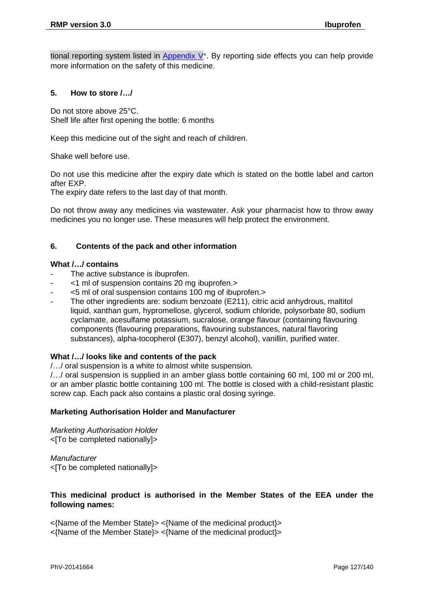tional reporting system listed in Appendix  $V^*$ . By reporting side effects you can help provide more information on the safety of this medicine.

## **5. How to store /…/**

Do not store above 25°C. Shelf life after first opening the bottle: 6 months

Keep this medicine out of the sight and reach of children.

Shake well before use.

Do not use this medicine after the expiry date which is stated on the bottle label and carton after EXP.

The expiry date refers to the last day of that month.

Do not throw away any medicines via wastewater. Ask your pharmacist how to throw away medicines you no longer use. These measures will help protect the environment.

## **6. Contents of the pack and other information**

#### **What /…/ contains**

- The active substance is ibuprofen.
- <1 ml of suspension contains 20 mg ibuprofen.>
- <5 ml of oral suspension contains 100 mg of ibuprofen.>
- The other ingredients are: sodium benzoate (E211), citric acid anhydrous, maltitol liquid, xanthan gum, hypromellose, glycerol, sodium chloride, polysorbate 80, sodium cyclamate, acesulfame potassium, sucralose, orange flavour (containing flavouring components (flavouring preparations, flavouring substances, natural flavoring substances), alpha-tocopherol (E307), benzyl alcohol), vanillin, purified water.

#### **What /…/ looks like and contents of the pack**

/…/ oral suspension is a white to almost white suspension.

/…/ oral suspension is supplied in an amber glass bottle containing 60 ml, 100 ml or 200 ml, or an amber plastic bottle containing 100 ml. The bottle is closed with a child-resistant plastic screw cap. Each pack also contains a plastic oral dosing syringe.

#### **Marketing Authorisation Holder and Manufacturer**

*Marketing Authorisation Holder* <[To be completed nationally]>

*Manufacturer* <[To be completed nationally]>

## **This medicinal product is authorised in the Member States of the EEA under the following names:**

<{Name of the Member State}> <{Name of the medicinal product}> <{Name of the Member State}> <{Name of the medicinal product}>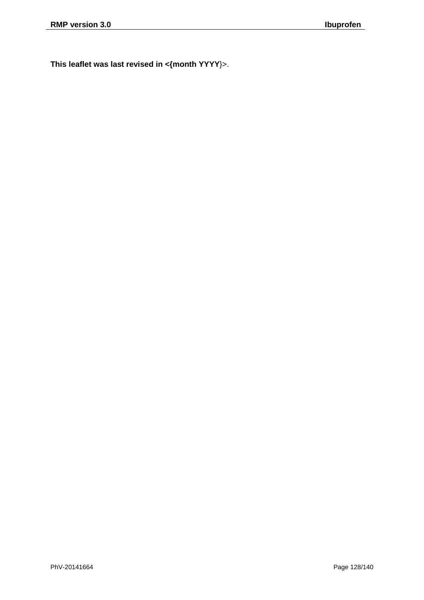**This leaflet was last revised in <{month YYYY**}>.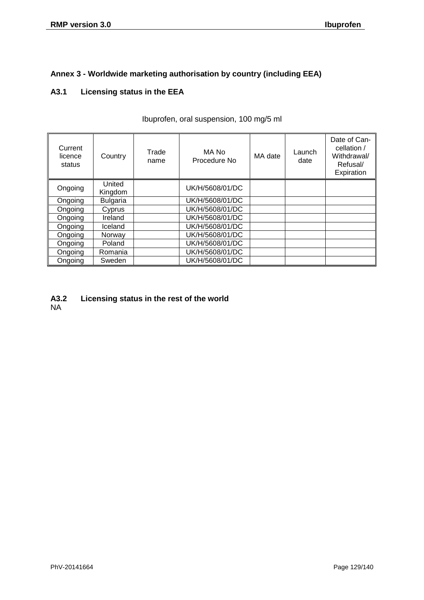## **Annex 3 - Worldwide marketing authorisation by country (including EEA)**

## **A3.1 Licensing status in the EEA**

| Current<br>licence<br>status | Country           | Trade<br>name | MA No<br>Procedure No | MA date | Launch<br>date | Date of Can-<br>cellation /<br>Withdrawal/<br>Refusal/<br>Expiration |
|------------------------------|-------------------|---------------|-----------------------|---------|----------------|----------------------------------------------------------------------|
| Ongoing                      | United<br>Kingdom |               | UK/H/5608/01/DC       |         |                |                                                                      |
| Ongoing                      | <b>Bulgaria</b>   |               | UK/H/5608/01/DC       |         |                |                                                                      |
| Ongoing                      | Cyprus            |               | UK/H/5608/01/DC       |         |                |                                                                      |
| Ongoing                      | Ireland           |               | UK/H/5608/01/DC       |         |                |                                                                      |
| Ongoing                      | Iceland           |               | UK/H/5608/01/DC       |         |                |                                                                      |
| Ongoing                      | Norway            |               | UK/H/5608/01/DC       |         |                |                                                                      |
| Ongoing                      | Poland            |               | UK/H/5608/01/DC       |         |                |                                                                      |
| Ongoing                      | Romania           |               | UK/H/5608/01/DC       |         |                |                                                                      |
| Ongoing                      | Sweden            |               | UK/H/5608/01/DC       |         |                |                                                                      |

Ibuprofen, oral suspension, 100 mg/5 ml

## **A3.2 Licensing status in the rest of the world**

NA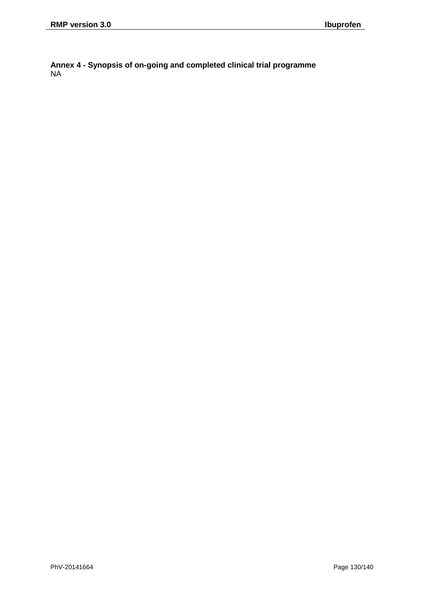**Annex 4 - Synopsis of on-going and completed clinical trial programme** NA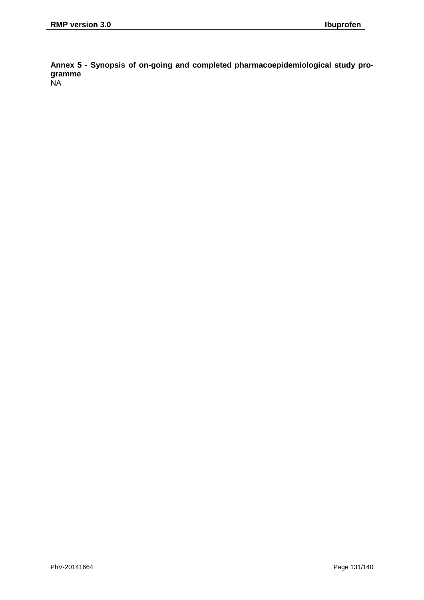**Annex 5 - Synopsis of on-going and completed pharmacoepidemiological study programme**

**NA**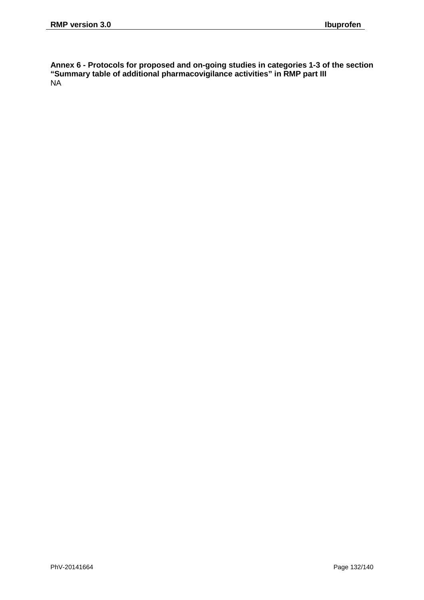**Annex 6 - Protocols for proposed and on-going studies in categories 1-3 of the section "Summary table of additional pharmacovigilance activities" in RMP part III** NA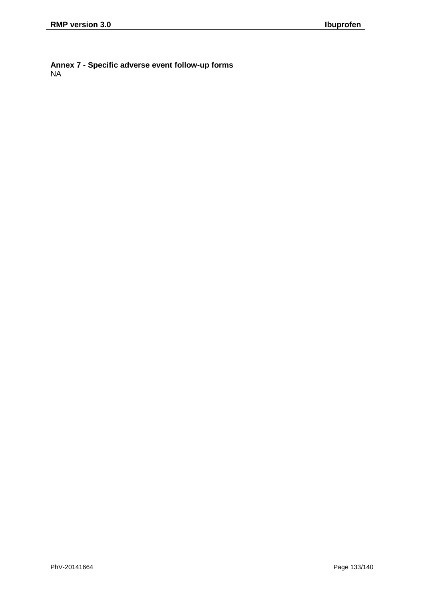**Annex 7 - Specific adverse event follow-up forms** NA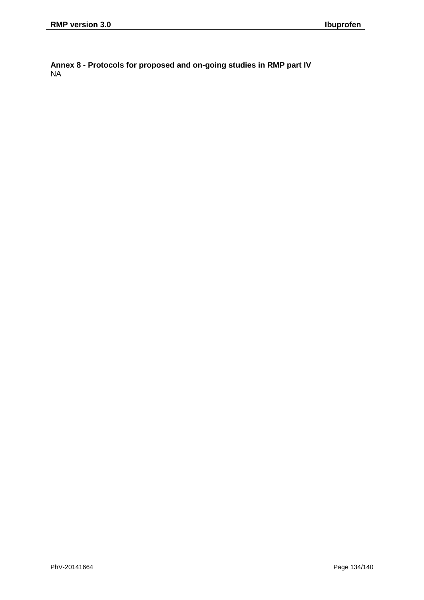**Annex 8 - Protocols for proposed and on-going studies in RMP part IV** NA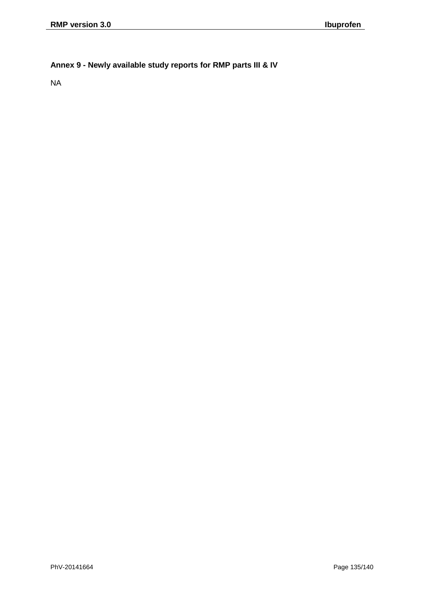## **Annex 9 - Newly available study reports for RMP parts III & IV**

NA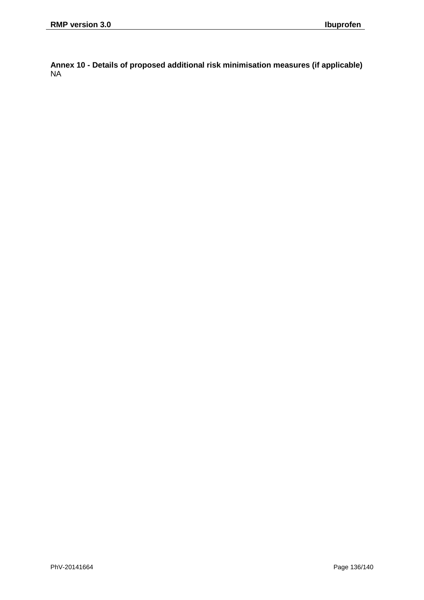**Annex 10 - Details of proposed additional risk minimisation measures (if applicable)** NA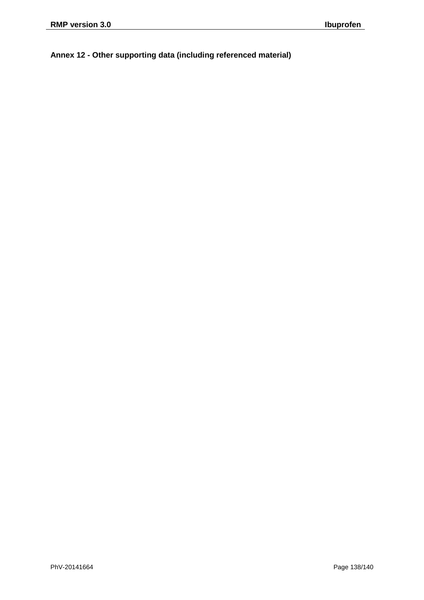**Annex 12 - Other supporting data (including referenced material)**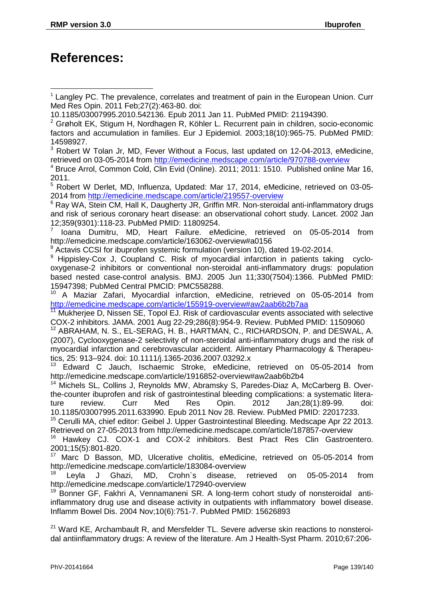## **References:**

<sup>3</sup> Robert W Tolan Jr, MD, Fever Without a Focus, last updated on 12-04-2013, eMedicine, retrieved on 03-05-2014 from http://emedicine.medscape.com/article/970788-overview

<sup>5</sup> Robert W Derlet, MD, Influenza, Updated: Mar 17, 2014, eMedicine, retrieved on 03-05- 2014 from http://emedicine.medscape.com/article/219557-overview

<sup>6</sup> Ray WA, Stein CM, Hall K, Daugherty JR, Griffin MR. Non-steroidal anti-inflammatory drugs and risk of serious coronary heart disease: an observational cohort study. Lancet. 2002 Jan 12;359(9301):118-23. PubMed PMID: 11809254.

 $7$  Ioana Dumitru, MD, Heart Failure. eMedicine, retrieved on 05-05-2014 from http://emedicine.medscape.com/article/163062-overview#a0156

<sup>8</sup> Actavis CCSI for ibuprofen systemic formulation (version 10), dated 19-02-2014.

<sup>9</sup> Hippisley-Cox J, Coupland C. Risk of myocardial infarction in patients taking cyclooxygenase-2 inhibitors or conventional non-steroidal anti-inflammatory drugs: population based nested case-control analysis. BMJ. 2005 Jun 11;330(7504):1366. PubMed PMID: 15947398; PubMed Central PMCID: PMC558288.

<sup>10</sup> A Maziar Zafari, Myocardial infarction, eMedicine, retrieved on 05-05-2014 from http://emedicine.medscape.com/article/155919-overview#aw2aab6b2b7aa

<sup>11</sup> Mukherjee D, Nissen SE, Topol EJ. Risk of cardiovascular events associated with selective COX-2 inhibitors. JAMA. 2001 Aug 22-29;286(8):954-9. Review. PubMed PMID: 11509060

<sup>12</sup> ABRAHAM, N. S., EL-SERAG, H. B., HARTMAN, C., RICHARDSON, P. and DESWAL, A. (2007), Cyclooxygenase-2 selectivity of non-steroidal anti-inflammatory drugs and the risk of myocardial infarction and cerebrovascular accident. Alimentary Pharmacology & Therapeutics, 25: 913–924. doi: 10.1111/j.1365-2036.2007.03292.x

<sup>13</sup> Edward C Jauch, Ischaemic Stroke, eMedicine, retrieved on 05-05-2014 from http://emedicine.medscape.com/article/1916852-overview#aw2aab6b2b4

<sup>14</sup> Michels SL, Collins J, Reynolds MW, Abramsky S, Paredes-Diaz A, McCarberg B. Overthe-counter ibuprofen and risk of gastrointestinal bleeding complications: a systematic litera-<br>ture review. Curr Med Res Opin. 2012 Jan:28(1):89-99. doi: ture review. Curr Med Res Opin. 2012 Jan;28(1):89-99. doi: 10.1185/03007995.2011.633990. Epub 2011 Nov 28. Review. PubMed PMID: 22017233.

<sup>15</sup> Cerulli MA, chief editor: Geibel J. Upper Gastrointestinal Bleeding. Medscape Apr 22 2013. Retrieved on 27-05-2013 from http://emedicine.medscape.com/article/187857-overview

<sup>16</sup> Hawkey CJ. COX-1 and COX-2 inhibitors. Best Pract Res Clin Gastroentero. 2001;15(5):801-820.

<sup>17</sup> Marc D Basson, MD, Ulcerative cholitis, eMedicine, retrieved on 05-05-2014 from http://emedicine.medscape.com/article/183084-overview

Leyla J Ghazi, MD, Crohn`s disease, retrieved on 05-05-2014 from http://emedicine.medscape.com/article/172940-overview

<sup>19</sup> Bonner GF, Fakhri A, Vennamaneni SR. A long-term cohort study of nonsteroidal antiinflammatory drug use and disease activity in outpatients with inflammatory bowel disease. Inflamm Bowel Dis. 2004 Nov;10(6):751-7. PubMed PMID: 15626893

 $21$  Ward KE, Archambault R, and Mersfelder TL. Severe adverse skin reactions to nonsteroidal antiinflammatory drugs: A review of the literature. Am J Health-Syst Pharm. 2010;67:206-

 $<sup>1</sup>$  Langley PC. The prevalence, correlates and treatment of pain in the European Union. Curr</sup> Med Res Opin. 2011 Feb;27(2):463-80. doi:

<sup>10.1185/03007995.2010.542136.</sup> Epub 2011 Jan 11. PubMed PMID: 21194390.

<sup>2</sup> Grøholt EK, Stigum H, Nordhagen R, Köhler L. Recurrent pain in children, socio-economic factors and accumulation in families. Eur J Epidemiol. 2003;18(10):965-75. PubMed PMID: 14598927.

<sup>4</sup> Bruce Arrol, Common Cold, Clin Evid (Online). 2011; 2011: 1510. Published online Mar 16, 2011.